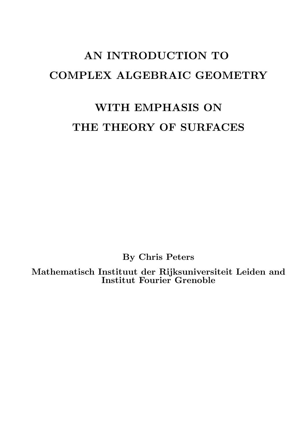# AN INTRODUCTION TO COMPLEX ALGEBRAIC GEOMETRY

# WITH EMPHASIS ON THE THEORY OF SURFACES

By Chris Peters

Mathematisch Instituut der Rijksuniversiteit Leiden and Institut Fourier Grenoble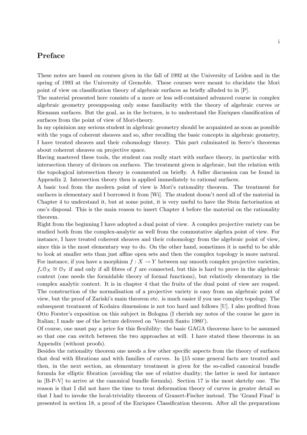# Preface

These notes are based on courses given in the fall of 1992 at the University of Leiden and in the spring of 1993 at the University of Grenoble. These courses were meant to elucidate the Mori point of view on classification theory of algebraic surfaces as briefly alluded to in [P].

The material presented here consists of a more or less self-contained advanced course in complex algebraic geometry presupposing only some familiarity with the theory of algebraic curves or Riemann surfaces. But the goal, as in the lectures, is to understand the Enriques classification of surfaces from the point of view of Mori-theory.

In my opininion any serious student in algebraic geometry should be acquainted as soon as possible with the yoga of coherent sheaves and so, after recalling the basic concepts in algebraic geometry, I have treated sheaves and their cohomology theory. This part culminated in Serre's theorems about coherent sheaves on projective space.

Having mastered these tools, the student can really start with surface theory, in particular with intersection theory of divisors on surfaces. The treatment given is algebraic, but the relation with the topological intersection theory is commented on briefly. A fuller discussion can be found in Appendix 2. Intersection theory then is applied immediately to rational surfaces.

A basic tool from the modern point of view is Mori's rationality theorem. The treatment for surfaces is elementary and I borrowed it from [Wi]. The student doesn't need all of the material in Chapter 4 to understand it, but at some point, it is very useful to have the Stein factorisation at one's disposal. This is the main reason to insert Chapter 4 before the material on the rationality theorem.

Right from the beginning I have adopted a dual point of view. A complex projective variety can be studied both from the complex-analytic as well from the commutative algebra point of view. For instance, I have treated coherent sheaves and their cohomology from the algebraic point of view, since this is the most elementary way to do. On the other hand, sometimes it is useful to be able to look at smaller sets than just affine open sets and then the complex topology is more natural. For instance, if you have a morphism  $f : X \to Y$  between say smooth complex projective varieties,  $f_*\mathcal{O}_X \cong \mathcal{O}_Y$  if and only if all fibres of f are connected, but this is hard to prove in the algebraic context (one needs the formidable theory of formal functions), but relatively elementary in the complex analytic context. It is in chapter 4 that the fruits of the dual point of view are reaped. The construction of the normalisation of a projective variety is easy from an algebraic point of view, but the proof of Zariski's main theorem etc. is much easier if you use complex topology. The subsequent treatment of Kodaira dimensions is not too hard and follows [U]. I also profited from Otto Forster's exposition on this subject in Bologna (I cherish my notes of the course he gave in Italian; I made use of the lecture delivered on 'Venerdi Santo 1980').

Of course, one must pay a price for this flexibility: the basic GAGA theorems have to be assumed so that one can switch between the two approaches at will. I have stated these theorems in an Appendix (without proofs).

Besides the rationality theorem one needs a few other specific aspects from the theory of surfaces that deal with fibrations and with families of curves. In §15 some general facts are treated and then, in the next section, an elementary treatment is given for the so-called canonical bundle formula for elliptic fibration (avoiding the use of relative duality; the latter is used for instance in [B-P-V] to arrive at the canonical bundle formula). Section 17 is the most sketchy one. The reason is that I did not have the time to treat deformation theory of curves in greater detail so that I had to invoke the local-triviality theorem of Grauert-Fischer instead. The 'Grand Final' is presented in section 18, a proof of the Enriques Classification theorem. After all the preparations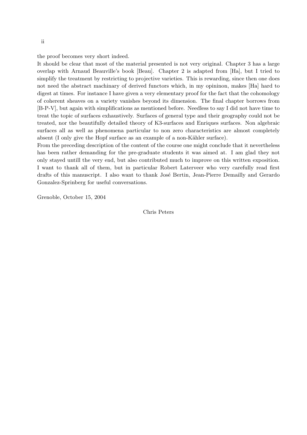the proof becomes very short indeed.

It should be clear that most of the material presented is not very original. Chapter 3 has a large overlap with Arnaud Beauville's book [Beau]. Chapter 2 is adapted from [Ha], but I tried to simplify the treatment by restricting to projective varieties. This is rewarding, since then one does not need the abstract machinary of derived functors which, in my opininon, makes [Ha] hard to digest at times. For instance I have given a very elementary proof for the fact that the cohomology of coherent sheaves on a variety vanishes beyond its dimension. The final chapter borrows from [B-P-V], but again with simplifications as mentioned before. Needless to say I did not have time to treat the topic of surfaces exhaustively. Surfaces of general type and their geography could not be treated, nor the beautifully detailed theory of K3-surfaces and Enriques surfaces. Non algebraic surfaces all as well as phenomena particular to non zero characteristics are almost completely absent (I only give the Hopf surface as an example of a non-Kähler surface).

From the preceding description of the content of the course one might conclude that it nevertheless has been rather demanding for the pre-graduate students it was aimed at. I am glad they not only stayed untill the very end, but also contributed much to improve on this written exposition. I want to thank all of them, but in particular Robert Laterveer who very carefully read first drafts of this manuscript. I also want to thank José Bertin, Jean-Pierre Demailly and Gerardo Gonzalez-Sprinberg for useful conversations.

Grenoble, October 15, 2004

Chris Peters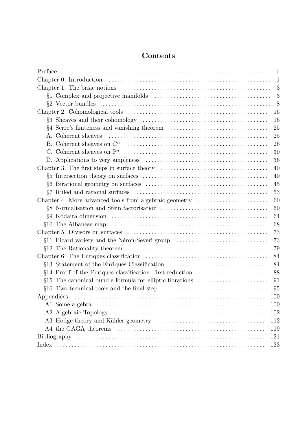# **Contents**

| Preface                                                                                                                         | i.           |
|---------------------------------------------------------------------------------------------------------------------------------|--------------|
|                                                                                                                                 | $\mathbf{1}$ |
|                                                                                                                                 | 3            |
|                                                                                                                                 | 3            |
|                                                                                                                                 | 8            |
|                                                                                                                                 | 16           |
| $\S3$ Sheaves and their cohomology $\dots \dots \dots \dots \dots \dots \dots \dots \dots \dots \dots \dots$                    | 16           |
|                                                                                                                                 | 25           |
| A. Coherent sheaves                                                                                                             | 25           |
|                                                                                                                                 | 26           |
|                                                                                                                                 | 30           |
|                                                                                                                                 | 36           |
| Chapter 3. The first steps in surface theory $\dots \dots \dots \dots \dots \dots \dots \dots \dots \dots$                      | 40           |
|                                                                                                                                 | 40           |
|                                                                                                                                 | 45           |
|                                                                                                                                 | 53           |
| Chapter 4. More advanced tools from algebraic geometry                                                                          | 60           |
|                                                                                                                                 | 60           |
|                                                                                                                                 | 64           |
| $\S10$ The Albanese map $\dots \dots \dots \dots \dots \dots \dots \dots \dots \dots \dots \dots \dots \dots \dots \dots \dots$ | 68           |
|                                                                                                                                 | 73           |
| §11 Picard variety and the Néron-Severi group                                                                                   | 73           |
|                                                                                                                                 | 79           |
|                                                                                                                                 | 84           |
| §13 Statement of the Enriques Classification                                                                                    | 84           |
|                                                                                                                                 | 88           |
| $§15$ The canonical bundle formula for elliptic fibrations                                                                      | 91           |
| $\S16$ Two technical tools and the final step $\dots \dots \dots \dots \dots \dots \dots \dots \dots \dots$                     | 95           |
|                                                                                                                                 | 100          |
|                                                                                                                                 | 100          |
|                                                                                                                                 | 102          |
|                                                                                                                                 | 112          |
|                                                                                                                                 | 119          |
|                                                                                                                                 | 121          |
|                                                                                                                                 | 123          |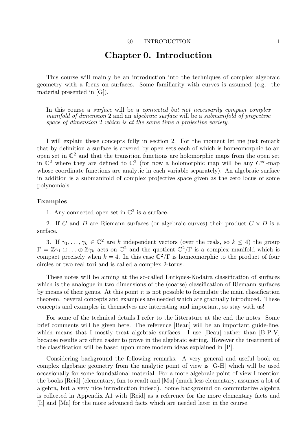# Chapter 0. Introduction

This course will mainly be an introduction into the techniques of complex algebraic geometry with a focus on surfaces. Some familiarity with curves is assumed (e.g. the material presented in [G]).

In this course a *surface* will be a *connected but not necessarily compact complex* manifold of dimension 2 and an algebraic surface will be a submanifold of projective space of dimension 2 which is at the same time a projective variety.

I will explain these concepts fully in section 2. For the moment let me just remark that by definition a surface is covered by open sets each of which is homeomorphic to an open set in  $\mathbb{C}^2$  and that the transition functions are holomorphic maps from the open set in  $\mathbb{C}^2$  where they are defined to  $\mathbb{C}^2$  (for now a holomorphic map will be any  $C^{\infty}$ -map whose coordinate functions are analytic in each variable separately). An algebraic surface in addition is a submanifold of complex projective space given as the zero locus of some polynomials.

### Examples

1. Any connected open set in  $\mathbb{C}^2$  is a surface.

2. If C and D are Riemann surfaces (or algebraic curves) their product  $C \times D$  is a surface.

3. If  $\gamma_1, \ldots, \gamma_k \in \mathbb{C}^2$  are k independent vectors (over the reals, so  $k \leq 4$ ) the group  $\Gamma = \mathbb{Z}\gamma_1 \oplus \ldots \oplus \mathbb{Z}\gamma_k$  acts on  $\mathbb{C}^2$  and the quotient  $\mathbb{C}^2/\Gamma$  is a complex manifold which is compact precisely when  $k = 4$ . In this case  $\mathbb{C}^2/\Gamma$  is homeomorphic to the product of four circles or two real tori and is called a complex 2-torus.

These notes will be aiming at the so-called Enriques-Kodaira classification of surfaces which is the analogue in two dimensions of the (coarse) classification of Riemann surfaces by means of their genus. At this point it is not possible to formulate the main classification theorem. Several concepts and examples are needed which are gradually introduced. These concepts and examples in themselves are interesting and important, so stay with us!

For some of the technical details I refer to the litterature at the end the notes. Some brief comments will be given here. The reference [Beau] will be an important guide-line, which means that I mostly treat algebraic surfaces. I use [Beau] rather than [B-P-V] because results are often easier to prove in the algebraic setting. However the treatment of the classification will be based upon more modern ideas explained in [P].

Considering background the following remarks. A very general and useful book on complex algebraic geometry from the analytic point of view is [G-H] which will be used occasionally for some foundational material. For a more algebraic point of view I mention the books [Reid] (elementary, fun to read) and [Mu] (much less elementary, assumes a lot of algebra, but a very nice introduction indeed). Some background on commutative algebra is collected in Appendix A1 with [Reid] as a reference for the more elementary facts and [Ii] and [Ma] for the more advanced facts which are needed later in the course.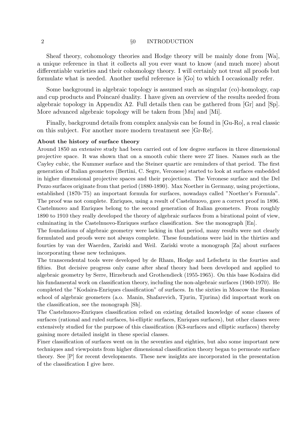### 2 §0 INTRODUCTION

Sheaf theory, cohomology theories and Hodge theory will be mainly done from [Wa], a unique reference in that it collects all you ever want to know (and much more) about differentiable varieties and their cohomology theory. I will certainly not treat all proofs but formulate what is needed. Another useful reference is [Go] to which I occasionally refer.

Some background in algebraic topology is assumed such as singular (co)-homology, cap and cup products and Poincaré duality. I have given an overview of the results needed from algebraic topology in Appendix A2. Full details then can be gathered from [Gr] and [Sp]. More advanced algebraic topology will be taken from [Mu] and [Mi].

Finally, background details from complex analysis can be found in [Gu-Ro], a real classic on this subject. For another more modern treatment see [Gr-Re].

#### About the history of surface theory

Around 1850 an extensive study had been carried out of low degree surfaces in three dimensional projective space. It was shown that on a smooth cubic there were 27 lines. Names such as the Cayley cubic, the Kummer surface and the Steiner quartic are reminders of that period. The first generation of Italian geometers (Bertini, C. Segre, Veronese) started to look at surfaces embedded in higher dimensional projective spaces and their projections. The Veronese surface and the Del Pezzo surfaces originate from that period (1880-1890). Max Noether in Germany, using projections, established (1870-'75) an important formula for surfaces, nowadays called "Noether's Formula". The proof was not complete. Enriques, using a result of Castelnuovo, gave a correct proof in 1896. Castelnuovo and Enriques belong to the second generation of Italian geometers. From roughly 1890 to 1910 they really developed the theory of algebraic surfaces from a birational point of view, culminating in the Castelnuovo-Enriques surface classification. See the monograph [En].

The foundations of algebraic geometry were lacking in that period, many results were not clearly formulated and proofs were not always complete. These foundations were laid in the thirties and fourties by van der Waerden, Zariski and Weil. Zariski wrote a monograph [Za] about surfaces incorporating these new techniques.

The transcendental tools were developed by de Rham, Hodge and Lefschetz in the fourties and fifties. But decisive progress only came after sheaf theory had been developed and applied to algebraic geometry by Serre, Hirzebruch and Grothendieck (1955-1965). On this base Kodaira did his fundamental work on classification theory, including the non-algebraic surfaces (1960-1970). He completed the "Kodaira-Enriques classification" of surfaces. In the sixties in Moscow the Russian school of algebraic geometers (a.o. Manin, Shafarevich, Tjurin, Tjurina) did important work on the classification, see the monograph [Sh].

The Castelnuovo-Enriques classification relied on existing detailed knowledge of some classes of surfaces (rational and ruled surfaces, bi-elliptic surfaces, Enriques surfaces), but other classes were extensively studied for the purpose of this classification (K3-surfaces and elliptic surfaces) thereby gaining more detailed insight in these special classes.

Finer classification of surfaces went on in the seventies and eighties, but also some important new techniques and viewpoints from higher dimensional classification theory began to permeate surface theory. See [P] for recent developments. These new insights are incorporated in the presentation of the classification I give here.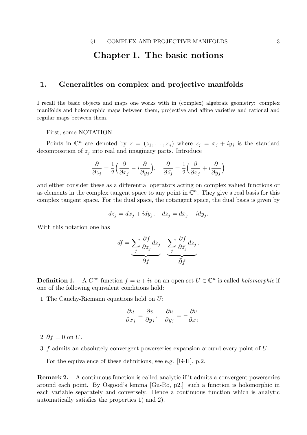# Chapter 1. The basic notions

## 1. Generalities on complex and projective manifolds

I recall the basic objects and maps one works with in (complex) algebraic geometry: complex manifolds and holomorphic maps between them, projective and affine varieties and rational and regular maps between them.

First, some NOTATION.

Points in  $\mathbb{C}^n$  are denoted by  $z = (z_1, \ldots, z_n)$  where  $z_j = x_j + iy_j$  is the standard decomposition of  $z_i$  into real and imaginary parts. Introduce

$$
\frac{\partial}{\partial z_j} = \frac{1}{2} \Big( \frac{\partial}{\partial x_j} - i \frac{\partial}{\partial y_j} \Big), \quad \frac{\partial}{\partial \bar{z}_j} = \frac{1}{2} \Big( \frac{\partial}{\partial x_j} + i \frac{\partial}{\partial y_j} \Big)
$$

and either consider these as a differential operators acting on complex valued functions or as elements in the complex tangent space to any point in  $\mathbb{C}^n$ . They give a real basis for this complex tangent space. For the dual space, the cotangent space, the dual basis is given by

$$
dz_j = dx_j + i dy_j, \quad d\bar{z}_j = dx_j - i dy_j.
$$

With this notation one has

$$
df = \underbrace{\sum_{j} \frac{\partial f}{\partial z_j} dz_j}_{\text{or} + \underbrace{\sum_{j} \frac{\partial f}{\partial \bar{z}_j} d\bar{z}_j}_{\text{or} + \underbrace{\sum_{j} \frac{\partial f}{\partial z_j} d\bar{z}_j}_{\text{or} + \underbrace{\sum_{j} \frac{\partial f}{\partial z_j} d\bar{z}_j}_{\text{or} + \underbrace{\sum_{j} \frac{\partial f}{\partial z_j} d\bar{z}_j}_{\text{or} + \underbrace{\sum_{j} \frac{\partial f}{\partial z_j} d\bar{z}_j}_{\text{or} + \underbrace{\sum_{j} \frac{\partial f}{\partial z_j} d\bar{z}_j}_{\text{or} + \underbrace{\sum_{j} \frac{\partial f}{\partial z_j} d\bar{z}_j}_{\text{or} + \underbrace{\sum_{j} \frac{\partial f}{\partial z_j} d\bar{z}_j}_{\text{or} + \underbrace{\sum_{j} \frac{\partial f}{\partial z_j} d\bar{z}_j}_{\text{or} + \underbrace{\sum_{j} \frac{\partial f}{\partial z_j} d\bar{z}_j}_{\text{or} + \underbrace{\sum_{j} \frac{\partial f}{\partial z_j} d\bar{z}_j}_{\text{or} + \underbrace{\sum_{j} \frac{\partial f}{\partial z_j} d\bar{z}_j}_{\text{or} + \underbrace{\sum_{j} \frac{\partial f}{\partial z_j} d\bar{z}_j}_{\text{or} + \underbrace{\sum_{j} \frac{\partial f}{\partial z_j} d\bar{z}_j}_{\text{or} + \underbrace{\sum_{j} \frac{\partial f}{\partial z_j} d\bar{z}_j}_{\text{or} + \underbrace{\sum_{j} \frac{\partial f}{\partial z_j} d\bar{z}_j}_{\text{or} + \underbrace{\sum_{j} \frac{\partial f}{\partial z_j} d\bar{z}_j}_{\text{or} + \underbrace{\sum_{j} \frac{\partial f}{\partial z_j} d\bar{z}_j}_{\text{or} + \underbrace{\sum_{j} \frac{\partial f}{\partial z_j} d\bar{z}_j}_{\text{or} + \underbrace{\sum_{j} \frac{\partial f}{\partial z_j} d\bar{z}_j}_{\text{or} + \underbrace{\sum_{j} \frac{\partial f}{\partial z_j} d\bar{z}_j}_{\text{or} + \underbrace{\sum_{j} \frac{\partial f}{\partial z_j} d\bar{z}_j}_{\text{or}
$$

Definition 1.  $\infty$  function  $f = u + iv$  on an open set  $U \in \mathbb{C}^n$  is called *holomorphic* if one of the following equivalent conditions hold:

1 The Cauchy-Riemann equations hold on U:

$$
\frac{\partial u}{\partial x_j} = \frac{\partial v}{\partial y_j}, \quad \frac{\partial u}{\partial y_j} = -\frac{\partial v}{\partial x_j}.
$$

- $2 \bar{\partial} f = 0$  on U.
- 3 f admits an absolutely convergent powerseries expansion around every point of U.

For the equivalence of these definitions, see e.g. [G-H], p.2.

Remark 2. A continuous function is called analytic if it admits a convergent powerseries around each point. By Osgood's lemma [Gu-Ro, p2.] such a function is holomorphic in each variable separately and conversely. Hence a continuous function which is analytic automatically satisfies the properties 1) and 2).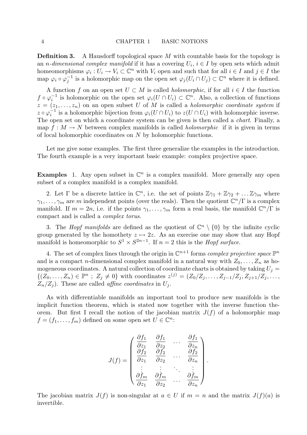**Definition 3.** A Hausdorff topological space M with countable basis for the topology is an *n*-dimensional complex manifold if it has a covering  $U_i$ ,  $i \in I$  by open sets which admit homeomorphisms  $\varphi_i: U_i \to V_i \subset \mathbb{C}^n$  with  $V_i$  open and such that for all  $i \in I$  and  $j \in I$  the map  $\varphi_i \circ \varphi_i^{-1}$  $_j^{-1}$  is a holomorphic map on the open set  $\varphi_j(U_i \cap U_j) \subset \mathbb{C}^n$  where it is defined.

A function f on an open set  $U \subset M$  is called *holomorphic*, if for all  $i \in I$  the function  $f \circ \varphi_i^{-1}$  $i<sub>i</sub>$  is holomorphic on the open set  $\varphi_i(U \cap U_i) \subset \mathbb{C}^n$ . Also, a collection of functions  $z = (z_1, \ldots, z_n)$  on an open subset U of M is called a *holomorphic coordinate system* if  $z \circ \varphi_i^{-1}$  $i_i^{-1}$  is a holomorphic bijection from  $\varphi_i(U \cap U_i)$  to  $z(U \cap U_i)$  with holomorphic inverse. The open set on which a coordinate system can be given is then called a *chart*. Finally, a map  $f: M \to N$  between complex manifolds is called *holomorphic* if it is given in terms of local holomorphic coordinates on N by holomorphic functions.

Let me give some examples. The first three generalize the examples in the introduction. The fourth example is a very important basic example: complex projective space.

**Examples** 1. Any open subset in  $\mathbb{C}^n$  is a complex manifold. More generally any open subset of a complex manifold is a complex manifold.

2. Let  $\Gamma$  be a discrete lattice in  $\mathbb{C}^n$ , i.e. the set of points  $\mathbb{Z}\gamma_1 + \mathbb{Z}\gamma_2 + \dots \mathbb{Z}\gamma_m$  where  $\gamma_1, \ldots, \gamma_m$  are m independent points (over the reals). Then the quotient  $\mathbb{C}^n/\Gamma$  is a complex manifold. If  $m = 2n$ , i.e. if the points  $\gamma_1, \ldots, \gamma_m$  form a real basis, the manifold  $\mathbb{C}^n/\Gamma$  is compact and is called a complex torus.

3. The *Hopf manifolds* are defined as the quotient of  $\mathbb{C}^n \setminus \{0\}$  by the infinite cyclic group generated by the homothety  $z \mapsto 2z$ . As an exercise one may show that any Hopf manifold is homeomorphic to  $S^1 \times S^{2n-1}$ . If  $n = 2$  this is the *Hopf surface*.

4. The set of complex lines through the origin in  $\mathbb{C}^{n+1}$  forms *complex projective space*  $\mathbb{P}^n$ and is a compact *n*-dimensional complex manifold in a natural way with  $Z_0, \ldots, Z_n$  as homogeneous coordinates. A natural collection of coordinate charts is obtained by taking  $U_j =$  $\{(Z_0,\ldots,Z_n)\in\mathbb{P}^n\,;\;Z_j\neq 0\}$  with coordinates  $z^{(j)}=(Z_0/Z_j,\ldots,Z_{j-1}/Z_j,Z_{j+1}/Z_j,\ldots,$  $Z_n/Z_i$ ). These are called *affine coordinates* in  $U_j$ .

As with differentiable manifolds an important tool to produce new manifolds is the implicit function theorem, which is stated now together with the inverse function theorem. But first I recall the notion of the jacobian matrix  $J(f)$  of a holomorphic map  $f = (f_1, \ldots, f_m)$  defined on some open set  $U \in \mathbb{C}^n$ :

$$
J(f) = \begin{pmatrix} \frac{\partial f_1}{\partial z_1} & \frac{\partial f_1}{\partial z_2} & \cdots & \frac{\partial f_1}{\partial z_n} \\ \frac{\partial f_2}{\partial z_1} & \frac{\partial f_2}{\partial z_2} & \cdots & \frac{\partial f_2}{\partial z_n} \\ \vdots & \vdots & \ddots & \vdots \\ \frac{\partial f_m}{\partial z_1} & \frac{\partial f_m}{\partial z_2} & \cdots & \frac{\partial f_m}{\partial z_n} \end{pmatrix}
$$

.

The jacobian matrix  $J(f)$  is non-singular at  $a \in U$  if  $m = n$  and the matrix  $J(f)(a)$  is invertible.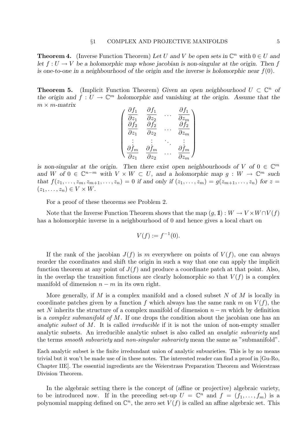**Theorem 4.** (Inverse Function Theorem) Let U and V be open sets in  $\mathbb{C}^n$  with  $0 \in U$  and let  $f: U \to V$  be a holomorphic map whose jacobian is non-singular at the origin. Then f is one-to-one in a neighbourhood of the origin and the inverse is holomorphic near  $f(0)$ .

**Theorem 5.** (Implicit Function Theorem) Given an open neighbourhood  $U \subset \mathbb{C}^n$  of the origin and  $f: U \to \mathbb{C}^m$  holomorphic and vanishing at the origin. Assume that the  $m \times m$ -matrix

$$
\begin{pmatrix}\n\frac{\partial f_1}{\partial z_1} & \frac{\partial f_1}{\partial z_2} & \cdots & \frac{\partial f_1}{\partial z_m} \\
\frac{\partial f_2}{\partial z_1} & \frac{\partial f_2}{\partial z_2} & \cdots & \frac{\partial f_2}{\partial z_m} \\
\vdots & \vdots & \ddots & \vdots \\
\frac{\partial f_m}{\partial z_1} & \frac{\partial f_m}{\partial z_2} & \cdots & \frac{\partial f_m}{\partial z_m}\n\end{pmatrix}
$$

is non-singular at the origin. Then there exist open neighbourhoods of V of  $0 \in \mathbb{C}^m$ and W of  $0 \in \mathbb{C}^{n-m}$  with  $V \times W \subset U$ , and a holomorphic map  $g: W \to \mathbb{C}^m$  such that  $f(z_1, ..., z_m, z_{m+1}, ..., z_n) = 0$  if and only if  $(z_1, ..., z_m) = g(z_{m+1}, ..., z_n)$  for  $z =$  $(z_1, \ldots, z_n) \in V \times W$ .

For a proof of these theorems see Problem 2.

Note that the Inverse Function Theorem shows that the map  $(g, 1): W \to V \times W \cap V(f)$ has a holomorphic inverse in a neighbourhood of 0 and hence gives a local chart on

$$
V(f) := f^{-1}(0).
$$

If the rank of the jacobian  $J(f)$  is m everywhere on points of  $V(f)$ , one can always reorder the coordinates and shift the origin in such a way that one can apply the implicit function theorem at any point of  $J(f)$  and produce a coordinate patch at that point. Also, in the overlap the transition functions are clearly holomorphic so that  $V(f)$  is a complex manifold of dimension  $n - m$  in its own right.

More generally, if M is a complex manifold and a closed subset N of M is locally in coordinate patches given by a function f which always has the same rank m on  $V(f)$ , the set N inherits the structure of a complex manifold of dimension  $n - m$  which by definition is a complex submanifold of M. If one drops the condition about the jacobian one has an analytic subset of M. It is called *irreducible* if it is not the union of non-empty smaller analytic subsets. An irreducible analytic subset is also called an analytic subvariety and the terms smooth subvariety and non-singular subvariety mean the same as "submanifold".

Each analytic subset is the finite irredundant union of analytic subvarieties. This is by no means trivial but it won't be made use of in these notes. The interested reader can find a proof in [Gu-Ro, Chapter IIE]. The essential ingredients are the Weierstrass Preparation Theorem and Weierstrass Division Theorem.

In the algebraic setting there is the concept of (affine or projective) algebraic variety, to be introduced now. If in the preceding set-up  $U = \mathbb{C}^n$  and  $f = (f_1, \ldots, f_m)$  is a polynomial mapping defined on  $\mathbb{C}^n$ , the zero set  $V(f)$  is called an affine algebraic set. This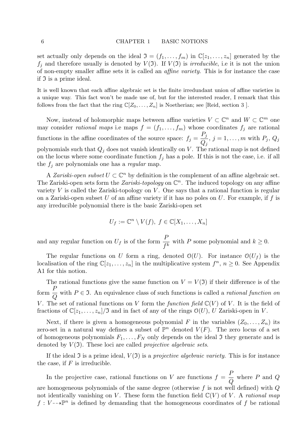set actually only depends on the ideal  $\mathfrak{I} = (f_1, \ldots, f_m)$  in  $\mathbb{C}[z_1, \ldots, z_n]$  generated by the  $f_j$  and therefore usually is denoted by  $V(\mathfrak{I})$ . If  $V(\mathfrak{I})$  is *irreducible*, i.e it is not the union of non-empty smaller affine sets it is called an affine variety. This is for instance the case if  $\mathfrak I$  is a prime ideal.

It is well known that each affine algebraic set is the finite irredundant union of affine varieties in a unique way. This fact won't be made use of, but for the interested reader, I remark that this follows from the fact that the ring  $\mathbb{C}[Z_0, \ldots, Z_n]$  is Noetherian; see [Reid, section 3 ].

Now, instead of holomorphic maps between affine varieties  $V \subset \mathbb{C}^n$  and  $W \subset \mathbb{C}^m$  one may consider rational maps i.e maps  $f = (f_1, \ldots, f_m)$  whose coordinates  $f_j$  are rational functions in the affine coordinates of the source space:  $f_j =$  $P_j$  $Q_j$ ,  $j = 1, \ldots, m$  with  $P_j$ ,  $Q_j$ polynomials such that  $Q_j$  does not vanish identically on V. The rational map is not defined on the locus where some coordinate function  $f_j$  has a pole. If this is not the case, i.e. if all the  $f_j$  are polynomials one has a *regular* map.

A Zariski-open subset  $U \subset \mathbb{C}^n$  by definition is the complement of an affine algebraic set. The Zariski-open sets form the Zariski-topology on  $\mathbb{C}^n$ . The induced topology on any affine variety V is called the Zariski-topology on V. One says that a rational function is regular on a Zariski-open subset U of an affine variety if it has no poles on U. For example, if  $f$  is any irreducible polynomial there is the basic Zariski-open set

$$
U_f := \mathbb{C}^n \setminus V(f), \ f \in \mathbb{C}[X_1, \ldots, X_n]
$$

and any regular function on  $U_f$  is of the form  $\frac{P}{f^k}$  with P some polynomial and  $k \geq 0$ .

The regular functions on U form a ring, denoted  $\mathcal{O}(U)$ . For instance  $\mathcal{O}(U_f)$  is the localisation of the ring  $\mathbb{C}[z_1,\ldots,z_n]$  in the multiplicative system  $f^n$ ,  $n \geq 0$ . See Appendix A1 for this notion.

The rational functions give the same function on  $V = V(\mathfrak{I})$  if their difference is of the form  $\frac{F}{\epsilon}$  $\,Q\,$ with  $P \in \mathfrak{I}$ . An equivalence class of such functions is called a *rational function on* V. The set of rational functions on V form the function field  $\mathbb{C}(V)$  of V. It is the field of fractions of  $\mathbb{C}[z_1,\ldots,z_n]/\mathfrak{I}$  and in fact of any of the rings  $\mathcal{O}(U)$ , U Zariski-open in V.

Next, if there is given a homogeneous polynomial F in the variables  $(Z_0, \ldots, Z_n)$  its zero-set in a natural way defines a subset of  $\mathbb{P}^n$  denoted  $V(F)$ . The zero locus of a set of homogeneous polynomials  $F_1, \ldots, F_N$  only depends on the ideal  $\mathfrak I$  they generate and is denoted by  $V(3)$ . These loci are called *projective algebraic sets*.

If the ideal  $\mathfrak I$  is a prime ideal,  $V(\mathfrak I)$  is a projective algebraic variety. This is for instance the case, if  $F$  is irreducible.

In the projective case, rational functions on V are functions  $f =$ P  $\,Q$ where  $P$  and  $Q$ are homogeneous polynomials of the same degree (otherwise  $f$  is not well defined) with  $Q$ not identically vanishing on V. These form the function field  $\mathbb{C}(V)$  of V. A rational map  $f: V \longrightarrow \mathbb{P}^n$  is defined by demanding that the homogeneous coordinates of f be rational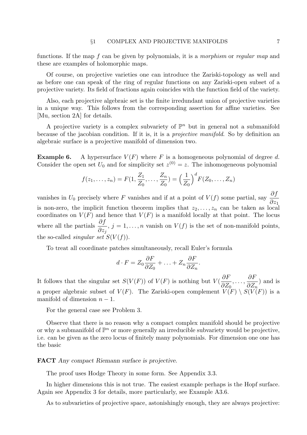functions. If the map f can be given by polynomials, it is a morphism or regular map and these are examples of holomorphic maps.

Of course, on projective varieties one can introduce the Zariski-topology as well and as before one can speak of the ring of regular functions on any Zariski-open subset of a projective variety. Its field of fractions again coincides with the function field of the variety.

Also, each projective algebraic set is the finite irredundant union of projective varieties in a unique way. This follows from the corresponding assertion for affine varieties. See [Mu, section 2A] for details.

A projective variety is a complex subvariety of  $\mathbb{P}^n$  but in general not a submanifold because of the jacobian condition. If it is, it is a projective manifold. So by definition an algebraic surface is a projective manifold of dimension two.

**Example 6.** A hypersurface  $V(F)$  where F is a homogeneous polynomial of degree d. Consider the open set  $U_0$  and for simplicity set  $z^{(0)} = z$ . The inhomogeneous polynomial

$$
f(z_1, ..., z_n) = F(1, \frac{Z_1}{Z_0}, ..., \frac{Z_n}{Z_0}) = \left(\frac{1}{Z_0}\right)^d F(Z_0, ..., Z_n)
$$

vanishes in  $U_0$  precisely where F vanishes and if at a point of  $V(f)$  some partial, say  $\frac{\partial f}{\partial x}$  $\partial z_1$ is non-zero, the implicit function theorem implies that  $z_2, \ldots, z_n$  can be taken as local coordinates on  $V(F)$  and hence that  $V(F)$  is a manifold locally at that point. The locus where all the partials  $\frac{\partial f}{\partial x}$  $\partial z_j$ ,  $j = 1, \ldots, n$  vanish on  $V(f)$  is the set of non-manifold points, the so-called *singular set*  $S(V(f))$ .

To treat all coordinate patches simultaneously, recall Euler's formula

$$
d \cdot F = Z_0 \frac{\partial F}{\partial Z_0} + \ldots + Z_n \frac{\partial F}{\partial Z_n}.
$$

It follows that the singular set  $S(V(F))$  of  $V(F)$  is nothing but  $V(F)$ ∂F  $\partial Z_0$ , . . . , ∂F  $\partial Z_n$ ) and is a proper algebraic subset of  $V(F)$ . The Zariski-open complement  $V(F) \setminus S(V(F))$  is a manifold of dimension  $n-1$ .

For the general case see Problem 3.

Observe that there is no reason why a compact complex manifold should be projective or why a submanifold of  $\mathbb{P}^n$  or more generally an irreducible subvariety would be projective, i.e. can be given as the zero locus of finitely many polynomials. For dimension one one has the basic

### FACT Any compact Riemann surface is projective.

The proof uses Hodge Theory in some form. See Appendix 3.3.

In higher dimensions this is not true. The easiest example perhaps is the Hopf surface. Again see Appendix 3 for details, more particularly, see Example A3.6.

As to subvarieties of projective space, astonishingly enough, they are always projective: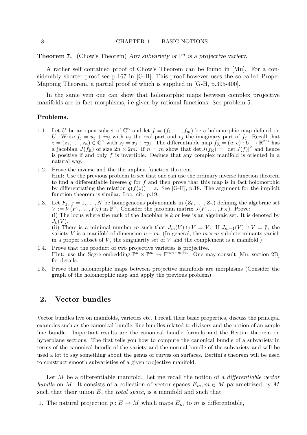**Theorem 7.** (Chow's Theorem) Any subvariety of  $\mathbb{P}^n$  is a projective variety.

A rather self contained proof of Chow's Theorem can be found in [Mu]. For a considerably shorter proof see p.167 in [G-H]. This proof however uses the so called Proper Mapping Theorem, a partial proof of which is supplied in [G-H, p.395-400].

In the same vein one can show that holomorphic maps between complex projective manifolds are in fact morphisms, i.e given by rational functions. See problem 5.

### Problems.

- 1.1. Let U be an open subset of  $\mathbb{C}^n$  and let  $f = (f_1, \ldots, f_m)$  be a holomorphic map defined on U. Write  $f_j = u_j + iv_j$  with  $u_j$  the real part and  $v_j$  the imaginary part of  $f_j$ . Recall that  $z=(z_1,\ldots,z_n)\in\mathbb{C}^n$  with  $z_j=x_j+iy_j$ . The differentiable map  $f_{\mathbb{R}}=(u,v):U\to\mathbb{R}^{2m}$  has a jacobian  $J(f_{\mathbb{R}})$  of size  $2n \times 2m$ . If  $n = m$  show that  $\det J(f_{\mathbb{R}}) = |\det J(f)|^2$  and hence is positive if and only  $f$  is invertible. Deduce that any complex manifold is oriented in a natural way.
- 1.2. Prove the inverse and the the implicit function theorem. Hint: Use the previous problem to see that one can use the ordinary inverse function theorem to find a differentiable inverse  $g$  for  $f$  and then prove that this map is in fact holomorphic by differentiating the relation  $g(f(z)) = z$ . See [G-H], p.18. The argument for the implicit function theorem is similar. Loc. cit. p.19.
- 1.3. Let  $F_j$ ,  $j = 1, ..., N$  be homogeneous polynomials in  $(Z_0, ..., Z_n)$  defining the algebraic set  $V := V(F_1, \ldots, F_N)$  in  $\mathbb{P}^n$ . Consider the jacobian matrix  $J(F_1, \ldots, F_N)$ . Prove: (i) The locus where the rank of the Jacobian is  $k$  or less is an algebraic set. It is denoted by  $J_k(V)$ . (ii) There is a minimal number m such that  $J_m(V) \cap V = V$ . If  $J_{m-1}(V) \cap V = \emptyset$ , the variety V is a manifold of dimension  $n - m$ . (In general, the  $m \times m$  subdeterminants vanish in a proper subset of  $V$ , the singularity set of  $V$  and the complement is a manifold.)
- 1.4. Prove that the product of two projective varieties is projective. Hint: use the Segre embedding  $\mathbb{P}^n \times \mathbb{P}^m \to \mathbb{P}^{nm+m+n}$ . One may consult [Mu, section 2B] for details.
- 1.5. Prove that holomorphic maps between projective manifolds are morphisms (Consider the graph of the holomorphic map and apply the previous problem).

### 2. Vector bundles

Vector bundles live on manifolds, varieties etc. I recall their basic properties, discuss the principal examples such as the canonical bundle, line bundles related to divisors and the notion of an ample line bundle. Important results are the canonical bundle formula and the Bertini theorem on hyperplane sections. The first tells you how to compute the canonical bundle of a subvariety in terms of the canonical bundle of the variety and the normal bundle of the subvariety and will be used a lot to say something about the genus of curves on surfaces. Bertini's theorem will be used to construct smooth subvarieties of a given projective manifold.

Let M be a differentiable manifold. Let me recall the notion of a *differentiable vector* bundle on M. It consists of a collection of vector spaces  $E_m$ ,  $m \in M$  parametrized by M such that their union  $E$ , the *total space*, is a manifold and such that

1. The natural projection  $p: E \to M$  which maps  $E_m$  to m is differentiable,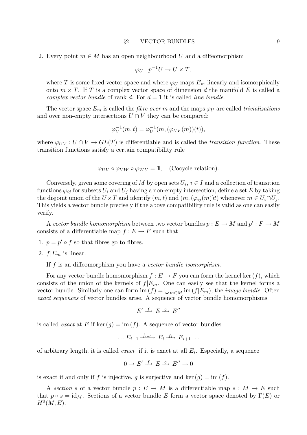2. Every point  $m \in M$  has an open neighbourhood U and a diffeomorphism

$$
\varphi_U: p^{-1}U \to U \times T,
$$

where T is some fixed vector space and where  $\varphi_U$  maps  $E_m$  linearly and isomorphically onto  $m \times T$ . If T is a complex vector space of dimension d the manifold E is called a complex vector bundle of rank d. For  $d = 1$  it is called line bundle.

The vector space  $E_m$  is called the *fibre over* m and the maps  $\varphi_U$  are called *trivializations* and over non-empty intersections  $U \cap V$  they can be compared:

$$
\varphi_V^{-1}(m, t) = \varphi_U^{-1}(m, (\varphi_{UV}(m))(t)),
$$

where  $\varphi_{UV}: U \cap V \to GL(T)$  is differentiable and is called the transition function. These transition functions satisfy a certain compatibility rule

$$
\varphi_{UV} \circ \varphi_{VW} \circ \varphi_{WU} = 1\!\!\!1, \quad \text{(Cocycle relation)}.
$$

Conversely, given some covering of M by open sets  $U_i$ ,  $i \in I$  and a collection of transition functions  $\varphi_{ij}$  for subsets  $U_i$  and  $U_j$  having a non-empty intersection, define a set E by taking the disjoint union of the  $U \times T$  and identify  $(m, t)$  and  $(m, (\varphi_{ij}(m))t)$  whenever  $m \in U_i \cap U_j$ . This yields a vector bundle precisely if the above compatibility rule is valid as one can easily verify.

A vector bundle homomorphism between two vector bundles  $p: E \to M$  and  $p': F \to M$ consists of a differentiable map  $f : E \to F$  such that

1.  $p = p' \circ f$  so that fibres go to fibres,

2.  $f|E_m$  is linear.

If f is an diffeomorphism you have a vector bundle isomorphism.

For any vector bundle homomorphism  $f : E \to F$  you can form the kernel ker  $(f)$ , which consists of the union of the kernels of  $f|E_m$ . One can easily see that the kernel forms a vector bundle. Similarly one can form im  $(f) = \bigcup_{m \in M}$  im  $(f|E_m)$ , the *image bundle*. Often exact sequences of vector bundles arise. A sequence of vector bundle homomorphisms

$$
E' \xrightarrow{f} E \xrightarrow{g} E''
$$

is called *exact* at E if ker  $(q) = \text{im}(f)$ . A sequence of vector bundles

$$
\dots E_{i-1} \xrightarrow{f_{i-1}} E_i \xrightarrow{f_i} E_{i+1} \dots
$$

of arbitrary length, it is called *exact* if it is exact at all  $E_i$ . Especially, a sequence

$$
0 \to E' \xrightarrow{f} E \xrightarrow{g} E'' \to 0
$$

is exact if and only if f is injective, g is surjective and ker  $(q) = \text{im}(f)$ .

A section s of a vector bundle  $p : E \to M$  is a differentiable map  $s : M \to E$  such that  $p \circ s = id_M$ . Sections of a vector bundle E form a vector space denoted by  $\Gamma(E)$  or  $H^0(M,E).$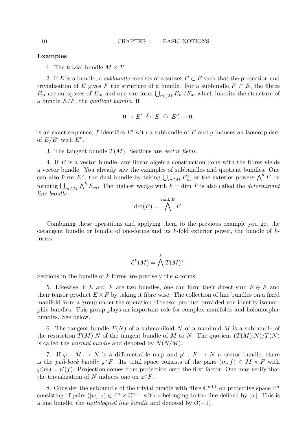#### Examples

1. The trivial bundle  $M \times T$ .

2. If E is a bundle, a *subbundle* consists of a subset  $F \subset E$  such that the projection and trivialisation of E gives F the structure of a bundle. For a subbundle  $F \subset E$ , the fibres  $F_m$  are subspaces of  $E_m$  and one can form  $\bigcup_{m\in M} E_m/F_m$  which inherits the structure of a bundle  $E/F$ , the quotient bundle. If

$$
0 \to E' \xrightarrow{f} E \xrightarrow{g} E'' \to 0,
$$

is an exact sequence, f identifies  $E'$  with a subbundle of E and g induces an isomorphism of  $E/E'$  with  $E''$ .

### 3. The tangent bundle  $T(M)$ . Sections are vector fields.

4. If E is a vector bundle, any linear algebra construction done with the fibres yields a vector bundle. You already saw the examples of subbundles and quotient bundles. One can also form  $E^{\vee}$ , the dual bundle by taking  $\bigcup_{m\in M} E_m^{\vee}$  or the exterior powers  $\bigwedge^k E$  by forming  $\bigcup_{m\in M}\bigwedge^k E_m$ . The highest wedge with  $k = \dim T$  is also called the *determinant* line bundle

$$
\det(E) = \bigwedge^{\text{rank } E} E.
$$

Combining these operations and applying them to the previous example you get the cotangent bundle or bundle of one-forms and its  $k$ -fold exterior power, the bundle of  $k$ forms:

$$
\mathcal{E}^k(M) = \bigwedge^k T(M)^\vee.
$$

Sections in the bundle of k-forms are precisely the k-forms.

5. Likewise, if E and F are two bundles, one can form their direct sum  $E \oplus F$  and their tensor product  $E \otimes F$  by taking it fibre wise. The collection of line bundles on a fixed manifold form a group under the operation of tensor product provided you identify isomorphic bundles. This group plays an important role for complex manifolds and holomorphic bundles. See below.

6. The tangent bundle  $T(N)$  of a submanifold N of a manifold M is a subbundle of the restriction  $T(M)|N$  of the tangent bundle of M to N. The quotient  $(T(M)|N)/T(N)$ is called the *normal bundle* and denoted by  $N(N/M)$ .

7. If  $\varphi : M \to N$  is a differentiable map and  $p' : F \to N$  a vector bundle, there is the pull-back bundle  $\varphi^* F$ . Its total space consists of the pairs  $(m, f) \in M \times F$  with  $\varphi(m) = p'(f)$ . Projection comes from projection onto the first factor. One may verify that the trivialization of N induces one on  $\varphi^* F$ .

8. Consider the subbundle of the trivial bundle with fibre  $\mathbb{C}^{n+1}$  on projective space  $\mathbb{P}^n$ consisting of pairs  $([w], z) \in \mathbb{P}^n \times \mathbb{C}^{n+1}$  with z belonging to the line defined by  $[w]$ . This is a line bundle, the *tautological line bundle* and denoted by  $O(-1)$ .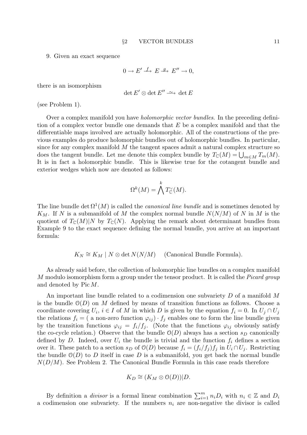9. Given an exact sequence

 $0 \to E' \xrightarrow{f} E \xrightarrow{g} E'' \to 0,$ 

there is an isomorphism

$$
\det E'\otimes \det E''\stackrel{\sim}{\longrightarrow} \det E
$$

(see Problem 1).

Over a complex manifold you have holomorphic vector bundles. In the preceding definition of a complex vector bundle one demands that  $E$  be a complex manifold and that the differentiable maps involved are actually holomorphic. All of the constructions of the previous examples do produce holomorphic bundles out of holomorphic bundles. In particular, since for any complex manifold  $M$  the tangent spaces admit a natural complex structure so does the tangent bundle. Let me denote this complex bundle by  $T_{\mathbb{C}}(M) = \bigcup_{m \in M} T_m(M)$ . It is in fact a holomorphic bundle. This is likewise true for the cotangent bundle and exterior wedges which now are denoted as follows:

$$
\Omega^k(M) = \bigwedge^k T_{\mathbb{C}}^{\vee}(M).
$$

The line bundle det  $\Omega^1(M)$  is called the *canonical line bundle* and is sometimes denoted by  $K_M$ . If N is a submanifold of M the complex normal bundle  $N(N/M)$  of N in M is the quotient of  $T_{\mathbb{C}}(M)|N$  by  $T_{\mathbb{C}}(N)$ . Applying the remark about determinant bundles from Example 9 to the exact sequence defining the normal bundle, you arrive at an important formula:

$$
K_N \cong K_M \mid N \otimes \det N(N/M) \quad \text{(Canonical Bundle Formula)}.
$$

As already said before, the collection of holomorphic line bundles on a complex manifold M modulo isomorphism form a group under the tensor product. It is called the *Picard group* and denoted by Pic M.

An important line bundle related to a codimension one subvariety D of a manifold M is the bundle  $\mathcal{O}(D)$  on M defined by means of transition functions as follows. Choose a coordinate covering  $U_i$ ,  $i \in I$  of M in which D is given by the equation  $f_i = 0$ . In  $U_j \cap U_j$ the relations  $f_i = ($  a non-zero function  $\varphi_{ij} \cdot f_j$  enables one to form the line bundle given by the transition functions  $\varphi_{ij} = f_i/f_j$ . (Note that the functions  $\varphi_{ij}$  obviously satisfy the co-cycle relation.) Observe that the bundle  $O(D)$  always has a section  $s_D$  canonically defined by D. Indeed, over  $U_i$  the bundle is trivial and the function  $f_i$  defines a section over it. These patch to a section  $s_D$  of  $\mathcal{O}(D)$  because  $f_i = (f_i/f_j)f_j$  in  $U_i \cap U_j$ . Restricting the bundle  $\mathcal{O}(D)$  to D itself in case D is a submanifold, you get back the normal bundle  $N(D/M)$ . See Problem 2. The Canonical Bundle Formula in this case reads therefore

$$
K_D \cong (K_M \otimes \mathcal{O}(D))|D.
$$

By definition a *divisor* is a formal linear combination  $\sum_{i=1}^{m} n_i D_i$  with  $n_i \in \mathbb{Z}$  and  $D_i$ a codimension one subvariety. If the numbers  $n_i$  are non-negative the divisor is called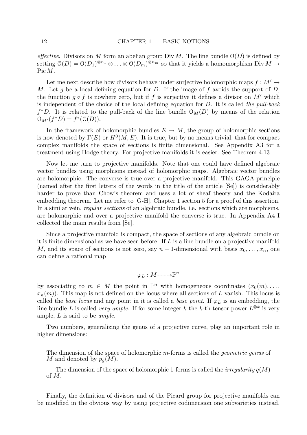effective. Divisors on M form an abelian group Div M. The line bundle  $O(D)$  is defined by setting  $\mathcal{O}(D) = \mathcal{O}(D_1)^{\otimes n_1} \otimes \ldots \otimes \mathcal{O}(D_m)^{\otimes n_m}$  so that it yields a homomorphism Div  $M \to$ Pic M.

Let me next describe how divisors behave under surjective holomorphic maps  $f : M' \rightarrow$ M. Let q be a local defining equation for D. If the image of f avoids the support of D, the function  $g \circ f$  is nowhere zero, but if f is surjective it defines a divisor on M' which is independent of the choice of the local defining equation for  $D$ . It is called the pull-back  $f^*D$ . It is related to the pull-back of the line bundle  $\mathcal{O}_M(D)$  by means of the relation  $\mathcal{O}_{M'}(f^*D) = f^*(\mathcal{O}(D)).$ 

In the framework of holomorphic bundles  $E \to M$ , the group of holomorphic sections is now denoted by  $\Gamma(E)$  or  $H^0(M, E)$ . It is true, but by no means trivial, that for compact complex manifolds the space of sections is finite dimensional. See Appendix A3 for a treatment using Hodge theory. For projective manifolds it is easier. See Theorem 4.13

Now let me turn to projective manifolds. Note that one could have defined algebraic vector bundles using morphisms instead of holomorphic maps. Algebraic vector bundles are holomorphic. The converse is true over a projective manifold. This GAGA-principle (named after the first letters of the words in the title of the article [Se]) is considerably harder to prove than Chow's theorem and uses a lot of sheaf theory and the Kodaira embedding theorem. Let me refer to [G-H], Chapter 1 section 5 for a proof of this assertion. In a similar vein, *regular sections* of an algebraic bundle, i.e. sections which are morphisms, are holomorphic and over a projective manifold the converse is true. In Appendix A4 I collected the main results from [Se].

Since a projective manifold is compact, the space of sections of any algebraic bundle on it is finite dimensional as we have seen before. If  $L$  is a line bundle on a projective manifold M, and its space of sections is not zero, say  $n + 1$ -dimensional with basis  $x_0, \ldots, x_n$ , one can define a rational map

$$
\varphi_L: M \dashrightarrow \mathbb{P}^n
$$

by associating to  $m \in M$  the point in  $\mathbb{P}^n$  with homogeneous coordinates  $(x_0(m), \ldots,$  $x_n(m)$ ). This map is not defined on the locus where all sections of L vanish. This locus is called the base locus and any point in it is called a base point. If  $\varphi_L$  is an embedding, the line bundle L is called *very ample*. If for some integer k the k-th tensor power  $L^{\otimes k}$  is very ample, L is said to be ample.

Two numbers, generalizing the genus of a projective curve, play an important role in higher dimensions:

The dimension of the space of holomorphic m-forms is called the geometric genus of M and denoted by  $p_q(M)$ .

The dimension of the space of holomorphic 1-forms is called the *irregularity*  $q(M)$ of M.

Finally, the definition of divisors and of the Picard group for projective manifolds can be modified in the obvious way by using projective codimension one subvarieties instead.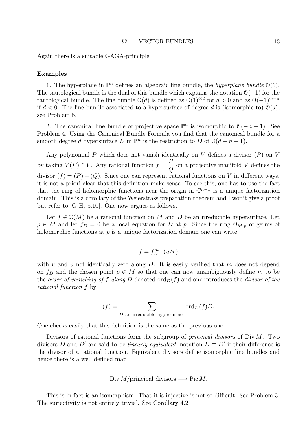Again there is a suitable GAGA-principle.

### Examples

1. The hyperplane in  $\mathbb{P}^n$  defines an algebraic line bundle, the *hyperplane bundle*  $\mathcal{O}(1)$ . The tautological bundle is the dual of this bundle which explains the notation  $O(-1)$  for the tautological bundle. The line bundle  $\mathcal{O}(d)$  is defined as  $\mathcal{O}(1)^{\otimes d}$  for  $d > 0$  and as  $\mathcal{O}(-1)^{\otimes -d}$ if  $d < 0$ . The line bundle associated to a hypersurface of degree d is (isomorphic to)  $\mathcal{O}(d)$ , see Problem 5.

2. The canonical line bundle of projective space  $\mathbb{P}^n$  is isomorphic to  $\mathcal{O}(-n-1)$ . See Problem 4. Using the Canonical Bundle Formula you find that the canonical bundle for a smooth degree d hypersurface D in  $\mathbb{P}^n$  is the restriction to D of  $\mathcal{O}(d-n-1)$ .

Any polynomial  $P$  which does not vanish identically on  $V$  defines a divisor  $(P)$  on  $V$ by taking  $V(P) \cap V$ . Any rational function  $f = \frac{P}{C}$  $\,Q$ on a projective manifold V defines the divisor  $(f) = (P) - (Q)$ . Since one can represent rational functions on V in different ways, it is not a priori clear that this definition make sense. To see this, one has to use the fact that the ring of holomorphic functions near the origin in  $\mathbb{C}^{n-1}$  is a unique factorization domain. This is a corollary of the Weierstrass preparation theorem and I won't give a proof but refer to [G-H, p.10]. One now argues as follows.

Let  $f \in \mathbb{C}(M)$  be a rational function on M and D be an irreducible hypersurface. Let  $p \in M$  and let  $f_D = 0$  be a local equation for D at p. Since the ring  $\mathcal{O}_{M,p}$  of germs of holomorphic functions at  $p$  is a unique factorization domain one can write

$$
f=f_D^m\cdot(u/v)
$$

with u and v not identically zero along  $D$ . It is easily verified that m does not depend on  $f_D$  and the chosen point  $p \in M$  so that one can now unambiguously define m to be the order of vanishing of f along D denoted  $\text{ord}_D(f)$  and one introduces the divisor of the rational function f by

$$
(f) = \sum_{D \text{ an irreducible hypersurface}} \text{ord}_D(f) D.
$$

One checks easily that this definition is the same as the previous one.

Divisors of rational functions form the subgroup of *principal divisors* of  $Div M$ . Two divisors D and D' are said to be *linearly equivalent*, notation  $D \equiv D'$  if their difference is the divisor of a rational function. Equivalent divisors define isomorphic line bundles and hence there is a well defined map

Div 
$$
M
$$
/principal divisors  $\longrightarrow$  Pic  $M$ .

This is in fact is an isomorphism. That it is injective is not so difficult. See Problem 3. The surjectivity is not entirely trivial. See Corollary 4.21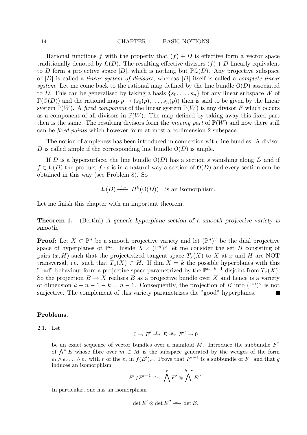Rational functions f with the property that  $(f) + D$  is effective form a vector space traditionally denoted by  $\mathcal{L}(D)$ . The resulting effective divisors  $(f) + D$  linearly equivalent to D form a projective space  $|D|$ , which is nothing but  $\mathbb{P}\mathcal{L}(D)$ . Any projective subspace of  $|D|$  is called a *linear system of divisors*, whereas  $|D|$  itself is called a *complete linear* system. Let me come back to the rational map defined by the line bundle  $\mathcal{O}(D)$  associated to D. This can be generalised by taking a basis  $\{s_0, \ldots, s_n\}$  for any linear subspace W of  $\Gamma(\mathcal{O}(D))$  and the rational map  $p \mapsto (s_0(p), \ldots, s_n(p))$  then is said to be given by the linear system  $\mathbb{P}(W)$ . A fixed component of the linear system  $\mathbb{P}(W)$  is any divisor F which occurs as a component of all divisors in  $\mathbb{P}(W)$ . The map defined by taking away this fixed part then is the same. The resulting divisors form the *moving part* of  $\mathbb{P}(W)$  and now there still can be fixed points which however form at most a codimension 2 subspace.

The notion of ampleness has been introduced in connection with line bundles. A divisor D is called ample if the corresponding line bundle  $\mathcal{O}(D)$  is ample.

If D is a hypersurface, the line bundle  $O(D)$  has a section s vanishing along D and if  $f \in \mathcal{L}(D)$  the product  $f \cdot s$  is in a natural way a section of  $\mathcal{O}(D)$  and every section can be obtained in this way (see Problem 8). So

 $\mathcal{L}(D) \stackrel{\otimes s}{\longrightarrow} H^0(\mathcal{O}(D))$  is an isomorphism.

Let me finish this chapter with an important theorem.

Theorem 1. (Bertini) A generic hyperplane section of a smooth projective variety is smooth.

**Proof:** Let  $X \subset \mathbb{P}^n$  be a smooth projective variety and let  $(\mathbb{P}^n)^{\vee}$  be the dual projective space of hyperplanes of  $\mathbb{P}^n$ . Inside  $X \times (\mathbb{P}^n)^{\vee}$  let me consider the set B consisting of pairs  $(x, H)$  such that the projectivized tangent space  $T_x(X)$  to X at x and H are NOT transversal, i.e. such that  $T_x(X) \subset H$ . If dim  $X = k$  the possible hyperplanes with this "bad" behaviour form a projective space parametrized by the  $\mathbb{P}^{n-k-1}$  disjoint from  $T_x(X)$ . So the projection  $B \to X$  realises B as a projective bundle over X and hence is a variety of dimension  $k + n - 1 - k = n - 1$ . Consequently, the projection of B into  $(\mathbb{P}^n)^{\vee}$  is not surjective. The complement of this variety parametrizes the "good" hyperplanes.

### Problems.

2.1. Let

$$
0 \to E' \xrightarrow{f} E \xrightarrow{g} E'' \to 0
$$

be an exact sequence of vector bundles over a manifold  $M$ . Introduce the subbundle  $F^r$ of  $\bigwedge^k E$  whose fibre over  $m \in M$  is the subspace generated by the wedges of the form  $e_1 \wedge e_2 \ldots \wedge e_k$  with r of the  $e_j$  in  $f(E')_m$ . Prove that  $F^{r+1}$  is a subbundle of  $F^r$  and that g induces an isomorphism

$$
F^r/F^{r+1} \longrightarrow \bigwedge^r E' \otimes \bigwedge^{k-r} E''.
$$

In particular, one has an isomorphism

$$
\det E' \otimes \det E'' \xrightarrow{\sim} \det E.
$$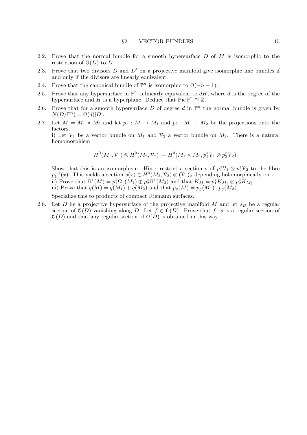- 2.2. Prove that the normal bundle for a smooth hypersurface D of M is isomorphic to the restriction of  $\mathcal{O}(D)$  to D.
- 2.3. Prove that two divisors  $D$  and  $D'$  on a projective manifold give isomorphic line bundles if and only if the divisors are linearly equivalent.
- 2.4. Prove that the canonical bundle of  $\mathbb{P}^n$  is isomorphic to  $\mathcal{O}(-n-1)$ .
- 2.5. Prove that any hypersurface in  $\mathbb{P}^n$  is linearly equivalent to  $dH$ , where d is the degree of the hypersurface and H is a hyperplane. Deduce that  $Pic \mathbb{P}^n \cong \mathbb{Z}$ .
- 2.6. Prove that for a smooth hypersurface D of degree d in  $\mathbb{P}^n$  the normal bundle is given by  $N(D/\mathbb{P}^n) = \mathcal{O}(d)|D$ .
- 2.7. Let  $M = M_1 \times M_2$  and let  $p_1 : M \to M_1$  and  $p_2 : M \to M_2$  be the projections onto the factors.

i) Let  $\mathcal{V}_1$  be a vector bundle on  $M_1$  and  $\mathcal{V}_2$  a vector bundle on  $M_2$ . There is a natural homomorphism

$$
H^0(M_1,\mathcal{V}_1)\otimes H^0(M_2,\mathcal{V}_2)\to H^0(M_1\times M_2,p_1^*\mathcal{V}_1\otimes p_2^*\mathcal{V}_2).
$$

Show that this is an isomorphism. Hint: restrict a section s of  $p_1^*\mathcal{V}_1 \otimes p_2^*\mathcal{V}_2$  to the fibre  $p_1^{-1}(x)$ . This yields a section  $s(x) \in H^0(M_2, \mathcal{V}_2) \otimes (\mathcal{V}_1)_x$  depending holomorphically on x. ii) Prove that  $\Omega^1(M) = p_1^*\Omega^1(M_1) \oplus p_2^*\Omega^1(M_2)$  and that  $K_M = p_1^*K_{M_1} \otimes p_2^*K_{M_2}$ . iii) Prove that  $q(M) = q(M_1) + q(M_2)$  and that  $p_g(M) = p_g(M_1) \cdot p_g(M_2)$ .

Specialize this to products of compact Riemann surfaces.

2.8. Let D be a projective hypersurface of the projective manifold M and let  $s_D$  be a regular section of  $\mathcal{O}(D)$  vanishing along D. Let  $f \in \mathcal{L}(D)$ . Prove that  $f \cdot s$  is a regular section of  $O(D)$  and that any regular section of  $O(D)$  is obtained in this way.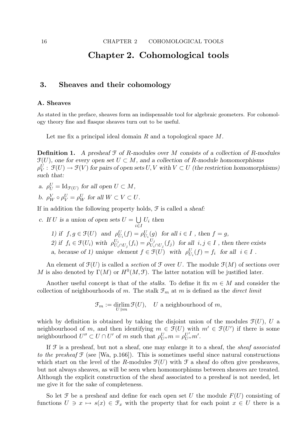# Chapter 2. Cohomological tools

# 3. Sheaves and their cohomology

### A. Sheaves

As stated in the preface, sheaves form an indispensable tool for algebraic geometers. For cohomology theory fine and flasque sheaves turn out to be useful.

Let me fix a principal ideal domain R and a topological space M.

**Definition 1.** A presheaf  $\mathcal F$  of R-modules over M consists of a collection of R-modules  $\mathfrak{F}(U)$ , one for every open set  $U \subset M$ , and a collection of R-module homomorphisms  $\rho^U_V: \, \mathfrak{F}(U) \to \mathfrak{F}(V)$  for pairs of open sets  $U,V$  with  $V \subset U$  (the restriction homomorphisms) such that:

- a.  $\rho_U^U = \text{Id}_{\mathcal{F}(U)}$  for all open  $U \subset M$ ,
- b.  $\rho^V_W \circ \rho^U_V = \rho^U_W$  for all  $W \subset V \subset U$ .

If in addition the following property holds,  $\mathcal F$  is called a sheaf:

- c. If U is a union of open sets  $U = \bigcup$ i∈I  $U_i$  then
	- 1) if  $f, g \in \mathcal{F}(U)$  and  $\rho_{U_i}^U(f) = \rho_{U_i}^U(g)$  for all  $i \in I$ , then  $f = g$ ,
	- 2) if  $f_i \in \mathcal{F}(U_i)$  with  $\rho_{U_i}^{U_i}$  $U_i \overline{U}_i \cap U_j(f_i) = \rho_{U_i}^{U_j}$  $U_j^j$   $U_i \cap U_j(f_j)$  for all  $i, j \in I$ , then there exists

a, because of 1) unique element  $f \in \mathcal{F}(U)$  with  $\rho_{U_i}^U(f) = f_i$  for all  $i \in I$ .

An element of  $\mathfrak{F}(U)$  is called a section of  $\mathfrak F$  over U. The module  $\mathfrak{F}(M)$  of sections over M is also denoted by  $\Gamma(M)$  or  $H^0(M, \mathcal{F})$ . The latter notation will be justified later.

Another useful concept is that of the *stalks*. To define it fix  $m \in M$  and consider the collection of neighbourhoods of m. The stalk  $\mathcal{F}_m$  at m is defined as the *direct limit* 

 $\mathfrak{F}_m := \text{drlim}_{U \ni m} \mathfrak{F}(U)$ , U a neighbourhood of m,

which by definition is obtained by taking the disjoint union of the modules  $\mathcal{F}(U)$ , U a neighbourhood of m, and then identifying  $m \in \mathcal{F}(U)$  with  $m' \in \mathcal{F}(U')$  if there is some neighbourhood  $U'' \subset U \cap U'$  of m such that  $\rho_{U''}^U m = \rho_{U''}^{U'} m'$ .

If  $\mathcal F$  is a presheaf, but not a sheaf, one may enlarge it to a sheaf, the *sheaf associated* to the presheaf  $\mathfrak F$  (see [Wa, p.166]). This is sometimes useful since natural constructions which start on the level of the R-modules  $\mathfrak{F}(U)$  with  $\mathfrak{F}$  a sheaf do often give presheaves, but not always sheaves, as will be seen when homomorphisms between sheaves are treated. Although the explicit construction of the sheaf associated to a presheaf is not needed, let me give it for the sake of completeness.

So let F be a presheaf and define for each open set U the module  $F(U)$  consisting of functions  $U \ni x \mapsto s(x) \in \mathcal{F}_x$  with the property that for each point  $x \in U$  there is a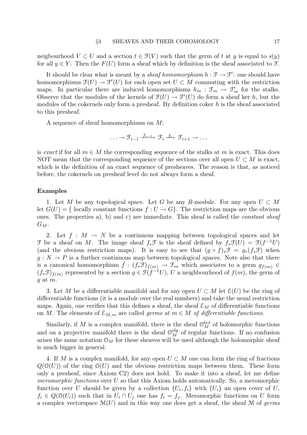neigbourhood  $V \subset U$  and a section  $t \in \mathcal{F}(V)$  such that the germ of t at y is equal to  $s(y)$ for all  $y \in Y$ . Then the  $F(U)$  form a sheaf which by definition is the sheaf associated to  $\mathcal{F}$ .

It should be clear what is meant by a *sheaf homomorphism*  $h : \mathcal{F} \to \mathcal{F}'$ : one should have homomorphisms  $\mathfrak{F}(U) \to \mathfrak{F}'(U)$  for each open set  $U \subset M$  commuting with the restriction maps. In particular there are induced homomorphisms  $h_m$ :  $\mathcal{F}_m \to \mathcal{F}'_m$  for the stalks. Observe that the modules of the kernels of  $\mathcal{F}(U) \to \mathcal{F}'(U)$  do form a sheaf ker h, but the modules of the cokernels only form a presheaf. By definition coker  $h$  is the sheaf associated to this presheaf.

A sequence of sheaf homomorphisms on M:

$$
\ldots \to \mathfrak{F}_{i-1} \xrightarrow{f_{i-1}} \mathfrak{F}_i \xrightarrow{f_i} \mathfrak{F}_{i+1} \to \ldots
$$

is exact if for all  $m \in M$  the corresponding sequence of the stalks at m is exact. This does NOT mean that the corresponding sequence of the sections over all open  $U \subset M$  is exact, which is the definition of an exact sequence of presheaves. The reason is that, as noticed before, the cokernels on presheaf level do not always form a sheaf.

### Examples

1. Let M be any topological space. Let G be any R-module. For any open  $U \subset M$ let  $G(U) = \{$  locally constant functions  $f: U \to G\}$ . The restriction maps are the obvious ones. The properties a), b) and c) are immediate. This sheaf is called the constant sheaf  $G_M$ .

2. Let  $f : M \to N$  be a continuous mapping between topological spaces and let F be a sheaf on M. The image sheaf  $f_*\mathcal{F}$  is the sheaf defined by  $f_*\mathcal{F}(U) = \mathcal{F}(f^{-1}U)$ (and the obvious restriction maps). It is easy to see that  $(q \circ f)_* \mathcal{F} = q_*(f_* \mathcal{F})$  when  $g: N \to P$  is a further continuous map between topological spaces. Note also that there is a canonical homomorphism  $\hat{f}:(f_*\mathfrak{F})_{f(m)} \to \mathfrak{F}_m$  which associates to a germ  $g_{f(m)} \in$  $(f_*\mathfrak{F})_{f(m)}$  represented by a section  $g \in \mathfrak{F}(f^{-1}U)$ , U a neighbourhood of  $f(m)$ , the germ of  $q$  at  $m$ .

3. Let M be a differentiable manifold and for any open  $U \subset M$  let  $\mathcal{E}(U)$  be the ring of differentiable functions (it is a module over the real numbers) and take the usual restriction maps. Again, one verifies that this defines a sheaf, the sheaf  $\mathcal{E}_M$  of differentiable functions on M. The elements of  $\mathcal{E}_{M,m}$  are called *germs at*  $m \in M$  *of differentiable functions.* 

Similarly, if M is a complex manifold, there is the sheaf  $\mathcal{O}_M^{\text{hol}}$  of holomorphic functions and on a projective manifold there is the sheaf  $\mathcal{O}_M^{\text{alg}}$  of regular functions. If no confusion arises the same notation  $\mathcal{O}_M$  for these sheaves will be used although the holomorphic sheaf is much bigger in general.

4. If M is a complex manifold, for any open  $U \subset M$  one can form the ring of fractions  $Q(\mathcal{O}(U))$  of the ring  $\mathcal{O}(U)$  and the obvious restriction maps between them. These form only a presheaf, since Axiom C2) does not hold. To make it into a sheaf, let me define *meromorphic functions* over U so that this Axiom holds automatically. So, a meromorphic function over U should be given by a collection  $\{U_i, f_i\}$  with  $\{U_i\}$  an open cover of U,  $f_i \in Q(\mathcal{O}(U_i))$  such that in  $U_i \cap U_j$  one has  $f_i = f_j$ . Meromorphic functions on U form a complex vectorspace  $\mathcal{M}(U)$  and in this way one does get a sheaf, the sheaf M of germs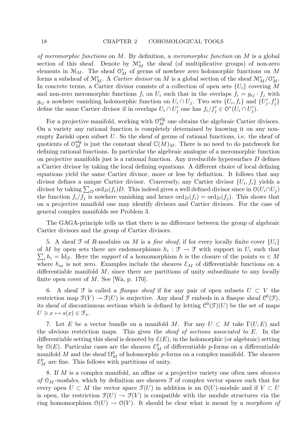of meromorphic functions on  $M$ . By definition, a meromorphic function on  $M$  is a global section of this sheaf. Denote by  $\mathcal{M}_{M}^{*}$  the sheaf (of multiplicative groups) of non-zero elements in  $\mathcal{M}_M$ . The sheaf  $\mathcal{O}_M^*$  of germs of nowhere zero holomorphic functions on M forms a subsheaf of  $\mathcal{M}_{M}^{*}$ . A *Cartier divisor* on M is a global section of the sheaf  $\mathcal{M}_{M}^{*}/\mathcal{O}_{M}^{*}$ . In concrete terms, a Cartier divisor consists of a collection of open sets  $\{U_i\}$  covering M and non-zero meromorphic functions  $f_i$  on  $U_i$  such that in the overlaps  $f_i = g_{ij} \cdot f_j$  with  $g_{ij}$  a nowhere vanishing holomorphic function on  $U_i \cap U_j$ . Two sets  $\{U_i, f_i\}$  and  $\{U'_j, f'_j\}$ define the same Cartier divisor if in overlaps  $U_i \cap U'_j$  one has  $f_i/f'_j \in \mathcal{O}^*(U_i \cap U'_j)$ .

For a projective manifold, working with  $\mathcal{O}_M^{\text{alg}}$  one obtains the algebraic Cartier divisors. On a variety any rational function is completely determined by knowing it on any nonempty Zariski open subset  $U$ . So the sheaf of germs of rational functions, i.e. the sheaf of quotients of  $\mathcal{O}_M^{\text{alg}}$  is just the constant sheaf  $\mathbb{C}(M)_M$ . There is no need to do patchwork for defining rational functions. In particular the algebraic analogue of a meromorphic function on projective manifolds just is a rational function. Any irreducible hypersurface  $D$  defines a Cartier divisor by taking the local defining equations. A different choice of local defining equations yield the same Cartier divisor, more or less by definition. It follows that any divisor defines a unique Cartier divisor. Conversely, any Cartier divisor  $\{U_i, f_i\}$  yields a divisor by taking  $\sum_D \text{ord}_D(f_i)D$ . This indeed gives a well defined divisor since in  $\mathcal{O}(U_i \cap U_j)$ the function  $f_i/f_j$  is nowhere vanishing and hence  $\text{ord}_D(f_i) = \text{ord}_D(f_j)$ . This shows that on a projective manifold one may identify divisors and Cartier divisors. For the case of general complex manifolds see Problem 3.

The GAGA-principle tells us that there is no difference between the group of algebraic Cartier divisors and the group of Cartier divisors.

5. A sheaf  $\mathcal F$  of R-modules on M is a fine sheaf, if for every locally finite cover  $\{U_i\}$ of M by open sets there are endomorphisms  $h_i : \mathcal{F} \to \mathcal{F}$  with support in  $U_i$  such that  $\sum_i h_i = \text{Id}_{\mathcal{F}}$ . Here the support of a homomorphism h is the closure of the points  $m \in M$ where  $h_m$  is not zero. Examples include the sheaves  $\mathcal{E}_M$  of differentiable functions on a differentiable manifold  $M$ , since there are partitions of unity subordinate to any locally finite open cover of  $M$ . See [Wa, p. 170].

6. A sheaf  $\mathcal F$  is called a *flasque sheaf* if for any pair of open subsets  $U \subset V$  the restriction map  $\mathfrak{F}(V) \to \mathfrak{F}(U)$  is surjective. Any sheaf  $\mathfrak{F}$  embeds in a flasque sheaf  $\mathfrak{C}^0(\mathfrak{F})$ , its sheaf of discontinuous sections which is defined by letting  $\mathcal{C}^0(\mathcal{F})(U)$  be the set of maps  $U \ni x \mapsto s(x) \in \mathcal{F}_x.$ 

7. Let E be a vector bundle on a manifold M. For any  $U \subset M$  take  $\Gamma(U, E)$  and the obvious restriction maps. This gives the sheaf of sections associated to E. In the differentiable setting this sheaf is denoted by  $\mathcal{E}(E)$ , in the holomorphic (or algebraic) setting by  $\mathcal{O}(E)$ . Particular cases are the sheaves  $\mathcal{E}_M^p$  of differentiable p-forms on a differentiable manifold M and the sheaf  $\Omega_M^p$  of holomorphic p-forms on a complex manifold. The sheaves  $\mathcal{E}_M^p$  are fine. This follows with partitions of unity.

8. If M is a complex manifold, an affine or a projective variety one often uses sheaves of  $\mathfrak{O}_M$ -modules, which by definition are sheaves  $\mathfrak F$  of complex vector spaces such that for every open  $U \subset M$  the vector space  $\mathcal{F}(U)$  in addition is an  $\mathcal{O}(U)$ -module and if  $V \subset U$ is open, the restriction  $\mathcal{F}(U) \to \mathcal{F}(V)$  is compatible with the module structures via the ring homomorphism  $\mathcal{O}(U) \to \mathcal{O}(V)$ . It should be clear what is meant by a morphism of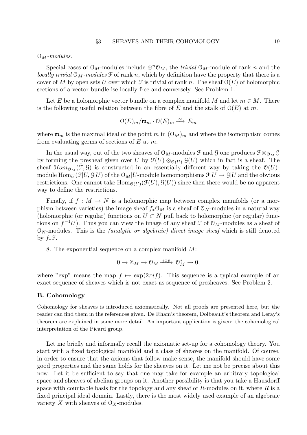$\mathfrak{O}_M$ -modules.

Special cases of  $\mathfrak{O}_M$ -modules include  $\oplus^n \mathfrak{O}_M$ , the *trivial*  $\mathfrak{O}_M$ -module of rank n and the locally trivial  $\mathcal{O}_M$ -modules  $\mathcal F$  of rank n, which by definition have the property that there is a cover of M by open sets U over which  $\mathcal F$  is trivial of rank n. The sheaf  $\mathcal O(E)$  of holomorphic sections of a vector bundle ise locally free and conversely. See Problem 1.

Let E be a holomorphic vector bundle on a complex manifold M and let  $m \in M$ . There is the following useful relation between the fibre of E and the stalk of  $\mathcal{O}(E)$  at m.

$$
\mathcal{O}(E)_m/\mathfrak{m}_m \cdot \mathcal{O}(E)_m \stackrel{\cong}{\longrightarrow} E_m
$$

where  $\mathfrak{m}_m$  is the maximal ideal of the point m in  $(\mathcal{O}_M)_m$  and where the isomorphism comes from evaluating germs of sections of  $E$  at  $m$ .

In the usual way, out of the two sheaves of  $\mathcal{O}_M$ -modules  $\mathcal{F}$  and  $\mathcal{G}$  one produces  $\mathcal{F} \otimes_{\mathcal{O}_M} \mathcal{G}$ by forming the presheaf given over U by  $\mathfrak{F}(U) \otimes_{\mathfrak{O}(U)} \mathfrak{G}(U)$  which in fact is a sheaf. The sheaf  $\mathcal{H}om_{\mathcal{O}_M}(\mathcal{F}, \mathcal{G})$  is constructed in an essentially different way by taking the  $\mathcal{O}(U)$ module  $\text{Hom}_U(\mathcal{F}|U,\mathcal{G}|U)$  of the  $\mathcal{O}_M|U\text{-module homomorphisms } \mathcal{F}|U\to \mathcal{G}|U$  and the obvious restrictions. One cannot take  $\text{Hom}_{\mathcal{O}(U)}(\mathcal{F}(U), \mathcal{G}(U))$  since then there would be no apparent way to define the restrictions.

Finally, if  $f : M \to N$  is a holomorphic map between complex manifolds (or a morphism between varieties) the image sheaf  $f_*\mathcal{O}_M$  is a sheaf of  $\mathcal{O}_N$ -modules in a natural way (holomorphic (or regular) functions on  $U \subset N$  pull back to holomorphic (or regular) functions on  $f^{-1}U$ ). Thus you can view the image of any sheaf  $\mathcal F$  of  $\mathcal O_M$ -modules as a sheaf of  $\mathcal{O}_N$ -modules. This is the *(analytic or algebraic) direct image sheaf* which is still denoted by  $f_*\mathcal{F}$ .

8. The exponential sequence on a complex manifold M:

$$
0\to{\mathbb Z}_M\to {\mathcal O}_M\xrightarrow{exp}~{\mathcal O}_M^*\to 0,
$$

where "exp" means the map  $f \mapsto \exp(2\pi i f)$ . This sequence is a typical example of an exact sequence of sheaves which is not exact as sequence of presheaves. See Problem 2.

#### B. Cohomology

Cohomology for sheaves is introduced axiomatically. Not all proofs are presented here, but the reader can find them in the references given. De Rham's theorem, Dolbeault's theorem and Leray's theorem are explained in some more detail. An important application is given: the cohomological interpretation of the Picard group.

Let me briefly and informally recall the axiomatic set-up for a cohomology theory. You start with a fixed topological manifold and a class of sheaves on the manifold. Of course, in order to ensure that the axioms that follow make sense, the manifold should have some good properties and the same holds for the sheaves on it. Let me not be precise about this now. Let it be sufficient to say that one may take for example an arbitrary topological space and sheaves of abelian groups on it. Another possibility is that you take a Hausdorff space with countable basis for the topology and any sheaf of R-modules on it, where  $R$  is a fixed principal ideal domain. Lastly, there is the most widely used example of an algebraic variety X with sheaves of  $\mathcal{O}_X$ -modules.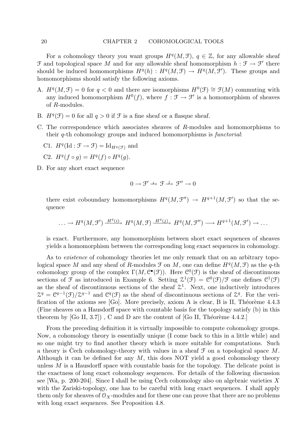For a cohomology theory you want groups  $H^q(M, \mathcal{F})$ ,  $q \in \mathbb{Z}$ , for any allowable sheaf  $\mathcal F$  and topological space M and for any allowable sheaf homomorphism  $h: \mathcal F \to \mathcal F'$  there should be induced homomorphisms  $H^q(h) : H^q(M, \mathcal{F}) \to H^q(M, \mathcal{F}')$ . These groups and homomorphisms should satisfy the following axioms.

- A.  $H^q(M, \mathcal{F}) = 0$  for  $q < 0$  and there are isomorphisms  $H^0(\mathcal{F}) \cong \mathcal{F}(M)$  commuting with any induced homomorphism  $H^0(f)$ , where  $f : \mathcal{F} \to \mathcal{F}'$  is a homomorphism of sheaves of R-modules.
- B.  $H^q(\mathcal{F}) = 0$  for all  $q > 0$  if  $\mathcal F$  is a fine sheaf or a flasque sheaf.
- C. The correspondence which associates sheaves of R-modules and homomorphisms to their q-th cohomology groups and induced homomorphisms is functorial:
	- C1.  $H^q(\mathrm{Id}: \mathcal{F} \to \mathcal{F}) = \mathrm{Id}_{H^q(\mathcal{F})}$  and
	- C2.  $H^q(f \circ g) = H^q(f) \circ H^q(g)$ .
- D. For any short exact sequence

$$
0\to \mathcal{F}'\xrightarrow{i}\mathcal{F}\xrightarrow{j}\mathcal{F}''\to 0
$$

there exist coboundary homomorphisms  $H^q(M, \mathcal{F}') \to H^{q+1}(M, \mathcal{F}')$  so that the sequence

$$
\ldots \to H^q(M, \mathcal{F}') \xrightarrow{H^q(i)} H^q(M, \mathcal{F}) \xrightarrow{H^q(j)} H^q(M, \mathcal{F}'') \longrightarrow H^{q+1}(M, \mathcal{F}') \to \ldots
$$

is exact. Furthermore, any homomorphism between short exact sequences of sheaves yields a homomorphism between the corresponding long exact sequences in cohomology.

As to *existence* of cohomology theories let me only remark that on an arbitrary topological space M and any sheaf of R-modules  $\mathcal F$  on M, one can define  $H^q(M, \mathcal F)$  as the q-th cohomology group of the complex  $\Gamma(M, \mathcal{C}^{\bullet}(\mathcal{F}))$ . Here  $\mathcal{C}^{0}(\mathcal{F})$  is the sheaf of discontinuous sections of  $\mathfrak F$  as introduced in Example 6. Setting  $\mathfrak{L}^1(\mathfrak F) = \mathfrak{C}^0(\mathfrak F)/\mathfrak F$  one defines  $\mathfrak{C}^1(\mathfrak F)$ as the sheaf of discontinuous sections of the sheaf  $2<sup>1</sup>$ . Next, one inductively introduces  $\mathfrak{Z}^q = \mathfrak{C}^{q-1}(\mathfrak{F})/\mathfrak{Z}^{q-1}$  and  $\mathfrak{C}^q(\mathfrak{F})$  as the sheaf of discontinuous sections of  $\mathfrak{Z}^q$ . For the verification of the axioms see [Go]. More precisely, axiom A is clear, B is II, Théorème  $4.4.3$ (Fine sheaves on a Hausdorff space with countable basis for the topology satisfy (b) in this theorem by  $[Go II, 3.7]$ , C and D are the content of  $[Go II, Théorème 4.4.2.]$ 

From the preceding definition it is virtually impossible to compute cohomology groups. Now, a cohomology theory is essentially unique (I come back to this in a little while) and so one might try to find another theory which is more suitable for computations. Such a theory is Cech cohomology-theory with values in a sheaf  $\mathcal F$  on a topological space M. Although it can be defined for any  $M$ , this does NOT yield a good cohomology theory unless  $M$  is a Hausdorff space with countable basis for the topology. The delicate point is the exactness of long exact cohomology sequences. For details of the following discussion see  $[Wa, p. 200-204]$ . Since I shall be using Cech cohomology also on algebraic varieties X with the Zariski-topology, one has to be careful with long exact sequences. I shall apply them only for sheaves of  $\mathcal{O}_X$ -modules and for these one can prove that there are no problems with long exact sequences. See Proposition 4.8.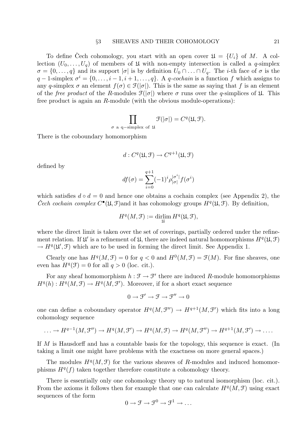To define Cech cohomology, you start with an open cover  $\mathfrak{U} = \{U_i\}$  of M. A collection  $(U_0, \ldots, U_q)$  of members of  $\mathfrak U$  with non-empty intersection is called a q-simplex  $\sigma = \{0, \ldots, q\}$  and its support  $|\sigma|$  is by definition  $U_0 \cap \ldots \cap U_q$ . The *i*-th face of  $\sigma$  is the  $q-1$ -simplex  $\sigma^i = \{0, \ldots, i-1, i+1, \ldots, q\}$ . A q-cochain is a function f which assigns to any q-simplex  $\sigma$  an element  $f(\sigma) \in \mathcal{F}(|\sigma|)$ . This is the same as saying that f is an element of the *free product* of the R-modules  $\mathcal{F}(|\sigma|)$  where  $\sigma$  runs over the q-simplices of  $\mathfrak{U}$ . This free product is again an R-module (with the obvious module-operations):

$$
\prod_{\sigma \text{ a }q-\text{simplex of }\mathfrak{U}}\mathfrak{F}(|\sigma|)=C^q(\mathfrak{U},\mathfrak{F}).
$$

There is the coboundary homomorphism

$$
d: C^q(\mathfrak{U}, \mathfrak{F}) \to C^{q+1}(\mathfrak{U}, \mathfrak{F})
$$

defined by

$$
df(\sigma) = \sum_{i=0}^{q+1} (-1)^i \rho_{|\sigma|}^{|\sigma^i|} f(\sigma^i)
$$

which satisfies  $d \circ d = 0$  and hence one obtains a cochain complex (see Appendix 2), the Čech cochain complex  $C^{\bullet}(\mathfrak{U}, \mathfrak{F})$  and it has cohomology groups  $H^q(\mathfrak{U}, \mathfrak{F})$ . By definition,

$$
H^q(M,{\mathcal F}):=\mathop{\rm dir\!} _{\mathfrak U}H H^q({\mathfrak U},{\mathcal F}),
$$

where the direct limit is taken over the set of coverings, partially ordered under the refinement relation. If  $\mathfrak{U}'$  is a refinement of  $\mathfrak{U}$ , there are indeed natural homomorphisms  $H^q(\mathfrak{U}, \mathfrak{F})$  $\rightarrow H^q(\mathfrak{U}', \mathfrak{F})$  which are to be used in forming the direct limit. See Appendix 1.

Clearly one has  $H^q(M, \mathcal{F}) = 0$  for  $q < 0$  and  $H^0(M, \mathcal{F}) = \mathcal{F}(M)$ . For fine sheaves, one even has  $H^q(\mathcal{F}) = 0$  for all  $q > 0$  (loc. cit.).

For any sheaf homomorphism  $h : \mathcal{F} \to \mathcal{F}'$  there are induced R-module homomorphisms  $H^q(h): H^q(M, \mathcal{F}) \to H^q(M, \mathcal{F}').$  Moreover, if for a short exact sequence

 $0 \to \mathcal{F}' \to \mathcal{F} \to \mathcal{F}'' \to 0$ 

one can define a coboundary operator  $H^q(M, \mathcal{F}'') \to H^{q+1}(M, \mathcal{F}')$  which fits into a long cohomology sequence

$$
\ldots \to H^{q-1}(M, \mathcal{F}'') \to H^q(M, \mathcal{F}') \to H^q(M, \mathcal{F}) \to H^q(M, \mathcal{F}'') \to H^{q+1}(M, \mathcal{F}') \to \ldots
$$

If M is Hausdorff and has a countable basis for the topology, this sequence is exact. (In taking a limit one might have problems with the exactness on more general spaces.)

The modules  $H^q(M, \mathcal{F})$  for the various sheaves of R-modules and induced homomorphisms  $H<sup>q</sup>(f)$  taken together therefore constitute a cohomology theory.

There is essentially only one cohomology theory up to natural isomorphism (loc. cit.). From the axioms it follows then for example that one can calculate  $H<sup>q</sup>(M, \mathcal{F})$  using exact sequences of the form

$$
0 \to \mathcal{F} \to \mathcal{F}^0 \to \mathcal{F}^1 \to \ldots
$$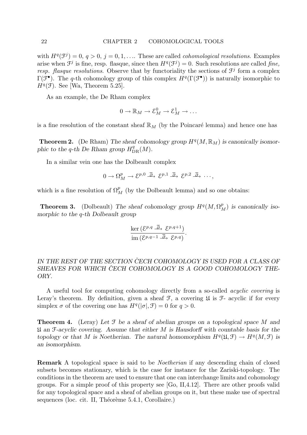with  $H^q(\mathcal{F}^j) = 0, q > 0, j = 0, 1, \ldots$  These are called *cohomological resolutions*. Examples arise when  $\mathcal{F}^j$  is fine, resp. flasque, since then  $H^q(\mathcal{F}^j) = 0$ . Such resolutions are called fine, resp. flasque resolutions. Observe that by functoriality the sections of  $\mathcal{F}^j$  form a complex  $\Gamma(\mathcal{F}^{\bullet})$ . The q-th cohomology group of this complex  $H^q(\Gamma(\mathcal{F}^{\bullet}))$  is naturally isomorphic to  $H<sup>q</sup>(\mathcal{F})$ . See [Wa, Theorem 5.25].

As an example, the De Rham complex

$$
0 \to \mathbb{R}_M \to \mathcal{E}_M^0 \to \mathcal{E}_M^1 \to \dots
$$

is a fine resolution of the constant sheaf  $\mathbb{R}_M$  (by the Poincaré lemma) and hence one has

**Theorem 2.** (De Rham) The sheaf cohomology group  $H^q(M, \mathbb{R}_M)$  is canonically isomorphic to the q-th De Rham group  $H_{\text{DR}}^q(M)$ .

In a similar vein one has the Dolbeault complex

$$
0 \to \Omega_M^p \to \mathcal{E}^{p,0} \stackrel{\overline{\partial}}{\longrightarrow} \mathcal{E}^{p,1} \stackrel{\overline{\partial}}{\longrightarrow} \mathcal{E}^{p,2} \stackrel{\overline{\partial}}{\longrightarrow} \cdots,
$$

which is a fine resolution of  $\Omega_M^p$  (by the Dolbeault lemma) and so one obtains:

**Theorem 3.** (Dolbeault) The sheaf cohomology group  $H^q(M, \Omega_M^p)$  is canonically isomorphic to the q-th Dolbeault group

$$
\frac{\ker\left(\mathcal{E}^{p,q}\stackrel{\overline{\partial}}{\longrightarrow}\mathcal{E}^{p,q+1}\right)}{\operatorname{im}\left(\mathcal{E}^{p,q-1}\stackrel{\overline{\partial}}{\longrightarrow}\mathcal{E}^{p,q}\right)}.
$$

# IN THE REST OF THE SECTION CECH COHOMOLOGY IS USED FOR A CLASS OF SHEAVES FOR WHICH ČECH COHOMOLOGY IS A GOOD COHOMOLOGY THE-ORY.

A useful tool for computing cohomology directly from a so-called acyclic covering is Leray's theorem. By definition, given a sheaf  $\mathcal{F}$ , a covering  $\mathfrak{U}$  is  $\mathcal{F}$ - acyclic if for every simplex  $\sigma$  of the covering one has  $H^q(|\sigma|, \mathcal{F}) = 0$  for  $q > 0$ .

**Theorem 4.** (Leray) Let  $\mathcal F$  be a sheaf of abelian groups on a topological space M and  $\mathfrak U$  an F-acyclic covering. Assume that either M is Hausdorff with countable basis for the topology or that M is Noetherian. The natural homomorphism  $H^q(\mathfrak{U}, \mathfrak{F}) \to H^q(M, \mathfrak{F})$  is an isomorphism.

Remark A topological space is said to be Noetherian if any descending chain of closed subsets becomes stationary, which is the case for instance for the Zariski-topology. The conditions in the theorem are used to ensure that one can interchange limits and cohomology groups. For a simple proof of this property see [Go, II,4.12]. There are other proofs valid for any topological space and a sheaf of abelian groups on it, but these make use of spectral sequences (loc. cit. II, Théorème 5.4.1, Corollaire.)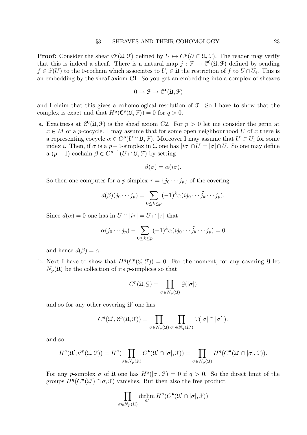**Proof:** Consider the sheaf  $\mathbb{C}^p(\mathfrak{U}, \mathfrak{F})$  defined by  $U \mapsto C^p(U \cap \mathfrak{U}, \mathfrak{F})$ . The reader may verify that this is indeed a sheaf. There is a natural map  $j : \mathcal{F} \to \mathcal{C}^0(\mathfrak{U}, \mathcal{F})$  defined by sending  $f \in \mathcal{F}(U)$  to the 0-cochain which associates to  $U_i \in \mathcal{U}$  the restriction of f to  $U \cap U_i$ . This is an embedding by the sheaf axiom C1. So you get an embedding into a complex of sheaves

$$
0 \to \mathcal{F} \to \mathcal{C}^\bullet(\mathfrak{U}, \mathcal{F})
$$

and I claim that this gives a cohomological resolution of F. So I have to show that the complex is exact and that  $H^q(\mathcal{C}^p(\mathfrak{U}, \mathfrak{F})) = 0$  for  $q > 0$ .

a. Exactness at  $C^0(\mathfrak{U}, \mathfrak{F})$  is the sheaf axiom C2. For  $p > 0$  let me consider the germ at  $x \in M$  of a p-cocycle. I may assume that for some open neighbourhood U of x there is a representing cocycle  $\alpha \in C^p(U \cap \mathfrak{U}, \mathfrak{F})$ . Moreover I may assume that  $U \subset U_i$  for some index *i*. Then, if  $\sigma$  is a p - 1-simplex in  $\mathfrak{U}$  one has  $|i\sigma| \cap U = |\sigma| \cap U$ . So one may define a  $(p-1)$ -cochain  $\beta \in C^{p-1}(U \cap \mathfrak{U}, \mathfrak{F})$  by setting

$$
\beta(\sigma) = \alpha(i\sigma).
$$

So then one computes for a p-simplex  $\tau = \{j_0 \cdots j_p\}$  of the covering

$$
d(\beta)(j_0\cdots j_p) = \sum_{0 \le k \le p} (-1)^k \alpha(i j_0 \cdots \widehat{j_k} \cdots j_p).
$$

Since  $d(\alpha) = 0$  one has in  $U \cap |i\tau| = U \cap |\tau|$  that

$$
\alpha(j_0 \cdots j_p) - \sum_{0 \le k \le p} (-1)^k \alpha(i j_0 \cdots \widehat{j_k} \cdots j_p) = 0
$$

and hence  $d(\beta) = \alpha$ .

b. Next I have to show that  $H^q(\mathcal{C}^p(\mathfrak{U}, \mathcal{F})) = 0$ . For the moment, for any covering  $\mathfrak U$  let  $N_p(\mathfrak{U})$  be the collection of its p-simplices so that

$$
C^p(\mathfrak{U}, \mathfrak{S}) = \prod_{\sigma \in N_p(\mathfrak{U})} \mathfrak{S}(|\sigma|)
$$

and so for any other covering  $\mathfrak{U}'$  one has

$$
C^{q}(\mathfrak{U}', \mathcal{C}^{p}(\mathfrak{U}, \mathcal{F})) = \prod_{\sigma \in N_{p}(\mathfrak{U})} \prod_{\sigma' \in N_{q}(\mathfrak{U}')} \mathfrak{F}(|\sigma| \cap |\sigma'|).
$$

and so

$$
H^q(\mathfrak{U}', \mathcal{C}^p(\mathfrak{U}, \mathcal{F})) = H^q(\prod_{\sigma \in N_p(\mathfrak{U})} C^{\bullet}(\mathfrak{U}' \cap [\sigma], \mathcal{F})) = \prod_{\sigma \in N_p(\mathfrak{U})} H^q(C^{\bullet}(\mathfrak{U}' \cap [\sigma], \mathcal{F})).
$$

For any p-simplex  $\sigma$  of  $\mathfrak U$  one has  $H^q(|\sigma|, \mathfrak F) = 0$  if  $q > 0$ . So the direct limit of the groups  $H^q(C^{\bullet}(\mathfrak{U}') \cap \sigma, \mathfrak{F})$  vanishes. But then also the free product

$$
\prod_{\sigma \in N_p(\mathfrak{U})} \dim H^q(C^{\bullet}(\mathfrak{U}' \cap |\sigma|, \mathfrak{F}))
$$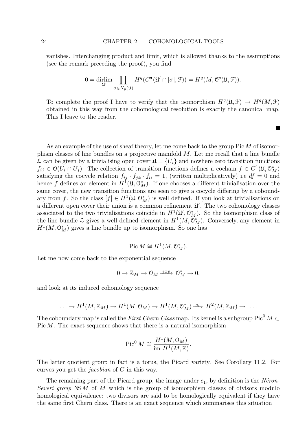vanishes. Interchanging product and limit, which is allowed thanks to the assumptions (see the remark preceding the proof), you find

$$
0 = \dim_{\mathfrak{U}'} \prod_{\sigma \in N_p(\mathfrak{U})} H^q(C^{\bullet}(\mathfrak{U}' \cap [\sigma], \mathfrak{F})) = H^q(M, \mathcal{C}^p(\mathfrak{U}, \mathfrak{F})).
$$

To complete the proof I have to verify that the isomorphism  $H^q(\mathfrak{U}, \mathfrak{F}) \to H^q(M, \mathfrak{F})$ obtained in this way from the cohomological resolution is exactly the canonical map. This I leave to the reader.

**T** 

As an example of the use of sheaf theory, let me come back to the group Pic M of isomorphism classes of line bundles on a projective manifold M. Let me recall that a line bundle  $\mathcal L$  can be given by a trivialising open cover  $\mathfrak U = \{U_i\}$  and nowhere zero transition functions  $f_{ij} \in \mathcal{O}(U_i \cap U_j)$ . The collection of transition functions defines a cochain  $f \in C^1(\mathfrak{U}, \mathcal{O}_M^*)$ satisfying the cocycle relation  $f_{ij} \cdot f_{jk} \cdot f_{li} = 1$ , (written multiplicatively) i.e  $df = 0$  and hence f defines an element in  $H^1(\mathfrak{U}, \mathfrak{O}_M^*)$ . If one chooses a different trivialisation over the same cover, the new transition functions are seen to give a cocycle differing by a coboundary from f. So the class  $[f] \in H^1(\mathfrak{U}, \mathcal{O}_M^*)$  is well defined. If you look at trivialisations on a different open cover their union is a common refinement  $\mathfrak{U}'$ . The two cohomology classes associated to the two trivialisations coincide in  $H^1(\mathfrak{U}', \mathfrak{O}_M^*)$ . So the isomorphism class of the line bundle  $\mathcal L$  gives a well defined element in  $H^1(M, \mathcal O_M^*)$ . Conversely, any element in  $H<sup>1</sup>(M, \mathcal{O}_M^*)$  gives a line bundle up to isomorphism. So one has

$$
Pic M \cong H^1(M, \mathcal{O}_M^*).
$$

Let me now come back to the exponential sequence

$$
0\to{\mathbb Z}_M\to {\mathcal O}_M\xrightarrow{exp}~{\mathcal O}_M^*\to 0,
$$

and look at its induced cohomology sequence

$$
\ldots \to H^1(M,\mathbb{Z}_M) \to H^1(M,\mathbb{O}_M) \to H^1(M,\mathbb{O}_M^*) \xrightarrow{c_1} H^2(M,\mathbb{Z}_M) \to \ldots.
$$

The coboundary map is called the First Chern Class map. Its kernel is a subgroup Pic<sup>0</sup>  $M \subset$ Pic M. The exact sequence shows that there is a natural isomorphism

$$
\operatorname{Pic}^0 M \cong \frac{H^1(M, \mathcal{O}_M)}{\operatorname{im} H^1(M, \mathbb{Z})}.
$$

The latter quotient group in fact is a torus, the Picard variety. See Corollary 11.2. For curves you get the jacobian of C in this way.

The remaining part of the Picard group, the image under  $c_1$ , by definition is the Néron-Severi group  $N\mathcal{S}M$  of M which is the group of isomorphism classes of divisors modulo homological equivalence: two divisors are said to be homologically equivalent if they have the same first Chern class. There is an exact sequence which summarises this situation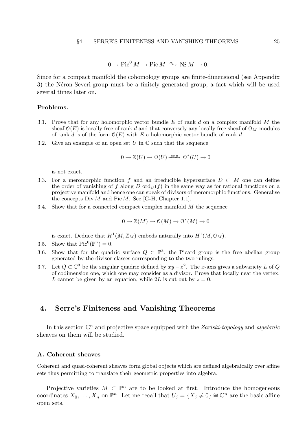$$
0 \to \text{Pic}^0 M \to \text{Pic} M \xrightarrow{c_1} \text{NS} M \to 0.
$$

Since for a compact manifold the cohomology groups are finite-dimensional (see Appendix 3) the Néron-Severi-group must be a finitely generated group, a fact which will be used several times later on.

### Problems.

- 3.1. Prove that for any holomorphic vector bundle  $E$  of rank  $d$  on a complex manifold  $M$  the sheaf  $\mathcal{O}(E)$  is locally free of rank d and that conversely any locally free sheaf of  $\mathcal{O}_M$ -modules of rank d is of the form  $O(E)$  with E a holomorphic vector bundle of rank d.
- 3.2. Give an example of an open set U in  $\mathbb C$  such that the sequence

$$
0 \to \mathbb{Z}(U) \to \mathcal{O}(U) \xrightarrow{exp} \mathcal{O}^*(U) \to 0
$$

is not exact.

- 3.3. For a meromorphic function f and an irreducible hypersurface  $D \subset M$  one can define the order of vanishing of f along D ord $_D(f)$  in the same way as for rational functions on a projective manifold and hence one can speak of divisors of meromorphic functions. Generalise the concepts  $Div M$  and  $Pic M$ . See [G-H, Chapter 1.1].
- 3.4. Show that for a connected compact complex manifold  $M$  the sequence

$$
0 \to \mathbb{Z}(M) \to \mathcal{O}(M) \to \mathcal{O}^*(M) \to 0
$$

is exact. Deduce that  $H^1(M,\mathbb{Z}_M)$  embeds naturally into  $H^1(M,\mathcal{O}_M)$ .

- 3.5. Show that  $Pic^0(\mathbb{P}^n) = 0$ .
- 3.6. Show that for the quadric surface  $Q \subset \mathbb{P}^3$ , the Picard group is the free abelian group generated by the divisor classes corresponding to the two rulings.
- 3.7. Let  $Q \subset \mathbb{C}^3$  be the singular quadric defined by  $xy z^2$ . The x-axis gives a subvariety L of Q of codimension one, which one may consider as a divisor. Prove that locally near the vertex, L cannot be given by an equation, while 2L is cut out by  $z = 0$ .

### 4. Serre's Finiteness and Vanishing Theorems

In this section  $\mathbb{C}^n$  and projective space equipped with the Zariski-topology and algebraic sheaves on them will be studied.

### A. Coherent sheaves

Coherent and quasi-coherent sheaves form global objects which are defined algebraically over affine sets thus permitting to translate their geometric properties into algebra.

Projective varieties  $M \subset \mathbb{P}^n$  are to be looked at first. Introduce the homogeneous coordinates  $X_0, \ldots, X_n$  on  $\mathbb{P}^n$ . Let me recall that  $U_j = \{X_j \neq 0\} \cong \mathbb{C}^n$  are the basic affine open sets.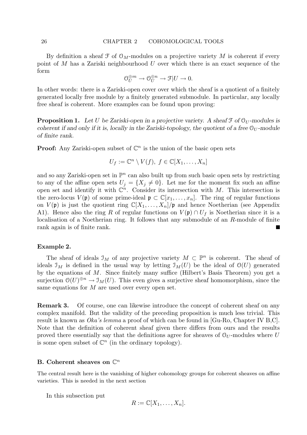By definition a sheaf  $\mathcal F$  of  $\mathcal O_M$ -modules on a projective variety M is coherent if every point of  $M$  has a Zariski neighbourhood  $U$  over which there is an exact sequence of the form

$$
\mathcal{O}_U^{\oplus m} \to \mathcal{O}_U^{\oplus n} \to \mathcal{F}|U \to 0.
$$

In other words: there is a Zariski-open cover over which the sheaf is a quotient of a finitely generated locally free module by a finitely generated submodule. In particular, any locally free sheaf is coherent. More examples can be found upon proving:

**Proposition 1.** Let U be Zariski-open in a projective variety. A sheaf  $\mathcal{F}$  of  $\mathcal{O}_U$ -modules is coherent if and only if it is, locally in the Zariski-topology, the quotient of a free  $\mathcal{O}_U$ -module of finite rank.

**Proof:** Any Zariski-open subset of  $\mathbb{C}^n$  is the union of the basic open sets

$$
U_f := \mathbb{C}^n \setminus V(f), \ f \in \mathbb{C}[X_1, \ldots, X_n]
$$

and so any Zariski-open set in  $\mathbb{P}^n$  can also built up from such basic open sets by restricting to any of the affine open sets  $U_j = \{X_j \neq 0\}$ . Let me for the moment fix such an affine open set and identify it with  $\mathbb{C}^n$ . Consider its intersection with M. This intersection is the zero-locus  $V(\mathfrak{p})$  of some prime-ideal  $\mathfrak{p} \subset \mathbb{C}[x_1,\ldots,x_n]$ . The ring of regular functions on  $V(\mathfrak{p})$  is just the quotient ring  $\mathbb{C}[X_1,\ldots,X_n]/\mathfrak{p}$  and hence Noetherian (see Appendix A1). Hence also the ring R of regular functions on  $V(\mathfrak{p}) \cap U_f$  is Noetherian since it is a localisation of a Noetherian ring. It follows that any submodule of an R-module of finite rank again is of finite rank.

### Example 2.

The sheaf of ideals  $\mathcal{I}_M$  of any projective variety  $M \subset \mathbb{P}^n$  is coherent. The sheaf of ideals  $\mathcal{I}_M$  is defined in the usual way by letting  $\mathcal{I}_M(U)$  be the ideal of  $\mathcal{O}(U)$  generated by the equations of M. Since finitely many suffice (Hilbert's Basis Theorem) you get a surjection  $\mathcal{O}(U)^{\oplus n} \to \mathcal{I}_M(U)$ . This even gives a surjective sheaf homomorphism, since the same equations for M are used over every open set.

Remark 3. Of course, one can likewise introduce the concept of coherent sheaf on any complex manifold. But the validity of the preceding proposition is much less trivial. This result is known as Oka's lemma a proof of which can be found in [Gu-Ro, Chapter IV B,C]. Note that the definition of coherent sheaf given there differs from ours and the results proved there essentially say that the definitions agree for sheaves of  $\mathcal{O}_U$ -modules where U is some open subset of  $\mathbb{C}^n$  (in the ordinary topology).

# B. Coherent sheaves on  $\mathbb{C}^n$

The central result here is the vanishing of higher cohomology groups for coherent sheaves on affine varieties. This is needed in the next section

In this subsection put

$$
R := \mathbb{C}[X_1, \ldots, X_n].
$$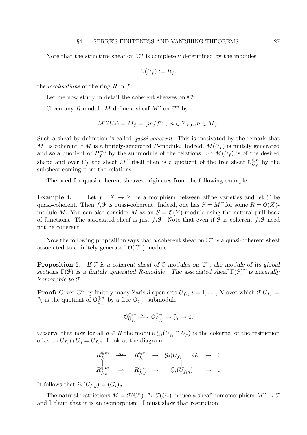Note that the structure sheaf on  $\mathbb{C}^n$  is completely determined by the modules

$$
\mathcal{O}(U_f) := R_f,
$$

the *localisations* of the ring  $R$  in  $f$ .

Let me now study in detail the coherent sheaves on  $\mathbb{C}^n$ .

Given any R-module M define a sheaf  $M^{\sim}$  on  $\mathbb{C}^n$  by

$$
M^{\sim}(U_f) = M_f = \{m/f^n ; n \in \mathbb{Z}_{\geq 0}, m \in M\}.
$$

Such a sheaf by definition is called *quasi-coherent*. This is motivated by the remark that  $M^{\sim}$  is coherent if M is a finitely-generated R-module. Indeed,  $M(U_f)$  is finitely generated and so a quotient of  $R_f^{\oplus n}$  $\mathcal{L}_f^{\oplus n}$  by the submodule of the relations. So  $M(U_f)$  is of the desired shape and over  $U_f$  the sheaf  $M^{\sim}$  itself then is a quotient of the free sheaf  $\mathcal{O}_{U_f}^{\oplus n}$ <br>subsheaf coming from the relations  $\bigcup_{U_f}^{\oplus n}$  by the subsheaf coming from the relations.

The need for quasi-coherent sheaves originates from the following example.

**Example 4.** Let  $f : X \to Y$  be a morphism between affine varieties and let  $\mathcal{F}$  be quasi-coherent. Then  $f_*\mathcal{F}$  is quasi-coherent. Indeed, one has  $\mathcal{F} = M^{\sim}$  for some  $R = \mathcal{O}(X)$ module M. You can also consider M as an  $S = \mathcal{O}(Y)$ -module using the natural pull-back of functions. The associated sheaf is just  $f_*\mathcal{F}$ . Note that even if  $\mathcal{F}$  is coherent  $f_*\mathcal{F}$  need not be coherent.

Now the following proposition says that a coherent sheaf on  $\mathbb{C}^n$  is a quasi-coherent sheaf associated to a finitely generated  $\mathcal{O}(\mathbb{C}^n)$  module.

**Proposition 5.** If  $\mathcal{F}$  is a coherent sheaf of 0-modules on  $\mathbb{C}^n$ , the module of its global sections  $\Gamma(\mathfrak{F})$  is a finitely generated R-module. The associated sheaf  $\Gamma(\mathfrak{F})^{\sim}$  is naturally isomorphic to F.

**Proof:** Cover  $\mathbb{C}^n$  by finitely many Zariski-open sets  $U_{f_i}$ ,  $i = 1, ..., N$  over which  $\mathcal{F}|U_{f_i} :=$  $\mathcal{G}_i$  is the quotient of  $\mathcal{O}_{U_f}^{\oplus n}$  $\bigcup_{U_{f_i}}^{\oplus n}$  by a free  $\mathcal{O}_{U_{f_i}}$ -submodule

$$
\mathcal{O}_{U_{f_i}}^{\oplus m} \stackrel{\alpha_i}{\longrightarrow} \mathcal{O}_{U_{f_i}}^{\oplus n} \to \mathcal{G}_i \to 0.
$$

Observe that now for all  $g \in R$  the module  $\mathcal{G}_i(U_{f_i} \cap U_g)$  is the cokernel of the restriction of  $\alpha_i$  to  $U_{f_i} \cap U_g = U_{f_i g}$ . Look at the diagram

$$
\begin{array}{ccc}\nR_{f_i}^{\oplus m} & \xrightarrow{\alpha_i} & R_{f_i}^{\oplus n} & \rightarrow & \mathfrak{G}_i(U_{f_i}) = G_i & \rightarrow & 0 \\
\downarrow & & \downarrow & & \downarrow \\
R_{f_i g}^{\oplus m} & \rightarrow & R_{f_i g}^{\oplus n} & \rightarrow & \mathfrak{G}_i(U_{f_i g}) & \rightarrow & 0\n\end{array}
$$

It follows that  $\mathcal{G}_i(U_{f_i g}) = (G_i)_{g}.$ 

The natural restrictions  $M = \mathcal{F}(\mathbb{C}^n) \stackrel{\rho}{\longrightarrow} \mathcal{F}(U_g)$  induce a sheaf-homomorphism  $M^{\sim} \to \mathcal{F}$ <br>Let glaim that it is an isomorphism. I must show that restriction and I claim that it is an isomorphism. I must show that restriction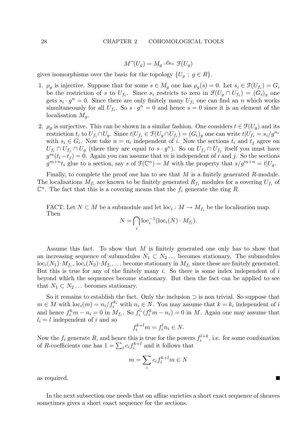$$
M\tilde{f}(U_g) = M_g \xrightarrow{\rho_g} \mathfrak{F}(U_g)
$$

gives isomorphisms over the basis for the topology  $\{U_q: g \in R\}.$ 

- 1.  $\rho_g$  is injective. Suppose that for some  $s \in M_g$  one has  $\rho_g(s) = 0$ . Let  $s_i \in \mathcal{F}(U_{f_i}) = G_i$ be the restriction of s to  $U_{f_i}$ . Since  $s_i$  restricts to zero in  $\mathfrak{F}(U_g \cap U_{f_i}) = (G_i)_g$  one gets  $s_i \cdot g^n = 0$ . Since there are only finitely many  $U_{f_i}$  one can find an n which works simultaneously for all  $U_{f_i}$ . So  $s \cdot g^n = 0$  and hence  $s = 0$  since it is an element of the localisation  $M_q$ .
- 2.  $\rho_g$  is surjective. This can be shown in a similar fashion. One considers  $t \in \mathcal{F}(U_g)$  and its restriction  $t_i$  to  $U_{f_i} \cap U_g$ . Since  $t|U_{f_i} \in \mathcal{F}(U_g \cap U_{f_i}) = (G_i)_g$  one can write  $t|U_{f_i} = s_i/g^{n_i}$ with  $s_i \in G_i$ . Now take  $n = n_i$  independent of i. Now the sections  $t_i$  and  $t_j$  agree on  $U_{f_i} \cap U_{f_j} \cap U_g$  (there they are equal to  $s \cdot g^n$ ). So on  $U_{f_i} \cap U_{f_j}$  itself you must have  $g^m(t_i-t_j) = 0$ . Again you can assume that m is independent of i and j. So the sections  $g^{m+n}t_i$  glue to a section, say s of  $\mathfrak{F}(\mathbb{C}^n) = M$  with the property that  $s/g^{m+n} = t|U_g$ .

Finally, to complete the proof one has to see that  $M$  is a finitely generated  $R$ -module. The localisations  $M_{f_i}$  are known to be finitely generated  $R_{f_i}$  modules for a covering  $U_{f_i}$  of  $\mathbb{C}^n$ . The fact that this is a covering means that the  $f_i$  generate the ring R.

FACT: Let  $N \subset M$  be a submodule and let  $\text{loc}_i : M \to M_{f_i}$  be the localisation map. Then

$$
N = \bigcap_i \text{loc}_i^{-1}(\text{loc}_i(N) \cdot M_{f_i}).
$$

Assume this fact. To show that M is finitely generated one only has to show that an increasing sequence of submodules  $N_1 \subset N_2 \ldots$  becomes stationary. The submodules  $\mathrm{loc}_i(N_1)\cdot M_{f_i}, \, \mathrm{loc}_i(N_2)\cdot M_{f_i}, \ldots$  become stationary in  $M_{f_i}$  since these are finitely generated. But this is true for any of the finitely many  $i$ . So there is some index independent of  $i$ beyond which the sequences become stationary. But then the fact can be applied to see that  $N_1 \subset N_2 \ldots$  becomes stationary.

So it remains to establish the fact. Only the inclusion ⊃ is non trivial. So suppose that  $m \in M$  with  $\text{loc}_i(m) = n_i / f_i^{k_i}$  with  $n_i \in N$ . You may assume that  $k = k_i$  independent of i and hence  $f_i^k m - n_i = 0$  in  $M_{f_i}$ . So  $f_i^{l_i}(f_i^k m - n_i) = 0$  in M. Again one may assume that  $l_i = l$  independent of i and so

$$
f_i^{k+l}m = f_i^l n_i \in N.
$$

Now the  $f_i$  generate R, and hence this is true for the powers  $f_i^{l+k}$  $i^{(l+k)}$ , i.e. for some combination of R-coefficients one has  $1 = \sum_i c_i f_i^{k+l}$  $i^{k+l}$  and it follows that

$$
m = \sum_{i} c_i f_i^{k+l} m \in N
$$

as required.

In the next subsection one needs that on affine varieties a short exact sequence of sheaves sometimes gives a short exact sequence for the sections.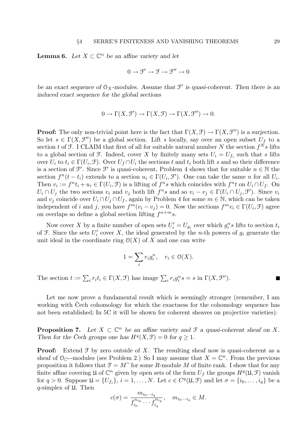**Lemma 6.** Let  $X \subset \mathbb{C}^n$  be an affine variety and let

$$
0\to \mathfrak{F}'\to \mathfrak{F}\to \mathfrak{F}''\to 0
$$

be an exact sequence of  $\mathcal{O}_X$ -modules. Assume that  $\mathcal{F}'$  is quasi-coherent. Then there is an induced exact sequence for the global sections

$$
0 \to \Gamma(X, \mathcal{F}') \to \Gamma(X, \mathcal{F}) \to \Gamma(X, \mathcal{F}'') \to 0.
$$

**Proof:** The only non-trivial point here is the fact that  $\Gamma(X, \mathcal{F}) \to \Gamma(X, \mathcal{F}'')$  is a surjection. So let  $s \in \Gamma(X, \mathcal{F}')$  be a global section. Lift s locally, say over an open subset  $U_f$  to a section t of  $\mathcal F$ . I CLAIM that first of all for suitable natural number N the section  $f^N s$  lifts to a global section of  $\mathfrak F$ . Indeed, cover X by finitely many sets  $U_i = U_{f_i}$  such that s lifts over  $U_i$  to  $t_i \in \Gamma(U_i, \mathcal{F})$ . Over  $U_f \cap U_i$  the sections t and  $t_i$  both lift s and so their difference is a section of  $\mathcal{F}'$ . Since  $\mathcal{F}'$  is quasi-coherent, Problem 4 shows that for suitable  $n \in \mathbb{N}$  the section  $f^n(t-t_i)$  extends to a section  $u_i \in \Gamma(U_i, \mathcal{F}')$ . One can take the same n for all  $U_i$ . Then  $v_i := f^n t_i + u_i \in \Gamma(U_i, \mathcal{F})$  is a lifting of  $f^n s$  which coincides with  $f^n t$  on  $U_i \cap U_f$ . On  $U_i \cap U_j$  the two sections  $v_i$  and  $v_j$  both lift  $f^n s$  and so  $v_i - v_j \in \Gamma(U_i \cap U_j, \mathcal{F}')$ . Since  $v_i$ and  $v_j$  coincide over  $U_i \cap U_j \cap U_f$ , again by Problem 4 for some  $m \in \mathbb{N}$ , which can be taken independent of i and j, you have  $f^m(v_i - v_j) = 0$ . Now the sections  $f^m v_i \in \Gamma(U_i, \mathcal{F})$  agree on overlaps so define a global section lifting  $f^{n+m}s$ .

Now cover X by a finite number of open sets  $U_i' = U_{g_i}$  over which  $g_i^n s$  lifts to section  $t_i$ of  $\mathcal F$ . Since the sets  $U_i'$  cover X, the ideal generated by the *n*-th powers of  $g_i$  generate the unit ideal in the coordinate ring  $O(X)$  of X and one can write

$$
1 = \sum_{i} r_i g_i^n, \quad r_i \in \mathcal{O}(X).
$$

The section  $t := \sum_i r_i t_i \in \Gamma(X, \mathcal{F})$  has image  $\sum_i r_i g_i^n s = s$  in  $\Gamma(X, \mathcal{F}'')$ .

Let me now prove a fundamental result which is seemingly stronger (remember, I am working with Cech cohomology for which the exactness for the cohomology sequence has not been established; In 5C it will be shown for coherent sheaves on projective varieties):

**Proposition 7.** Let  $X \subset \mathbb{C}^n$  be an affine variety and  $\mathcal{F}$  a quasi-coherent sheaf on X. Then for the Čech groups one has  $H^q(X, \mathcal{F}) = 0$  for  $q \geq 1$ .

**Proof:** Extend  $\mathcal F$  by zero outside of X. The resulting sheaf now is quasi-coherent as a sheaf of  $\mathfrak{O}_{\mathbb{C}^n}$ -modules (see Problem 2.) So I may assume that  $X = \mathbb{C}^n$ . From the previous proposition it follows that  $\mathcal{F} = M^{\sim}$  for some R-module M of finite rank. I show that for any finite affine covering  $\mathfrak U$  of  $\mathbb C^n$  given by open sets of the form  $U_f$  the groups  $H^q(\mathfrak U,\mathfrak F)$  vanish for  $q > 0$ . Suppose  $\mathfrak{U} = \{U_{f_i}\}, i = 1, \ldots, N$ . Let  $c \in C^q(\mathfrak{U}, \mathfrak{F})$  and let  $\sigma = \{i_0, \ldots, i_q\}$  be a q-simplex of  $\mathfrak U$ . Then

$$
c(\sigma) = \frac{m_{i_0 \cdots i_q}}{f_{i_0}^{n_{i_0}} \cdots f_{i_q}^{n_{i_q}}}, \quad m_{i_0 \cdots i_q} \in M.
$$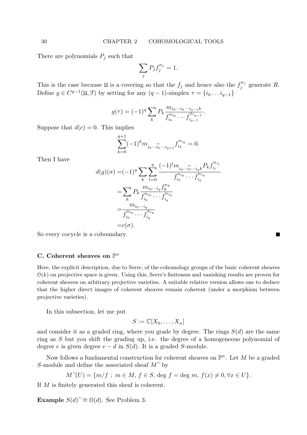There are polynomials  $P_j$  such that

$$
\sum_j P_j f_j^{n_j} = 1.
$$

This is the case because  $\mathfrak U$  is a covering so that the  $f_j$  and hence also the  $f_j^{n_j}$  $j^{n_j}$  generate R. Define  $g \in C^{q-1}(\mathfrak{U}, \mathfrak{F})$  by setting for any  $(q-1)$ -simplex  $\tau = \{i_0 \dots i_{q-1}\}\$ 

$$
g(\tau) = (-1)^q \sum_{k} P_k \frac{m_{i_0 \cdots i_k \cdots i_{q-1}k}}{f_{i_0}^{n_{i_0}} \cdots f_{i_{q-1}}^{n_{i_{q-1}}}}.
$$

Suppose that  $d(c) = 0$ . This implies

$$
\sum_{k=0}^{q+1}(-1)^k m_{i_0\cdots \widehat{i_k}\cdots i_{q+1}}f_{i_k}^{n_{i_k}}=0.
$$

Then I have

$$
d(g)(\sigma) = (-1)^q \sum_{k} \sum_{l=0}^{q} \frac{(-1)^l m_{i_0 \cdots \widehat{i_l} \cdots i_q k} P_k f_{i_l}^{n_{i_l}}}{f_{i_0}^{n_{i_0}} \cdots f_{i_q}^{n_{i_q}}}
$$
  
= 
$$
\sum_{k} P_k \frac{m_{i_0 \cdots i_q} f_k^{n_k}}{f_{i_0}^{n_{i_0}} \cdots f_{i_q}^{n_{i_q}}}
$$
  
= 
$$
\frac{m_{i_0 \cdots i_q}}{f_{i_0}^{n_{i_0}} \cdots f_{i_q}^{n_{i_q}}}
$$
  
= 
$$
c(\sigma).
$$

П

So every cocycle is a coboundary.

# C. Coherent sheaves on  $\mathbb{P}^n$

Here, the explicit description, due to Serre, of the cohomology groups of the basic coherent sheaves  $\mathcal{O}(k)$  on projective space is given. Using this, Serre's finiteness and vanishing results are proven for coherent sheaves on arbitrary projective varieties. A suitable relative version allows one to deduce that the higher direct images of coherent sheaves remain coherent (under a morphism between projective varieties).

In this subsection, let me put

$$
S := \mathbb{C}[X_0, \dots, X_n]
$$

and consider it as a graded ring, where you grade by degree. The rings  $S(d)$  are the same ring as S but you shift the grading up, i.e. the degree of a homogeneous polynomial of degree e is given degree  $e - d$  in  $S(d)$ . It is a graded S-module.

Now follows a fundamental construction for coherent sheaves on  $\mathbb{P}^n$ . Let M be a graded S-module and define the associated sheaf  $M^{\sim}$  by

$$
M^{\sim}(U) = \{ m/f ; m \in M, f \in S, \text{deg } f = \text{deg } m, f(x) \neq 0, \forall x \in U \}.
$$

If M is finitely generated this sheaf is coherent.

Example  $S(d)^{\sim}$  ≅ O(d). See Problem 3.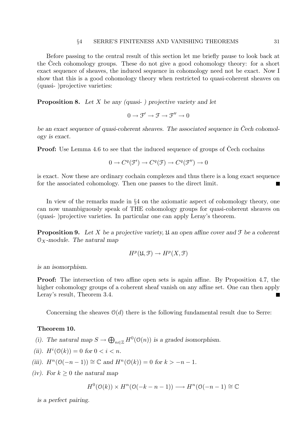#### §4 SERRE'S FINITENESS AND VANISHING THEOREMS 31

Before passing to the central result of this section let me briefly pause to look back at the Cech cohomology groups. These do not give a good cohomology theory: for a short exact sequence of sheaves, the induced sequence in cohomology need not be exact. Now I show that this is a good cohomology theory when restricted to quasi-coherent sheaves on (quasi- )projective varieties:

**Proposition 8.** Let X be any (quasi- ) projective variety and let

 $0 \to \mathcal{F}' \to \mathcal{F} \to \mathcal{F}'' \to 0$ 

be an exact sequence of quasi-coherent sheaves. The associated sequence in Čech cohomology is exact.

**Proof:** Use Lemma 4.6 to see that the induced sequence of groups of Cech cochains

$$
0 \to C^q(\mathcal{F}') \to C^q(\mathcal{F}) \to C^q(\mathcal{F}'') \to 0
$$

is exact. Now these are ordinary cochain complexes and thus there is a long exact sequence for the associated cohomology. Then one passes to the direct limit.

In view of the remarks made in §4 on the axiomatic aspect of cohomology theory, one can now unambiguously speak of THE cohomology groups for quasi-coherent sheaves on (quasi- )projective varieties. In particular one can apply Leray's theorem.

**Proposition 9.** Let X be a projective variety,  $\mathfrak{U}$  an open affine cover and  $\mathfrak{F}$  be a coherent  $\mathcal{O}_X$ -module. The natural map

$$
H^p(\mathfrak{U}, \mathfrak{F}) \to H^p(X, \mathfrak{F})
$$

is an isomorphism.

Proof: The intersection of two affine open sets is again affine. By Proposition 4.7, the higher cohomology groups of a coherent sheaf vanish on any affine set. One can then apply Leray's result, Theorem 3.4.

Concerning the sheaves  $O(d)$  there is the following fundamental result due to Serre:

### Theorem 10.

- (i). The natural map  $S \to \bigoplus_{n \in \mathbb{Z}} H^0(\mathfrak{O}(n))$  is a graded isomorphism.
- (ii).  $H^i(\mathcal{O}(k)) = 0$  for  $0 < i < n$ .
- (iii).  $H^n(\mathcal{O}(-n-1)) \cong \mathbb{C}$  and  $H^n(\mathcal{O}(k)) = 0$  for  $k > -n-1$ .
- (iv). For  $k \geq 0$  the natural map

$$
H^{0}(\mathcal{O}(k)) \times H^{n}(\mathcal{O}(-k-n-1)) \longrightarrow H^{n}(\mathcal{O}(-n-1) \cong \mathbb{C})
$$

is a perfect pairing.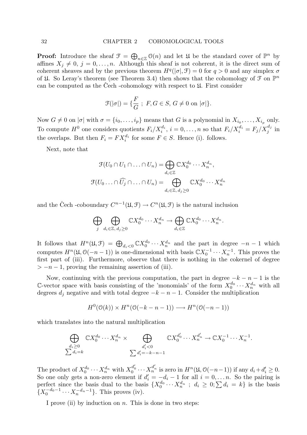**Proof:** Introduce the sheaf  $\mathcal{F} = \bigoplus_{n \in \mathbb{Z}} \mathcal{O}(n)$  and let  $\mathcal{U}$  be the standard cover of  $\mathbb{P}^n$  by affines  $X_j \neq 0, j = 0, \ldots, n$ . Although this sheaf is not coherent, it is the direct sum of coherent sheaves and by the previous theorem  $H^q(|\sigma|, \mathcal{F}) = 0$  for  $q > 0$  and any simplex  $\sigma$ of  $\mathfrak U$ . So Leray's theorem (see Theorem 3.4) then shows that the cohomology of  $\mathfrak F$  on  $\mathbb P^n$ can be computed as the Cech -cohomology with respect to  $\mathfrak{U}$ . First consider

$$
\mathcal{F}(|\sigma|) = \{ \frac{F}{G} ; F, G \in S, G \neq 0 \text{ on } |\sigma| \}.
$$

Now  $G \neq 0$  on  $|\sigma|$  with  $\sigma = \{i_0, \ldots, i_p\}$  means that G is a polynomial in  $X_{i_0}, \ldots, X_{i_p}$  only. To compute  $H^0$  one considers quotients  $F_i/X_i^{d_i}$ ,  $i=0,\ldots,n$  so that  $F_i/X_i^{d_i} = F_j/X_j^{d_j}$  in the overlaps. But then  $F_i = FX_i^{d_i}$  for some  $F \in S$ . Hence (i). follows.

Next, note that

$$
\mathcal{F}(U_0 \cap U_1 \cap \ldots \cap U_n) = \bigoplus_{d_i \in \mathbb{Z}} \mathbb{C} X_0^{d_0} \cdots X_n^{d_n},
$$

$$
\mathcal{F}(U_0 \ldots \cap \widehat{U_j} \cap \ldots \cap U_n) = \bigoplus_{d_i \in \mathbb{Z}, d_j \ge 0} \mathbb{C} X_0^{d_0} \cdots X_n^{d_n}
$$

and the Čech -coboundary  $C^{n-1}(\mathfrak{U}, \mathfrak{F}) \to C^n(\mathfrak{U}, \mathfrak{F})$  is the natural inclusion

$$
\bigoplus_j \bigoplus_{d_i \in \mathbb{Z}, d_j \geq 0} \mathbb{C} X_0^{d_0} \cdots X_n^{d_n} \to \bigoplus_{d_i \in \mathbb{Z}} \mathbb{C} X_0^{d_0} \cdots X_n^{d_n}.
$$

It follows that  $H^n(\mathfrak{U}, \mathfrak{F}) = \bigoplus_{d_i < 0} \mathbb{C} X_0^{d_0} \cdots X_n^{d_n}$  and the part in degree  $-n-1$  which computes  $H<sup>n</sup>(\mathfrak{U}, \mathfrak{O}(-n-1))$  is one-dimensional with basis  $\mathbb{C}X_0^{-1}$  $\chi_0^{-1} \cdots X_n^{-1}$ . This proves the first part of (iii). Furthermore, observe that there is nothing in the cokernel of degree  $> -n - 1$ , proving the remaining assertion of (iii).

Now, continuing with the previous computation, the part in degree  $-k - n - 1$  is the C-vector space with basis consisting of the 'monomials' of the form  $X_0^{d_0} \cdots X_n^{d_n}$  with all degrees  $d_i$  negative and with total degree  $-k - n - 1$ . Consider the multiplication

$$
H^{0}(\mathcal{O}(k)) \times H^{n}(\mathcal{O}(-k-n-1)) \longrightarrow H^{n}(\mathcal{O}(-n-1))
$$

which translates into the natural multiplication

$$
\bigoplus_{\substack{d_i \geq 0 \\ \sum d_i = k}} \mathbb{C} X_0^{d_0} \cdots X_n^{d_n} \times \bigoplus_{\substack{d'_i < 0 \\ \sum d'_i = -k - n - 1}} \mathbb{C} X_0^{d'_0} \cdots X_n^{d'_n} \to \mathbb{C} X_0^{-1} \cdots X_n^{-1}.
$$

The product of  $X_0^{d_0} \cdots X_n^{d_n}$  with  $X_0^{d'_0} \cdots X_n^{d'_n}$  is zero in  $H^n(\mathfrak{U}, \mathcal{O}(-n-1))$  if any  $d_i + d'_i \geq 0$ . So one only gets a non-zero element if  $d'_i = -d_i - 1$  for all  $i = 0, \ldots n$ . So the pairing is perfect since the basis dual to the basis  $\{X_0^{d_0} \cdots X_n^{d_n} \; ; \; d_i \geq 0; \sum d_i = k\}$  is the basis  $\{X_0^{-d_0-1}\cdots X_n^{-d_n-1}\}.$  This proves (iv).

I prove (ii) by induction on  $n$ . This is done in two steps: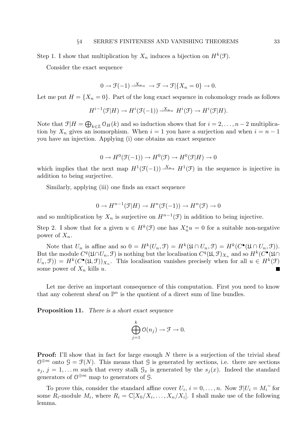Step 1. I show that multiplication by  $X_n$  induces a bijection on  $H^k(\mathcal{F})$ .

Consider the exact sequence

$$
0 \to \mathcal{F}(-1) \xrightarrow{\cdot X_n} \to \mathcal{F} \to \mathcal{F} \setminus \{X_n = 0\} \to 0.
$$

Let me put  $H = \{X_n = 0\}$ . Part of the long exact sequence in cohomology reads as follows

$$
H^{i-1}(\mathcal{F}|H) \to H^i(\mathcal{F}(-1)) \xrightarrow{\cdot X_n} H^i(\mathcal{F}) \to H^i(\mathcal{F}|H).
$$

Note that  $\mathfrak{F}|H = \bigoplus_{k \in \mathbb{Z}} \mathfrak{O}_H(k)$  and so induction shows that for  $i = 2, \ldots, n-2$  multiplication by  $X_n$  gives an isomorphism. When  $i = 1$  you have a surjection and when  $i = n - 1$ you have an injection. Applying (i) one obtains an exact sequence

$$
0 \to H^0(\mathfrak{F}(-1)) \to H^0(\mathfrak{F}) \to H^0(\mathfrak{F}|H) \to 0
$$

which implies that the next map  $H^1(\mathcal{F}(-1)) \stackrel{X_n}{\longrightarrow} H^1(\mathcal{F})$  in the sequence is injective in addition to being surjective.

Similarly, applying (iii) one finds an exact sequence

$$
0 \to H^{n-1}(\mathcal{F}|H) \to H^n(\mathcal{F}(-1)) \to H^n(\mathcal{F}) \to 0
$$

and so multiplication by  $X_n$  is surjective on  $H^{n-1}(\mathcal{F})$  in addition to being injective.

Step 2. I show that for a given  $u \in H^k(\mathcal{F})$  one has  $X_n^s u = 0$  for a suitable non-negative power of  $X_n$ .

Note that  $U_n$  is affine and so  $0 = H^k(U_n, \mathcal{F}) = H^k(\mathfrak{U} \cap U_n, \mathcal{F}) = H^k(C^{\bullet}(\mathfrak{U} \cap U_n, \mathcal{F})).$ But the module  $C^q(\mathfrak{U} \cap U_n, \mathfrak{F})$  is nothing but the localisation  $C^q(\mathfrak{U}, \mathfrak{F})_{X_n}$  and so  $H^k(C^{\bullet}(\mathfrak{U} \cap$  $U_n, \mathcal{F}) = H^k(C^{\bullet}(\mathfrak{U}, \mathcal{F}))_{X_n}$ . This localisation vanishes precisely when for all  $u \in H^k(\mathcal{F})$ some power of  $X_n$  kills u. П

Let me derive an important consequence of this computation. First you need to know that any coherent sheaf on  $\mathbb{P}^n$  is the quotient of a direct sum of line bundles.

Proposition 11. There is a short exact sequence

$$
\bigoplus_{j=1}^k \mathfrak{O}(n_j) \to \mathfrak{F} \to 0.
$$

**Proof:** I'll show that in fact for large enough  $N$  there is a surjection of the trivial sheaf  $\mathcal{O}^{\oplus m}$  onto  $\mathcal{G} = \mathcal{F}(N)$ . This means that  $\mathcal{G}$  is generated by sections, i.e. there are sections  $s_i, j = 1, \ldots m$  such that every stalk  $\mathcal{G}_x$  is generated by the  $s_i(x)$ . Indeed the standard generators of  $\mathcal{O}^{\oplus m}$  map to generators of  $\mathcal{G}$ .

To prove this, consider the standard affine cover  $U_i$ ,  $i = 0, \ldots, n$ . Now  $\mathcal{F}|U_i = M_i^{\sim}$  for  $P_i$  module  $M_i$ , where  $P_i = \mathcal{F}[X_i / X_i]$ ,  $X_i \times Y_i$ , i. I shall make use of the following some  $\overline{R}_i$ -module  $M_i$ , where  $R_i = \mathbb{C}[X_0/X_i, \ldots, X_n/X_i]$ . I shall make use of the following lemma.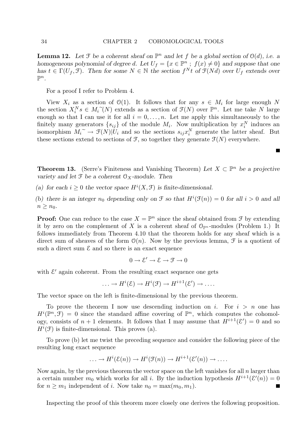**Lemma 12.** Let  $\mathcal{F}$  be a coherent sheaf on  $\mathbb{P}^n$  and let f be a global section of  $\mathcal{O}(d)$ , i.e. a homogeneous polynomial of degree d. Let  $U_f = \{x \in \mathbb{P}^n : f(x) \neq 0\}$  and suppose that one has  $t \in \Gamma(U_f, \mathcal{F})$ . Then for some  $N \in \mathbb{N}$  the section  $f^N t$  of  $\mathcal{F}(Nd)$  over  $U_f$  extends over  $\mathbb{P}^n$ .

For a proof I refer to Problem 4.

View  $X_i$  as a section of  $\mathcal{O}(1)$ . It follows that for any  $s \in M_i$  for large enough N the section  $X_i^N s \in M_i^{\sim}(N)$  extends as a section of  $\mathcal{F}(N)$  over  $\mathbb{P}^n$ . Let me take N large<br>google so that Lean use it for all  $i = 0$ , so Let me apply this simultaneously to the enough so that I can use it for all  $i = 0, \ldots, n$ . Let me apply this simultaneously to the finitely many generators  $\{s_{ij}\}\$  of the module  $M_i$ . Now multiplication by  $x_i^N$  induces an isomorphism  $M_i \to \mathcal{F}(N)|U_i$  and so the sections  $s_{ij}x_i^N$  generate the latter sheaf. But<br>those sections extend to sections of  $\mathcal{F}$  so together they generate  $\mathcal{F}(N)$  everywhere these sections extend to sections of  $\mathcal{F}$ , so together they generate  $\mathcal{F}(N)$  everywhere.

**Theorem 13.** (Serre's Finiteness and Vanishing Theorem) Let  $X \subset \mathbb{P}^n$  be a projective variety and let  $\mathfrak F$  be a coherent  $\mathfrak O_X$ -module. Then

П

(a) for each  $i \geq 0$  the vector space  $H^{i}(X, \mathcal{F})$  is finite-dimensional.

(b) there is an integer  $n_0$  depending only on  $\mathcal F$  so that  $H^i(\mathcal F(n)) = 0$  for all  $i > 0$  and all  $n \geq n_0$ .

**Proof:** One can reduce to the case  $X = \mathbb{P}^n$  since the sheaf obtained from  $\mathcal{F}$  by extending it by zero on the complement of X is a coherent sheaf of  $\mathcal{O}_{\mathbb{P}^n}$ -modules (Problem 1.) It follows immediately from Theorem 4.10 that the theorem holds for any sheaf which is a direct sum of sheaves of the form  $\mathcal{O}(n)$ . Now by the previous lemma,  $\mathcal F$  is a quotient of such a direct sum  $\mathcal E$  and so there is an exact sequence

$$
0\to \mathcal{E}'\to \mathcal{E}\to \mathcal{F}\to 0
$$

with  $\mathcal{E}'$  again coherent. From the resulting exact sequence one gets

$$
\ldots \to H^i(\mathcal{E}) \to H^i(\mathcal{F}) \to H^{i+1}(\mathcal{E}') \to \ldots
$$

The vector space on the left is finite-dimensional by the previous theorem.

To prove the theorem I now use descending induction on i. For  $i > n$  one has  $H^i(\mathbb{P}^n,\mathcal{F}) = 0$  since the standard affine covering of  $\mathbb{P}^n$ , which computes the cohomology, consists of  $n+1$  elements. It follows that I may assume that  $H^{i+1}(\mathcal{E}') = 0$  and so  $H^i(\mathcal{F})$  is finite-dimensional. This proves (a).

To prove (b) let me twist the preceding sequence and consider the following piece of the resulting long exact sequence

$$
\ldots \to H^{i}(\mathcal{E}(n)) \to H^{i}(\mathcal{F}(n)) \to H^{i+1}(\mathcal{E}'(n)) \to \ldots
$$

Now again, by the previous theorem the vector space on the left vanishes for all  $n$  larger than a certain number  $m_0$  which works for all i. By the induction hypothesis  $H^{i+1}(\mathcal{E}'(n))=0$ for  $n \geq m_1$  independent of i. Now take  $n_0 = \max(m_0, m_1)$ .

Inspecting the proof of this theorem more closely one derives the following proposition.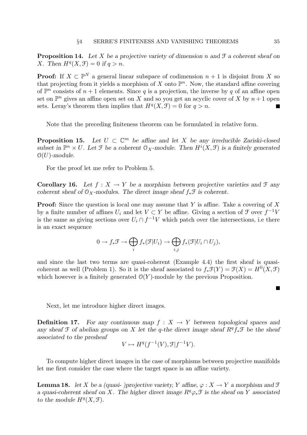**Proposition 14.** Let X be a projective variety of dimension n and  $\mathcal{F}$  a coherent sheaf on X. Then  $H^q(X, \mathcal{F}) = 0$  if  $q > n$ .

**Proof:** If  $X \subset \mathbb{P}^N$  a general linear subspace of codimension  $n + 1$  is disjoint from X so that projecting from it yields a morphism of X onto  $\mathbb{P}^n$ . Now, the standard affine covering of  $\mathbb{P}^n$  consists of  $n+1$  elements. Since q is a projection, the inverse by q of an affine open set on  $\mathbb{P}^n$  gives an affine open set on X and so you get an acyclic cover of X by  $n+1$  open sets. Leray's theorem then implies that  $H^q(X, \mathcal{F}) = 0$  for  $q > n$ .

Note that the preceding finiteness theorem can be formulated in relative form.

**Proposition 15.** Let  $U \subset \mathbb{C}^m$  be affine and let X be any irreducible Zariski-closed subset in  $\mathbb{P}^n \times U$ . Let  $\mathcal F$  be a coherent  $\mathcal O_X$ -module. Then  $H^i(X, \mathcal F)$  is a finitely generated  $\mathcal{O}(U)$ -module.

For the proof let me refer to Problem 5.

**Corollary 16.** Let  $f : X \to Y$  be a morphism between projective varieties and  $\mathcal{F}$  any coherent sheaf of  $\mathcal{O}_X$ -modules. The direct image sheaf  $f_*\mathcal{F}$  is coherent.

**Proof:** Since the question is local one may assume that Y is affine. Take a covering of X by a finite number of affines  $U_i$  and let  $V \subset Y$  be affine. Giving a section of  $\mathcal F$  over  $f^{-1}V$ is the same as giving sections over  $U_i \cap f^{-1}V$  which patch over the intersections, i.e there is an exact sequence

$$
0 \to f_*\mathcal{F} \to \bigoplus_i f_*(\mathcal{F}|U_i) \to \bigoplus_{i,j} f_*(\mathcal{F}|U_i \cap U_j),
$$

and since the last two terms are quasi-coherent (Example 4.4) the first sheaf is quasicoherent as well (Problem 1). So it is the sheaf associated to  $f_*\mathcal{F}(Y) = \mathcal{F}(X) = H^0(X,\mathcal{F})$ which however is a finitely generated  $O(Y)$ -module by the previous Proposition.

Next, let me introduce higher direct images.

**Definition 17.** For any continuous map  $f : X \to Y$  between topological spaces and any sheaf  $\mathfrak F$  of abelian groups on X let the q-the direct image sheaf  $R^q f_* \mathfrak F$  be the sheaf associated to the presheaf

$$
V \mapsto H^q(f^{-1}(V), \mathcal{F}|f^{-1}V).
$$

To compute higher direct images in the case of morphisms between projective manifolds let me first consider the case where the target space is an affine variety.

**Lemma 18.** let X be a (quasi- )projective variety, Y affine,  $\varphi : X \to Y$  a morphism and F a quasi-coherent sheaf on X. The higher direct image  $R^q \varphi_* \mathcal{F}$  is the sheaf on Y associated to the module  $H^q(X, \mathcal{F})$ .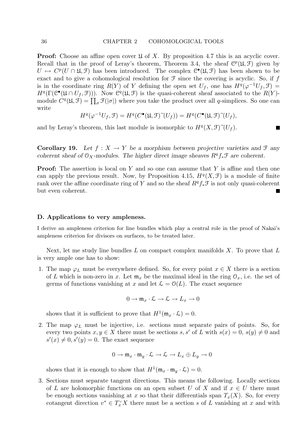**Proof:** Choose an affine open cover  $\mathfrak U$  of X. By proposition 4.7 this is an acyclic cover. Recall that in the proof of Leray's theorem, Theorem 3.4, the sheaf  $\mathcal{C}^p(\mathfrak{U}, \mathfrak{F})$  given by  $U \mapsto C^p(U \cap \mathfrak{U}, \mathfrak{F})$  has been introduced. The complex  $\mathcal{C}^{\bullet}(\mathfrak{U}, \mathfrak{F})$  has been shown to be exact and to give a cohomological resolution for  $\mathcal F$  since the covering is acyclic. So, if f is in the coordinate ring  $R(Y)$  of Y defining the open set  $U_f$ , one has  $H^q(\varphi^{-1}U_f, \mathcal{F}) =$  $H^q(\Gamma(\mathcal{C}^\bullet(\mathfrak{U} \cap U_f, \mathcal{F})))$ . Now  $\mathcal{C}^q(\mathfrak{U}, \mathcal{F})$  is the quasi-coherent sheaf associated to the  $R(Y)$ module  $C^q(\mathfrak{U}, \mathfrak{F}) = \prod_{\sigma} \mathfrak{F}(|\sigma|)$  where you take the product over all q-simplices. So one can write

$$
H^q(\varphi^{-1}U_f, \mathfrak{F}) = H^q(C^{\bullet}(\mathfrak{U}, \mathfrak{F})^{\sim}(U_f)) = H^q(C^{\bullet}(\mathfrak{U}, \mathfrak{F})^{\sim}(U_f),
$$

and by Leray's theorem, this last module is isomorphic to  $H^q(X, \mathcal{F})^{\sim}(U_f)$ .

**Corollary 19.** Let  $f : X \to Y$  be a morphism between projective varieties and  $\mathcal{F}$  any coherent sheaf of  $\mathcal{O}_X$ -modules. The higher direct image sheaves  $R^q f_* \mathcal{F}$  are coherent.

**Proof:** The assertion is local on Y and so one can assume that Y is affine and then one can apply the previous result. Now, by Proposition 4.15,  $H<sup>q</sup>(X,\mathcal{F})$  is a module of finite rank over the affine coordinate ring of Y and so the sheaf  $R^q f_* \mathcal{F}$  is not only quasi-coherent but even coherent.

#### D. Applications to very ampleness.

I derive an ampleness criterion for line bundles which play a central role in the proof of Nakai's ampleness criterion for divisors on surfaces, to be treated later.

Next, let me study line bundles  $L$  on compact complex manifolds  $X$ . To prove that  $L$ is very ample one has to show:

1. The map  $\varphi_L$  must be everywhere defined. So, for every point  $x \in X$  there is a section of L which is non-zero in x. Let  $\mathfrak{m}_x$  be the maximal ideal in the ring  $\mathfrak{O}_x$ , i.e. the set of germs of functions vanishing at x and let  $\mathcal{L} = \mathcal{O}(L)$ . The exact sequence

$$
0\to \mathfrak{m}_x\cdot \mathcal{L}\to \mathcal{L}\to L_x\to 0
$$

shows that it is sufficient to prove that  $H^1(\mathfrak{m}_x \cdot \mathcal{L}) = 0$ .

2. The map  $\varphi_L$  must be injective, i.e. sections must separate pairs of points. So, for every two points  $x, y \in X$  there must be sections  $s, s'$  of L with  $s(x) = 0$ ,  $s(y) \neq 0$  and  $s'(x) \neq 0, s'(y) = 0.$  The exact sequence

$$
0 \to \mathfrak{m}_x \cdot \mathfrak{m}_y \cdot \mathcal{L} \to \mathcal{L} \to L_x \oplus L_y \to 0
$$

shows that it is enough to show that  $H^1(\mathfrak{m}_x \cdot \mathfrak{m}_y \cdot \mathcal{L}) = 0$ .

3. Sections must separate tangent directions. This means the following. Locally sections of L are holomorphic functions on an open subset U of X and if  $x \in U$  there must be enough sections vanishing at x so that their differentials span  $T_x(X)$ . So, for every cotangent direction  $v^* \in T_x^{\vee} X$  there must be a section s of L vanishing at x and with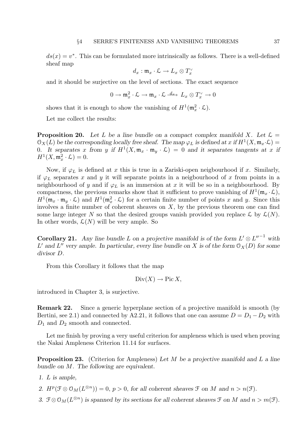$ds(x) = v^*$ . This can be formulated more intrinsically as follows. There is a well-defined sheaf map

$$
d_x:\mathfrak{m}_x\cdot \mathcal{L}\to L_x\otimes T_x^{\vee}
$$

and it should be surjective on the level of sections. The exact sequence

$$
0 \to \mathfrak{m}_x^2 \cdot \mathcal{L} \to \mathfrak{m}_x \cdot \mathcal{L} \xrightarrow{d_x} L_x \otimes T_x^{\vee} \to 0
$$

shows that it is enough to show the vanishing of  $H^1(\mathfrak{m}_x^2 \cdot \mathcal{L})$ .

Let me collect the results:

**Proposition 20.** Let L be a line bundle on a compact complex manifold X. Let  $\mathcal{L} =$  $\mathfrak{O}_X(L)$  be the corresponding locally free sheaf. The map  $\varphi_L$  is defined at x if  $H^1(X, \mathfrak{m}_x \cdot \mathcal{L}) =$ 0. It separates x from y if  $H^1(X, \mathfrak{m}_x \cdot \mathfrak{m}_y \cdot \mathcal{L}) = 0$  and it separates tangents at x if  $H^1(X, \mathfrak{m}_x^2 \cdot \mathcal{L}) = 0.$ 

Now, if  $\varphi_L$  is defined at x this is true in a Zariski-open neigbourhood if x. Similarly, if  $\varphi_L$  separates x and y it will separate points in a neigbourhood of x from points in a neighbourhood of y and if  $\varphi_L$  is an immersion at x it will be so in a neighbourhood. By compactness, the previous remarks show that it sufficient to prove vanishing of  $H^1(\mathfrak{m}_x\cdot\mathcal{L}),$  $H^1(\mathfrak{m}_x \cdot \mathfrak{m}_y \cdot \mathcal{L})$  and  $H^1(\mathfrak{m}_x^2 \cdot \mathcal{L})$  for a certain finite number of points x and y. Since this involves a finite number of coherent sheaves on  $X$ , by the previous theorem one can find some large integer N so that the desired groups vanish provided you replace  $\mathcal{L}$  by  $\mathcal{L}(N)$ . In other words,  $\mathcal{L}(N)$  will be very ample. So

**Corollary 21.** Any line bundle L on a projective manifold is of the form  $L' \otimes L''^{-1}$  with L' and L'' very ample. In particular, every line bundle on X is of the form  $\mathcal{O}_X(D)$  for some divisor D.

From this Corollary it follows that the map

$$
Div(X) \to Pic X,
$$

introduced in Chapter 3, is surjective.

Remark 22. Since a generic hyperplane section of a projective manifold is smooth (by Bertini, see 2.1) and connected by A2.21, it follows that one can assume  $D = D_1 - D_2$  with  $D_1$  and  $D_2$  smooth and connected.

Let me finish by proving a very useful criterion for ampleness which is used when proving the Nakai Ampleness Criterion 11.14 for surfaces.

**Proposition 23.** (Criterion for Ampleness) Let M be a projective manifold and L a line bundle on M. The following are equivalent.

- 1. L is ample,
- 2.  $H^p(\mathcal{F} \otimes \mathcal{O}_M(L^{\otimes n})) = 0$ ,  $p > 0$ , for all coherent sheaves  $\mathcal{F}$  on M and  $n > n(\mathcal{F})$ .
- 3.  $\mathfrak{F} \otimes \mathfrak{O}_M(L^{\otimes n})$  is spanned by its sections for all coherent sheaves  $\mathfrak{F}$  on M and  $n > m(\mathfrak{F})$ .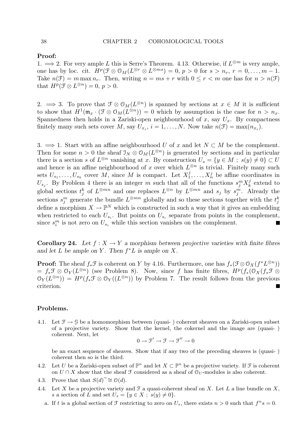Proof:

1.  $\implies$  2. For very ample L this is Serre's Theorem. 4.13. Otherwise, if  $L^{\otimes m}$  is very ample, one has by loc. cit.  $H^p(\mathcal{F} \otimes \mathcal{O}_M(L^{\otimes r} \otimes L^{\otimes ms}) = 0, p > 0$  for  $s > n_r, r = 0, \ldots, m-1$ . Take  $n(\mathcal{F}) = m \max n_r$ . Then, writing  $n = ms + r$  with  $0 \le r < m$  one has for  $n > n(\mathcal{F})$ that  $H^p(\mathcal{F} \otimes L^{\otimes n}) = 0, p > 0.$ 

2.  $\implies$  3. To prove that  $\mathfrak{F} \otimes \mathfrak{O}_M(L^{\otimes n})$  is spanned by sections at  $x \in M$  it is sufficient to show that  $H^1(\mathfrak{m}_x \cdot (\mathfrak{F} \otimes \mathfrak{O}_M(L^{\otimes n})) = 0$  which by assumption is the case for  $n > n_x$ . Spannedness then holds in a Zariski-open neighbourhood of x, say  $U_x$ . By compactness finitely many such sets cover M, say  $U_{x_i}$ ,  $i = 1, ..., N$ . Now take  $n(\mathcal{F}) = \max(n_{x_i})$ .

3.  $\Rightarrow$  1. Start with an affine neighbourhood U of x and let  $N \subset M$  be the complement. Then for some  $n > 0$  the sheaf  $\mathcal{I}_N \otimes \mathcal{O}_M(L^{\otimes n})$  is generated by sections and in particular there is a section s of  $L^{\otimes n}$  vanishing at x. By construction  $U_s = \{y \in M; s(y) \neq 0\} \subset U$ and hence is an affine neighbourhood of x over which  $L^{\otimes n}$  is trivial. Finitely many such sets  $U_{s_1}, \ldots, U_{s_k}$  cover M, since M is compact. Let  $X_1^j$  $X_1^j, \ldots, X_n^j$  be affine coordinates in  $U_{s_j}$ . By Problem 4 there is an integer m such that all of the functions  $s_j^m X_k^j$  $\mathcal{L}_k^j$  extend to global sections  $t_j^k$  of  $L^{\otimes mn}$  and one replaces  $L^{\otimes n}$  by  $L^{\otimes mn}$  and  $s_j$  by  $s_j^m$ . Already the sections  $s_j^m$  generate the bundle  $L^{\otimes mn}$  globally and so these sections together with the  $t_j^k$ define a morphism  $X \to \mathbb{P}^N$  which is constructed in such a way that it gives an embedding when restricted to each  $U_{s_i}$ . But points on  $U_{s_i}$  separate from points in the complement, since  $s_i^m$  is not zero on  $U_{s_i}$  while this section vanishes on the complement.

**Corollary 24.** Let  $f: X \to Y$  a morphism between projective varieties with finite fibres and let  $L$  be ample on  $Y$ . Then  $f^*L$  is ample on  $X$ .

**Proof:** The sheaf  $f_*\mathcal{F}$  is coherent on Y by 4.16. Furthermore, one has  $f_*(\mathcal{F} \otimes \mathcal{O}_X(f^*L^{\otimes n}))$  $= f_*\mathfrak{F} \otimes \mathfrak{O}_Y(L^{\otimes n})$  (see Problem 8). Now, since f has finite fibres,  $H^p(f_*(\mathfrak{O}_X(f_*\mathfrak{F} \otimes$  $\mathfrak{O}_Y(L^{\otimes n}) = H^p(f_*\mathfrak{F} \otimes \mathfrak{O}_Y((L^{\otimes n}))$  by Problem 7. The result follows from the previous criterion.

### Problems.

4.1. Let  $\mathcal{F} \to \mathcal{G}$  be a homomorphism between (quasi-) coherent sheaves on a Zariski-open subset of a projective variety. Show that the kernel, the cokernel and the image are (quasi- ) coherent. Next, let

$$
0\to \mathfrak{F}'\to \mathfrak{F}\to \mathfrak{F}''\to 0
$$

be an exact sequence of sheaves. Show that if any two of the preceding sheaves is (quasi- ) coherent then so is the third.

- 4.2. Let U be a Zariski-open subset of  $\mathbb{P}^n$  and let  $X \subset \mathbb{P}^n$  be a projective variety. If  $\mathcal{F}$  is coherent on  $U \cap X$  show that the sheaf  $\mathcal F$  considered as a sheaf of  $\mathcal O_U$ -modules is also coherent.
- 4.3. Prove that that  $S(d)^{\sim} \cong \mathcal{O}(d)$ .<br>4.4. Let X be a projective variety is
- Let X be a projective variety and  $\mathcal F$  a quasi-coherent sheaf on X. Let L a line bundle on X, s a section of L and set  $U_s = \{y \in X ; s(y) \neq 0\}.$ 
	- a. If t is a global section of  $\mathcal F$  restricting to zero on  $U_s$ , there exists  $n > 0$  such that  $f^n s = 0$ .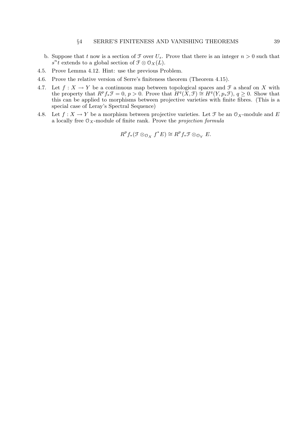- b. Suppose that t now is a section of  $\mathcal F$  over  $U_s$ . Prove that there is an integer  $n > 0$  such that  $s^n\tilde{t}$  extends to a global section of  $\mathfrak{F} \otimes \mathfrak{O}_X(L)$ .
- 4.5. Prove Lemma 4.12. Hint: use the previous Problem.
- 4.6. Prove the relative version of Serre's finiteness theorem (Theorem 4.15).
- 4.7. Let  $f: X \to Y$  be a continuous map between topological spaces and  $\mathcal F$  a sheaf on X with the property that  $R^pf_*\mathfrak{F}=0, p>0$ . Prove that  $H^q(X,\mathfrak{F})\cong H^q(Y,p_*\mathfrak{F}), q\geq 0$ . Show that this can be applied to morphisms between projective varieties with finite fibres. (This is a special case of Leray's Spectral Sequence)
- 4.8. Let  $f: X \to Y$  be a morphism between projective varieties. Let  $\mathcal F$  be an  $\mathcal O_X$ -module and E a locally free  $\mathcal{O}_X$ -module of finite rank. Prove the *projection formula*

$$
R^p f_* (\mathcal{F} \otimes_{\mathcal{O}_X} f^* E) \cong R^p f_* \mathcal{F} \otimes_{\mathcal{O}_Y} E.
$$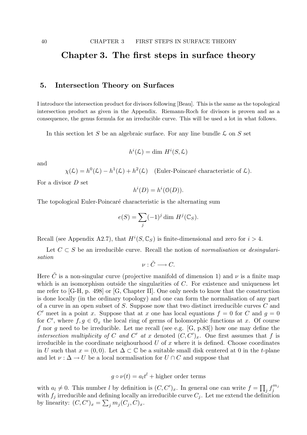# Chapter 3. The first steps in surface theory

## 5. Intersection Theory on Surfaces

I introduce the intersection product for divisors following [Beau]. This is the same as the topological intersection product as given in the Appendix. Riemann-Roch for divisors is proven and as a consequence, the genus formula for an irreducible curve. This will be used a lot in what follows.

In this section let S be an algebraic surface. For any line bundle  $\mathcal L$  on S set

$$
h^i(\mathcal{L}) = \dim H^i(S, \mathcal{L})
$$

and

$$
\chi(\mathcal{L}) = h^0(\mathcal{L}) - h^1(\mathcal{L}) + h^2(\mathcal{L}) \quad \text{(Euler-Poincaré characteristic of } \mathcal{L}\text{)}.
$$

For a divisor D set

$$
h^i(D) = h^i(\mathfrak{O}(D)).
$$

The topological Euler-Poincaré characteristic is the alternating sum

$$
e(S) = \sum_{j} (-1)^j \dim H^j(\mathbb{C}_S).
$$

Recall (see Appendix A2.7), that  $H^i(S, \mathbb{C}_S)$  is finite-dimensional and zero for  $i > 4$ .

Let  $C \subset S$  be an irreducible curve. Recall the notion of normalisation or desingularisation

 $\nu : \tilde{C} \longrightarrow C.$ 

Here  $\tilde{C}$  is a non-singular curve (projective manifold of dimension 1) and  $\nu$  is a finite map which is an isomorphism outside the singularities of  $C$ . For existence and uniqueness let me refer to [G-H, p. 498] or [G, Chapter II]. One only needs to know that the construction is done locally (in the ordinary topology) and one can form the normalisation of any part of a curve in an open subset of S. Suppose now that two distinct irreducible curves C and C' meet in a point x. Suppose that at x one has local equations  $f = 0$  for C and  $g = 0$ for C', where  $f, g \in \mathcal{O}_x$  the local ring of germs of holomorphic functions at x. Of course f nor  $q$  need to be irreducible. Let me recall (see e.g. [G, p.83]) how one may define the intersection multiplicity of C and C' at x denoted  $(C, C')_x$ . One first assumes that f is irreducible in the coordinate neighourhood  $U$  of  $x$  where it is defined. Choose coordinates in U such that  $x = (0, 0)$ . Let  $\Delta \subset \mathbb{C}$  be a suitable small disk centered at 0 in the t-plane and let  $\nu : \Delta \to U$  be a local normalisation for  $U \cap C$  and suppose that

 $g \circ \nu(t) = a_l t^l$  + higher order terms

with  $a_l \neq 0$ . This number l by definition is  $(C, C')_x$ . In general one can write  $f = \prod_j f_j^{m_j}$ j with  $f_j$  irreducible and defining locally an irreducible curve  $C_j$ . Let me extend the definition by linearity:  $(C, C')_x = \sum_j m_j (C_j, C)_x$ .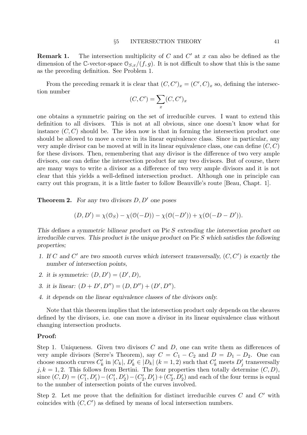**Remark 1.** The intersection multiplicity of C and  $C'$  at x can also be defined as the dimension of the C-vector-space  $\mathcal{O}_{S,x}/(f,g)$ . It is not difficult to show that this is the same as the preceding definition. See Problem 1.

From the preceding remark it is clear that  $(C, C')_x = (C', C)_x$  so, defining the intersection number

$$
(C, C') = \sum_{x} (C, C')_{x}
$$

one obtains a symmetric pairing on the set of irreducible curves. I want to extend this definition to all divisors. This is not at all obvious, since one doesn't know what for instance  $(C, C)$  should be. The idea now is that in forming the intersection product one should be allowed to move a curve in its linear equivalence class. Since in particular, any very ample divisor can be moved at will in its linear equivalence class, one can define  $(C, C)$ for these divisors. Then, remembering that any divisor is the difference of two very ample divisors, one can define the intersection product for any two divisors. But of course, there are many ways to write a divisor as a difference of two very ample divisors and it is not clear that this yields a well-defined intersection product. Although one in principle can carry out this program, it is a little faster to follow Beauville's route [Beau, Chapt. 1].

**Theorem 2.** For any two divisors  $D, D'$  one poses

$$
(D, D') = \chi(\mathcal{O}_S) - \chi(\mathcal{O}(-D)) - \chi(\mathcal{O}(-D')) + \chi(\mathcal{O}(-D - D')).
$$

This defines a symmetric bilinear product on Pic S extending the intersection product on irreducible curves. This product is the unique product on  $Pic S$  which satisfies the following properties;

- 1. If C and C' are two smooth curves which intersect transversally,  $(C, C')$  is exactly the number of intersection points,
- 2. it is symmetric:  $(D, D') = (D', D),$
- 3. it is linear:  $(D + D', D'') = (D, D'') + (D', D'')$ .
- 4. it depends on the linear equivalence classes of the divisors only.

Note that this theorem implies that the intersection product only depends on the sheaves defined by the divisors, i.e. one can move a divisor in its linear equivalence class without changing intersection products.

### Proof:

Step 1. Uniqueness. Given two divisors  $C$  and  $D$ , one can write them as differences of very ample divisors (Serre's Theorem), say  $C = C_1 - C_2$  and  $D = D_1 - D_2$ . One can choose smooth curves  $C'_k$  in  $|C_k|$ ,  $D'_k \in |D_k|$   $(k = 1, 2)$  such that  $C'_k$  meets  $D'_j$  transversally  $j, k = 1, 2$ . This follows from Bertini. The four properties then totally determine  $(C, D)$ , since  $(C, D) = (C'_1, D'_1) - (C'_1, D'_2) - (C'_2, D'_1) + (C'_2, D'_2)$  and each of the four terms is equal to the number of intersection points of the curves involved.

Step 2. Let me prove that the definition for distinct irreducible curves  $C$  and  $C'$  with coincides with  $(C, C')$  as defined by means of local intersection numbers.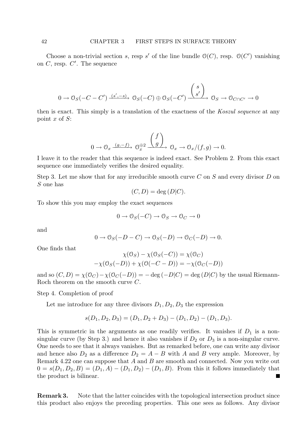Choose a non-trivial section s, resp s' of the line bundle  $\mathcal{O}(C)$ , resp.  $\mathcal{O}(C')$  vanishing on  $C$ , resp.  $C'$ . The sequence

$$
0 \to \mathcal{O}_S(-C-C') \xrightarrow{(s',-s)} \mathcal{O}_S(-C) \oplus \mathcal{O}_S(-C') \xrightarrow{\begin{pmatrix} s \\ s' \end{pmatrix}} \mathcal{O}_S \to \mathcal{O}_{C \cap C'} \to 0
$$

then is exact. This simply is a translation of the exactness of the Koszul sequence at any point  $x$  of  $S$ :

$$
0 \to \mathcal{O}_x \xrightarrow{(g,-f)} \mathcal{O}_x^{\oplus 2} \xrightarrow{\begin{pmatrix} f \\ g \end{pmatrix}} \mathcal{O}_x \to \mathcal{O}_x/(f,g) \to 0.
$$

I leave it to the reader that this sequence is indeed exact. See Problem 2. From this exact sequence one immediately verifies the desired equality.

Step 3. Let me show that for any irreducible smooth curve  $C$  on  $S$  and every divisor  $D$  on S one has

$$
(C, D) = \deg(D|C).
$$

To show this you may employ the exact sequences

$$
0 \to \mathcal{O}_S(-C) \to \mathcal{O}_S \to \mathcal{O}_C \to 0
$$

and

$$
0 \to \mathcal{O}_S(-D-C) \to \mathcal{O}_S(-D) \to \mathcal{O}_C(-D) \to 0.
$$

One finds that

$$
\chi(\mathcal{O}_S) - \chi(\mathcal{O}_S(-C)) = \chi(\mathcal{O}_C)
$$

$$
-\chi(\mathcal{O}_S(-D)) + \chi(\mathcal{O}(-C - D)) = -\chi(\mathcal{O}_C(-D))
$$

and so  $(C, D) = \chi(\mathcal{O}_C) - \chi(\mathcal{O}_C(-D)) = -\deg(-D|C) = \deg(D|C)$  by the usual Riemann-Roch theorem on the smooth curve C.

Step 4. Completion of proof

Let me introduce for any three divisors  $D_1, D_2, D_3$  the expression

$$
s(D_1, D_2, D_3) = (D_1, D_2 + D_3) - (D_1, D_2) - (D_1, D_3).
$$

This is symmetric in the arguments as one readily verifies. It vanishes if  $D_1$  is a nonsingular curve (by Step 3.) and hence it also vanishes if  $D_2$  or  $D_3$  is a non-singular curve. One needs to see that it always vanishes. But as remarked before, one can write any divisor and hence also  $D_2$  as a difference  $D_2 = A - B$  with A and B very ample. Moreover, by Remark 4.22 one can suppose that  $A$  and  $B$  are smooth and connected. Now you write out  $0 = s(D_1, D_2, B) = (D_1, A) - (D_1, D_2) - (D_1, B)$ . From this it follows immediately that the product is bilinear.

Remark 3. Note that the latter coincides with the topological intersection product since this product also enjoys the preceding properties. This one sees as follows. Any divisor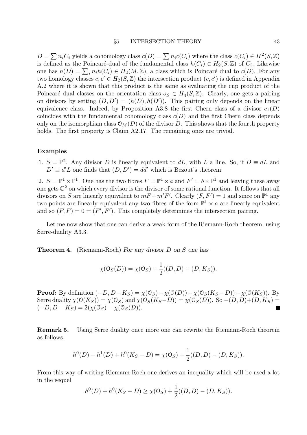$D = \sum n_i C_i$  yields a cohomology class  $c(D) = \sum n_i c(C_i)$  where the class  $c(C_i) \in H^2(S, \mathbb{Z})$ is defined as the Poincaré-dual of the fundamental class  $h(C_i) \in H_2(S, \mathbb{Z})$  of  $C_i$ . Likewise one has  $h(D) = \sum_i n_i h(C_i) \in H_2(M, \mathbb{Z})$ , a class which is Poincaré dual to  $c(D)$ . For any two homology classes  $c, c' \in H_2(S, \mathbb{Z})$  the intersection product  $(c, c')$  is defined in Appendix A.2 where it is shown that this product is the same as evaluating the cup product of the Poincaré dual classes on the orientation class  $o_S \in H_4(S, \mathbb{Z})$ . Clearly, one gets a pairing on divisors by setting  $(D, D') = (h(D), h(D'))$ . This pairing only depends on the linear equivalence class. Indeed, by Proposition A3.8 the first Chern class of a divisor  $c_1(D)$ coincides with the fundamental cohomology class  $c(D)$  and the first Chern class depends only on the isomorphism class  $\mathcal{O}_M(D)$  of the divisor D. This shows that the fourth property holds. The first property is Claim A2.17. The remaining ones are trivial.

### Examples

1.  $S = \mathbb{P}^2$ . Any divisor D is linearly equivalent to dL, with L a line. So, if  $D \equiv dL$  and  $D' \equiv d'L$  one finds that  $(D, D') = dd'$  which is Bezout's theorem.

2.  $S = \mathbb{P}^1 \times \mathbb{P}^1$ . One has the two fibres  $F = \mathbb{P}^1 \times a$  and  $F' = b \times \mathbb{P}^1$  and leaving these away one gets  $\mathbb{C}^2$  on which every divisor is the divisor of some rational function. It follows that all divisors on S are linearly equivalent to  $mF + m'F'$ . Clearly  $(F, F') = 1$  and since on  $\mathbb{P}^1$  any two points are linearly equivalent any two fibres of the form  $\mathbb{P}^1 \times a$  are linearly equivalent and so  $(F, F) = 0 = (F', F')$ . This completely determines the intersection pairing.

Let me now show that one can derive a weak form of the Riemann-Roch theorem, using Serre-duality A3.3.

Theorem 4. (Riemann-Roch) For any divisor D on S one has

$$
\chi(\mathcal{O}_S(D)) = \chi(\mathcal{O}_S) + \frac{1}{2}((D, D) - (D, K_S)).
$$

**Proof:** By definition  $(-D, D - K_S) = \chi(\mathcal{O}_S) - \chi(\mathcal{O}(D)) - \chi(\mathcal{O}_S(K_S - D)) + \chi(\mathcal{O}(K_S)).$  By Serre duality  $\chi(\mathcal{O}(K_S)) = \chi(\mathcal{O}_S)$  and  $\chi(\mathcal{O}_S(K_S-D)) = \chi(\mathcal{O}_S(D))$ . So  $-(D, D)+ (D, K_S)$  $(-D, D - K_S) = 2(\chi(\mathcal{O}_S) - \chi(\mathcal{O}_S(D))).$ П

Remark 5. Using Serre duality once more one can rewrite the Riemann-Roch theorem as follows.

$$
h^{0}(D) - h^{1}(D) + h^{0}(K_{S} - D) = \chi(\mathcal{O}_{S}) + \frac{1}{2}((D, D) - (D, K_{S})).
$$

From this way of writing Riemann-Roch one derives an inequality which will be used a lot in the sequel

$$
h^{0}(D) + h^{0}(K_{S} - D) \ge \chi(\mathfrak{O}_{S}) + \frac{1}{2}((D, D) - (D, K_{S})).
$$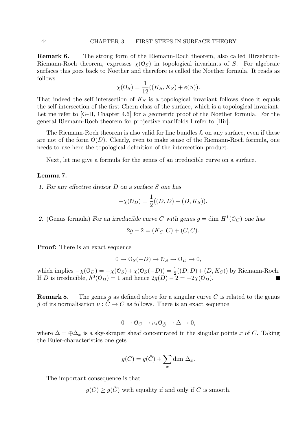Remark 6. The strong form of the Riemann-Roch theorem, also called Hirzebruch-Riemann-Roch theorem, expresses  $\chi(\mathcal{O}_S)$  in topological invariants of S. For algebraic surfaces this goes back to Noether and therefore is called the Noether formula. It reads as follows

$$
\chi(\mathcal{O}_S) = \frac{1}{12}((K_S, K_S) + e(S)).
$$

That indeed the self intersection of  $K<sub>S</sub>$  is a topological invariant follows since it equals the self-intersection of the first Chern class of the surface, which is a topological invariant. Let me refer to [G-H, Chapter 4.6] for a geometric proof of the Noether formula. For the general Riemann-Roch theorem for projective manifolds I refer to [Hir].

The Riemann-Roch theorem is also valid for line bundles  $\mathcal L$  on any surface, even if these are not of the form  $\mathcal{O}(D)$ . Clearly, even to make sense of the Riemann-Roch formula, one needs to use here the topological definition of the intersection product.

Next, let me give a formula for the genus of an irreducible curve on a surface.

### Lemma 7.

1. For any effective divisor D on a surface S one has

$$
-\chi(\mathcal{O}_D) = \frac{1}{2}((D, D) + (D, K_S)).
$$

2. (Genus formula) For an irreducible curve C with genus  $g = \dim H^1(\mathbb{O}_C)$  one has

$$
2g - 2 = (K_S, C) + (C, C).
$$

Proof: There is an exact sequence

$$
0 \to \mathcal{O}_S(-D) \to \mathcal{O}_S \to \mathcal{O}_D \to 0,
$$

which implies  $-\chi(\mathcal{O}_D) = -\chi(\mathcal{O}_S) + \chi(\mathcal{O}_S(-D)) = \frac{1}{2}((D, D) + (D, K_S))$  by Riemann-Roch. If D is irreducible,  $h^0(\mathbb{O}_D) = 1$  and hence  $2g(D) - 2 = -2\chi(\mathbb{O}_D)$ .

**Remark 8.** The genus g as defined above for a singular curve C is related to the genus  $\tilde{q}$  of its normalisation  $\nu : \tilde{C} \to C$  as follows. There is an exact sequence

$$
0 \to \mathcal{O}_C \to \nu_* \mathcal{O}_{\tilde{C}} \to \Delta \to 0,
$$

where  $\Delta = \bigoplus \Delta_x$  is a sky-skraper sheaf concentrated in the singular points x of C. Taking the Euler-characteristics one gets

$$
g(C) = g(\tilde{C}) + \sum_{x} \dim \Delta_x.
$$

The important consequence is that

 $g(C) \ge g(\tilde{C})$  with equality if and only if C is smooth.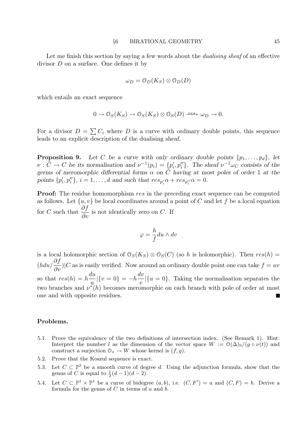Let me finish this section by saying a few words about the *dualising sheaf* of an effective divisor D on a surface. One defines it by

$$
\omega_D = \mathcal{O}_D(K_S) \otimes \mathcal{O}_D(D)
$$

which entails an exact sequence

$$
0 \to \mathcal{O}_S(K_S) \to \mathcal{O}_S(K_S) \otimes \mathcal{O}_S(D) \xrightarrow{\text{res}} \omega_D \to 0.
$$

For a divisor  $D = \sum C_i$  where D is a curve with ordinary double points, this sequence leads to an explicit description of the dualising sheaf.

**Proposition 9.** Let C be a curve with only ordinary double points  $\{p_1, \ldots, p_d\}$ , let  $\nu : \tilde{C} \to C$  be its normalisation and  $\nu^{-1}(p_i) = \{p'_i, p''_i\}$ . The sheaf  $\nu^{-1}\omega_C$  consists of the germs of meromorphic differential forms  $\alpha$  on  $\tilde{C}$  having at most poles of order 1 at the points  $\{p'_i, p''_i\}, i = 1, \ldots, d$  and such that  $res_{p'_i}\alpha + res_{p''_i}\alpha = 0$ .

**Proof:** The residue homomorphism res in the preceding exact sequence can be computed as follows. Let  $\{u, v\}$  be local coordinates around a point of C and let f be a local equation for C such that  $\frac{\partial f}{\partial x}$  $\frac{\partial J}{\partial v}$  is not identically zero on C. If

$$
\varphi=\frac{h}{f}du\wedge dv
$$

is a local holomorphic section of  $\mathcal{O}_S(K_S) \otimes \mathcal{O}_S(C)$  (so h is holomorphic). Then  $res(h) =$  $(hdu/\frac{\partial f}{\partial v})|C$  as is easily verified. Now around an ordinary double point one can take  $f = uv$ so that  $res(h) = h$ du u  $|\{v=0\}=-h\frac{dv}{dt}$  $\overline{v}$  $|\{u=0\}$ . Taking the normalisation separates the two branches and  $v^*(h)$  becomes meromorphic on each branch with pole of order at most one and with opposite residues.

### Problems.

- 5.1. Prove the equivalence of the two definitions of intersection index. (See Remark 1). Hint: Interpret the number l as the dimension of the vector space  $W := \mathcal{O}(\Delta)_{0}/(g \circ \nu(t))$  and construct a surjection  $\mathcal{O}_x \to W$  whose kernel is  $(f, g)$ .
- 5.2. Prove that the Koszul sequence is exact.
- 5.3. Let  $C \subset \mathbb{P}^2$  be a smooth curve of degree d. Using the adjunction formula, show that the genus of C is equal to  $\frac{1}{2}(d-1)(d-2)$ .
- 5.4. Let  $C \subset \mathbb{P}^1 \times \mathbb{P}^1$  be a curve of bidegree  $(a, b)$ , i.e.  $(C, F') = a$  and  $(C, F) = b$ . Derive a formula for the genus of  $C$  in terms of  $a$  and  $b$ .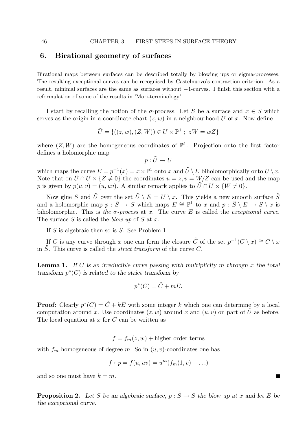# 6. Birational geometry of surfaces

Birational maps between surfaces can be described totally by blowing ups or sigma-processes. The resulting exceptional curves can be recognised by Castelnuovo's contraction criterion. As a result, minimal surfaces are the same as surfaces without −1-curves. I finish this section with a reformulation of some of the results in 'Mori-terminology'.

I start by recalling the notion of the  $\sigma$ -process. Let S be a surface and  $x \in S$  which serves as the origin in a coordinate chart  $(z, w)$  in a neighbourhood U of x. Now define

$$
\tilde{U} = \{ ((z, w), (Z, W)) \in U \times \mathbb{P}^1 ; zW = wZ \}
$$

where  $(Z, W)$  are the homogeneous coordinates of  $\mathbb{P}^1$ . Projection onto the first factor defines a holomorphic map

$$
p:\tilde{U}\to U
$$

which maps the curve  $E = p^{-1}(x) = x \times \mathbb{P}^1$  onto x and  $\tilde{U} \setminus E$  biholomorphically onto  $U \setminus x$ . Note that on  $\tilde{U} \cap U \times \{Z \neq 0\}$  the coordinates  $u = z, v = W/Z$  can be used and the map p is given by  $p(u, v) = (u, uv)$ . A similar remark applies to  $\tilde{U} \cap U \times \{W \neq 0\}$ .

Now glue S and  $\tilde{U}$  over the set  $\tilde{U} \setminus E = U \setminus x$ . This yields a new smooth surface  $\tilde{S}$ and a holomorphic map  $p : \tilde{S} \to S$  which maps  $E \cong \mathbb{P}^1$  to x and  $p : \tilde{S} \setminus E \to S \setminus x$  is biholomorphic. This is the  $\sigma$ -process at x. The curve E is called the exceptional curve. The surface  $\tilde{S}$  is called the blow up of S at x.

If S is algebraic then so is  $\tilde{S}$ . See Problem 1.

If C is any curve through x one can form the closure  $\tilde{C}$  of the set  $p^{-1}(C \setminus x) \cong C \setminus x$ in  $\tilde{S}$ . This curve is called the *strict transform* of the curve C.

**Lemma 1.** If C is an irreducible curve passing with multiplicity m through x the total transform  $p^*(C)$  is related to the strict transform by

$$
p^*(C) = \tilde{C} + mE.
$$

**Proof:** Clearly  $p^*(C) = \tilde{C} + kE$  with some integer k which one can determine by a local computation around x. Use coordinates  $(z, w)$  around x and  $(u, v)$  on part of U as before. The local equation at  $x$  for  $C$  can be written as

 $f = f_m(z, w) + \text{higher order terms}$ 

with  $f_m$  homogeneous of degree m. So in  $(u, v)$ -coordinates one has

$$
f \circ p = f(u, uv) = u^m(f_m(1, v) + \ldots)
$$

and so one must have  $k = m$ .

**Proposition 2.** Let S be an algebraic surface,  $p : \tilde{S} \to S$  the blow up at x and let E be the exceptional curve.

 $\blacksquare$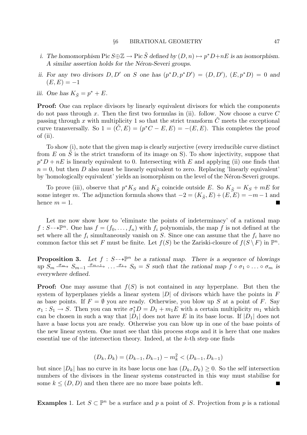- i. The homomorphism  $Pic S \oplus \mathbb{Z} \to Pic \tilde{S}$  defined by  $(D, n) \mapsto p^*D + nE$  is an isomorphism. A similar assertion holds for the Néron-Severi groups.
- ii. For any two divisors  $D, D'$  on S one has  $(p^*D, p^*D') = (D, D'), (E, p^*D) = 0$  and  $(E, E) = -1$
- iii. One has  $K_{\tilde{S}} = p^* + E$ .

Proof: One can replace divisors by linearly equivalent divisors for which the components do not pass through x. Then the first two formulas in (ii). follow. Now choose a curve  $C$ passing through x with multiplicity 1 so that the strict transform  $\tilde{C}$  meets the exceptional curve transversally. So  $1 = (\tilde{C}, E) = (p^*C - E, E) = -(E, E)$ . This completes the proof of (ii).

To show (i), note that the given map is clearly surjective (every irreducible curve distinct from  $E$  on  $S$  is the strict transform of its image on S). To show injectivity, suppose that  $p^*D + nE$  is linearly equivalent to 0. Intersecting with E and applying (ii) one finds that  $n = 0$ , but then D also must be linearly equivalent to zero. Replacing 'linearly equivalent' by 'homologically equivalent' yields an isomorphism on the level of the Néron-Severi groups.

To prove (iii), observe that  $p^*K_S$  and  $K_{\tilde{S}}$  coincide outside E. So  $K_{\tilde{S}} = K_S + mE$  for some integer m. The adjunction formula shows that  $-2 = (K_{\tilde{S}}, E) + (E, E) = -m - 1$  and hence  $m = 1$ .

Let me now show how to 'eliminate the points of indeterminacy' of a rational map  $f: S \rightarrow \mathbb{P}^n$ . One has  $f = (f_0, \ldots, f_n)$  with  $f_i$  polynomials, the map f is not defined at the set where all the  $f_i$  simultaneously vanish on S. Since one can assume that the  $f_i$  have no common factor this set F must be finite. Let  $f(S)$  be the Zariski-closure of  $f(S \setminus F)$  in  $\mathbb{P}^n$ .

**Proposition 3.** Let  $f : S \rightarrow \mathbb{P}^n$  be a rational map. There is a sequence of blowings up  $S_m \xrightarrow{\sigma_{m}} S_{m-1} \xrightarrow{\sigma_{m-1}} \dots \xrightarrow{\sigma_1} S_0 = S$  such that the rational map  $f \circ \sigma_1 \circ \dots \circ \sigma_m$  is everywhere defined.

**Proof:** One may assume that  $f(S)$  is not contained in any hyperplane. But then the system of hyperplanes yields a linear system  $|D|$  of divisors which have the points in F as base points. If  $F = \emptyset$  you are ready. Otherwise, you blow up S at a point of F. Say  $\sigma_1: S_1 \to S$ . Then you can write  $\sigma_1^* D = D_1 + m_1 E$  with a certain multiplicity  $m_1$  which can be chosen in such a way that  $|D_1|$  does not have E in its base locus. If  $|D_1|$  does not have a base locus you are ready. Otherwise you can blow up in one of the base points of the new linear system. One must see that this process stops and it is here that one makes essential use of the intersection theory. Indeed, at the k-th step one finds

$$
(D_k, D_k) = (D_{k-1}, D_{k-1}) - m_k^2 < (D_{k-1}, D_{k-1})
$$

but since  $|D_k|$  has no curve in its base locus one has  $(D_k, D_k) \geq 0$ . So the self intersection numbers of the divisors in the linear systems constructed in this way must stabilise for some  $k \leq (D, D)$  and then there are no more base points left.

**Examples** 1. Let  $S \subset \mathbb{P}^n$  be a surface and p a point of S. Projection from p is a rational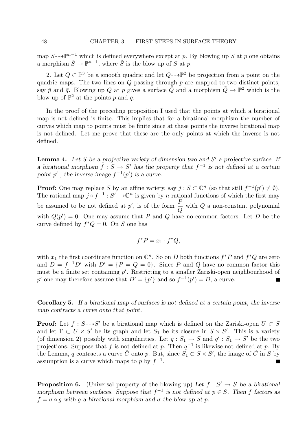map  $S \rightarrow \mathbb{P}^{n-1}$  which is defined everywhere except at p. By blowing up S at p one obtains a morphism  $\tilde{S} \to \mathbb{P}^{n-1}$ , where  $\tilde{S}$  is the blow up of S at p.

2. Let  $Q \subset \mathbb{P}^3$  be a smooth quadric and let  $Q \rightarrow \mathbb{P}^2$  be projection from a point on the quadric maps. The two lines on  $Q$  passing through  $p$  are mapped to two distinct points, say  $\bar{p}$  and  $\bar{q}$ . Blowing up Q at p gives a surface  $\tilde{Q}$  and a morphism  $\tilde{Q} \to \mathbb{P}^2$  which is the blow up of  $\mathbb{P}^2$  at the points  $\bar{p}$  and  $\bar{q}$ .

In the proof of the preceding proposition I used that the points at which a birational map is not defined is finite. This implies that for a birational morphism the number of curves which map to points must be finite since at these points the inverse birational map is not defined. Let me prove that these are the only points at which the inverse is not defined.

**Lemma 4.** Let S be a projective variety of dimension two and  $S'$  a projective surface. If a birational morphism  $f: S \to S'$  has the property that  $f^{-1}$  is not defined at a certain point p', the inverse image  $f^{-1}(p')$  is a curve.

**Proof:** One may replace S by an affine variety, say  $j : S \subset \mathbb{C}^n$  (so that still  $f^{-1}(p') \neq \emptyset$ ). The rational map  $j \circ f^{-1} : S' \to \mathbb{C}^n$  is given by n rational functions of which the first may be assumed to be not defined at  $p'$ , is of the form  $\frac{P}{Q}$  $\pmb Q$ with Q a non-constant polynomial with  $Q(p') = 0$ . One may assume that P and Q have no common factors. Let D be the curve defined by  $f^*Q = 0$ . On S one has

$$
f^*P = x_1 \cdot f^*Q,
$$

with  $x_1$  the first coordinate function on  $\mathbb{C}^n$ . So on D both functions  $f^*P$  and  $f^*Q$  are zero and  $D = f^{-1}D'$  with  $D' = \{P = Q = 0\}$ . Since P and Q have no common factor this must be a finite set containing  $p'$ . Restricting to a smaller Zariski-open neighbourhood of p' one may therefore assume that  $D' = \{p'\}\$ and so  $f^{-1}(p') = D$ , a curve.

Corollary 5. If a birational map of surfaces is not defined at a certain point, the inverse map contracts a curve onto that point.

**Proof:** Let  $f : S \rightarrow S'$  be a birational map which is defined on the Zariski-open  $U \subset S$ and let  $\Gamma \subset U \times S'$  be its graph and let  $S_1$  be its closure in  $S \times S'$ . This is a variety (of dimension 2) possibly with singularities. Let  $q : S_1 \to S$  and  $q' : S_1 \to S'$  be the two projections. Suppose that f is not defined at p. Then  $q^{-1}$  is likewise not defined at p. By the Lemma, q contracts a curve  $\tilde{C}$  onto p. But, since  $S_1 \subset S \times S'$ , the image of  $\tilde{C}$  in S by assumption is a curve which maps to p by  $f^{-1}$ .

**Proposition 6.** (Universal property of the blowing up) Let  $f : S' \to S$  be a birational morphism between surfaces. Suppose that  $f^{-1}$  is not defined at  $p \in S$ . Then f factors as  $f = \sigma \circ q$  with q a birational morphism and  $\sigma$  the blow up at p.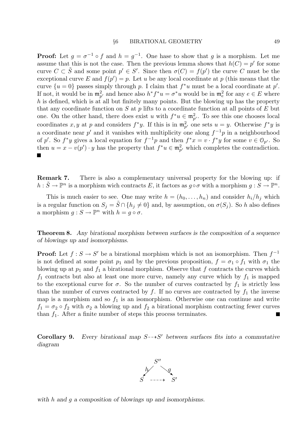**Proof:** Let  $g = \sigma^{-1} \circ f$  and  $h = g^{-1}$ . One hase to show that g is a morphism. Let me assume that this is not the case. Then the previous lemma shows that  $h(C) = p'$  for some curve  $C \subset \tilde{S}$  and some point  $p' \in S'$ . Since then  $\sigma(C) = f(p')$  the curve C must be the exceptional curve E and  $f(p') = p$ . Let u be any local coordinate at p (this means that the curve  $\{u=0\}$  passes simply through p. I claim that  $f^*u$  must be a local coordinate at p'. If not, it would be in  $\mathfrak{m}_{p'}^2$  and hence also  $h^* f^* u = \sigma^* u$  would be in  $\mathfrak{m}_e^2$  for any  $e \in E$  where h is defined, which is at all but finitely many points. But the blowing up has the property that any coordinate function on  $S$  at  $p$  lifts to a coordinate function at all points of  $E$  but one. On the other hand, there does exist u with  $f^*u \in \mathfrak{m}_{p'}^2$ . To see this one chooses local coordinates x, y at p and considers  $f^*y$ . If this is in  $\mathfrak{m}_{p'}^2$  one sets  $u = y$ . Otherwise  $f^*y$  is a coordinate near p' and it vanishes with multiplicity one along  $f^{-1}p$  in a neighbourhood of p'. So  $f^*y$  gives a local equation for  $f^{-1}p$  and then  $f^*x = v \cdot f^*y$  for some  $v \in \mathcal{O}_{p'}$ . So then  $u = x - v(p') \cdot y$  has the property that  $f^*u \in \mathfrak{m}_{p'}^2$  which completes the contradiction.

Remark 7. There is also a complementary universal property for the blowing up: if  $h: \tilde{S} \to \mathbb{P}^n$  is a morphism wich contracts E, it factors as  $g \circ \sigma$  with a morphism  $g: \tilde{S} \to \mathbb{P}^n$ .

This is much easier to see. One may write  $h = (h_0, \ldots, h_n)$  and consider  $h_i/h_j$  which is a regular function on  $S_j = \overline{S} \cap \{h_j \neq 0\}$  and, by assumption, on  $\sigma(S_j)$ . So h also defines a morphism  $g: S \to \mathbb{P}^n$  with  $h = g \circ \sigma$ .

Theorem 8. Any birational morphism between surfaces is the composition of a sequence of blowings up and isomorphisms.

**Proof:** Let  $f : S \to S'$  be a birational morphism which is not an isomorphism. Then  $f^{-1}$ is not defined at some point  $p_1$  and by the previous proposition,  $f = \sigma_1 \circ f_1$  with  $\sigma_1$  the blowing up at  $p_1$  and  $f_1$  a birational morphism. Observe that f contracts the curves which  $f_1$  contracts but also at least one more curve, namely any curve which by  $f_1$  is mapped to the exceptional curve for  $\sigma$ . So the number of curves contracted by  $f_1$  is strictly less than the number of curves contracted by  $f$ . If no curves are contracted by  $f_1$  the inverse map is a morphism and so  $f_1$  is an isomorphism. Otherwise one can continue and write  $f_1 = \sigma_2 \circ f_2$  with  $\sigma_2$  a blowing up and  $f_2$  a birational morphism contracting fewer curves than  $f_1$ . After a finite number of steps this process terminates. П

Corollary 9. Every birational map  $S \rightarrow S'$  between surfaces fits into a commutative diagram



with h and q a composition of blowings up and isomorphisms.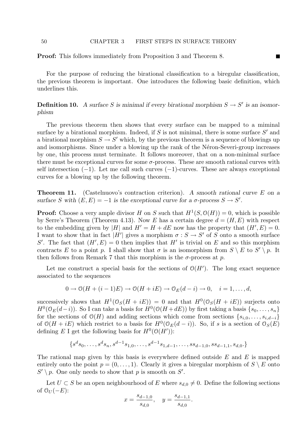Proof: This follows immediately from Proposition 3 and Theorem 8.

For the purpose of reducing the birational classification to a biregular classification, the previous theorem is important. One introduces the following basic definition, which underlines this.

**Definition 10.** A surface S is minimal if every birational morphism  $S \to S'$  is an isomorphism

The previous theorem then shows that every surface can be mapped to a miminal surface by a birational morphism. Indeed, if  $S$  is not minimal, there is some surface  $S'$  and a birational morphism  $S \to S'$  which, by the previous theorem is a sequence of blowings up and isomorphisms. Since under a blowing up the rank of the Néron-Severi-group increases by one, this process must terminate. It follows moreover, that on a non-minimal surface there must be exceptional curves for some  $\sigma$ -process. These are smooth rational curves with self intersection  $(-1)$ . Let me call such curves  $(-1)$ -curves. These are always exceptional curves for a blowing up by the following theorem.

Theorem 11. (Castelnuovo's contraction criterion). A smooth rational curve E on a surface S with  $(E, E) = -1$  is the exceptional curve for a  $\sigma$ -process  $S \to S'$ .

**Proof:** Choose a very ample divisor H on S such that  $H^1(S, \mathcal{O}(H)) = 0$ , which is possible by Serre's Theorem (Theorem 4.13). Now E has a certain degree  $d = (H, E)$  with respect to the embedding given by |H| and  $H' = H + dE$  now has the property that  $(H', E) = 0$ . I want to show that in fact |H'| gives a morphism  $\sigma : S \to S'$  of S onto a smooth surface S'. The fact that  $(H', E) = 0$  then implies that H' is trivial on E and so this morphism contracts E to a point p. I shall show that  $\sigma$  is an isomorphism from  $S \setminus E$  to  $S' \setminus p$ . It then follows from Remark 7 that this morphism is the  $\sigma$ -process at p.

Let me construct a special basis for the sections of  $O(H')$ . The long exact sequence associated to the sequences

$$
0 \to \mathcal{O}(H + (i-1)E) \to \mathcal{O}(H + iE) \to \mathcal{O}_E(d-i) \to 0, \quad i = 1, \dots, d,
$$

successively shows that  $H^1(\mathcal{O}_S(H + iE)) = 0$  and that  $H^0(\mathcal{O}_S(H + iE))$  surjects onto  $H^0(\mathbb{O}_E(d-i))$ . So I can take a basis for  $H^0(\mathbb{O}(H+dE))$  by first taking a basis  $\{s_0, \ldots, s_n\}$ for the sections of  $\mathcal{O}(H)$  and adding sections which come from sections  $\{s_{i,0}, \ldots, s_{i,d-i}\}$ of  $\mathcal{O}(H + iE)$  which restrict to a basis for  $H^0(\mathcal{O}_E(d - i))$ . So, if s is a section of  $\mathcal{O}_S(E)$ defining E I get the following basis for  $H^0(\mathcal{O}(H'))$ :

$$
\{s^d s_0, \ldots, s^d s_n, s^{d-1} s_{1,0}, \ldots, s^{d-1} s_{1,d-1}, \ldots, s s_{d-1,0}, s s_{d-1,1}, s_{d,0}.\}
$$

The rational map given by this basis is everywhere defined outside  $E$  and  $E$  is mapped entirely onto the point  $p = (0, \ldots, 1)$ . Clearly it gives a biregular morphism of  $S \setminus E$  onto  $S' \setminus p$ . One only needs to show that p is smooth on S'.

Let  $U \subset S$  be an open neighbourhood of E where  $s_{d,0} \neq 0$ . Define the following sections of  $\mathcal{O}_U(-E)$ :

$$
x = \frac{s_{d-1,0}}{s_{d,0}}, \quad y = \frac{s_{d-1,1}}{s_{d,0}}.
$$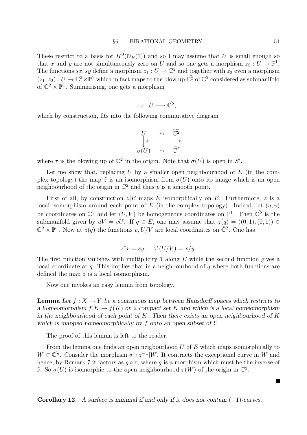These restrict to a basis for  $H^0(\mathcal{O}_E(1))$  and so I may assume that U is small enough so that x and y are not simultaneously zero on U and so one gets a morphism  $z_2: U \to \mathbb{P}^1$ . The functions  $sx, sy$  define a morphism  $z_1 : U \to \mathbb{C}^2$  and together with  $z_2$  even a morphism  $(z_1, z_2) : U \to \mathbb{C}^2 \times \mathbb{P}^1$  which in fact maps to the blow up  $\mathbb{C}^2$  of  $\mathbb{C}^2$  considered as submanifold of  $\mathbb{C}^2 \times \mathbb{P}^1$ . Summarising, one gets a morphism

$$
z: U \longrightarrow \widetilde{\mathbb{C}^2},
$$

which by construction, fits into the following commutative diagram

$$
\begin{array}{ccc}\nU & \xrightarrow{z} & \widetilde{\mathbb{C}^2} \\
\downarrow^{\sigma} & & \downarrow^{\tau} \\
\sigma(U) & \xrightarrow{\tilde{z}} & \mathbb{C}^2\n\end{array}
$$

where  $\tau$  is the blowing up of  $\mathbb{C}^2$  in the origin. Note that  $\sigma(U)$  is open in S'.

Let me show that, replacing  $U$  by a smaller open neighbourhood of  $E$  (in the complex topology) the map  $\tilde{z}$  is an isomorphism from  $\sigma(U)$  onto its image which is an open neighbourhood of the origin in  $\mathbb{C}^2$  and thus p is a smooth point.

First of all, by construction  $z|E$  maps E isomorphically on E. Furthermore, z is a local isomorphism around each point of  $E$  (in the complex topology). Indeed, let  $(u, v)$ be coordinates on  $\mathbb{C}^2$  and let  $(U, V)$  be homogeneous coordinates on  $\mathbb{P}^1$ . Then  $\widetilde{\mathbb{C}^2}$  is the submanifold given by  $uV = vU$ . If  $q \in E$ , one may assume that  $z(q) = ((0, 1), (0, 1)) \in$  $\mathbb{C}^2 \times \mathbb{P}^1$ . Now at  $z(q)$  the functions  $v, U/V$  are local coordinates on  $\tilde{\mathbb{C}}^2$ . One has

$$
z^*v = sy, \quad z^*(U/V) = x/y.
$$

The first function vanishes with multiplicity 1 along  $E$  while the second function gives a local coordinate at  $q$ . This implies that in a neighbourhood of  $q$  where both functions are defined the map z is a local isomorphism.

Now one invokes an easy lemma from topology.

**Lemma** Let  $f: X \to Y$  be a continuous map between Hausdorff spaces which restricts to a homeomorphism  $f|K \to f(K)$  on a compact set K and which is a local homeomorphism in the neighbourhood of each point of  $K$ . Then there exists an open neighbourhood of  $K$ which is mapped homeomorphically by  $f$  onto an open subset of  $Y$ .

The proof of this lemma is left to the reader.

From the lemma one finds an open neigbourhood  $U$  of  $E$  which maps isomorphically to  $W \subset \widetilde{\mathbb{C}^n}$ . Consider the morphism  $\sigma \circ z^{-1}|W$ . It contracts the exceptional curve in W and hence, by Remark 7 it factors as  $g \circ \tau$ , where g is a morphism which must be the inverse of  $\tilde{z}$ . So  $\sigma(U)$  is isomorphic to the open neighbourhood  $\tau(W)$  of the origin in  $\mathbb{C}^2$ .

Corollary 12. A surface is minimal if and only if it does not contain  $(-1)$ -curves.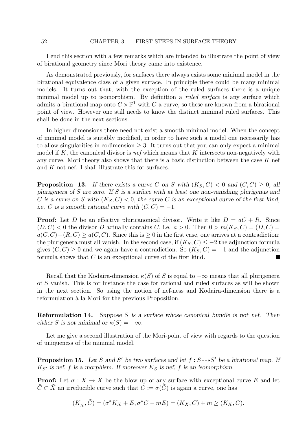I end this section with a few remarks which are intended to illustrate the point of view of birational geometry since Mori theory came into existence.

As demonstrated previously, for surfaces there always exists some minimal model in the birational equivalence class of a given surface. In principle there could be many minimal models. It turns out that, with the exception of the ruled surfaces there is a unique minimal model up to isomorphism. By definition a *ruled surface* is any surface which admits a birational map onto  $C \times \mathbb{P}^1$  with C a curve, so these are known from a birational point of view. However one still needs to know the distinct minimal ruled surfaces. This shall be done in the next sections.

In higher dimensions there need not exist a smooth minimal model. When the concept of minimal model is suitably modified, in order to have such a model one necessarily has to allow singularities in codimension  $\geq$  3. It turns out that you can only expect a minimal model if K, the canonical divisor is nef which means that K intersects non-negatively with any curve. Mori theory also shows that there is a basic distinction between the case  $K$  nef and K not nef. I shall illustrate this for surfaces.

**Proposition 13.** If there exists a curve C on S with  $(K_S, C) < 0$  and  $(C, C) \geq 0$ , all plurigenera of S are zero. If S is a surface with at least one non-vanishing plurigenus and C is a curve on S with  $(K_S, C) < 0$ , the curve C is an exceptional curve of the first kind, i.e. C is a smooth rational curve with  $(C, C) = -1$ .

**Proof:** Let D be an effective pluricanonical divisor. Write it like  $D = aC + R$ . Since  $(D, C) < 0$  the divisor D actually contains C, i.e.  $a > 0$ . Then  $0 > m(K_S, C) = (D, C)$  $a(C, C) + (R, C) > a(C, C)$ . Since this is  $> 0$  in the first case, one arrives at a contradiction: the plurigenera must all vanish. In the second case, if  $(K_S, C) \leq -2$  the adjunction formula gives  $(C, C) \geq 0$  and we again have a contradiction. So  $(K_S, C) = -1$  and the adjunction formula shows that C is an exceptional curve of the first kind.

Recall that the Kodaira-dimension  $\kappa(S)$  of S is equal to  $-\infty$  means that all plurigenera of S vanish. This is for instance the case for rational and ruled surfaces as will be shown in the next section. So using the notion of nef-ness and Kodaira-dimension there is a reformulation à la Mori for the previous Proposition.

**Reformulation 14.** Suppose  $S$  is a surface whose canonical bundle is not nef. Then either S is not minimal or  $\kappa(S) = -\infty$ .

Let me give a second illustration of the Mori-point of view with regards to the question of uniqueness of the minimal model.

**Proposition 15.** Let S and S' be two surfaces and let  $f : S \rightarrow S'$  be a birational map. If  $K_{S'}$  is nef, f is a morphism. If moreover  $K_S$  is nef, f is an isomorphism.

**Proof:** Let  $\sigma : \tilde{X} \to X$  be the blow up of any surface with exceptional curve E and let  $\tilde{C} \subset \tilde{X}$  an irreducible curve such that  $C := \sigma(\tilde{C})$  is again a curve, one has

$$
(K_{\tilde{X}}, \tilde{C}) = (\sigma^* K_X + E, \sigma^* C - mE) = (K_X, C) + m \ge (K_X, C).
$$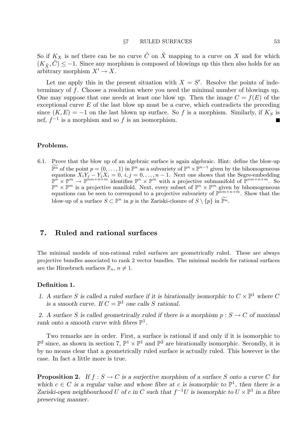So if  $K_X$  is nef there can be no curve  $\tilde{C}$  on  $\tilde{X}$  mapping to a curve on X and for which  $(K_{\tilde{Y}}, C) \leq -1$ . Since any morphism is composed of blowings up this then also holds for an arbitrary morphism  $X' \to X$ .

Let me apply this in the present situation with  $X = S'$ . Resolve the points of indeterminacy of f. Choose a resolution where you need the minimal number of blowings up. One may suppose that one needs at least one blow up. Then the image  $C = f(E)$  of the exceptional curve  $E$  of the last blow up must be a curve, which contradicts the preceding since  $(K, E) = -1$  on the last blown up surface. So f is a morphism. Similarly, if  $K_S$  is nef,  $f^{-1}$  is a morphism and so f is an isomorphism.

### Problems.

6.1. Prove that the blow up of an algebraic surface is again algebraic. Hint: define the blow-up  $\overline{\mathbb{P}^n}$  of the point  $p = (0, \ldots, 1)$  in  $\mathbb{P}^n$  as a subvariety of  $\mathbb{P}^n \times \mathbb{P}^{n-1}$  given by the bihomogeneous countions  $X,Y$ ,  $Y, Y, Y, \ldots, Y$  of  $j = 0, \ldots, n-1$ . Novt one shows that the Secre embedding equations  $X_i Y_j - Y_j X_i = 0, i, j = 0, \ldots, n-1$ . Next one shows that the Segre-embedding  $\mathbb{P}^n \times \mathbb{P}^m \to \mathbb{P}^{nm+n+m}$  identifies  $\mathbb{P}^n \times \mathbb{P}^m$  with a projective submanifold of  $\mathbb{P}^{nm+n+m}$ . So  $\mathbb{P}^n \times \mathbb{P}^m$  is a projective manifold. Next, every subset of  $\mathbb{P}^n \times \mathbb{P}^m$  given by bihomogeneous equations can be seen to correspond to a projective subvariety of  $\mathbb{P}^{nm+n+m}$ . Show that the blow-up of a surface  $S \subset \mathbb{P}^n$  in p is the Zariski-closure of  $S \setminus \{p\}$  in  $\widetilde{\mathbb{P}^n}$ .

## 7. Ruled and rational surfaces

The minimal models of non-rational ruled surfaces are geometrically ruled. These are always projective bundles associated to rank 2 vector bundles. The minimal models for rational surfaces are the Hirzebruch surfaces  $\mathbb{F}_n$ ,  $n \neq 1$ .

### Definition 1.

1. A surface S is called a ruled surface if it is birationally isomorphic to  $C \times \mathbb{P}^1$  where C is a smooth curve. If  $C = \mathbb{P}^1$  one calls S rational.

2. A surface S is called geometrically ruled if there is a morphism  $p : S \to C$  of maximal rank onto a smooth curve with fibres  $\mathbb{P}^1$ .

Two remarks are in order. First, a surface is rational if and only if it is isomorphic to  $\mathbb{P}^2$  since, as shown in section 7,  $\mathbb{P}^1 \times \mathbb{P}^1$  and  $\mathbb{P}^2$  are birationally isomorphic. Secondly, it is by no means clear that a geometrically ruled surface is actually ruled. This however is the case. In fact a little more is true.

**Proposition 2.** If  $f : S \to C$  is a surjective morphism of a surface S onto a curve C for which  $c \in C$  is a regular value and whose fibre at c is isomorphic to  $\mathbb{P}^1$ , then there is a Zariski-open neighbourhood U of c in C such that  $f^{-1}U$  is isomorphic to  $U \times \mathbb{P}^1$  in a fibre preserving manner.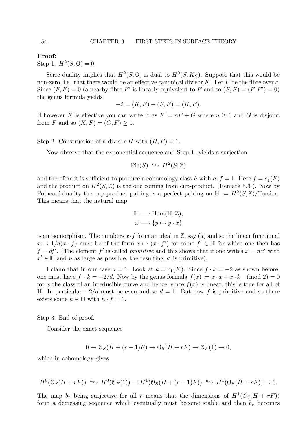Proof:

Step 1.  $H^2(S, \mathcal{O}) = 0$ .

Serre-duality implies that  $H^2(S, \mathbb{O})$  is dual to  $H^0(S, K_S)$ . Suppose that this would be non-zero, i.e. that there would be an effective canonical divisor  $K$ . Let  $F$  be the fibre over  $c$ . Since  $(F, F) = 0$  (a nearby fibre F' is linearly equivalent to F and so  $(F, F) = (F, F') = 0$ ) the genus formula yields

$$
-2 = (K, F) + (F, F) = (K, F).
$$

If however K is effective you can write it as  $K = nF + G$  where  $n \geq 0$  and G is disjoint from F and so  $(K, F) = (G, F) > 0$ .

Step 2. Construction of a divisor H with  $(H, F) = 1$ .

Now observe that the exponential sequence and Step 1. yields a surjection

$$
\text{Pic}(S) \xrightarrow{c_1} H^2(S, \mathbb{Z})
$$

and therefore it is sufficient to produce a cohomology class h with  $h \cdot f = 1$ . Here  $f = c_1(F)$ and the product on  $H^2(S, \mathbb{Z})$  is the one coming from cup-product. (Remark 5.3). Now by Poincaré-duality the cup-product pairing is a perfect pairing on  $\mathbb{H} := H^2(S, \mathbb{Z})$ /Torsion. This means that the natural map

$$
\mathbb{H} \longrightarrow \text{Hom}(\mathbb{H}, \mathbb{Z}),
$$
  

$$
x \longmapsto \{y \mapsto y \cdot x\}
$$

is an isomorphism. The numbers  $x \cdot f$  form an ideal in Z, say (d) and so the linear functional  $x \mapsto 1/d(x \cdot f)$  must be of the form  $x \mapsto (x \cdot f')$  for some  $f' \in \mathbb{H}$  for which one then has  $f = df'$ . (The element f' is called *primitive* and this shows that if one writes  $x = nx'$  with  $x' \in \mathbb{H}$  and n as large as possible, the resulting  $x'$  is primitive).

I claim that in our case  $d = 1$ . Look at  $k = c_1(K)$ . Since  $f \cdot k = -2$  as shown before, one must have  $f' \cdot k = -2/d$ . Now by the genus formula  $f(x) := x \cdot x + x \cdot k \pmod{2} = 0$ for x the class of an irreducible curve and hence, since  $f(x)$  is linear, this is true for all of H. In particular  $-2/d$  must be even and so  $d = 1$ . But now f is primitive and so there exists some  $h \in \mathbb{H}$  with  $h \cdot f = 1$ .

Step 3. End of proof.

Consider the exact sequence

$$
0 \to \mathcal{O}_S(H + (r-1)F) \to \mathcal{O}_S(H + rF) \to \mathcal{O}_F(1) \to 0,
$$

which in cohomology gives

$$
H^0(\mathcal{O}_S(H+rF)) \xrightarrow{a_r} H^0(\mathcal{O}_F(1)) \to H^1(\mathcal{O}_S(H+(r-1)F)) \xrightarrow{b_r} H^1(\mathcal{O}_S(H+rF)) \to 0.
$$

The map  $b_r$  being surjective for all r means that the dimensions of  $H^1(\mathcal{O}_S(H + rF))$ form a decreasing sequence which eventually must become stable and then  $b_r$  becomes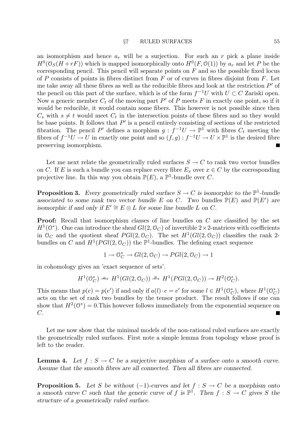an isomorphism and hence  $a_r$  will be a surjection. For such an r pick a plane inside  $H^0(\mathcal{O}_S(H+rF))$  which is mapped isomorphically onto  $H^0(F,\mathcal{O}(1))$  by  $a_r$  and let P be the corresponding pencil. This pencil will separate points on  $F$  and so the possible fixed locus of P consists of points in fibres distinct from  $F$  or of curves in fibres disjoint from  $F$ . Let me take away all these fibres as well as the reducible fibres and look at the restriction  $P'$  of the pencil on this part of the surface, which is of the form  $f^{-1}U$  with  $U \subset C$  Zariski open. Now a generic member  $C_t$  of the moving part  $P'$  of P meets F in exactly one point, so if it would be reducible, it would contain some fibers. This however is not possible since then  $C_s$  with  $s \neq t$  would meet  $C_t$  in the intersection points of these fibres and so they would be base points. It follows that  $P'$  is a pencil entirely consisting of sections of the restricted fibration. The pencil P' defines a morphism  $g: f^{-1}U \to \mathbb{P}^1$  with fibres  $C_t$  meeting the fibres of  $f^{-1}U \to U$  in exactly one point and so  $(f, g): f^{-1}U \to U \times \mathbb{P}^1$  is the desired fibre preserving isomorphism.

Let me next relate the geometrically ruled surfaces  $S \to C$  to rank two vector bundles on C. If E is such a bundle you can replace every fibre  $E_x$  over  $x \in C$  by the corresponding projective line. In this way you obtain  $\mathbb{P}(E)$ , a  $\mathbb{P}^1$ -bundle over C.

**Proposition 3.** Every geometrically ruled surface  $S \to C$  is isomorphic to the  $\mathbb{P}^1$ -bundle associated to some rank two vector bundle E on C. Two bundles  $\mathbb{P}(E)$  and  $\mathbb{P}(E')$  are isomorphic if and only if  $E' \cong E \otimes L$  for some line bundle L on C.

Proof: Recall that isomorphism classes of line bundles on C are classified by the set  $H^1(\mathbb{O}^*)$ . One can introduce the sheaf  $Gl(2,\mathbb{O}_C)$  of invertible  $2\times 2$ -matrices with coefficients in  $\mathcal{O}_C$  and the quotient sheaf  $PGl(2,\mathcal{O}_C)$ . The set  $H^1(GL(2,\mathcal{O}_C))$  classifies the rank 2bundles on C and  $H^1(PGl(2, \mathbb{O}_C))$  the  $\mathbb{P}^1$ -bundles. The defining exact sequence

$$
1 \to \mathcal{O}_C^* \to Gl(2, \mathcal{O}_C) \to PGl(2, \mathcal{O}_C) \to 1
$$

in cohomology gives an 'exact sequence of sets'.

$$
H^1(\mathbb{O}_C^*) \longrightarrow H^1(\mathcal{G}l(2,\mathbb{O}_C)) \longrightarrow H^1(\mathcal{P}Gl(2,\mathbb{O}_C)) \longrightarrow H^2(\mathbb{O}_C^*).
$$

This means that  $p(e) = p(e')$  if and only if  $a(l) \cdot e = e'$  for some  $l \in H^1(\mathbb{O}_{\mathbb{C}}^*)$ , where  $H^1(\mathbb{O}_{\mathbb{C}}^*)$ acts on the set of rank two bundles by the tensor product. The result follows if one can show that  $H^2(\mathbb{O}^*) = 0$ . This however follows immediately from the exponential sequence on  $C$ . Ξ

Let me now show that the minimal models of the non-rational ruled surfaces are exactly the geometrically ruled surfaces. First note a simple lemma from topology whose proof is left to the reader.

**Lemma 4.** Let  $f : S \to C$  be a surjective morphism of a surface onto a smooth curve. Assume that the smooth fibres are all connected. Then all fibres are connected.

**Proposition 5.** Let S be without  $(-1)$ -curves and let  $f : S \to C$  be a morphism onto a smooth curve C such that the generic curve of f is  $\mathbb{P}^1$ . Then  $f : S \to C$  gives S the structure of a geometrically ruled surface.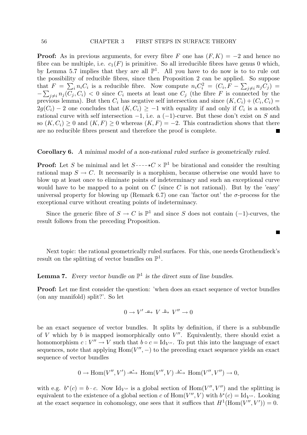**Proof:** As in previous arguments, for every fibre F one has  $(F, K) = -2$  and hence no fibre can be multiple, i.e.  $c_1(F)$  is primitive. So all irreducible fibres have genus 0 which, by Lemma 5.7 implies that they are all  $\mathbb{P}^1$ . All you have to do now is to to rule out the possibility of reducible fibres, since then Proposition 2 can be applied. So suppose that  $F = \sum_i n_i C_i$  is a reducible fibre. Now compute  $n_i C_i^2 = (C_i, F - \sum_{j \neq i} n_j C_j)$  $-\sum_{j\neq i}n_j(C_j, C_i)$  < 0 since  $C_i$  meets at least one  $C_j$  (the fibre F is connected by the previous lemma). But then  $C_i$  has negative self intersection and since  $(K, C_i) + (C_i, C_i) =$  $2g(C_i) - 2$  one concludes that  $(K, C_i) \geq -1$  with equality if and only if  $C_i$  is a smooth rational curve with self intersection  $-1$ , i.e. a  $(-1)$ -curve. But these don't exist on S and so  $(K, C_i) > 0$  and  $(K, F) > 0$  whereas  $(K, F) = -2$ . This contradiction shows that there are no reducible fibres present and therefore the proof is complete.

### Corollary 6. A minimal model of a non-rational ruled surface is geometrically ruled.

**Proof:** Let S be minimal and let  $S \rightarrow C \times \mathbb{P}^1$  be birational and consider the resulting rational map  $S \to C$ . It necessarily is a morphism, because otherwise one would have to blow up at least once to eliminate points of indeterminacy and such an exceptional curve would have to be mapped to a point on C (since C is not rational). But by the 'easy' universal property for blowing up (Remark 6.7) one can 'factor out' the  $\sigma$ -process for the exceptional curve without creating points of indeterminacy.

Since the generic fibre of  $S \to C$  is  $\mathbb{P}^1$  and since S does not contain (-1)-curves, the result follows from the preceding Proposition.

ш

Next topic: the rational geometrically ruled surfaces. For this, one needs Grothendieck's result on the splitting of vector bundles on  $\mathbb{P}^1$ .

# **Lemma 7.** Every vector bundle on  $\mathbb{P}^1$  is the direct sum of line bundles.

Proof: Let me first consider the question: 'when does an exact sequence of vector bundles (on any manifold) split?'. So let

$$
0\to V'\twoheadrightarrow V \xrightarrow{L} V''\to 0
$$

be an exact sequence of vector bundles. It splits by definition, if there is a subbundle of V which by  $b$  is mapped isomorphically onto  $V''$ . Equivalently, there should exist a homomorphism  $c: V'' \to V$  such that  $b \circ c = \text{Id}_{V''}$ . To put this into the language of exact sequences, note that applying  $Hom(V'', -)$  to the preceding exact sequence yields an exact sequence of vector bundles

$$
0 \to \text{Hom}(V'', V') \xrightarrow{a^*} \text{Hom}(V'', V) \xrightarrow{b^*} \text{Hom}(V'', V'') \to 0,
$$

with e.g.  $b^*(c) = b \cdot c$ . Now Id<sub>V''</sub> is a global section of Hom(V'', V'') and the splitting is equivalent to the existence of a global section c of  $Hom(V'', V)$  with  $b^*(c) = Id_{V''}$ . Looking at the exact sequence in cohomology, one sees that it suffices that  $H^1(\text{Hom}(V'', V')) = 0$ .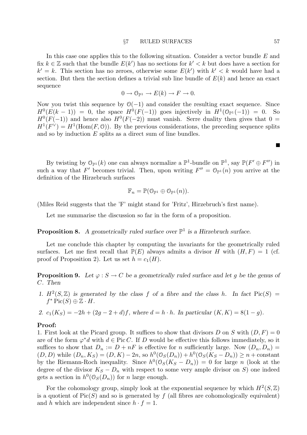In this case one applies this to the following situation. Consider a vector bundle E and fix  $k \in \mathbb{Z}$  such that the bundle  $E(k')$  has no sections for  $k' < k$  but does have a section for  $k' = k$ . This section has no zeroes, otherwise some  $E(k')$  with  $k' < k$  would have had a section. But then the section defines a trivial sub line bundle of  $E(k)$  and hence an exact sequence

$$
0 \to \mathcal{O}_{\mathbb{P}^1} \to E(k) \to F \to 0.
$$

Now you twist this sequence by  $\mathcal{O}(-1)$  and consider the resulting exact sequence. Since  $H^0(E(k-1)) = 0$ , the space  $H^0(F(-1))$  goes injectively in  $H^1(\mathbb{O}_{\mathbb{P}^1}(-1)) = 0$ . So  $H^0(F(-1))$  and hence also  $H^0(F(-2))$  must vanish. Serre duality then gives that 0 =  $H^1(F^{\vee}) = H^1(\text{Hom}(F, \mathcal{O}))$ . By the previous considerations, the preceding sequence splits and so by induction  $E$  splits as a direct sum of line bundles.

By twisting by  $\mathcal{O}_{\mathbb{P}^1}(k)$  one can always normalize a  $\mathbb{P}^1$ -bundle on  $\mathbb{P}^1$ , say  $\mathbb{P}(F' \oplus F'')$  in such a way that F' becomes trivial. Then, upon writing  $F'' = \mathcal{O}_{\mathbb{P}^1}(n)$  you arrive at the definition of the Hirzebruch surfaces

$$
\mathbb{F}_n = \mathbb{P}(\mathbb{O}_{\mathbb{P}^1} \oplus \mathbb{O}_{\mathbb{P}^1}(n)).
$$

(Miles Reid suggests that the 'F' might stand for 'Fritz', Hirzebruch's first name).

Let me summarise the discussion so far in the form of a proposition.

# **Proposition 8.** A geometrically ruled surface over  $\mathbb{P}^1$  is a Hirzebruch surface.

Let me conclude this chapter by computing the invariants for the geometrically ruled surfaces. Let me first recall that  $\mathbb{P}(E)$  always admits a divisor H with  $(H, F) = 1$  (cf. proof of Proposition 2). Let us set  $h = c_1(H)$ .

**Proposition 9.** Let  $\varphi : S \to C$  be a geometrically ruled surface and let q be the genus of C. Then

- 1.  $H^2(S, \mathbb{Z})$  is generated by the class f of a fibre and the class h. In fact  $Pic(S)$  =  $f^* \operatorname{Pic}(S) \oplus \mathbb{Z} \cdot H.$
- 2.  $c_1(K_S) = -2h + (2g 2 + d)f$ , where  $d = h \cdot h$ . In particular  $(K, K) = 8(1 g)$ .

### Proof:

1. First look at the Picard group. It suffices to show that divisors D on S with  $(D, F) = 0$ are of the form  $\varphi^*d$  with  $d \in \text{Pic } C$ . If D would be effective this follows immediately, so it suffices to show that  $D_n := D + nF$  is effective for n sufficiently large. Now  $(D_n, D_n)$  $(D, D)$  while  $(D_n, K_S) = (D, K) - 2n$ , so  $h^0(\mathcal{O}_S(D_n)) + h^0(\mathcal{O}_S(K_S - D_n)) \ge n + \text{constant}$ by the Riemann-Roch inequality. Since  $h^0(\mathcal{O}_S(K_S - D_n)) = 0$  for large n (look at the degree of the divisor  $K_S - D_n$  with respect to some very ample divisor on S) one indeed gets a section in  $h^0(\mathcal{O}_S(D_n))$  for n large enough.

For the cohomology group, simply look at the exponential sequence by which  $H^2(S, \mathbb{Z})$ is a quotient of  $Pic(S)$  and so is generated by f (all fibres are cohomologically equivalent) and h which are independent since  $h \cdot f = 1$ .

П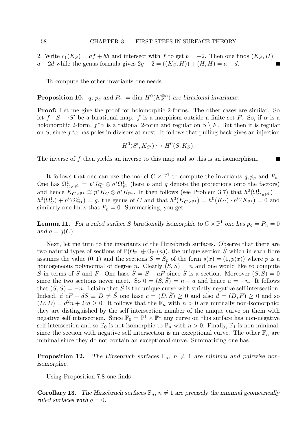2. Write  $c_1(K_S) = af + bh$  and intersect with f to get  $b = -2$ . Then one finds  $(K_S, H)$  $a - 2d$  while the genus formula gives  $2g - 2 = ((K_S, H)) + (H, H) = a - d$ .

To compute the other invariants one needs

**Proposition 10.**  $q$ ,  $p_g$  and  $P_n := \dim H^0(K_S^{\otimes n})$  $S^{0n}$ ) are birational invariants.

Proof: Let me give the proof for holomorphic 2-forms. The other cases are similar. So let  $f : S \rightarrow S'$  be a birational map. f is a morphism outside a finite set F. So, if  $\alpha$  is a holomorphic 2-form,  $f^*\alpha$  is a rational 2-form and regular on  $S \setminus F$ . But then it is regular on S, since  $f^*\alpha$  has poles in divisors at most. It follows that pulling back gives an injection

$$
H^0(S', K_{S'}) \hookrightarrow H^0(S, K_S).
$$

П

The inverse of f then yields an inverse to this map and so this is an isomorphism.

It follows that one can use the model  $C \times \mathbb{P}^1$  to compute the invariants  $q, p_g$  and  $P_n$ . One has  $\Omega^1_{C\times\mathbb{P}^1} = p^*\Omega^1_C \oplus q^*\Omega^1_{\mathbb{P}^1}$  (here p and q denote the projections onto the factors) and hence  $K_{C\times \mathbb{P}^1} \cong p^*K_C \otimes q^*K_{\mathbb{P}^1}$ . It then follows (see Problem 3.7) that  $h^0(\Omega_{C\times \mathbb{P}^1}^1) =$  $h^0(\Omega_C^1) + h^0(\Omega_{\mathbb{P}^1}^1) = g$ , the genus of C and that  $h^0(K_{C \times \mathbb{P}^1}) = h^0(K_C) \cdot h^0(K_{\mathbb{P}^1}) = 0$  and similarly one finds that  $P_n = 0$ . Summarising, you get

**Lemma 11.** For a ruled surface S birationally isomorphic to  $C \times \mathbb{P}^1$  one has  $p_g = P_n = 0$ and  $q = g(C)$ .

Next, let me turn to the invariants of the Hirzebruch surfaces. Observe that there are two natural types of sections of  $\mathbb{P}(\mathbb{O}_{\mathbb{P}^1} \oplus \mathbb{O}_{\mathbb{P}^1}(n))$ , the unique section  $\hat{S}$  which in each fibre assumes the value  $(0, 1)$  and the sections  $S = S_p$  of the form  $s(x) = (1, p(x))$  where p is a homogeneous polynomial of degree n. Clearly  $(S, S) = n$  and one would like to compute  $\hat{S}$  in terms of S and F. One hase  $\hat{S} = S + aF$  since  $\hat{S}$  is a section. Moreover  $(S, \hat{S}) = 0$ since the two sections never meet. So  $0 = (S, \hat{S}) = n + a$  and hence  $a = -n$ . It follows that  $(\hat{S}, \hat{S}) = -n$ . I claim that  $\hat{S}$  is the unique curve with strictly negative self intersection. Indeed, if  $cF + dS \equiv D \neq \hat{S}$  one hase  $c = (D, \hat{S}) \geq 0$  and also  $d = (D, F) \geq 0$  and so  $(D, D) = d^2n + 2cd \ge 0$ . It follows that the  $\mathbb{F}_n$  with  $n > 0$  are mutually non-isomorphic; they are distinguished by the self intersection number of the unique curve on them with negative self intersection. Since  $\mathbb{F}_0 = \mathbb{P}^1 \times \mathbb{P}^1$  any curve on this surface has non-negative self intersection and so  $\mathbb{F}_0$  is not isomorphic to  $\mathbb{F}_n$  with  $n > 0$ . Finally,  $\mathbb{F}_1$  is non-minimal, since the section with negative self intersection is an exceptional curve. The other  $\mathbb{F}_n$  are minimal since they do not contain an exceptional curve. Summarizing one has

**Proposition 12.** The Hirzebruch surfaces  $\mathbb{F}_n$ ,  $n \neq 1$  are minimal and pairwise nonisomorphic.

Using Proposition 7.8 one finds

**Corollary 13.** The Hirzebruch surfaces  $\mathbb{F}_n$ ,  $n \neq 1$  are precisely the minimal geometrically ruled surfaces with  $q = 0$ .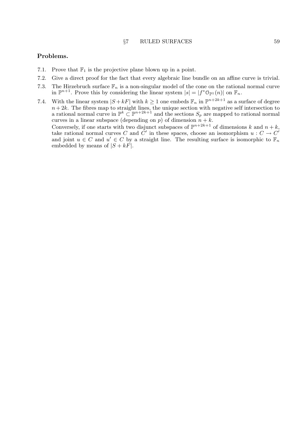#### §7 RULED SURFACES 59

### Problems.

- 7.1. Prove that  $\mathbb{F}_1$  is the projective plane blown up in a point.
- 7.2. Give a direct proof for the fact that every algebraic line bundle on an affine curve is trivial.
- 7.3. The Hirzebruch surface  $\mathbb{F}_n$  is a non-singular model of the cone on the rational normal curve in  $\mathbb{P}^{n+1}$ . Prove this by considering the linear system  $|s| = |f^* \mathbb{O}_{\mathbb{P}^1}(n)|$  on  $\mathbb{F}_n$ .
- 7.4. With the linear system  $|S + kF|$  with  $k \geq 1$  one embeds  $\mathbb{F}_n$  in  $\mathbb{P}^{n+2k+1}$  as a surface of degree  $n+2k$ . The fibres map to straight lines, the unique section with negative self intersection to a rational normal curve in  $\mathbb{P}^k \subset \mathbb{P}^{n+2k+1}$  and the sections  $S_p$  are mapped to rational normal curves in a linear subspace (depending on  $p$ ) of dimension  $n + k$ .

Conversely, if one starts with two disjunct subspaces of  $\mathbb{P}^{n+2k+1}$  of dimensions k and  $n+k$ , take rational normal curves C and  $\check{C}'$  in these spaces, choose an isomorphism  $u: C \to C'$ and joint  $u \in C$  and  $u' \in C$  by a straight line. The resulting surface is isomorphic to  $\mathbb{F}_n$ embedded by means of  $|S + kF|$ .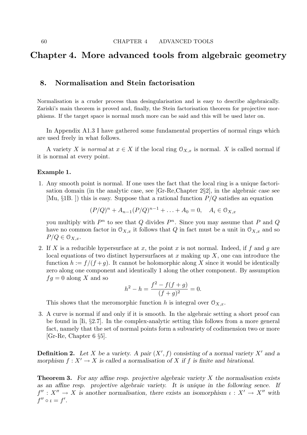# Chapter 4. More advanced tools from algebraic geometry

# 8. Normalisation and Stein factorisation

Normalisation is a cruder process than desingularisation and is easy to describe algebraically. Zariski's main theorem is proved and, finally, the Stein factorisation theorem for projective morphisms. If the target space is normal much more can be said and this will be used later on.

In Appendix A1.3 I have gathered some fundamental properties of normal rings which are used freely in what follows.

A variety X is normal at  $x \in X$  if the local ring  $\mathcal{O}_{X,x}$  is normal. X is called normal if it is normal at every point.

### Example 1.

1. Any smooth point is normal. If one uses the fact that the local ring is a unique factorisation domain (in the analytic case, see [Gr-Re,Chapter 2§2], in the algebraic case see [Mu,  $\S 1B$ .]) this is easy. Suppose that a rational function  $P/Q$  satisfies an equation

$$
(P/Q)^{n} + A_{n-1}(P/Q)^{n-1} + \ldots + A_0 = 0, \quad A_i \in \mathcal{O}_{X,x}
$$

you multiply with  $P^n$  to see that Q divides  $P^n$ . Since you may assume that P and Q have no common factor in  $\mathcal{O}_{X,x}$  it follows that Q in fact must be a unit in  $\mathcal{O}_{X,x}$  and so  $P/Q \in \mathcal{O}_{X,x}.$ 

2. If X is a reducible hypersurface at x, the point x is not normal. Indeed, if f and q are local equations of two distinct hypersurfaces at x making up  $X$ , one can introduce the function  $h := f/(f+g)$ . It cannot be holomorphic along X since it would be identically zero along one component and identically 1 along the other component. By assumption  $fg = 0$  along X and so

$$
h^{2} - h = \frac{f^{2} - f(f + g)}{(f + g)^{2}} = 0.
$$

This shows that the meromorphic function h is integral over  $\mathcal{O}_{X,x}$ .

3. A curve is normal if and only if it is smooth. In the algebraic setting a short proof can be found in  $[Ii, §2.7]$ . In the complex-analytic setting this follows from a more general fact, namely that the set of normal points form a subvariety of codimension two or more [Gr-Re, Chapter 6 §5].

**Definition 2.** Let X be a variety. A pair  $(X', f)$  consisting of a normal variety X' and a morphism  $f: X' \to X$  is called a normalisation of X if f is finite and birational.

**Theorem 3.** For any affine resp. projective algebraic variety  $X$  the normalisation exists as an affine resp. projective algebraic variety. It is unique in the following sence. If  $f'' : X'' \to X$  is another normalisation, there exists an isomorphism  $\iota : X' \to X''$  with  $f'' \circ \iota = f'.$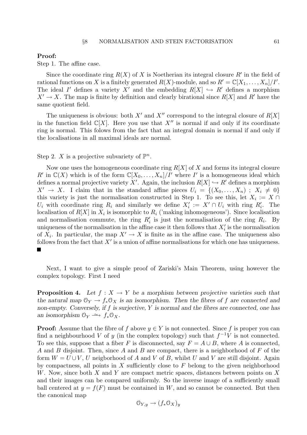### Proof:

Step 1. The affine case.

Since the coordinate ring  $R(X)$  of X is Noetherian its integral closure  $R'$  in the field of rational functions on X is a finitely generated  $R(X)$ -module, and so  $R' = \mathbb{C}[X_1, \ldots, X_n]/I'.$ The ideal I' defines a variety X' and the embedding  $R[X] \hookrightarrow R'$  defines a morphism  $X' \to X$ . The map is finite by definition and clearly birational since  $R[X]$  and R' have the same quotient field.

The uniqueness is obvious: both  $X'$  and  $X''$  correspond to the integral closure of  $R[X]$ in the function field  $\mathbb{C}[X]$ . Here you use that  $X''$  is normal if and only if its coordinate ring is normal. This folows from the fact that an integral domain is normal if and only if the localisations in all maximal ideals are normal.

Step 2. X is a projective subvariety of  $\mathbb{P}^n$ .

Now one uses the homogeneous coordinate ring  $R[X]$  of X and forms its integral closure R' in  $\mathbb{C}(X)$  which is of the form  $\mathbb{C}[X_0,\ldots,X_n]/I'$  where I' is a homogeneous ideal which defines a normal projective variety X'. Again, the inclusion  $R[X] \hookrightarrow R'$  defines a morphism  $X' \to X$ . I claim that in the standard affine pieces  $U_i = \{(X_0, \ldots, X_n) ; X_i \neq 0\}$ this variety is just the normalisation constructed in Step 1. To see this, let  $X_i := X \cap$ U<sub>i</sub> with coordinate ring  $R_i$  and similarly we define  $X'_i := X' \cap U_i$  with ring  $R'_i$ . The localisation of  $R[X]$  in  $X_i$  is isomorphic to  $R_i$  ('making inhomogeneous'). Since localisation and normalisation commute, the ring  $R'_i$  is just the normalisation of the ring  $R_i$ . By uniqueness of the normalisation in the affine case it then follows that  $X_i'$  is the normalisation of  $X_i$ . In particular, the map  $X' \to X$  is finite as in the affine case. The uniqueness also follows from the fact that  $X'$  is a union of affine normalisations for which one has uniqueness.

Next, I want to give a simple proof of Zariski's Main Theorem, using however the complex topology. First I need

**Proposition 4.** Let  $f : X \to Y$  be a morphism between projective varieties such that the natural map  $\mathcal{O}_Y \to f_* \mathcal{O}_X$  is an isomorphism. Then the fibres of f are connected and non-empty. Conversely, if  $f$  is surjective,  $Y$  is normal and the fibres are connected, one has an isomorphism  $\mathcal{O}_Y \xrightarrow{\sim} f_* \mathcal{O}_X$ .

**Proof:** Assume that the fibre of f above  $y \in Y$  is not connected. Since f is proper you can find a neighbourhood V of y (in the complex topology) such that  $f^{-1}V$  is not connected. To see this, suppose that a fiber F is disconnected, say  $F = A \cup B$ , where A is connected, A and B disjoint. Then, since A and B are compact, there is a neighborhood of  $F$  of the form  $W = U \cup V$ , U neigborhood of A and V of B, whilst U and V are still disjoint. Again by compactness, all points in  $X$  sufficiently close to  $F$  belong to the given neighborhood W. Now, since both X and Y are compact metric spaces, distances between points on X and their images can be compared uniformly. So the inverse image of a sufficiently small ball centered at  $y = f(F)$  must be contained in W, and so cannot be connected. But then the canonical map

$$
\mathfrak{O}_{Y,y} \to (f_*\mathfrak{O}_X)_y
$$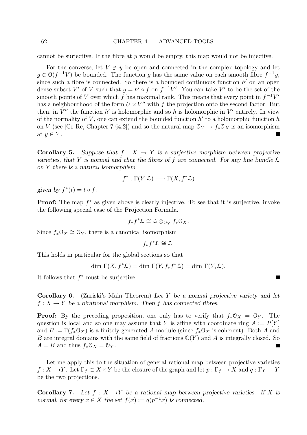cannot be surjective. If the fibre at  $\gamma$  would be empty, this map would not be injective.

For the converse, let  $V \ni y$  be open and connected in the complex topology and let  $g \in O(f^{-1}V)$  be bounded. The function g has the same value on each smooth fibre  $f^{-1}y$ , since such a fibre is connected. So there is a bounded continuous function  $h'$  on an open dense subset V' of V such that  $g = h' \circ f$  on  $f^{-1}V'$ . You can take V' to be the set of the smooth points of V over which f has maximal rank. This means that every point in  $f^{-1}V'$ has a neighbourhood of the form  $U \times V''$  with f the projection onto the second factor. But then, in  $V''$  the function  $h'$  is holomorphic and so h is holomorphic in  $V'$  entirely. In view of the normality of  $V$ , one can extend the bounded function  $h'$  to a holomorphic function  $h$ on V (see [Gr-Re, Chapter 7 §4.2]) and so the natural map  $\mathcal{O}_Y \to f_* \mathcal{O}_X$  is an isomorphism at  $y \in Y$ .

**Corollary 5.** Suppose that  $f : X \to Y$  is a surjective morphism between projective varieties, that Y is normal and that the fibres of f are connected. For any line bundle  $\mathcal L$ on Y there is a natural isomorphism

$$
f^* : \Gamma(Y, \mathcal{L}) \longrightarrow \Gamma(X, f^* \mathcal{L})
$$

given by  $f^*(t) = t \circ f$ .

**Proof:** The map  $f^*$  as given above is clearly injective. To see that it is surjective, invoke the following special case of the Projection Formula.

$$
f_* f^* \mathcal{L} \cong \mathcal{L} \otimes_{\mathcal{O}_Y} f_* \mathcal{O}_X.
$$

Since  $f_* \mathcal{O}_X \cong \mathcal{O}_Y$ , there is a canonical isomorphism

$$
f_*f^*\mathcal{L}\cong \mathcal{L}.
$$

This holds in particular for the global sections so that

$$
\dim \Gamma(X, f^*\mathcal{L}) = \dim \Gamma(Y, f_*f^*\mathcal{L}) = \dim \Gamma(Y, \mathcal{L}).
$$

It follows that  $f^*$  must be surjective.

Corollary 6. (Zariski's Main Theorem) Let Y be a normal projective variety and let  $f: X \to Y$  be a birational morphism. Then f has connected fibres.

**Proof:** By the preceding proposition, one only has to verify that  $f_*\mathcal{O}_X = \mathcal{O}_Y$ . The question is local and so one may assume that Y is affine with coordinate ring  $A := R[Y]$ and  $B := \Gamma(f_* \mathcal{O}_X)$  is a finitely generated A-module (since  $f_* \mathcal{O}_X$  is coherent). Both A and B are integral domains with the same field of fractions  $\mathbb{C}(Y)$  and A is integrally closed. So  $A = B$  and thus  $f_* \mathcal{O}_X = \mathcal{O}_Y$ .

Let me apply this to the situation of general rational map between projective varieties  $f: X-\rightarrow Y$ . Let  $\Gamma_f \subset X \times Y$  be the closure of the graph and let  $p: \Gamma_f \to X$  and  $q: \Gamma_f \to Y$ be the two projections.

**Corollary 7.** Let  $f : X \rightarrow Y$  be a rational map between projective varieties. If X is normal, for every  $x \in X$  the set  $f(x) := q(p^{-1}x)$  is connected.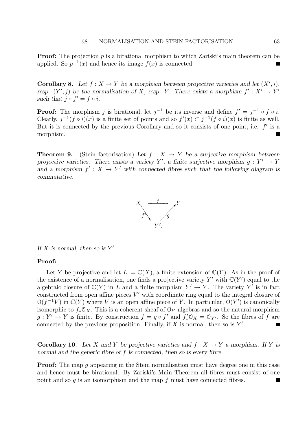**Proof:** The projection  $p$  is a birational morphism to which Zariski's main theorem can be applied. So  $p^{-1}(x)$  and hence its image  $f(x)$  is connected. т

**Corollary 8.** Let  $f : X \to Y$  be a morphism between projective varieties and let  $(X', i)$ , resp.  $(Y', j)$  be the normalisation of X, resp. Y. There exists a morphism  $f' : X' \to Y'$ such that  $j \circ f' = f \circ i$ .

**Proof:** The morphism j is birational, let  $j^{-1}$  be its inverse and define  $f' = j^{-1} \circ f \circ i$ . Clearly,  $j^{-1}(f \circ i)(x)$  is a finite set of points and so  $f'(x) \subset j^{-1}(f \circ i)(x)$  is finite as well. But it is connected by the previous Corollary and so it consists of one point, i.e.  $f'$  is a morphism.

**Theorem 9.** (Stein factorisation) Let  $f : X \to Y$  be a surjective morphism between projective varieties. There exists a variety Y', a finite surjective morphism  $g: Y' \to Y$ and a morphism  $f' : X \to Y'$  with connected fibres such that the following diagram is commutative.



If X is normal, then so is  $Y'$ .

### Proof:

Let Y be projective and let  $L := \mathbb{C}(X)$ , a finite extension of  $\mathbb{C}(Y)$ . As in the proof of the existence of a normalisation, one finds a projective variety Y' with  $\mathbb{C}(Y')$  equal to the algebraic closure of  $\mathbb{C}(Y)$  in L and a finite morphism  $Y' \to Y$ . The variety  $Y'$  is in fact constructed from open affine pieces  $V'$  with coordinate ring equal to the integral closure of  $\mathcal{O}(f^{-1}V)$  in  $\mathbb{C}(Y)$  where V is an open affine piece of Y. In particular,  $\mathcal{O}(Y')$  is canonically isomorphic to  $f_*\mathcal{O}_X$ . This is a coherent sheaf of  $\mathcal{O}_Y$ -algebras and so the natural morphism  $g: Y' \to Y$  is finite. By construction  $f = g \circ f'$  and  $f'_* \mathcal{O}_X = \mathcal{O}_{Y'}$ . So the fibres of f are connected by the previous proposition. Finally, if  $X$  is normal, then so is  $Y'$ . П

**Corollary 10.** Let X and Y be projective varieties and  $f: X \to Y$  a morphism. If Y is normal and the generic fibre of f is connected, then so is every fibre.

**Proof:** The map q appearing in the Stein normalisation must have degree one in this case and hence must be birational. By Zariski's Main Theorem all fibres must consist of one point and so  $g$  is an isomorphism and the map  $f$  must have connected fibres.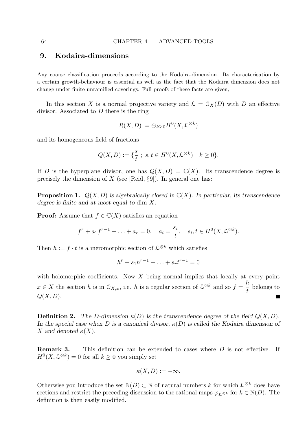# 9. Kodaira-dimensions

Any coarse classification proceeds according to the Kodaira-dimension. Its characterisation by a certain growth-behaviour is essential as well as the fact that the Kodaira dimension does not change under finite unramified coverings. Full proofs of these facts are given,

In this section X is a normal projective variety and  $\mathcal{L} = \mathcal{O}_X(D)$  with D an effective divisor. Associated to D there is the ring

$$
R(X,D) := \oplus_{k \geq 0} H^0(X, \mathcal{L}^{\otimes k})
$$

and its homogeneous field of fractions

$$
Q(X, D) := \{ \frac{s}{t} \; ; \; s, t \in H^0(X, \mathcal{L}^{\otimes k}) \quad k \ge 0 \}.
$$

If D is the hyperplane divisor, one has  $Q(X, D) = \mathbb{C}(X)$ . Its transcendence degree is precisely the dimension of  $X$  (see [Reid, §9]). In general one has:

**Proposition 1.**  $Q(X, D)$  is algebraically closed in  $\mathbb{C}(X)$ . In particular, its transcendence degree is finite and at most equal to dim X.

**Proof:** Assume that  $f \in \mathbb{C}(X)$  satisfies an equation

$$
f^{r} + a_1 f^{r-1} + \ldots + a_r = 0, \quad a_i = \frac{s_i}{t}, \quad s_i, t \in H^0(X, \mathcal{L}^{\otimes k}).
$$

Then  $h := f \cdot t$  is a meromorphic section of  $\mathcal{L}^{\otimes k}$  which satisfies

$$
h^r + s_1 h^{r-1} + \ldots + s_r t^{r-1} = 0
$$

with holomorphic coefficients. Now  $X$  being normal implies that locally at every point  $x \in X$  the section h is in  $\mathcal{O}_{X,x}$ , i.e. h is a regular section of  $\mathcal{L}^{\otimes k}$  and so  $f =$ h t belongs to  $Q(X, D)$ .

**Definition 2.** The D-dimension  $\kappa(D)$  is the transcendence degree of the field  $Q(X, D)$ . In the special case when D is a canonical divisor,  $\kappa(D)$  is called the Kodaira dimension of X and denoted  $\kappa(X)$ .

**Remark 3.** This definition can be extended to cases where D is not effective. If  $H^0(X, \mathcal{L}^{\otimes k}) = 0$  for all  $k \geq 0$  you simply set

$$
\kappa(X,D):=-\infty.
$$

Otherwise you introduce the set  $\mathbb{N}(D) \subset \mathbb{N}$  of natural numbers k for which  $\mathcal{L}^{\otimes k}$  does have sections and restrict the preceding discussion to the rational maps  $\varphi_{\ell,\otimes k}$  for  $k \in \mathbb{N}(D)$ . The definition is then easily modified.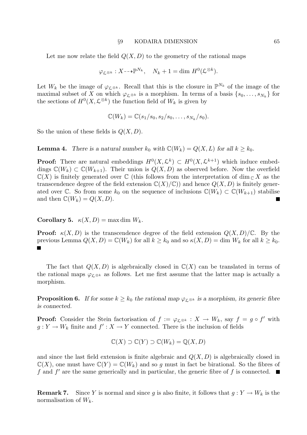#### §9 KODAIRA DIMENSION 65

Let me now relate the field  $Q(X, D)$  to the geometry of the rational maps

$$
\varphi_{\mathcal{L}^{\otimes k}} : X \dashrightarrow \mathbb{P}^{N_k}, \quad N_k + 1 = \dim H^0(\mathcal{L}^{\otimes k}).
$$

Let  $W_k$  be the image of  $\varphi_{\mathcal{L}^{\otimes k}}$ . Recall that this is the closure in  $\mathbb{P}^{N_k}$  of the image of the maximal subset of X on which  $\varphi_{\mathcal{L}^{\otimes k}}$  is a morphism. In terms of a basis  $\{s_0, \ldots, s_{N_k}\}\$ for the sections of  $H^0(X, \mathcal{L}^{\otimes k})$  the function field of  $W_k$  is given by

$$
\mathbb{C}(W_k)=\mathbb{C}(s_1/s_0,s_2/s_0,\ldots,s_{N_k}/s_0).
$$

So the union of these fields is  $Q(X, D)$ .

**Lemma 4.** There is a natural number  $k_0$  with  $\mathbb{C}(W_k) = Q(X, L)$  for all  $k \geq k_0$ .

**Proof:** There are natural embeddings  $H^0(X, \mathcal{L}^k) \subset H^0(X, \mathcal{L}^{k+1})$  which induce embeddings  $\mathbb{C}(W_k) \subset \mathbb{C}(W_{k+1})$ . Their union is  $Q(X, D)$  as observed before. Now the overfield  $\mathbb{C}(X)$  is finitely generated over  $\mathbb{C}$  (this follows from the interpretation of dim  $\mathbb{C} X$  as the transcendence degree of the field extension  $\mathbb{C}(X)/\mathbb{C}$ ) and hence  $Q(X, D)$  is finitely generated over C. So from some  $k_0$  on the sequence of inclusions  $\mathbb{C}(W_k) \subset \mathbb{C}(W_{k+1})$  stabilise and then  $\mathbb{C}(W_k) = Q(X, D)$ .

**Corollary 5.**  $\kappa(X, D) = \max \dim W_k$ .

**Proof:**  $\kappa(X, D)$  is the transcendence degree of the field extension  $Q(X, D)/\mathbb{C}$ . By the previous Lemma  $Q(X, D) = \mathbb{C}(W_k)$  for all  $k \geq k_0$  and so  $\kappa(X, D) = \dim W_k$  for all  $k \geq k_0$ . Г

The fact that  $Q(X, D)$  is algebraically closed in  $\mathbb{C}(X)$  can be translated in terms of the rational maps  $\varphi_{\ell,\otimes k}$  as follows. Let me first assume that the latter map is actually a morphism.

**Proposition 6.** If for some  $k \geq k_0$  the rational map  $\varphi_{\mathcal{L}^{\otimes k}}$  is a morphism, its generic fibre is connected.

**Proof:** Consider the Stein factorisation of  $f := \varphi_{\mathcal{L}} \otimes k : X \to W_k$ , say  $f = g \circ f'$  with  $g: Y \to W_k$  finite and  $f': X \to Y$  connected. There is the inclusion of fields

$$
\mathbb{C}(X) \supset \mathbb{C}(Y) \supset \mathbb{C}(W_k) = \mathbb{Q}(X, D)
$$

and since the last field extension is finite algebraic and  $Q(X, D)$  is algebraically closed in  $\mathbb{C}(X)$ , one must have  $\mathbb{C}(Y) = \mathbb{C}(W_k)$  and so g must in fact be birational. So the fibres of f and  $f'$  are the same generically and in particular, the generic fibre of f is connected.

**Remark 7.** Since Y is normal and since g is also finite, it follows that  $g: Y \to W_k$  is the normalisation of  $W_k$ .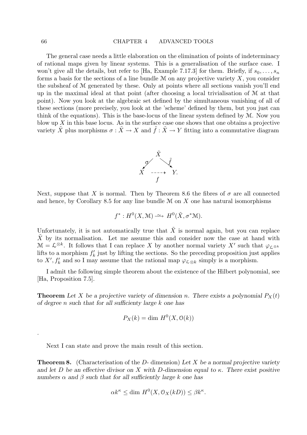The general case needs a little elaboration on the elimination of points of indeterminacy of rational maps given by linear systems. This is a generalisation of the surface case. I won't give all the details, but refer to [Ha, Example 7.17.3] for them. Briefly, if  $s_0, \ldots, s_n$ forms a basis for the sections of a line bundle  $M$  on any projective variety  $X$ , you consider the subsheaf of M generated by these. Only at points where all sections vanish you'll end up in the maximal ideal at that point (after choosing a local trivialisation of M at that point). Now you look at the algebraic set defined by the simultaneous vanishing of all of these sections (more precisely, you look at the 'scheme' defined by them, but you just can think of the equations). This is the base-locus of the linear system defined by M. Now you blow up  $X$  in this base locus. As in the surface case one shows that one obtains a projective variety  $\tilde{X}$  plus morphisms  $\sigma : \tilde{X} \to X$  and  $\tilde{f} : \tilde{X} \to Y$  fitting into a commutative diagram



Next, suppose that X is normal. Then by Theorem 8.6 the fibres of  $\sigma$  are all connected and hence, by Corollary 8.5 for any line bundle  $M$  on  $X$  one has natural isomorphisms

$$
f^*: H^0(X, \mathcal{M}) \longrightarrow H^0(\tilde{X}, \sigma^*\mathcal{M}).
$$

Unfortunately, it is not automatically true that  $\tilde{X}$  is normal again, but you can replace  $\tilde{X}$  by its normalisation. Let me assume this and consider now the case at hand with  $\mathcal{M} = \mathcal{L}^{\otimes k}$ . It follows that I can replace X by another normal variety X' such that  $\varphi_{\mathcal{L}^{\otimes k}}$ lifts to a morphism  $f'_k$  just by lifting the sections. So the preceding proposition just applies to X',  $f'_k$  and so I may assume that the rational map  $\varphi_{\mathcal{L}\otimes k}$  simply is a morphism.

I admit the following simple theorem about the existence of the Hilbert polynomial, see [Ha, Proposition 7.5].

**Theorem** Let X be a projective variety of dimension n. There exists a polynomial  $P_X(t)$ of degree n such that for all sufficienty large k one has

$$
P_X(k) = \dim H^0(X, \mathcal{O}(k))
$$

Next I can state and prove the main result of this section.

**Theorem 8.** (Characterisation of the  $D$ - dimension) Let X be a normal projective variety and let D be an effective divisor on X with D-dimension equal to  $\kappa$ . There exist positive numbers  $\alpha$  and  $\beta$  such that for all sufficiently large k one has

$$
\alpha k^{\kappa} \le \dim H^0(X, \mathcal{O}_X(kD)) \le \beta k^{\kappa}.
$$

.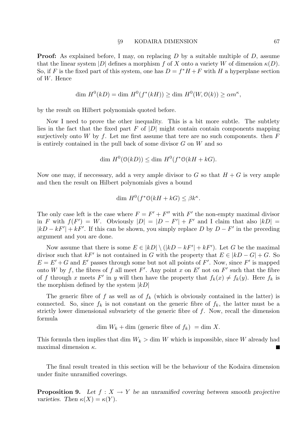**Proof:** As explained before, I may, on replacing D by a suitable multiple of D, assume that the linear system  $|D|$  defines a morphism f of X onto a variety W of dimension  $\kappa(D)$ . So, if F is the fixed part of this system, one has  $D = f^*H + F$  with H a hyperplane section of W. Hence

$$
\dim H^0(kD) = \dim H^0(f^*(kH)) \ge \dim H^0(W, \mathcal{O}(k)) \ge \alpha m^{\kappa},
$$

by the result on Hilbert polynomials quoted before.

Now I need to prove the other inequality. This is a bit more subtle. The subtlety lies in the fact that the fixed part F of  $|D|$  might contain contain components mapping surjectively onto W by  $f$ . Let me first assume that tere are no such components. then  $F$ is entirely contained in the pull back of some divisor  $G$  on  $W$  and so

$$
\dim H^0(\mathcal{O}(kD)) \le \dim H^0(f^*\mathcal{O}(kH + kG)).
$$

Now one may, if necessary, add a very ample divisor to G so that  $H + G$  is very ample and then the result on Hilbert polynomials gives a bound

$$
\dim H^0(f^*\mathcal{O}(kH + kG) \le \beta k^{\kappa}.
$$

The only case left is the case where  $F = F' + F''$  with F' the non-empty maximal divisor in F with  $f(F') = W$ . Obviously  $|D| = |D - F'| + F'$  and I claim that also  $|kD| =$  $|kD - kF'| + kF'$ . If this can be shown, you simply replace D by  $D - F'$  in the preceding argument and you are done.

Now assume that there is some  $E \in |kD| \setminus (|kD - kF'| + kF')$ . Let G be the maximal divisor such that  $kF'$  is not contained in G with the property that  $E \in |kD - G| + G$ . So  $E = E' + G$  and E' passes through some but not all points of F'. Now, since F' is mapped onto W by f, the fibres of f all meet F'. Any point x on E' not on F' such that the fibre of f through x meets F' in y will then have the property that  $f_k(x) \neq f_k(y)$ . Here  $f_k$  is the morphism defined by the system  $|kD|$ 

The generic fibre of f as well as of  $f_k$  (which is obviously contained in the latter) is connected. So, since  $f_k$  is not constant on the generic fibre of  $f_k$ , the latter must be a strictly lower dimensional subvariety of the generic fibre of f. Now, recall the dimension formula

dim  $W_k + \dim$  (generic fibre of  $f_k$ ) = dim X.

This formula then implies that dim  $W_k >$  dim W which is impossible, since W already had maximal dimension  $\kappa$ .  $\overline{\phantom{a}}$ 

The final result treated in this section will be the behaviour of the Kodaira dimension under finite unramified coverings.

**Proposition 9.** Let  $f : X \to Y$  be an unramified covering between smooth projective varieties. Then  $\kappa(X) = \kappa(Y)$ .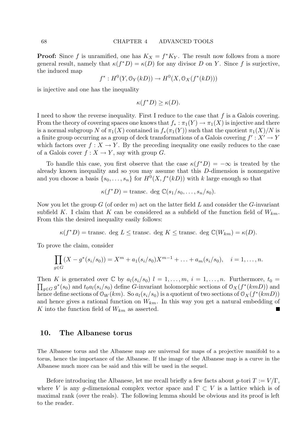**Proof:** Since f is unramified, one has  $K_X = f^*K_Y$ . The result now follows from a more general result, namely that  $\kappa(f^*D) = \kappa(D)$  for any divisor D on Y. Since f is surjective, the induced map

$$
f^*: H^0(Y, \mathcal{O}_Y(kD)) \to H^0(X, \mathcal{O}_X(f^*(kD)))
$$

is injective and one has the inequality

$$
\kappa(f^*D) \ge \kappa(D).
$$

I need to show the reverse inequality. First I reduce to the case that  $f$  is a Galois covering. From the theory of covering spaces one knows that  $f_* : \pi_1(Y) \to \pi_1(X)$  is injective and there is a normal subgroup N of  $\pi_1(X)$  contained in  $f_*(\pi_1(Y))$  such that the quotient  $\pi_1(X)/N$  is a finite group occurring as a group of deck transformations of a Galois covering  $f' : X' \to Y$ which factors over  $f: X \to Y$ . By the preceding inequality one easily reduces to the case of a Galois cover  $f: X \to Y$ , say with group G.

To handle this case, you first observe that the case  $\kappa(f^*D) = -\infty$  is treated by the already known inequality and so you may assume that this D-dimension is nonnegative and you choose a basis  $\{s_0, \ldots, s_n\}$  for  $H^0(X, f^*(kD))$  with k large enough so that

$$
\kappa(f^*D) = \text{transc. deg }\mathbb{C}(s_1/s_0,\ldots,s_n/s_0).
$$

Now you let the group  $G$  (of order  $m$ ) act on the latter field  $L$  and consider the  $G$ -invariant subfield K. I claim that K can be considered as a subfield of the function field of  $W_{km}$ . From this the desired inequality easily follows:

$$
\kappa(f^*D) = \text{transc. deg } L \leq \text{transc. deg } K \leq \text{transc. deg } \mathbb{C}(W_{km}) = \kappa(D).
$$

To prove the claim, consider

$$
\prod_{g \in G} (X - g^*(s_i/s_0)) = X^m + a_1(s_i/s_0)X^{m-1} + \ldots + a_m(s_i/s_0), \quad i = 1, \ldots, n.
$$

Then K is generated over  $\mathbb C$  by  $a_l(s_i/s_0)$   $l = 1, \ldots, m, i = 1, \ldots, n$ . Furthermore,  $t_0 =$  $\prod_{g\in G} g^*(s_0)$  and  $t_0a_l(s_i/s_0)$  define G-invariant holomorphic sections of  $\mathfrak{O}_X(f^*(kmD))$  and hence define sections of  $\mathcal{O}_W(km)$ . So  $a_l(s_i/s_0)$  is a quotient of two sections of  $\mathcal{O}_X(f^*(kmD))$ and hence gives a rational function on  $W_{km}$ . In this way you get a natural embedding of K into the function field of  $W_{km}$  as asserted. Г

### 10. The Albanese torus

The Albanese torus and the Albanese map are universal for maps of a projective manifold to a torus, hence the importance of the Albanese. If the image of the Albanese map is a curve in the Albanese much more can be said and this will be used in the sequel.

Before introducing the Albanese, let me recall briefly a few facts about  $q$ -tori  $T := V/\Gamma$ , where V is any g-dimensional complex vector space and  $\Gamma \subset V$  is a lattice which is of maximal rank (over the reals). The following lemma should be obvious and its proof is left to the reader.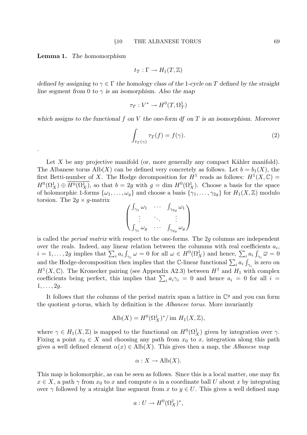Lemma 1. The homomorphism

.

$$
t_T:\Gamma\to H_1(T,\mathbb{Z})
$$

defined by assigning to  $\gamma \in \Gamma$  the homology class of the 1-cycle on T defined by the straight line segment from 0 to  $\gamma$  is an isomorphism. Also the map

$$
\tau_T: V^* \to H^0(T, \Omega^1_T)
$$

which assigns to the functional f on V the one-form  $df$  on T is an isomorphism. Moreover

$$
\int_{t_T(\gamma)} \tau_T(f) = f(\gamma). \tag{2}
$$

Let X be any projective manifold (or, more generally any compact Kähler manifold). The Albanese torus  $\text{Alb}(X)$  can be defined very concretely as follows. Let  $b = b_1(X)$ , the first Betti-number of X. The Hodge decomposition for  $H^1$  reads as follows:  $H^1(X,\mathbb{C}) =$  $H^0(\Omega_X^1) \oplus \overline{H^0(\Omega_X^1)}$ , so that  $b = 2g$  with  $g = \dim H^0(\Omega_X^1)$ . Choose a basis for the space of holomorphic 1-forms  $\{\omega_1,\ldots,\omega_g\}$  and choose a basis  $\{\gamma_1,\ldots,\gamma_{2g}\}$  for  $H_1(X,\mathbb{Z})$  modulo torsion. The  $2g \times g$ -matrix

$$
\begin{pmatrix}\n\int_{\gamma_1} \omega_1 & \cdots & \int_{\gamma_{2g}} \omega_1 \\
\vdots & \ddots & \vdots \\
\int_{\gamma_1} \omega_g & \cdots & \int_{\gamma_{2g}} \omega_g\n\end{pmatrix}
$$

is called the period matrix with respect to the one-forms. The 2g columns are independent over the reals. Indeed, any linear relation between the columns with real coefficients  $a_i$ ,  $i = 1, \ldots, 2g$  implies that  $\sum_i a_i \int_{\gamma_i} \omega = 0$  for all  $\omega \in H^0(\Omega_X^1)$  and hence,  $\sum_i a_i \int_{\gamma_i} \overline{\omega} = 0$ and the Hodge-decomposition then implies that the C-linear functional  $\sum_i a_i \int_{\gamma_i}$  is zero on  $H<sup>1</sup>(X, \mathbb{C})$ . The Kronecker pairing (see Appendix A2.3) between  $H<sup>1</sup>$  and  $H<sub>1</sub>$  with complex coefficients being perfect, this implies that  $\sum_i a_i \gamma_i = 0$  and hence  $a_i = 0$  for all  $i =$  $1, \ldots, 2g$ .

It follows that the columns of the period matrix span a lattice in  $\mathbb{C}^g$  and you can form the quotient g-torus, which by definition is the Albanese torus. More invariantly

$$
\text{Alb}(X) = H^0(\Omega_X^1)^*/\text{ im } H_1(X,\mathbb{Z}),
$$

where  $\gamma \in H_1(X,\mathbb{Z})$  is mapped to the functional on  $H^0(\Omega_X^1)$  given by integration over  $\gamma$ . Fixing a point  $x_0 \in X$  and choosing any path from  $x_0$  to x, integration along this path gives a well defined element  $\alpha(x) \in \text{Alb}(X)$ . This gives then a map, the Albanese map

$$
\alpha: X \to \text{Alb}(X).
$$

This map is holomorphic, as can be seen as follows. Since this is a local matter, one may fix  $x \in X$ , a path  $\gamma$  from  $x_0$  to x and compute  $\alpha$  in a coordinate ball U about x by integrating over  $\gamma$  followed by a straight line segment from x to  $y \in U$ . This gives a well defined map

$$
a: U \to H^0(\Omega^1_X)^*,
$$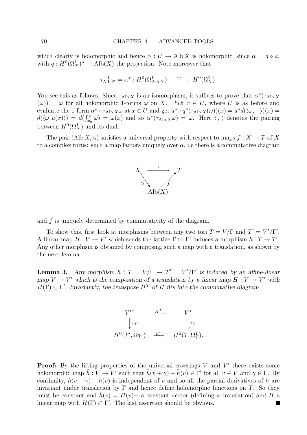which clearly is holomorphic and hence  $\alpha : U \to \text{Alb } X$  is holomorphic, since  $\alpha = q \circ a$ , with  $q: H^0(\Omega_X^1)^* \to Alb(X)$  the projection. Note moreover that

$$
\tau_{\text{Alb }X}^{-1} = \alpha^* : H^0(\Omega_{\text{Alb }X}^1) \xrightarrow{\simeq} H^0(\Omega_X^1).
$$

You see this as follows. Since  $\tau_{\text{Alb X}}$  is an isomorphism, it suffices to prove that  $\alpha^*(\tau_{\text{Alb X}})$  $(\omega)$ ) =  $\omega$  for all holomorphic 1-forms  $\omega$  on X. Pick  $x \in U$ , where U is as before and evaluate the 1-form  $\alpha^* \circ \tau_{\text{Alb } X} \omega$  at  $x \in U$  and get  $a^* \circ q^* (\tau_{\text{Alb } X}(\omega))(x) = a^* d(\langle \omega, - \rangle)(x) =$  $d(\langle \omega, a(x) \rangle) = d(\int_{x_0}^x \omega) = \omega(x)$  and so  $\alpha^*(\tau_{\text{Alb} X} \omega) = \omega$ . Here  $\langle , \rangle$  denotes the pairing between  $H^0(\Omega_X^1)$  and its dual.

The pair (Alb X,  $\alpha$ ) satisfies a universal property with respect to maps  $f: X \to T$  of X to a complex torus: such a map factors uniquely over  $\alpha$ , i.e there is a commutative diagram



and  $\tilde{f}$  is uniquely determined by commutativity of the diagram.

To show this, first look at morphisms between any two tori  $T = V/\Gamma$  and  $T' = V'/\Gamma'$ . A linear map  $H: V \to V'$  which sends the lattice  $\Gamma$  to  $\Gamma'$  induces a morphism  $h: T \to T'$ . Any other morphism is obtained by composing such a map with a translation, as shown by the next lemma.

**Lemma 3.** Any morphism  $h: T = V/\Gamma \rightarrow T' = V'/\Gamma'$  is induced by an affine-linear map  $V \to V'$  which is the composition of a translation by a linear map  $H: V \to V'$  with  $H(\Gamma) \subset \Gamma'$ . Invariantly, the transpose  $H^T$  of H fits into the commutative diagram



**Proof:** By the lifting properties of the universal coverings  $V$  and  $V'$  there exists some holomorphic map  $\bar{h}: V \to V'$  such that  $\bar{h}(v + \gamma) - \bar{h}(v) \in \bar{\Gamma}'$  for all  $v \in V$  and  $\gamma \in \Gamma$ . By continuity,  $\bar{h}(v + \gamma) - \bar{h}(v)$  is independent of v and so all the partial derivatives of  $\bar{h}$  are invariant under translation by  $\Gamma$  and hence define holomorphic functions on T. So they must be constant and  $h(v) = H(v) + a$  constant vector (defining a translation) and H a linear map with  $H(\Gamma) \subset \Gamma'$ . The last assertion should be obvious. П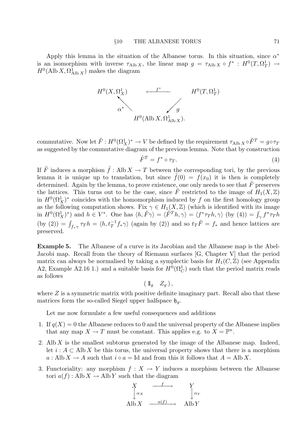Apply this lemma in the situation of the Albanese torus. In this situation, since  $\alpha^*$ is an isomorphism with inverse  $\tau_{\text{Alb X}}$ , the linear map  $g = \tau_{\text{Alb X}} \circ f^* : H^0(T, \Omega^1_T) \to$  $H^0(\text{Alb }X,\Omega^1_{\text{Alb }X})$  makes the diagram



commutative. Now let  $\tilde{F}: H^0(\Omega^1_X)^* \to V$  be defined by the requirement  $\tau_{\text{Alb X}} \circ \tilde{F}^T = g \circ \tau_T$ as suggested by the commutative diagram of the previous lemma. Note that by construction

$$
\tilde{F}^T = f^* \circ \tau_T. \tag{4}
$$

If  $\tilde{F}$  induces a morphism  $\tilde{f}$  : Alb  $X \to T$  between the corresponding tori, by the previous lemma it is unique up to translation, but since  $\tilde{f}(0) = f(x_0)$  it is then is completely determined. Again by the lemma, to prove existence, one only needs to see that  $\tilde{F}$  preserves the lattices. This turns out to be the case, since  $\tilde{F}$  restricted to the image of  $H_1(X,\mathbb{Z})$ in  $H^0(\Omega^1_X)^*$  coincides with the homomorphism induced by f on the first homology group as the following computation shows. Fix  $\gamma \in H_1(X,\mathbb{Z})$  (which is identified with its image in  $H^0(\Omega^1_X)^*$  and  $h \in V^*$ . One has  $\langle h, \tilde{F}\gamma \rangle = \langle \tilde{F}^T h, \gamma \rangle = \langle f^* \tau_T h, \gamma \rangle$  (by (4)) =  $\int_{\gamma} f^* \tau_T h$ (by (2)) =  $\int_{f_*\gamma} \tau T h = \langle h, t_T^{-1} f_* \gamma \rangle$  (again by (2)) and so  $t_T \tilde{F} = f_*$  and hence lattices are preserved.

Example 5. The Albanese of a curve is its Jacobian and the Albanese map is the Abel-Jacobi map. Recall from the theory of Riemann surfaces [G, Chapter V] that the period matrix can always be normalised by taking a symplectic basis for  $H_1(C,\mathbb{Z})$  (see Appendix A2, Example A2.16 1.) and a suitable basis for  $H^0(\Omega_C^1)$  such that the period matrix reads as follows

 $(\mathbb{1}_{q} Z_{q}),$ 

where  $Z$  is a symmetric matrix with positive definite imaginary part. Recall also that these matrices form the so-called Siegel upper halfspace  $\mathfrak{h}_g$ .

Let me now formulate a few useful consequences and additions

- 1. If  $q(X) = 0$  the Albanese reduces to 0 and the universal property of the Albanese implies that any map  $X \to T$  must be constant. This applies e.g. to  $X = \mathbb{P}^n$ .
- 2. Alb  $X$  is the smallest subtorus generated by the image of the Albanese map. Indeed, let  $i : A \subset \text{Alb } X$  be this torus, the universal property shows that there is a morphism  $a: \text{Alb } X \to A$  such that  $i \circ a = \text{Id}$  and from this it follows that  $A = \text{Alb } X$ .
- 3. Functoriality: any morphism  $f: X \to Y$  induces a morphism between the Albanese tori  $a(f)$ : Alb  $X \to$  Alb Y such that the diagram

$$
X\n\begin{array}{ccc}\nX & \xrightarrow{f} & Y \\
\downarrow \alpha_X & & \downarrow \alpha_Y \\
\text{Alb } X & \xrightarrow{a(f)} & \text{Alb } Y\n\end{array}
$$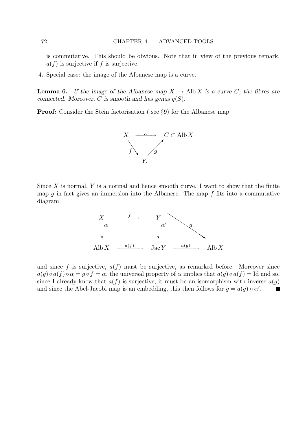is commutative. This should be obvious. Note that in view of the previous remark,  $a(f)$  is surjective if f is surjective.

4. Special case: the image of the Albanese map is a curve.

**Lemma 6.** If the image of the Albanese map  $X \to \text{Alb } X$  is a curve C, the fibres are connected. Moreover, C is smooth and has genus  $q(S)$ .

Proof: Consider the Stein factorisation ( see §9) for the Albanese map.



Since  $X$  is normal,  $Y$  is a normal and hence smooth curve. I want to show that the finite map g in fact gives an immersion into the Albanese. The map  $f$  fits into a commutative diagram



and since f is surjective,  $a(f)$  must be surjective, as remarked before. Moreover since  $a(g) \circ a(f) \circ \alpha = g \circ f = \alpha$ , the universal property of  $\alpha$  implies that  $a(g) \circ a(f) = \text{Id}$  and so, since I already know that  $a(f)$  is surjective, it must be an isomorphism with inverse  $a(g)$ and since the Abel-Jacobi map is an embedding, this then follows for  $g = a(g) \circ \alpha'$ .  $\blacksquare$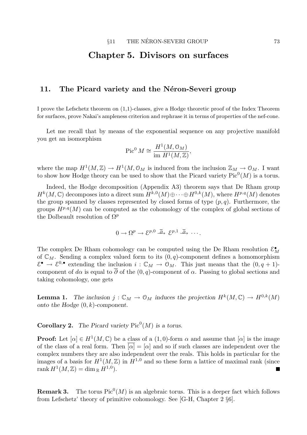# Chapter 5. Divisors on surfaces

# 11. The Picard variety and the Néron-Severi group

I prove the Lefschetz theorem on (1,1)-classes, give a Hodge theoretic proof of the Index Theorem for surfaces, prove Nakai's ampleness criterion and rephrase it in terms of properties of the nef-cone.

Let me recall that by means of the exponential sequence on any projective manifold you get an isomorphism

$$
\operatorname{Pic}^0 M \cong \frac{H^1(M, \mathcal{O}_M)}{\operatorname{im} H^1(M, \mathbb{Z})},
$$

where the map  $H^1(M, \mathbb{Z}) \to H^1(M, \mathbb{O}_M)$  is induced from the inclusion  $\mathbb{Z}_M \to \mathbb{O}_M$ . I want to show how Hodge theory can be used to show that the Picard variety  $Pic^0(M)$  is a torus.

Indeed, the Hodge decomposition (Appendix A3) theorem says that De Rham group  $H^k(M,\mathbb{C})$  decomposes into a direct sum  $H^{k,0}(M)\oplus\cdots\oplus H^{0,k}(M)$ , where  $H^{p,q}(M)$  denotes the group spanned by classes represented by closed forms of type  $(p, q)$ . Furthermore, the groups  $H^{p,q}(M)$  can be computed as the cohomology of the complex of global sections of the Dolbeault resolution of  $\Omega^p$ 

$$
0 \to \Omega^p \to \mathcal{E}^{p,0} \stackrel{\overline{\partial}}{\longrightarrow} \mathcal{E}^{p,1} \stackrel{\overline{\partial}}{\longrightarrow} \cdots
$$

The complex De Rham cohomology can be computed using the De Rham resolution  $\mathcal{E}_M^{\bullet}$ of  $\mathbb{C}_M$ . Sending a complex valued form to its  $(0, q)$ -component defines a homomorphism  $\mathcal{E}^{\bullet} \to \mathcal{E}^{0,\bullet}$  extending the inclusion  $i: \mathbb{C}_M \to \mathcal{O}_M$ . This just means that the  $(0, q+1)$ component of d $\alpha$  is equal to  $\overline{\partial}$  of the  $(0, q)$ -component of  $\alpha$ . Passing to global sections and taking cohomology, one gets

**Lemma 1.** The inclusion  $j : \mathbb{C}_M \to \mathbb{O}_M$  induces the projection  $H^k(M, \mathbb{C}) \to H^{0,k}(M)$ onto the Hodge  $(0, k)$ -component.

**Corollary 2.** The Picard variety  $Pic^0(M)$  is a torus.

**Proof:** Let  $[\alpha] \in H^1(M, \mathbb{C})$  be a class of a  $(1, 0)$ -form  $\alpha$  and assume that  $[\alpha]$  is the image of the class of a real form. Then  $\overline{|\alpha|} = |\alpha|$  and so if such classes are independent over the complex numbers they are also independent over the reals. This holds in particular for the images of a basis for  $H^1(M,\mathbb{Z})$  in  $H^{1,0}$  and so these form a lattice of maximal rank (since  $\operatorname*{rank}H^{1}(M,\mathbb{Z})=\dim_{\mathbb{R}}H^{1,0}).$ П

**Remark 3.** The torus  $Pic^0(M)$  is an algebraic torus. This is a deeper fact which follows from Lefschetz' theory of primitive cohomology. See [G-H, Chapter 2 §6].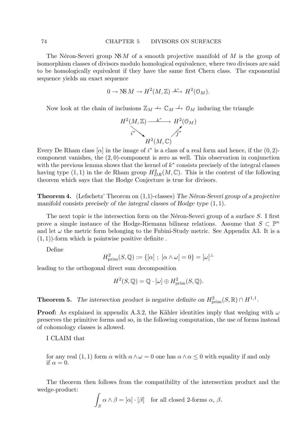The Néron-Severi group NS M of a smooth projective manifold of M is the group of isomorphism classes of divisors modulo homological equivalence, where two divisors are said to be homologically equivalent if they have the same first Chern class. The exponential sequence yields an exact sequence

$$
0 \to \text{NS } M \to H^2(M, \mathbb{Z}) \xrightarrow{k^*} H^2(\mathcal{O}_M).
$$

Now look at the chain of inclusions  $\mathbb{Z}_M \longrightarrow \mathbb{C}_M \longrightarrow \mathbb{O}_M$  inducing the triangle

$$
H^2(M, \mathbb{Z}) \xrightarrow{i^*} H^2(\mathbb{O}_M)
$$
  

$$
i^* \longrightarrow \qquad \qquad f^* \qquad \qquad
$$
  

$$
H^2(M, \mathbb{C})
$$

Every De Rham class [ $\alpha$ ] in the image of  $i^*$  is a class of a real form and hence, if the  $(0, 2)$ component vanishes, the (2, 0)-component is zero as well. This observation in conjunction with the previous lemma shows that the kernel of  $k^*$  consists precisely of the integral classes having type  $(1,1)$  in the de Rham group  $H^2_{DR}(M,\mathbb{C})$ . This is the content of the following theorem which says that the Hodge Conjecture is true for divisors.

**Theorem 4.** (Lefschetz' Theorem on  $(1,1)$ -classes) The Néron-Severi group of a projective manifold consists precisely of the integral classes of Hodge type (1, 1).

The next topic is the intersection form on the Néron-Severi group of a surface  $S$ . I first prove a simple instance of the Hodge-Riemann bilinear relations. Assume that  $S \subset \mathbb{P}^n$ and let  $\omega$  the metric form belonging to the Fubini-Study metric. See Appendix A3. It is a  $(1, 1)$ -form which is pointwise positive definite.

Define

$$
H_{\text{prim}}^2(S, \mathbb{Q}) := \{ [\alpha] \; ; \; [\alpha \wedge \omega] = 0 \} = [\omega]^\perp
$$

leading to the orthogonal direct sum decomposition

 $H^2(S, \mathbb{Q}) = \mathbb{Q} \cdot [\omega] \oplus H^2_{\text{prim}}(S, \mathbb{Q}).$ 

**Theorem 5.** The intersection product is negative definite on  $H_{\text{prim}}^2(S, \mathbb{R}) \cap H^{1,1}$ .

**Proof:** As explained in appendix A.3.2, the Kähler identities imply that wedging with  $\omega$ preserves the primitive forms and so, in the following computation, the use of forms instead of cohomology classes is allowed.

I CLAIM that

for any real (1, 1) form  $\alpha$  with  $\alpha \wedge \omega = 0$  one has  $\alpha \wedge \alpha \leq 0$  with equality if and only if  $\alpha = 0$ .

The theorem then follows from the compatibility of the intersection product and the wedge-product:

$$
\int_{S} \alpha \wedge \beta = [\alpha] \cdot [\beta] \text{ for all closed 2-forms } \alpha, \beta.
$$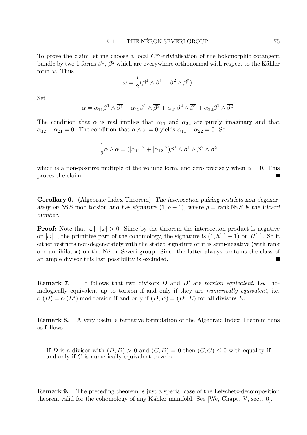To prove the claim let me choose a local  $C^{\infty}$ -trivialisation of the holomorphic cotangent bundle by two 1-forms  $\beta^1$ ,  $\beta^2$  which are everywhere orthonormal with respect to the Kähler form  $\omega$ . Thus

$$
\omega = \frac{i}{2}(\beta^1 \wedge \overline{\beta^1} + \beta^2 \wedge \overline{\beta^2}).
$$

Set

$$
\alpha = \alpha_{1\bar{1}}\beta^1 \wedge \overline{\beta^1} + \alpha_{1\bar{2}}\beta^1 \wedge \overline{\beta^2} + \alpha_{2\bar{1}}\beta^2 \wedge \overline{\beta^1} + \alpha_{2\bar{2}}\beta^2 \wedge \overline{\beta^2}.
$$

The condition that  $\alpha$  is real implies that  $\alpha_{1\bar{1}}$  and  $\alpha_{2\bar{2}}$  are purely imaginary and that  $\alpha_{1\bar{2}} + \overline{\alpha_{2\bar{1}}} = 0$ . The condition that  $\alpha \wedge \omega = 0$  yields  $\alpha_{1\bar{1}} + \alpha_{2\bar{2}} = 0$ . So

$$
\frac{1}{2}\alpha \wedge \alpha = (|\alpha_{1\bar{1}}|^2 + |\alpha_{1\bar{2}}|^2)\beta^1 \wedge \overline{\beta^1} \wedge \beta^2 \wedge \overline{\beta^2}
$$

which is a non-positive multiple of the volume form, and zero precisely when  $\alpha = 0$ . This proves the claim.

Corollary 6. (Algebraic Index Theorem) The intersection pairing restricts non-degenerately on NS S mod torsion and has signature  $(1, \rho - 1)$ , where  $\rho = \text{rank NS } S$  is the Picard number.

**Proof:** Note that  $[\omega] \cdot [\omega] > 0$ . Since by the theorem the intersection product is negative on  $[\omega]^{\perp}$ , the primitive part of the cohomology, the signature is  $(1, h^{1,1} - 1)$  on  $H^{1,1}$ . So it either restricts non-degenerately with the stated signature or it is semi-negative (with rank one annihilator) on the N´eron-Severi group. Since the latter always contains the class of an ample divisor this last possibility is excluded.

**Remark 7.** It follows that two divisors  $D$  and  $D'$  are torsion equivalent, i.e. homologically equivalent up to torsion if and only if they are *numerically equivalent*, i.e.  $c_1(D) = c_1(D')$  mod torsion if and only if  $(D, E) = (D', E)$  for all divisors E.

Remark 8. A very useful alternative formulation of the Algebraic Index Theorem runs as follows

If D is a divisor with  $(D, D) > 0$  and  $(C, D) = 0$  then  $(C, C) < 0$  with equality if and only if  $C$  is numerically equivalent to zero.

Remark 9. The preceding theorem is just a special case of the Lefschetz-decomposition theorem valid for the cohomology of any Kähler manifold. See [We, Chapt. V, sect.  $6$ ].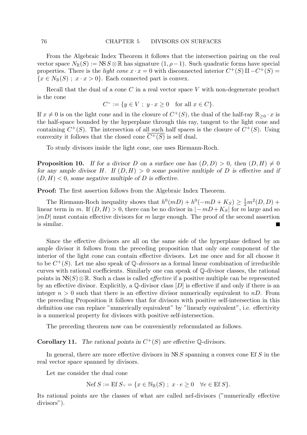From the Algebraic Index Theorem it follows that the intersection pairing on the real vector space  $N_{\mathbb{R}}(S) := \text{NS } S \otimes \mathbb{R}$  has signature  $(1, \rho - 1)$ . Such quadratic forms have special properties. There is the *light cone*  $x \cdot x = 0$  with disconnected interior  $C^+(S) \amalg -C^+(S)$  ${x \in N_{\mathbb{R}}(S)$ ;  $x \cdot x > 0}$ . Each connected part is convex.

Recall that the dual of a cone  $C$  in a real vector space  $V$  with non-degenerate product is the cone

$$
C^{\vee} := \{ y \in V \; ; \; y \cdot x \ge 0 \quad \text{for all } x \in C \}.
$$

If  $x \neq 0$  is on the light cone and in the closure of  $C^+(S)$ , the dual of the half-ray  $\mathbb{R}_{\geq 0} \cdot x$  is the half-space bounded by the hyperplane through this ray, tangent to the light cone and containing  $C^+(S)$ . The intersection of all such half spaces is the closure of  $C^+(S)$ . Using convexity it follows that the closed cone  $C^+(S)$  is self dual.

To study divisors inside the light cone, one uses Riemann-Roch.

**Proposition 10.** If for a divisor D on a surface one has  $(D, D) > 0$ , then  $(D, H) \neq 0$ for any ample divisor H. If  $(D, H) > 0$  some positive multiple of D is effective and if  $(D, H) < 0$ , some negative multiple of D is effective.

Proof: The first assertion follows from the Algebraic Index Theorem.

The Riemann-Roch inequality shows that  $h^0(mD) + h^0(-mD + K_S) \geq \frac{1}{2}m^2(D, D) +$ linear term in m. If  $(D, H) > 0$ , there can be no divisor in  $|-mD + K_S|$  for m large and so  $|mD|$  must contain effective divisors for m large enough. The proof of the second assertion is similar.

Since the effective divisors are all on the same side of the hyperplane defined by an ample divisor it follows from the preceding proposition that only one component of the interior of the light cone can contain effective divisors. Let me once and for all choose it to be  $C^+(S)$ . Let me also speak of Q-*divisors* as a formal linear combination of irreducible curves with rational coefficients. Similarly one can speak of Q-divisor classes, the rational points in  $NS(S) \otimes \mathbb{R}$ . Such a class is called *effective* if a positive multiple can be represented by an effective divisor. Explicitly, a  $\mathbb{O}-$  divisor class  $[D]$  is effective if and only if there is an integer  $n > 0$  such that there is an effective divisor numerically equivalent to  $nD$ . From the preceding Proposition it follows that for divisors with positive self-intersection in this definition one can replace "numerically equivalent" by "linearly equivalent", i.e. effectivity is a numerical property for divisors with positive self-intersection.

The preceding theorem now can be conveniently reformulated as follows.

**Corollary 11.** The rational points in  $C^+(S)$  are effective Q-divisors.

In general, there are more effective divisors in  $NS S$  spanning a convex cone Ef S in the real vector space spanned by divisors.

Let me consider the dual cone

$$
\text{Nef } S := \text{Ef } S_{\vee} = \{ x \in \mathbb{N}_{\mathbb{R}}(S) \; ; \; x \cdot e \ge 0 \quad \forall e \in \text{Ef } S \}.
$$

Its rational points are the classes of what are called nef-divisors ("numerically effective divisors").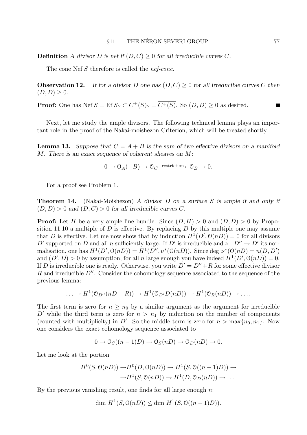**Definition** A divisor D is nef if  $(D, C) > 0$  for all irreducible curves C.

The cone Nef S therefore is called the *nef-cone*.

**Observation 12.** If for a divisor D one has  $(D, C) \geq 0$  for all irreducible curves C then  $(D, D) \geq 0.$ 

**Proof:** One has Nef  $S = \text{Ef } S \vee \subset C^+(S) \vee \subset \overline{C^+(S)}$ . So  $(D, D) \geq 0$  as desired.

Next, let me study the ample divisors. The following technical lemma plays an important role in the proof of the Nakai-moishezon Criterion, which will be treated shortly.

**Lemma 13.** Suppose that  $C = A + B$  is the sum of two effective divisors on a manifold M. There is an exact sequence of coherent sheaves on M:

$$
0 \to \mathcal{O}_A(-B) \to \mathcal{O}_C \longrightarrow^{\text{restriction}} \mathcal{O}_B \to 0.
$$

For a proof see Problem 1.

**Theorem 14.** (Nakai-Moishezon) A divisor D on a surface S is ample if and only if  $(D, D) > 0$  and  $(D, C) > 0$  for all irreducible curves C.

**Proof:** Let H be a very ample line bundle. Since  $(D, H) > 0$  and  $(D, D) > 0$  by Proposition 11.10 a multiple of  $D$  is effective. By replacing  $D$  by this multiple one may assume that D is effective. Let me now show that by induction  $H^1(D', \mathcal{O}(n)) = 0$  for all divisors D' supported on D and all n sufficiently large. If D' is irreducible and  $\nu : D'' \to D'$  its normalisation, one has  $H^1(D', \mathcal{O}(n)) = H^1(D'', \nu^*(\mathcal{O}(n))$ . Since deg  $\nu^*(\mathcal{O}(n)) = n(D, D')$ and  $(D', D) > 0$  by assumption, for all n large enough you have indeed  $H^1(D', \mathcal{O}(n)) = 0$ . If D is irreducible one is ready. Otherwise, you write  $D' = D'' + R$  for some effective divisor R and irreducible  $D''$ . Consider the cohomology sequence associated to the sequence of the previous lemma:

$$
\ldots \to H^1(\mathcal{O}_{D''}(nD - R)) \to H^1(\mathcal{O}_{D'}(nD)) \to H^1(\mathcal{O}_R(nD)) \to \ldots
$$

The first term is zero for  $n \geq n_0$  by a similar argument as the argument for irreducible D' while the third term is zero for  $n > n_1$  by induction on the number of components (counted with multiplicity) in D'. So the middle term is zero for  $n > \max\{n_0, n_1\}$ . Now one considers the exact cohomology sequence associated to

$$
0 \to \mathcal{O}_S((n-1)D) \to \mathcal{O}_S(nD) \to \mathcal{O}_D(nD) \to 0.
$$

Let me look at the portion

$$
H^{0}(S, \mathcal{O}(nD)) \to H^{0}(D, \mathcal{O}(nD)) \to H^{1}(S, \mathcal{O}((n-1)D)) \to
$$
  

$$
\to H^{1}(S, \mathcal{O}(nD)) \to H^{1}(D, \mathcal{O}_{D}(nD)) \to \dots
$$

By the previous vanishing result, one finds for all large enough  $n$ :

$$
\dim H^1(S, \mathcal{O}(nD)) \le \dim H^1(S, \mathcal{O}((n-1)D)).
$$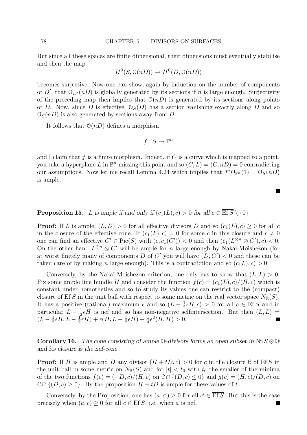But since all these spaces are finite dimensional, their dimensions must eventually stabilise and then the map

$$
H^0(S, \mathcal{O}(nD)) \to H^0(D, \mathcal{O}(nD))
$$

becomes surjective. Now one can show, again by induction on the number of components of D', that  $\mathcal{O}_{D'}(n)$  is globally generated by its sections if n is large enough. Surjectivity of the preceding map then implies that  $\mathcal{O}(n)$  is generated by its sections along points of D. Now, since D is effective,  $\mathcal{O}_S(D)$  has a section vanishing exactly along D and so  $\mathcal{O}_S(n)$  is also generated by sections away from D.

It follows that  $O(nD)$  defines a morphism

$$
f: S \to \mathbb{P}^n
$$

and I claim that  $f$  is a finite morphism. Indeed, if  $C$  is a curve which is mapped to a point, you take a hyperplane L in  $\mathbb{P}^n$  missing this point and so  $(C, L) = (C, nD) = 0$  contradicting our assumptions. Now let me recall Lemma 4.24 which implies that  $f^*O_{\mathbb{P}^n}(1) = O_S(nD)$ is ample.

**Proposition 15.** L is ample if and only if  $(c_1(L), c) > 0$  for all  $c \in \overline{Efs} \setminus \{0\}$ 

**Proof:** If L is ample,  $(L, D) > 0$  for all effective divisors D and so  $(c_1(L), c) \geq 0$  for all c in the closure of the effective cone. If  $(c_1(L), c) = 0$  for some c in this closure and  $c \neq 0$ one can find an effective  $C' \in Pic(S)$  with  $(c, c_1(C')) < 0$  and then  $(c_1(L^{\otimes n} \otimes C'), c) < 0$ . On the other hand  $L^{\otimes n} \otimes C'$  will be ample for n large enough by Nakai-Moishezon (for at worst finitely many of components D of C' you will have  $(D, C') < 0$  and these can be taken care of by making n large enough). This is a contradiction and so  $(c_1L), c$  > 0.

Conversely, by the Nakai-Moishezon criterion, one only has to show that  $(L, L) > 0$ . Fix some ample line bundle H and consider the function  $f(c) = (c_1(L), c)/(H, c)$  which is constant under homotheties and so to study its values one can restrict to the (compact) closure of Ef S in the unit ball with respect to some metric on the real vector space  $N_{\mathbb{R}}(S)$ . It has a positive (rational) maximum  $\epsilon$  and so  $(L-\frac{1}{2})$  $\frac{1}{2} \epsilon H, c$  > 0 for all  $c \in \text{Ef } S$  and in particular  $L-\frac{1}{2}$  $\frac{1}{2} \epsilon H$  is nef and so has non-negative selfintersection. But then  $(L, L)$  =  $(L - \frac{1}{2})$  $\frac{1}{2}\epsilon H, L-\frac{1}{2}$  $\frac{1}{2}\epsilon H$ ) +  $\epsilon(H,L-\frac{1}{2})$  $\frac{1}{2} \epsilon H$ ) +  $\frac{1}{4} \epsilon^2(H, H) > 0.$ ш

**Corollary 16.** The cone consisting of ample Q-divisors forms an open subset in NS  $S \otimes \mathbb{Q}$ and its closure is the nef-cone.

**Proof:** If H is ample and D any divisor  $(H + tD, c) > 0$  for c in the closure C of Ef S in the unit ball in some metric on  $N_{\mathbb{R}}(S)$  and for  $|t| < t_0$  with  $t_0$  the smaller of the minima of the two functions  $f(c) = (-D, c)/(H, c)$  on  $\mathcal{C} \cap \{(D, c) \leq 0\}$  and  $g(c) = (H, c)/(D, c)$  on  $\mathcal{C} \cap \{(D, c) > 0\}$ . By the proposition  $H + tD$  is ample for these values of t.

Conversely, by the Proposition, one has  $(a, c') \geq 0$  for all  $c' \in \overline{\text{Ef } S}$ . But this is the case precisely when  $(a, c) \geq 0$  for all  $c \in \text{Ef } S$ , i.e. when a is nef.

 $\blacksquare$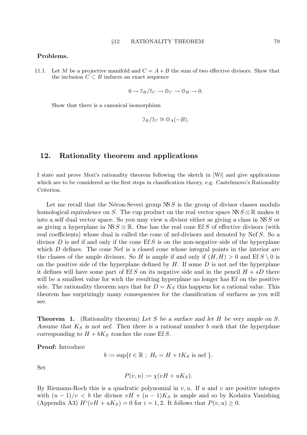### Problems.

11.1. Let M be a projective manifold and  $C = A + B$  the sum of two effective divisors. Show that the inclusion  $C \subset B$  induces an exact sequence

$$
0 \to \mathcal{I}_B / \mathcal{I}_C \to \mathcal{O}_C \to \mathcal{O}_B \to 0.
$$

Show that there is a canonical isomorphism

$$
\mathfrak{I}_B/\mathfrak{I}_C \cong \mathfrak{O}_A(-B).
$$

# 12. Rationality theorem and applications

I state and prove Mori's rationality theorem following the sketch in [Wi] and give applications which are to be considered as the first steps in classification theory, e.g. Castelnuovo's Rationality Criterion.

Let me recall that the Néron-Severi group  $NS S$  is the group of divisor classes modulo homological equivalence on S. The cup product on the real vector space  $NS S \otimes \mathbb{R}$  makes it into a self dual vector space. So you may view a divisor either as giving a class in NS S or as giving a hyperplane in  $NS S \otimes \mathbb{R}$ . One has the real cone Ef S of effective divisors (with real coefficients) whose dual is called the cone of nef-divisors and denoted by Nef S. So a divisor D is nef if and only if the cone Ef S is on the non-negative side of the hyperplane which D defines. The cone Nef is a closed cone whose integral points in the interior are the classes of the ample divisors. So H is ample if and only if  $(H, H) > 0$  and Ef  $S \setminus 0$  is on the positive side of the hyperplane defined by  $H$ . If some  $D$  is not nef the hyperplane it defines will have some part of Ef S on its negative side and in the pencil  $H + sD$  there will be a smallest value for wich the resulting hyperplane no longer has Ef on the positive side. The rationality theorem says that for  $D = K<sub>S</sub>$  this happens for a rational value. This theorem has surprizingly many consequences for the classification of surfaces as you will see.

**Theorem 1.** (Rationality theorem) Let S be a surface and let H be very ample on S. Assume that  $K<sub>S</sub>$  is not nef. Then there is a rational number b such that the hyperplane corresponding to  $H + bK_S$  touches the cone Ef S.

Proof: Introduce

$$
b := \sup\{t \in \mathbb{R} \; ; \; H_t = H + tK_S \text{ is nef } \}.
$$

Set

$$
P(v, u) := \chi(vH + uK_S).
$$

By Riemann-Roch this is a quadratic polynomial in  $v, u$ . If u and v are positive integers with  $(u - 1)/v < b$  the divisor  $vH + (u - 1)K<sub>S</sub>$  is ample and so by Kodaira Vanishing (Appendix A3)  $H^{i}(vH + uK_S) = 0$  for  $i = 1, 2$ . It follows that  $P(v, u) \ge 0$ .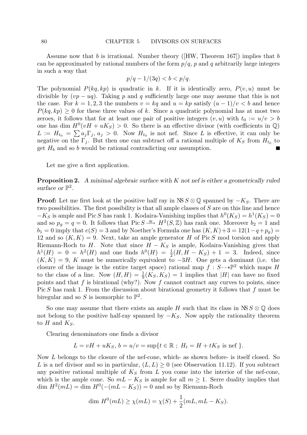Assume now that b is irrational. Number theory ( $[HW,$  Theorem 167) implies that b can be approximated by rational numbers of the form  $p/q$ , p and q arbitrarily large integers in such a way that

$$
p/q - 1/(3q) < b < p/q.
$$

The polynomial  $P(kq, kp)$  is quadratic in k. If it is identically zero,  $P(v, u)$  must be divisible by  $(vp - uq)$ . Taking p and q sufficiently large one may assume that this is not the case. For  $k = 1, 2, 3$  the numbers  $v = kq$  and  $u = kp$  satisfy  $(u - 1)/v < b$  and hence  $P(kq, kp) \geq 0$  for these three values of k. Since a quadratic polynomial has at most two zeroes, it follows that for at least one pair of positive integers  $(v, u)$  with  $t_0 := u/v > b$ one has dim  $H^0(vH + uK_S) > 0$ . So there is an effective divisor (with coefficients in  $\mathbb{Q}$ )  $L := H_{t_0} = \sum a_j \Gamma_j, a_j > 0$ . Now  $H_{t_0}$  is not nef. Since L is effective, it can only be negative on the  $\Gamma_j$ . But then one can subtract off a rational multiple of  $K_S$  from  $H_{t_0}$  to get  $H_b$  and so b would be rational contradicting our assumption.

Let me give a first application.

**Proposition 2.** A minimal algebraic surface with K not nef is either a geometrically ruled surface or  $\mathbb{P}^2$ .

**Proof:** Let me first look at the positive half ray in NS  $S \otimes \mathbb{Q}$  spanned by  $-K_S$ . There are two possibilities. The first possibility is that all ample classes of S are on this line and hence  $-K_S$  is ample and Pic S has rank 1. Kodaira-Vanishing implies that  $h^0(K_S) = h^1(K_S) = 0$ and so  $p_g = q = 0$ . It follows that Pic  $S \cong H^2(S, \mathbb{Z})$  has rank one. Moreover  $b_2 = 1$  and  $b_1 = 0$  imply that  $e(S) = 3$  and by Noether's Formula one has  $(K, K) + 3 = 12(1-q+p_g) =$ 12 and so  $(K, K) = 9$ . Next, take an ample generator H of Pic S mod torsion and apply Riemann-Roch to H. Note that since  $H - K_S$  is ample, Kodaira-Vanishing gives that  $h^{1}(H) = 0 = h^{2}(H)$  and one finds  $h^{0}(H) = \frac{1}{2}(H, H - K_{S}) + 1 = 3$ . Indeed, since  $(K, K) = 9$ , K must be numerically equivalent to  $-3H$ . One gets a dominant (i.e. the closure of the image is the entire target space) rational map  $f: S \rightarrow \mathbb{P}^2$  which maps H to the class of a line. Now  $(H, H) = \frac{1}{9}(K_S, K_S) = 1$  implies that |H| can have no fixed points and that f is birational (why?). Now f cannot contract any curves to points, since Pic S has rank 1. From the discussion about birational geometry it follows that f must be biregular and so S is isomorphic to  $\mathbb{P}^2$ .

So one may assume that there exists an ample H such that its class in  $NS S \otimes \mathbb{Q}$  does not belong to the positive half-ray spanned by  $-K<sub>S</sub>$ . Now apply the rationality theorem to  $H$  and  $K_S$ .

Clearing denominators one finds a divisor

$$
L = vH + uK_S
$$
,  $b = u/v = \sup\{t \in \mathbb{R}$ ;  $H_t = H + tK_S$  is nef $\}.$ 

Now L belongs to the closure of the nef-cone, which- as shown before- is itself closed. So L is a nef divisor and so in particular,  $(L, L) \geq 0$  (see Observation 11.12). If you subtract any positive rational multiple of  $K<sub>S</sub>$  from L you come into the interior of the nef-cone, which is the ample cone. So  $mL - K_S$  is ample for all  $m \geq 1$ . Serre duality implies that dim  $H^2(mL) = \dim H^0(-mL - K_S) = 0$  and so by Riemann-Roch

$$
\dim H^{0}(mL) \ge \chi(mL) = \chi(S) + \frac{1}{2}(mL, mL - K_{S}).
$$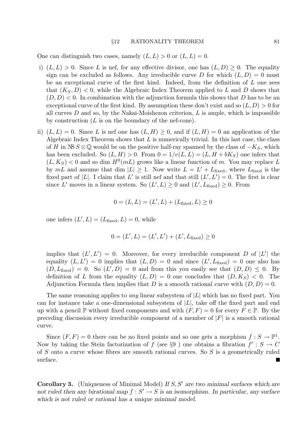One can distinguish two cases, namely  $(L, L) > 0$  or  $(L, L) = 0$ .

- i)  $(L, L) > 0$ . Since L is nef, for any effective divisor, one has  $(L, D) > 0$ . The equality sign can be excluded as follows. Any irreducible curve D for which  $(L, D) = 0$  must be an exceptional curve of the first kind. Indeed, from the definition of  $L$  one sees that  $(K_S, D) < 0$ , while the Algebraic Index Theorem applied to L and D shows that  $(D, D)$  < 0. In combination with the adjunction formula this shows that D has to be an exceptional curve of the first kind. By assumption these don't exist and so  $(L, D) > 0$  for all curves  $D$  and so, by the Nakai-Moishezon criterion,  $L$  is ample, which is impossible by construction  $(L \text{ is on the boundary of the nef-cone}).$
- ii)  $(L, L) = 0$ . Since L is nef one has  $(L, H) \geq 0$ , and if  $(L, H) = 0$  an application of the Algebraic Index Theorem shows that  $L$  is numerically trivial. In this last case, the class of H in NS  $S \otimes \mathbb{Q}$  would be on the positive half-ray spanned by the class of  $-K_S$ , which has been excluded. So  $(L, H) > 0$ . From  $0 = 1/v(L, L) = (L, H + bK_S)$  one infers that  $(L, K_S) < 0$  and so dim  $H^0(mL)$  grows like a linear function of m. You may replace L by  $mL$  and assume that dim  $|L| \geq 1$ . Now write  $L = L' + L_{\text{fixed}}$ , where  $L_{\text{fixed}}$  is the fixed part of |L|. I claim that L' is still nef and that still  $(L', L') = 0$ . The first is clear since L' moves in a linear system. So  $(L', L) \geq 0$  and  $(L', L_{\text{fixed}}) \geq 0$ . From

$$
0 = (L, L) = (L', L) + (Lfixed, L) \ge 0
$$

one infers  $(L', L) = (L_{\text{fixed}}, L) = 0$ , while

$$
0 = (L', L) = (L', L') + (L', L_{\text{fixed}}) \ge 0
$$

implies that  $(L', L') = 0$ . Moreover, for every irreducible component D of |L'| the equality  $(L, L') = 0$  implies that  $(L, D) = 0$  and since  $(L', L_{\text{fixed}}) = 0$  one also has  $(D, L_{\text{fixed}}) = 0$ . So  $(L', D) = 0$  and from this you easily see that  $(D, D) \leq 0$ . By definition of L from the equality  $(L, D) = 0$  one concludes that  $(D, K_S) < 0$ . The Adjunction Formula then implies that D is a smooth rational curve with  $(D, D) = 0$ .

The same reasoning applies to *any* linear subsystem of  $|L|$  which has no fixed part. You can for instance take a one-dimensional subsystem of  $|L|$ , take off the fixed part and end up with a pencil P without fixed components and with  $(F, F) = 0$  for every  $F \in \mathbb{P}$ . By the preceding discussion every irreducible component of a member of  $|F|$  is a smooth rational curve.

Since  $(F, F) = 0$  there can be no fixed points and so one gets a morphism  $f: S \to \mathbb{P}^1$ . Now by taking the Stein factorization of f (see §9) one obtains a fibration  $f': S \to C$ of S onto a curve whose fibres are smooth rational curves. So S is a geometrically ruled surface.

**Corollary 3.** (Uniqueness of Minimal Model) If  $S$ ,  $S'$  are two minimal surfaces which are not ruled then any birational map  $f: S' \to S$  is an isomorphism. In particular, any surface which is not ruled or rational has a unique minimal model.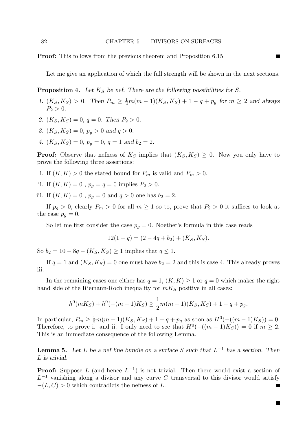Proof: This follows from the previous theorem and Proposition 6.15

Let me give an application of which the full strength will be shown in the next sections.

**Proposition 4.** Let  $K_S$  be nef. There are the following possibilities for S.

- 1.  $(K_S, K_S) > 0$ . Then  $P_m \ge \frac{1}{2}m(m-1)(K_S, K_S) + 1 q + p_g$  for  $m \ge 2$  and always  $P_2 > 0.$
- 2.  $(K_S, K_S) = 0, q = 0$ . Then  $P_2 > 0$ .
- 3.  $(K_S, K_S) = 0, p_q > 0$  and  $q > 0$ .
- 4.  $(K_S, K_S) = 0, p_q = 0, q = 1$  and  $b_2 = 2$ .

**Proof:** Observe that nefness of  $K_S$  implies that  $(K_S, K_S) \geq 0$ . Now you only have to prove the following three assertions:

- i. If  $(K, K) > 0$  the stated bound for  $P_m$  is valid and  $P_m > 0$ .
- ii. If  $(K, K) = 0$ ,  $p_q = q = 0$  implies  $P_2 > 0$ .

iii. If  $(K, K) = 0$ ,  $p_q = 0$  and  $q > 0$  one has  $b_2 = 2$ .

If  $p_q > 0$ , clearly  $P_m > 0$  for all  $m \ge 1$  so to, prove that  $P_2 > 0$  it suffices to look at the case  $p_g = 0$ .

So let me first consider the case  $p_q = 0$ . Noether's formula in this case reads

$$
12(1 - q) = (2 - 4q + b_2) + (K_S, K_S).
$$

So  $b_2 = 10 - 8q - (K_S, K_S) \ge 1$  implies that  $q \le 1$ .

If  $q = 1$  and  $(K_S, K_S) = 0$  one must have  $b_2 = 2$  and this is case 4. This already proves iii.

In the remaining cases one either has  $q = 1$ ,  $(K, K) > 1$  or  $q = 0$  which makes the right hand side of the Riemann-Roch inequality for  $mK_S$  positive in all cases:

$$
h^0(mK_S) + h^0(-(m-1)K_S) \ge \frac{1}{2}m(m-1)(K_S, K_S) + 1 - q + p_g.
$$

In particular,  $P_m \ge \frac{1}{2}m(m-1)(K_S, K_S) + 1 - q + p_g$  as soon as  $H^0(-(m-1)K_S)) = 0$ . Therefore, to prove i. and ii. I only need to see that  $H^0(-(m-1)K_S)) = 0$  if  $m \geq 2$ . This is an immediate consequence of the following Lemma.

**Lemma 5.** Let L be a nef line bundle on a surface S such that  $L^{-1}$  has a section. Then L is trivial.

**Proof:** Suppose L (and hence  $L^{-1}$ ) is not trivial. Then there would exist a section of  $L^{-1}$  vanishing along a divisor and any curve C transversal to this divisor would satisfy  $-(L, C) > 0$  which contradicts the nefness of L.

П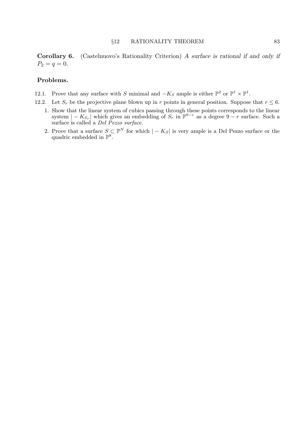Corollary 6. (Castelnuovo's Rationality Criterion) A surface is rational if and only if  $P_2 = q = 0.$ 

# Problems.

- 12.1. Prove that any surface with S minimal and  $-K_S$  ample is either  $\mathbb{P}^2$  or  $\mathbb{P}^1 \times \mathbb{P}^1$ .
- 12.2. Let  $S_r$  be the projective plane blown up in r points in general position. Suppose that  $r \leq 6$ .
	- 1. Show that the linear system of cubics passing through these points corresponds to the linear system  $|-K_{S_r}|$  which gives an embedding of  $S_r$  in  $\mathbb{P}^{9-r}$  as a degree  $9-r$  surface. Such a surface is called a Del Pezzo surface.
	- 2. Prove that a surface  $S \subset \mathbb{P}^N$  for which  $|-K_S|$  is very ample is a Del Pezzo surface or the quadric embedded in  $\mathbb{P}^8$ .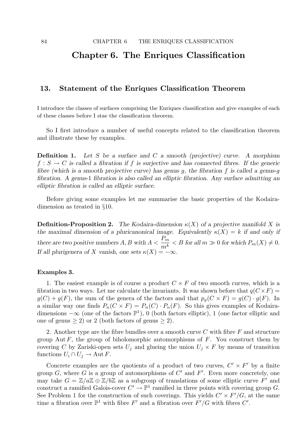# Chapter 6. The Enriques Classification

# 13. Statement of the Enriques Classification Theorem

I introduce the classes of surfaces comprising the Enriques classification and give examples of each of these classes before I stae the classification theorem.

So I first introduce a number of useful concepts related to the classification theorem and illustrate these by examples.

**Definition 1.** Let S be a surface and C a smooth (projective) curve. A morphism  $f : S \to C$  is called a fibration if f is surjective and has connected fibres. If the generic fibre (which is a smooth projective curve) has genus q, the fibration f is called a genus-q fibration. A genus-1 fibration is also called an elliptic fibration. Any surface admitting an elliptic fibration is called an elliptic surface.

Before giving some examples let me summarise the basic properties of the Kodairadimension as treated in §10.

**Definition-Proposition 2.** The Kodaira-dimension  $\kappa(X)$  of a projective manifold X is the maximal dimension of a pluricanonical image. Equivalently  $\kappa(X) = k$  if and only if there are two positive numbers  $A, B$  with  $A < \frac{P_m}{h}$  $\frac{m}{m^k}$  < B for all  $m \gg 0$  for which  $P_m(X) \neq 0$ . If all plurigenera of X vanish, one sets  $\kappa(X) = -\infty$ .

## Examples 3.

1. The easiest example is of course a product  $C \times F$  of two smooth curves, which is a fibration in two ways. Let me calculate the invariants. It was shown before that  $q(C\times F)$  =  $g(C) + g(F)$ , the sum of the genera of the factors and that  $p_q(C \times F) = g(C) \cdot g(F)$ . In a similar way one finds  $P_n(C \times F) = P_n(C) \cdot P_n(F)$ . So this gives examples of Kodairadimensions  $-\infty$  (one of the factors  $\mathbb{P}^1$ ), 0 (both factors elliptic), 1 (one factor elliptic and one of genus  $> 2$ ) or 2 (both factors of genus  $> 2$ ).

2. Another type are the fibre bundles over a smooth curve  $C$  with fibre  $F$  and structure group Aut  $F$ , the group of biholomorphic automorphisms of  $F$ . You construct them by covering C by Zariski-open sets  $U_j$  and glueing the union  $U_j \times F$  by means of transition functions  $U_i \cap U_j \to \text{Aut } F$ .

Concrete examples are the quotients of a product of two curves,  $C' \times F'$  by a finite group  $G$ , where  $G$  is a group of automorphisms of  $C'$  and  $F'$ . Even more concretely, one may take  $G = \mathbb{Z}/a\mathbb{Z} \oplus \mathbb{Z}/b\mathbb{Z}$  as a subgroup of translations of some elliptic curve F' and construct a ramified Galois-cover  $C' \to \mathbb{P}^1$  ramified in three points with covering group G. See Problem 1 for the construction of such coverings. This yields  $C' \times F'/G$ , at the same time a fibration over  $\mathbb{P}^1$  with fibre F' and a fibration over  $F'/G$  with fibres C'.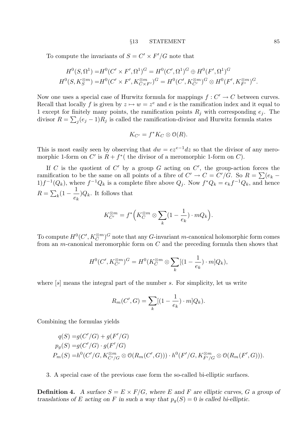#### §13 STATEMENT 85

To compute the invariants of  $S = C' \times F'/G$  note that

$$
H^{0}(S, \Omega^{1}) = H^{0}(C' \times F', \Omega^{1})^{G} = H^{0}(C', \Omega^{1})^{G} \oplus H^{0}(F', \Omega^{1})^{G}
$$
  

$$
H^{0}(S, K_{S}^{\otimes m}) = H^{0}(C' \times F', K_{C \times F'}^{\otimes m})^{G} = H^{0}(C', K_{C'}^{\otimes m})^{G} \otimes H^{0}(F', K_{F'}^{\otimes m})^{G}.
$$

Now one uses a special case of Hurwitz formula for mappings  $f: C' \to C$  between curves. Recall that locally f is given by  $z \mapsto w = z^e$  and e is the ramification index and it equal to 1 except for finitely many points, the ramification points  $R_i$  with corresponding  $e_i$ . The divisor  $R = \sum_j (e_j - 1)R_j$  is called the ramification-divisor and Hurwitz formula states

$$
K_{C'} = f^* K_C \otimes \mathcal{O}(R).
$$

This is most easily seen by observing that  $dw = e z^{e-1} dz$  so that the divisor of any meromorphic 1-form on C' is  $R + f^*$  (the divisor of a meromorphic 1-form on C).

If C is the quotient of C' by a group G acting on C', the group-action forces the ramification to be the same on all points of a fibre of  $C' \rightarrow C = C'/G$ . So  $R = \sum_{k=0}^{n} (e_k - e_k)$  $1$  $f^{-1}(Q_k)$ , where  $f^{-1}Q_k$  is a complete fibre above  $Q_j$ . Now  $f^*Q_k = e_k f^{-1}Q_k$ , and hence  $R = \sum_{k} (1 - \frac{1}{e})$  $e_k$  $\big)Q_k$ . It follows that

$$
K_{C'}^{\otimes m} = f^* \Big( K_C^{\otimes m} \otimes \sum_k (1 - \frac{1}{e_k}) \cdot m Q_k \Big).
$$

To compute  $H^0(C', K_C^{\otimes m})^G$  note that any G-invariant m-canonical holomorphic form comes from an *m*-canonical meromorphic form on  $C$  and the preceding formula then shows that

$$
H^{0}(C', K_{C'}^{\otimes m})^{G} = H^{0}(K_{C}^{\otimes m} \otimes \sum_{k} [(1 - \frac{1}{e_{k}}) \cdot m] Q_{k}),
$$

where  $[s]$  means the integral part of the number s. For simplicity, let us write

$$
R_m(C', G) = \sum_{k} [(1 - \frac{1}{e_k}) \cdot m] Q_k).
$$

Combining the formulas yields

$$
q(S) = g(C'/G) + g(F'/G)
$$
  
\n
$$
p_g(S) = g(C'/G) \cdot g(F'/G)
$$
  
\n
$$
P_m(S) = h^0(C'/G, K_{C'/G}^{\otimes m} \otimes \mathcal{O}(R_m(C', G))) \cdot h^0(F'/G, K_{F'/G}^{\otimes m} \otimes \mathcal{O}(R_m(F', G))).
$$

3. A special case of the previous case form the so-called bi-elliptic surfaces.

**Definition 4.** A surface  $S = E \times F/G$ , where E and F are elliptic curves, G a group of translations of E acting on F in such a way that  $p_g(S) = 0$  is called bi-elliptic.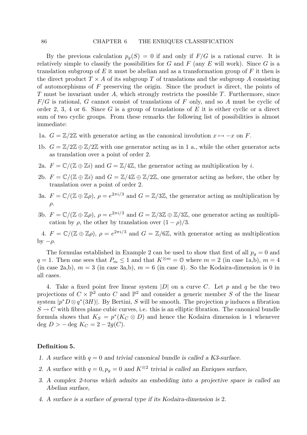By the previous calculation  $p_q(S) = 0$  if and only if  $F/G$  is a rational curve. It is relatively simple to classify the possibilities for G and F (any E will work). Since G is a translation subgroup of E it must be abelian and as a transformation group of  $F$  it then is the direct product  $T \times A$  of its subgroup T of translations and the subgroup A consisting of automorphisms of  $F$  preserving the origin. Since the product is direct, the points of T must be invariant under A, which strongly restricts the possible  $T$ . Furthermore, since  $F/G$  is rational, G cannot consist of translations of F only, and so A must be cyclic of order 2, 3, 4 or 6. Since G is a group of translations of E it is either cyclic or a direct sum of two cyclic groups. From these remarks the following list of possibilities is almost immediate:

- 1a.  $G = \mathbb{Z}/2\mathbb{Z}$  with generator acting as the canonical involution  $x \mapsto -x$  on F.
- 1b.  $G = \mathbb{Z}/2\mathbb{Z} \oplus \mathbb{Z}/2\mathbb{Z}$  with one generator acting as in 1 a., while the other generator acts as translation over a point of order 2.
- 2a.  $F = \mathbb{C}/(\mathbb{Z} \oplus \mathbb{Z}i)$  and  $G = \mathbb{Z}/4\mathbb{Z}$ , the generator acting as multiplication by i.
- 2b.  $F = \mathbb{C}/(\mathbb{Z} \oplus \mathbb{Z}i)$  and  $G = \mathbb{Z}/4\mathbb{Z} \oplus \mathbb{Z}/2\mathbb{Z}$ , one generator acting as before, the other by translation over a point of order 2.
- 3a.  $F = \mathbb{C}/(\mathbb{Z} \oplus \mathbb{Z} \rho)$ ,  $\rho = e^{2\pi i/3}$  and  $G = \mathbb{Z}/3\mathbb{Z}$ , the generator acting as multiplication by  $\rho$ .
- 3b.  $F = \mathbb{C}/(\mathbb{Z} \oplus \mathbb{Z} \rho)$ ,  $\rho = e^{2\pi i/3}$  and  $G = \mathbb{Z}/3\mathbb{Z} \oplus \mathbb{Z}/3\mathbb{Z}$ , one generator acting as multiplication by  $\rho$ , the other by translation over  $(1 - \rho)/3$ .

4.  $F = \mathbb{C}/(\mathbb{Z} \oplus \mathbb{Z} \rho)$ ,  $\rho = e^{2\pi i/3}$  and  $G = \mathbb{Z}/6\mathbb{Z}$ , with generator acting as multiplication by  $-\rho$ .

The formulas established in Example 2 can be used to show that first of all  $p_g = 0$  and  $q = 1$ . Then one sees that  $P_m \leq 1$  and that  $K^{\otimes m} = 0$  where  $m = 2$  (in case 1a,b),  $m = 4$ (in case 2a,b),  $m = 3$  (in case 3a,b),  $m = 6$  (in case 4). So the Kodaira-dimension is 0 in all cases.

4. Take a fixed point free linear system  $|D|$  on a curve C. Let p and q be the two projections of  $C \times \mathbb{P}^2$  onto C and  $\mathbb{P}^2$  and consider a generic member S of the the linear system  $|p^*D \otimes q^*(3H)|$ . By Bertini, S will be smooth. The projection p induces a fibration  $S \to C$  with fibres plane cubic curves, i.e. this is an elliptic fibration. The canonical bundle formula shows that  $K_S = p^*(K_C \otimes D)$  and hence the Kodaira dimension is 1 whenever deg  $D > -$  deg  $K_C = 2 - 2g(C)$ .

## Definition 5.

- 1. A surface with  $q = 0$  and trivial canonical bundle is called a K3-surface.
- 2. A surface with  $q = 0, p_g = 0$  and  $K^{\otimes 2}$  trivial is called an Enriques surface,
- 3. A complex 2-torus which admits an embedding into a projective space is called an Abelian surface,
- 4. A surface is a surface of general type if its Kodaira-dimension is 2.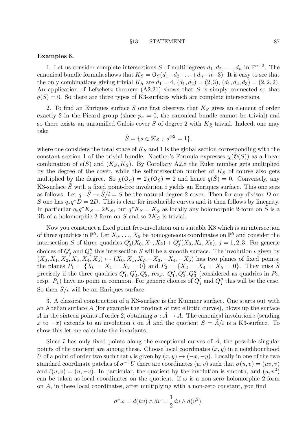#### §13 STATEMENT 87

### Examples 6.

1. Let us consider complete intersections S of multidegrees  $d_1, d_2, \ldots, d_n$  in  $\mathbb{P}^{n+2}$ . The canonical bundle formula shows that  $K_S = \mathcal{O}_S(d_1+d_2+\ldots+d_n-n-3)$ . It is easy to see that the only combinations giving trivial  $K_S$  are  $d_1 = 4$ ,  $(d_1, d_2) = (2, 3)$ ,  $(d_1, d_2, d_3) = (2, 2, 2)$ . An application of Lefschetz theorem  $(A2.21)$  shows that S is simply connected so that  $q(S) = 0$ . So there are three types of K3-surfaces which are complete intersections.

2. To find an Enriques surface  $S$  one first observes that  $K_S$  gives an element of order exactly 2 in the Picard group (since  $p<sub>g</sub> = 0$ , the canonical bundle cannot be trivial) and so there exists an unramified Galois cover S of degree 2 with  $K_{\tilde{S}}$  trivial. Indeed, one may take

$$
\tilde{S} = \{ s \in \mathcal{K}_S \; ; \; s^{\otimes 2} = 1 \},
$$

where one considers the total space of  $K_S$  and 1 is the global section corresponding with the constant section 1 of the trivial bundle. Noether's Formula expresses  $\chi(\mathcal{O}(S))$  as a linear combination of  $e(S)$  and  $(K_S, K_S)$ . By Corollary A2.8 the Euler number gets multiplied by the degree of the cover, while the selfintersection number of  $K<sub>S</sub>$  of course also gets multiplied by the degree. So  $\chi(\mathcal{O}_{\tilde{S}}) = 2\chi(\mathcal{O}_S) = 2$  and hence  $q(\tilde{S}) = 0$ . Conversely, any K3-surface  $\tilde{S}$  with a fixed point-free involution i yields an Enriques surface. This one sees as follows. Let  $q : \tilde{S} \to \tilde{S}/i = S$  be the natural degree 2 cover. Then for any divisor D on S one has  $q_*q^*D = 2D$ . This is clear for irreducible curves and it then follows by linearity. In particular  $q_*q^*K_S = 2K_S$ , but  $q^*K_S = K_{\tilde{S}}$  as locally any holomorphic 2-form on  $\tilde{S}$  is a lift of a holomorphic 2-form on S and so  $2K_S$  is trivial.

Now you construct a fixed point free-involution on a suitable K3 which is an intersection of three quadrics in  $\mathbb{P}^5$ . Let  $X_0, \ldots, X_5$  be homogeneous coordinates on  $\mathbb{P}^5$  and consider the intersection  $\tilde{S}$  of three quadrics  $Q'_{j}(X_0, X_1, X_2) + Q''_{j}(X_3, X_4, X_5), j = 1, 2, 3$ . For generic choices of  $Q'_j$  and  $Q''_j$  this intersection  $\tilde{S}$  will be a smooth surface. The involution  $\iota$  given by  $(X_0, X_1, X_2, X_3, X_4, X_5) \mapsto (X_0, X_1, X_2, -X_3, -X_4, -X_5)$  has two planes of fixed points: the planes  $P_1 = \{X_0 = X_1 = X_2 = 0\}$  and  $P_2 = \{X_3 = X_4 = X_5 = 0\}$ . They miss  $\tilde{S}$ precisely if the three quadrics  $Q'_1, Q'_2, Q'_3$ , resp.  $Q''_1, Q''_2, Q''_3$  (considered as quadrics in  $P_2$ , resp.  $P_1$ ) have no point in common. For generic choices of  $Q'_j$  and  $Q''_j$  this will be the case. So then  $\tilde{S}/\iota$  will be an Enriques surface.

3. A classical construction of a K3-surface is the Kummer surface. One starts out with an Abelian surface  $A$  (for example the product of two elliptic curves), blows up the surface A in the sixteen points of order 2, obtaining  $\sigma : \tilde{A} \to A$ . The canonical involution  $\iota$  (sending x to  $-x$ ) extends to an involution  $\tilde{\iota}$  on A and the quotient  $S = A/\tilde{\iota}$  is a K3-surface. To show this let me calculate the invariants.

Since  $\tilde{\iota}$  has only fixed points along the exceptional curves of  $\tilde{A}$ , the possible singular points of the quotient are among these. Choose local coordinates  $(x, y)$  in a neighbourhood U of a point of order two such that  $\iota$  is given by  $(x, y) \mapsto (-x, -y)$ . Locally in one of the two standard coordinate patches of  $\sigma^{-1}U$  there are coordinates  $(u, v)$  such that  $\sigma(u, v) = (uv, v)$ and  $\tilde{\iota}(u, v) = (u, -v)$ . In particular, the quotient by the involution is smooth, and  $(u, v^2)$ can be taken as local coordinates on the quotient. If  $\omega$  is a non-zero holomorphic 2-form on A, in these local coordinates, after multiplying with a non-zero constant, you find

$$
\sigma^* \omega = d(uv) \wedge dv = \frac{1}{2} du \wedge d(v^2).
$$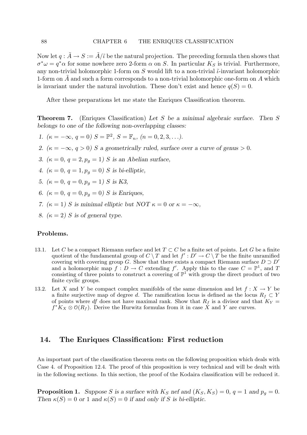Now let  $q : \tilde{A} \to S := \tilde{A}/\tilde{\iota}$  be the natural projection. The preceding formula then shows that  $\sigma^* \omega = q^* \alpha$  for some nowhere zero 2-form  $\alpha$  on S. In particular  $K_S$  is trivial. Furthermore, any non-trivial holomorphic 1-form on S would lift to a non-trivial  $\tilde{\iota}$ -invariant holomorphic 1-form on  $A$  and such a form corresponds to a non-trivial holomorphic one-form on  $A$  which is invariant under the natural involution. These don't exist and hence  $q(S) = 0$ .

After these preparations let me state the Enriques Classification theorem.

**Theorem 7.** (Enriques Classification) Let S be a minimal algebraic surface. Then S belongs to one of the following non-overlapping classes:

- 1.  $(\kappa = -\infty, q = 0)$   $S = \mathbb{P}^2$ ,  $S = \mathbb{F}_n$ ,  $(n = 0, 2, 3, \ldots)$ .
- 2.  $(\kappa = -\infty, q > 0)$  S a geometrically ruled, surface over a curve of genus > 0.
- 3.  $(\kappa = 0, q = 2, p_q = 1)$  S is an Abelian surface,
- 4.  $(\kappa = 0, q = 1, p_q = 0) S$  is bi-elliptic,
- 5.  $(\kappa = 0, q = 0, p_q = 1) S$  is K3,
- 6. ( $\kappa = 0, q = 0, p_q = 0$ ) S is Enriques,
- 7. ( $\kappa = 1$ ) S is minimal elliptic but NOT  $\kappa = 0$  or  $\kappa = -\infty$ ,
- 8.  $(\kappa = 2)$  S is of general type.

# Problems.

- 13.1. Let C be a compact Riemann surface and let  $T \subset C$  be a finite set of points. Let G be a finite quotient of the fundamental group of  $C \setminus T$  and let  $f' : D' \to C \setminus T$  be the finite unramified covering with covering group G. Show that there exists a compact Riemann surface  $D \supset D'$ and a holomorphic map  $f: D \to C$  extending f'. Apply this to the case  $C = \mathbb{P}^1$ , and T consisting of three points to construct a covering of  $\mathbb{P}^1$  with group the direct product of two finite cyclic groups.
- 13.2. Let X and Y be compact complex manifolds of the same dimension and let  $f: X \to Y$  be a finite surjective map of degree d. The ramification locus is defined as the locus  $R_f \subset Y$ of points where df does not have maximal rank. Show that  $R_f$  is a divisor and that  $K_Y =$  $f^*K_X \otimes \mathcal{O}(R_f)$ . Derive the Hurwitz formulas from it in case X and Y are curves.

# 14. The Enriques Classification: First reduction

An important part of the classification theorem rests on the following proposition which deals with Case 4. of Proposition 12.4. The proof of this proposition is very technical and will be dealt with in the following sections. In this section, the proof of the Kodaira classification will be reduced it.

**Proposition 1.** Suppose S is a surface with  $K_S$  nef and  $(K_S, K_S) = 0$ ,  $q = 1$  and  $p_q = 0$ . Then  $\kappa(S) = 0$  or 1 and  $\kappa(S) = 0$  if and only if S is bi-elliptic.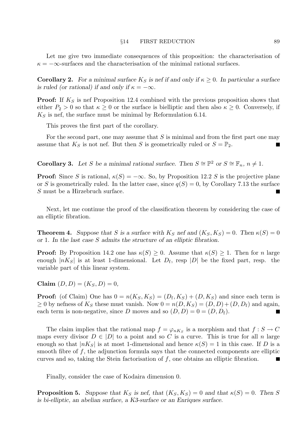Let me give two immediate consequences of this proposition: the characterisation of  $\kappa = -\infty$ -surfaces and the characterisation of the minimal rational surfaces.

**Corollary 2.** For a minimal surface  $K_S$  is nef if and only if  $\kappa \geq 0$ . In particular a surface is ruled (or rational) if and only if  $\kappa = -\infty$ .

**Proof:** If  $K<sub>S</sub>$  is nef Proposition 12.4 combined with the previous proposition shows that either  $P_2 > 0$  so that  $\kappa \geq 0$  or the surface is bielliptic and then also  $\kappa \geq 0$ . Conversely, if  $K<sub>S</sub>$  is nef, the surface must be minimal by Reformulation 6.14.

This proves the first part of the corollary.

For the second part, one may assume that  $S$  is minimal and from the first part one may assume that  $K_S$  is not nef. But then S is geometrically ruled or  $S = \mathbb{P}_2$ .

**Corollary 3.** Let S be a minimal rational surface. Then  $S \cong \mathbb{P}^2$  or  $S \cong \mathbb{F}_n$ ,  $n \neq 1$ .

**Proof:** Since S is rational,  $\kappa(S) = -\infty$ . So, by Proposition 12.2 S is the projective plane or S is geometrically ruled. In the latter case, since  $q(S) = 0$ , by Corollary 7.13 the surface S must be a Hirzebruch surface.

Next, let me continue the proof of the classification theorem by considering the case of an elliptic fibration.

**Theorem 4.** Suppose that S is a surface with  $K_S$  nef and  $(K_S, K_S) = 0$ . Then  $\kappa(S) = 0$ or 1. In the last case S admits the structure of an elliptic fibration.

**Proof:** By Proposition 14.2 one has  $\kappa(S) \geq 0$ . Assume that  $\kappa(S) \geq 1$ . Then for n large enough  $|nK_S|$  is at least 1-dimensional. Let  $D_f$ , resp  $|D|$  be the fixed part, resp. the variable part of this linear system.

Claim  $(D, D) = (K_S, D) = 0$ ,

**Proof:** (of Claim) One has  $0 = n(K_S, K_S) = (D_f, K_S) + (D, K_S)$  and since each term is  $\geq 0$  by nefness of  $K_S$  these must vanish. Now  $0 = n(D, K_S) = (D, D) + (D, D_f)$  and again, each term is non-negative, since D moves and so  $(D, D) = 0 = (D, D_f)$ .

The claim implies that the rational map  $f = \varphi_{nK_S}$  is a morphism and that  $f : S \to C$ maps every divisor  $D \in |D|$  to a point and so C is a curve. This is true for all n large enough so that  $|nK_S|$  is at most 1-dimensional and hence  $\kappa(S) = 1$  in this case. If D is a smooth fibre of  $f$ , the adjunction formula says that the connected components are elliptic curves and so, taking the Stein factorisation of  $f$ , one obtains an elliptic fibration.  $\mathcal{L}_{\mathcal{A}}$ 

Finally, consider the case of Kodaira dimension 0.

**Proposition 5.** Suppose that  $K_S$  is nef, that  $(K_S, K_S) = 0$  and that  $\kappa(S) = 0$ . Then S is bi-elliptic, an abelian surface, a K3-surface or an Enriques surface.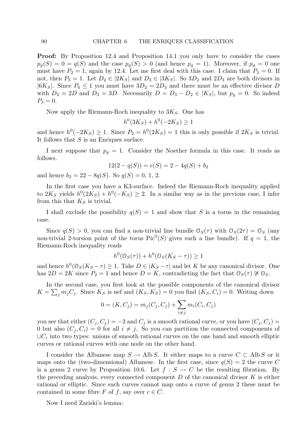Proof: By Proposition 12.4 and Proposition 14.1 you only have to consider the cases  $p_g(S) = 0 = q(S)$  and the case  $p_g(S) > 0$  (and hence  $p_g = 1$ ). Moreover, if  $p_g = 0$  one must have  $P_2 = 1$ , again by 12.4. Let me first deal with this case. I claim that  $P_3 = 0$ . If not, then  $P_3 = 1$ . Let  $D_2 \in |2K_S|$  and  $D_3 \in |3K_S|$ . So  $3D_2$  and  $2D_3$  are both divisors in  $|6K_S|$ . Since  $P_6 \leq 1$  you must have  $3D_2 = 2D_3$  and there must be an effective divisor D with  $D_2 = 2D$  and  $D_3 = 3D$ . Necessarily  $D = D_3 - D_2 \in |K_S|$ , but  $p_q = 0$ . So indeed  $P_3 = 0.$ 

Now apply the Riemann-Roch inequality to  $3K_S$ . One has

$$
h^0(3K_S) + h^0(-2K_S) \ge 1
$$

and hence  $h^0(-2K_S) \geq 1$ . Since  $P_2 = h^0(2K_S) = 1$  this is only possible if  $2K_S$  is trivial. It follows that  $S$  is an Enriques surface.

I next suppose that  $p_q = 1$ . Consider the Noether formula in this case. It reads as follows.

$$
12(2 - q(S)) = e(S) = 2 - 4q(S) + b_2
$$

and hence  $b_2 = 22 - 8q(S)$ . So  $q(S) = 0, 1, 2$ .

In the first case you have a K3-surface. Indeed the Riemann-Roch inequality applied to  $2K_S$  yields  $h^0(2K_S) + h^0(-K_S) \geq 2$ . In a similar way as in the previous case, I infer from this that  $K_S$  is trivial.

I shall exclude the possibility  $q(S) = 1$  and show that S is a torus in the remaining case.

Since  $q(S) > 0$ , you can find a non-trivial line bundle  $\mathcal{O}_S(\tau)$  with  $\mathcal{O}_S(2\tau) = \mathcal{O}_S$  (any non-trivial 2-torsion point of the torus  $Pic^0(S)$  gives such a line bundle). If  $q = 1$ , the Riemann-Roch inequality reads

$$
h^0(\mathcal{O}_S(\tau)) + h^0(\mathcal{O}_S(K_S - \tau)) \ge 1
$$

and hence  $h^0(\mathcal{O}_S(K_S - \tau) \geq 1$ . Take  $D \in |K_S - \tau|$  and let K be any canonical divisor. One has  $2D = 2K$  since  $P_2 = 1$  and hence  $D = K$ , contradicting the fact that  $\mathcal{O}_S(\tau) \not\cong \mathcal{O}_S$ .

In the second case, you first look at the possible components of the canonical divisor  $K = \sum_j m_j C_j$ . Since  $K_S$  is nef and  $(K_S, K_S) = 0$  you find  $(K_S, C_i) = 0$ . Writing down

$$
0 = (K, C_j) = m_j(C_j, C_j) + \sum_{i \neq j} m_i(C_i, C_j)
$$

you see that either  $(C_i, C_j) = -2$  and  $C_j$  is a smooth rational curve, or you have  $(C_i, C_j)$ 0 but also  $(C_i, C_i) = 0$  for all  $i \neq j$ . So you can partition the connected components of  $\cup C_i$  into two types: unions of smooth rational curves on the one hand and smooth elliptic curves or rational curves with one node on the other hand.

I consider the Albanese map  $S \to \text{Alb} S$ . It either maps to a curve  $C \subset \text{Alb} S$  or it maps onto the (two-dimensional) Albanese. In the first case, since  $q(S) = 2$  the curve C is a genus 2 curve by Proposition 10.6. Let  $f : S \to C$  be the resulting fibration. By the preceding analysis, every connected component  $D$  of the canonical divisor  $K$  is either rational or elliptic. Since such curves cannot map onto a curve of genus 2 these must be contained in some fibre F of f, say over  $c \in C$ .

Now I need Zariski's lemma: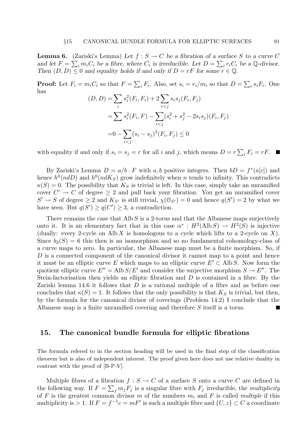**Lemma 6.** (Zariski's Lemma) Let  $f : S \to C$  be a fibration of a surface S to a curve C and let  $F = \sum_i m_i C_i$  be a fibre, where  $C_i$  is irreducible. Let  $D = \sum_i r_i C_i$  be a Q-divisor. Then  $(D, D) \leq 0$  and equality holds if and only if  $D = rF$  for some  $r \in \mathbb{Q}$ .

**Proof:** Let  $F_i = m_i C_i$  so that  $F = \sum_i F_i$ . Also, set  $s_i = r_i/m_i$  so that  $D = \sum_i s_i F_i$ . One has

$$
(D, D) = \sum_{i} s_i^2(F_i, F_i) + 2 \sum_{i < j} s_i s_j(F_i, F_j)
$$
\n
$$
= \sum_{i} s_i^2(F_i, F) - \sum_{i < j} (s_i^2 + s_j^2 - 2s_i s_j)(F_i, F_j)
$$
\n
$$
= 0 - \sum_{i < j} (s_i - s_j)^2(F_i, F_j) \le 0
$$

with equality if and only if  $s_i = s_j = r$  for all i and j, which means  $D = r \sum_i F_i = rF$ .

By Zariski's Lemma  $D = a/b \cdot F$  with a, b positive integers. Then  $bD = f^*(a[c])$  and hence  $h^0(ndD)$  and  $h^0(ndK_S)$  grow indefinitely when n tends to infinity. This contradicts  $\kappa(S) = 0$ . The possibility that  $K_S$  is trivial is left. In this case, simply take an unramified cover  $C' \rightarrow C$  of degree  $\geq 2$  and pull back your fibration. You get an unramified cover  $S' \to S$  of degree  $\geq 2$  and  $K_{S'}$  is still trivial,  $\chi(\mathcal{O}_{S'}) = 0$  and hence  $q(S') = 2$  by what we have seen. But  $q(S') \geq q(C') \geq 3$ , a contradiction.

There remains the case that Alb  $S$  is a 2-torus and that the Albanese maps surjectively onto it. It is an elementary fact that in this case  $\alpha^* : H^2(\text{Alb} S) \to H^2(S)$  is injective (dually: every 2-cycle on Alb X is homologous to a cycle which lifts to a 2-cycle on X). Since  $b_2(S) = 6$  this then is an isomorphism and so no fundamental cohomology-class of a curve maps to zero. In particular, the Albanese map must be a finite morphism. So, if D is a connected component of the canonical divisor it cannot map to a point and hence it must be an elliptic curve E which maps to an elliptic curve  $E' \subset \text{Alb } S$ . Now form the quotient elliptic curve  $E'' = \text{Alb} S/E'$  and consider the surjective morphism  $S \to E''$ . The Stein-factorisation then yields an elliptic fibration and  $D$  is contained in a fibre. By the Zariski lemma 14.6 it follows that  $D$  is a rational multiple of a fibre and as before one concludes that  $\kappa(S) = 1$ . It follows that the only possibility is that  $K_S$  is trivial, but then, by the formula for the canonical divisor of coverings (Problem 14.2) I conclude that the Albanese map is a finite unramified covering and therefore S itself is a torus.  $\overline{\phantom{0}}$ 

# 15. The canonical bundle formula for elliptic fibrations

The formula refered to in the section heading will be used in the final step of the classification theorem but is also of independent interest. The proof given here does not use relative duality in contrast with the proof of [B-P-V].

Multiple fibres of a fibration  $f : S \to C$  of a surface S onto a curve C are defined in the following way. If  $F = \sum_j m_j F_j$  is a singular fibre with  $F_j$  irreducible, the multiplicity of F is the greatest common divisor m of the numbers  $m_i$  and F is called multiple if this multiplicity is > 1. If  $F = f^{-1}c = mF'$  is such a multiple fibre and  $\{U, z\} \subset C$  a coordinate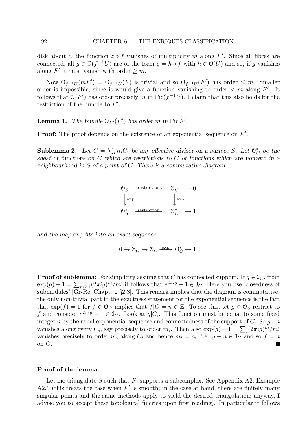disk about c, the function  $z \circ f$  vanishes of multiplicity m along F'. Since all fibres are connected, all  $g \in O(f^{-1}U)$  are of the form  $g = h \circ f$  with  $h \in O(U)$  and so, if g vanishes along  $F'$  it must vanish with order  $\geq m$ .

Now  $0_{f^{-1}U}(mF') = 0_{f^{-1}U}(F)$  is trivial and so  $0_{f^{-1}U}(F')$  has order  $\leq m$ . Smaller order is impossible, since it would give a function vanishing to order  $\lt m$  along  $F'$ . It follows that  $O(F')$  has order precisely m in Pic( $f^{-1}U$ ). I claim that this also holds for the restriction of the bundle to  $F'$ .

**Lemma 1.** The bundle  $\mathcal{O}_{F'}(F')$  has order m in Pic F'.

**Proof:** The proof depends on the existence of an exponential sequence on  $F'$ .

**Sublemma 2.** Let  $C = \sum_i n_i C_i$  be any effective divisor on a surface S. Let  $\mathbb{O}_C^*$  be the sheaf of functions on C which are restrictions to C of functions which are nonzero in a neighbourhood in S of a point of C. There is a commutative diagram

> $\mathcal{O}_S$  – restriction,  $\mathcal{O}_C \rightarrow 0$  $\downarrow$  $\exp$   $\downarrow$ exp  $\label{eq:2.1} \mathbb{O}_S^* \quad \xrightarrow{\text{restriction}} \quad \mathbb{O}_C^* \quad \to 1$

and the map exp fits into an exact sequence

$$
0\to{\mathbb Z}_C\to{\mathcal O}_C\xrightarrow{\text{exp}}\ {\mathcal O}_C^*\to 1.
$$

**Proof of sublemma:** For simplicity assume that C has connected support. If  $g \in \mathcal{I}_C$ , from  $\exp(g) - 1 = \sum_{m \geq 1} (2\pi i g)^m/m!$  it follows that  $e^{2\pi i g} - 1 \in \mathcal{I}_C$ . Here you use 'closedness of submodules' [Gr- $\bar{Re}$ , Chapt. 2 §2.3]. This remark implies that the diagram is commutative. the only non-trivial part in the exactness statement for the exponential sequence is the fact that  $\exp(f) = 1$  for  $f \in \mathcal{O}_C$  implies that  $f|C = n \in \mathbb{Z}$ . To see this, let  $g \in \mathcal{O}_S$  restrict to f and consider  $e^{2\pi i g} - 1 \in \mathcal{I}_C$ . Look at  $g|_{C_i}$ . This function must be equal to some fixed integer n by the usual exponential sequence and connectedness of the support of C. So  $g-n$ vanishes along every  $C_i$ , say precisely to order  $m_i$ . Then also  $\exp(g) - 1 = \sum_i (2\pi i g)^m/m!$ vanishes precisely to order  $m_i$  along  $C_i$  and hence  $m_i = n_i$ , i.e.  $g - n \in \mathcal{I}_C$  and so  $f = n$ on C.

## Proof of the lemma:

Let me triangulate  $S$  such that  $F'$  supports a subcomplex. See Appendix A2, Example A2.1 (this treats the case when  $F'$  is smooth; in the case at hand, there are finitely many singular points and the same methods apply to yield the desired triangulation; anyway, I advise you to accept these topological fineries upon first reading). In particular it follows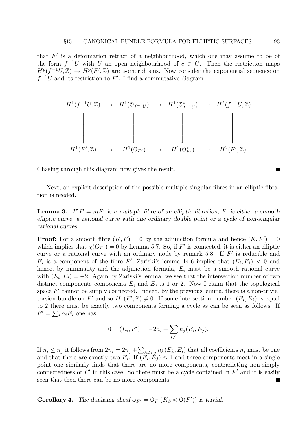that  $F'$  is a deformation retract of a neighbourhood, which one may assume to be of the form  $f^{-1}U$  with U an open neighbourhood of  $c \in C$ . Then the restriction maps  $H^p(f^{-1}U,\mathbb{Z}) \to H^p(F',\mathbb{Z})$  are isomorphisms. Now consider the exponential sequence on  $f^{-1}U$  and its restriction to F'. I find a commutative diagram

$$
H^1(f^{-1}U, \mathbb{Z}) \rightarrow H^1(\mathbb{O}_{f^{-1}U}) \rightarrow H^1(\mathbb{O}_{f^{-1}U}^*) \rightarrow H^2(f^{-1}U, \mathbb{Z})
$$
  
\n
$$
\downarrow \qquad \qquad \downarrow \qquad \qquad \downarrow \qquad \qquad \downarrow
$$
  
\n
$$
H^1(F', \mathbb{Z}) \rightarrow H^1(\mathbb{O}_{F'}) \rightarrow H^1(\mathbb{O}_{F'}^*) \rightarrow H^2(F', \mathbb{Z}).
$$

Chasing through this diagram now gives the result.

Next, an explicit description of the possible multiple singular fibres in an elliptic fibration is needed.

**Lemma 3.** If  $F = mF'$  is a multiple fibre of an elliptic fibration, F' is either a smooth elliptic curve, a rational curve with one ordinary double point or a cycle of non-singular rational curves.

**Proof:** For a smooth fibre  $(K, F) = 0$  by the adjunction formula and hence  $(K, F') = 0$ which implies that  $\chi(O_{F'}) = 0$  by Lemma 5.7. So, if F' is connected, it is either an elliptic curve or a rational curve with an ordinary node by remark 5.8. If  $F'$  is reducible and  $E_i$  is a component of the fibre F', Zariski's lemma 14.6 implies that  $(E_i, E_i) < 0$  and hence, by minimality and the adjunction formula,  $E_i$  must be a smooth rational curve with  $(E_i, E_i) = -2$ . Again by Zariski's lemma, we see that the intersection number of two distinct components components  $E_i$  and  $E_j$  is 1 or 2. Now I claim that the topological space  $F'$  cannot be simply connected. Indeed, by the previous lemma, there is a non-trivial torsion bundle on F' and so  $H^1(F', \mathbb{Z}) \neq 0$ . If some intersection number  $(E_i, E_j)$  is equal to 2 there must be exactly two components forming a cycle as can be seen as follows. If  $F' = \sum_i n_i E_i$  one has

$$
0 = (E_i, F') = -2n_i + \sum_{j \neq i} n_j (E_i, E_j).
$$

If  $n_i \leq n_j$  it follows from  $2n_i = 2n_j + \sum_{k \neq i,j} n_k(E_k, E_i)$  that all coefficients  $n_i$  must be one and that there are exactly two  $E_i$ . If  $(E_i, E_j) \leq 1$  and three components meet in a single point one similarly finds that there are no more components, contradicting non-simply connectedness of  $F'$  in this case. So there must be a cycle contained in  $F'$  and it is easily seen that then there can be no more components. Ξ

**Corollary 4.** The dualising sheaf  $\omega_{F'} = \mathcal{O}_{F'}(K_S \otimes \mathcal{O}(F'))$  is trivial.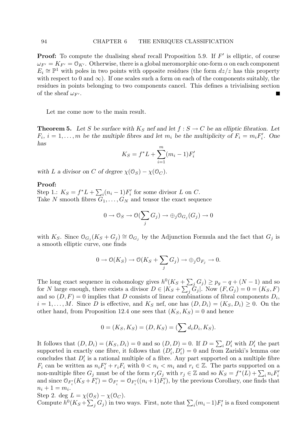**Proof:** To compute the dualising sheaf recall Proposition 5.9. If  $F'$  is elliptic, of course  $\omega_{F'} = K_{F'} = \mathcal{O}_{K'}$ . Otherwise, there is a global meromorphic one-form  $\alpha$  on each component  $E_i \cong \mathbb{P}^1$  with poles in two points with opposite residues (the form  $dz/z$  has this property with respect to 0 and  $\infty$ ). If one scales such a form on each of the components suitably, the residues in points belonging to two components cancel. This defines a trivialising section of the sheaf  $\omega_{F'}$ .

Let me come now to the main result.

**Theorem 5.** Let S be surface with  $K_S$  nef and let  $f : S \to C$  be an elliptic fibration. Let  $F_i$ ,  $i = 1, \ldots, m$  be the multiple fibres and let  $m_i$  be the multiplicity of  $F_i = m_i F'_i$ . One has

$$
K_S = f^*L + \sum_{i=1}^{m} (m_i - 1)F'_i
$$

with L a divisor on C of degree  $\chi(\mathcal{O}_S) - \chi(\mathcal{O}_C)$ .

# Proof:

Step 1.:  $K_S = f^*L + \sum_i (n_i - 1)F'_i$  for some divisor L on C. Take N smooth fibres  $G_1, \ldots, G_N$  and tensor the exact sequence

$$
0 \to \mathcal{O}_S \to \mathcal{O}(\sum_j G_j) \to \oplus_j \mathcal{O}_{G_j}(G_j) \to 0
$$

with  $K_S$ . Since  $\mathfrak{O}_{G_j}(K_S+G_j) \cong \mathfrak{O}_{G_j}$  by the Adjunction Formula and the fact that  $G_j$  is a smooth elliptic curve, one finds

$$
0 \to \mathcal{O}(K_S) \to \mathcal{O}(K_S + \sum_j G_j) \to \oplus_j \mathcal{O}_{F_j} \to 0.
$$

The long exact sequence in cohomology gives  $h^0(K_S + \sum_j G_j) \geq p_g - q + (N - 1)$  and so for N large enough, there exists a divisor  $D \in |K_S + \sum_j \tilde{G}_j|$ . Now  $(F, G_j) = 0 = (K_S, F)$ and so  $(D, F) = 0$  implies that D consists of linear combinations of fibral components  $D_i$ ,  $i = 1, \ldots, M$ . Since D is effective, and  $K_S$  nef, one has  $(D, D_i) = (K_S, D_i) \geq 0$ . On the other hand, from Proposition 12.4 one sees that  $(K_S, K_S) = 0$  and hence

$$
0 = (K_S, K_S) = (D, K_S) = (\sum d_i D_i, K_S).
$$

It follows that  $(D, D_i) = (K_S, D_i) = 0$  and so  $(D, D) = 0$ . If  $D = \sum_i D'_i$  with  $D'_i$  the part supported in exactly one fibre, it follows that  $(D'_i, D'_i) = 0$  and from Zariski's lemma one concludes that  $D_i'$  is a rational multiple of a fibre. Any part supported on a multiple fibre  $F_i$  can be written as  $n_i F'_i + r_i F_i$  with  $0 < n_i < m_i$  and  $r_i \in \mathbb{Z}$ . The parts supported on a non-multiple fibre  $G_j$  must be of the form  $r_j G_j$  with  $r_j \in \mathbb{Z}$  and so  $K_S = f^*(L) + \sum_i n_i F'_i$ and since  $\mathcal{O}_{F'_i}(K_S + F'_i) = \mathcal{O}_{F'_i} = \mathcal{O}_{F'_i}((n_i + 1)F'_i)$ , by the previous Corollary, one finds that  $n_i + 1 = m_i.$ 

Step 2. deg  $L = \chi(\mathcal{O}_S) - \chi(\mathcal{O}_C)$ .

Compute  $h^0(K_S + \sum_j G_j)$  in two ways. First, note that  $\sum_i (m_i - 1)F'_i$  is a fixed component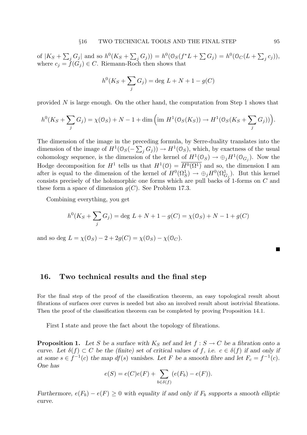of  $|K_S + \sum_j G_j|$  and so  $h^0(K_S + \sum_j G_j)) = h^0(\mathcal{O}_S(f^*L + \sum G_j) = h^0(\mathcal{O}_C(L + \sum_j c_j)),$ where  $c_j = f(G_j) \in C$ . Riemann-Roch then shows that

$$
h^{0}(K_{S} + \sum_{j} G_{j}) = \deg L + N + 1 - g(C)
$$

provided  $N$  is large enough. On the other hand, the computation from Step 1 shows that

$$
h^0(K_S + \sum_j G_j) = \chi(\mathcal{O}_S) + N - 1 + \dim \left( \text{im } H^1(\mathcal{O}_S(K_S)) \to H^1(\mathcal{O}_S(K_S + \sum_j G_j)) \right).
$$

The dimension of the image in the preceding formula, by Serre-duality translates into the dimension of the image of  $H^1(\mathcal{O}_S(-\sum_j G_j)) \to H^1(\mathcal{O}_S)$ , which, by exactness of the usual cohomology sequence, is the dimension of the kernel of  $H^1(\mathcal{O}_S) \to \oplus_j H^1(\mathcal{O}_{G_j})$ . Now the Hodge decomposition for  $H^1$  tells us that  $H^1(0) = \overline{H^0(\Omega^1)}$  and so, the dimension I am after is equal to the dimension of the kernel of  $H^0(\Omega_S^1) \to \bigoplus_j H^0(\Omega_{G_j}^1)$ . But this kernel consists precisely of the holomorphic one forms which are pull backs of 1-forms on  $C$  and these form a space of dimension  $q(C)$ . See Problem 17.3.

Combining everything, you get

$$
h^{0}(K_{S} + \sum_{j} G_{j}) = \deg L + N + 1 - g(C) = \chi(\mathcal{O}_{S}) + N - 1 + g(C)
$$

and so deg  $L = \chi(\mathcal{O}_S) - 2 + 2g(C) = \chi(\mathcal{O}_S) - \chi(\mathcal{O}_C)$ .

# 16. Two technical results and the final step

For the final step of the proof of the classification theorem, an easy topological result about fibrations of surfaces over curves is needed but also an involved result about isotrivial fibrations. Then the proof of the classification theorem can be completed by proving Proposition 14.1.

First I state and prove the fact about the topology of fibrations.

**Proposition 1.** Let S be a surface with  $K_S$  nef and let  $f : S \to C$  be a fibration onto a curve. Let  $\delta(f) \subset C$  be the (finite) set of critical values of f, i.e.  $c \in \delta(f)$  if and only if at some  $s \in f^{-1}(c)$  the map  $df(s)$  vanishes. Let F be a smooth fibre and let  $F_c = f^{-1}(c)$ . One has

$$
e(S) = e(C)e(F) + \sum_{b \in \delta(f)} (e(F_b) - e(F)).
$$

Furthermore,  $e(F_b) - e(F) \ge 0$  with equality if and only if  $F_b$  supports a smooth elliptic curve.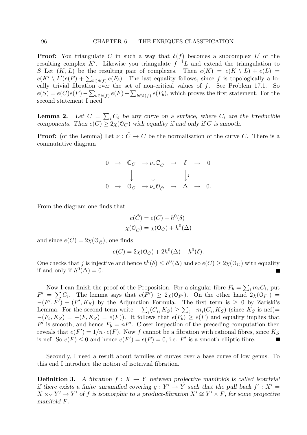**Proof:** You triangulate C in such a way that  $\delta(f)$  becomes a subcomplex L' of the resulting complex K'. Likewise you triangulate  $f^{-1}L$  and extend the triangulation to S Let  $(K, L)$  be the resulting pair of complexes. Then  $e(K) = e(K \setminus L) + e(L)$  $e(K' \setminus L')e(F) + \sum_{b \in \delta(f)} e(F_b)$ . The last equality follows, since f is topologically a locally trivial fibration over the set of non-critical values of  $f$ . See Problem 17.1. So  $e(S) = e(C)e(F) - \sum_{b \in \delta(f)} e(F) + \sum_{b \in \delta(f)} e(F_b)$ , which proves the first statement. For the second statement I need

**Lemma 2.** Let  $C = \sum_i C_i$  be any curve on a surface, where  $C_i$  are the irreducible components. Then  $e(C) \geq 2\chi(\mathcal{O}_C)$  with equality if and only if C is smooth.

**Proof:** (of the Lemma) Let  $\nu : \tilde{C} \to C$  be the normalisation of the curve C. There is a commutative diagram

|  | $0 \rightarrow \mathbb{C}_C \rightarrow \nu_* \mathbb{C}_{\tilde{C}} \rightarrow \delta \rightarrow 0$ |  |  |
|--|--------------------------------------------------------------------------------------------------------|--|--|
|  | $\downarrow$ $\downarrow$ $\downarrow$                                                                 |  |  |
|  | $0 \rightarrow 0_C \rightarrow \nu_* 0_{\tilde{C}} \rightarrow \Delta \rightarrow 0.$                  |  |  |

From the diagram one finds that

$$
e(\tilde{C}) = e(C) + h^{0}(\delta)
$$

$$
\chi(\mathcal{O}_{\tilde{C}}) = \chi(\mathcal{O}_{C}) + h^{0}(\Delta)
$$

and since  $e(\tilde{C}) = 2\chi(\mathcal{O}_{\tilde{C}})$ , one finds

$$
e(C) = 2\chi(\mathcal{O}_C) + 2h^0(\Delta) - h^0(\delta).
$$

One checks that j is injective and hence  $h^0(\delta) \leq h^0(\Delta)$  and so  $e(C) \geq 2\chi(\mathcal{O}_C)$  with equality if and only if  $h^0(\Delta) = 0$ .

Now I can finish the proof of the Proposition. For a singular fibre  $F_b = \sum_i m_i C_i$ , put  $F' = \sum C_i$ . The lemma says that  $e(F') \geq 2\chi(\mathbb{O}_{F'})$ . On the other hand  $2\chi(\mathbb{O}_{F'})$  $-(F', F') - (F', K_S)$  by the Adjunction Formula. The first term is  $\geq 0$  by Zariski's Lemma. For the second term write  $-\sum_{i}(C_i, K_S) \ge \sum_{i} -m_i(C_i, K_S)$  (since  $K_S$  is nef)=  $-(F_b, K_S) = -(F, K_S) = e(F)$ . It follows that  $e(F_b) \ge e(F)$  and equality implies that  $F'$  is smooth, and hence  $F_b = nF'$ . Closer inspection of the preceding computation then reveals that  $e(F') = 1/n \cdot e(F)$ . Now f cannot be a fibration with rational fibres, since  $K_S$ is nef. So  $e(F) \leq 0$  and hence  $e(F') = e(F) = 0$ , i.e. F' is a smooth elliptic fibre. a a

Secondly, I need a result about families of curves over a base curve of low genus. To this end I introduce the notion of isotrivial fibration.

**Definition 3.** A fibration  $f: X \to Y$  between projective manifolds is called isotrivial if there exists a finite unramified covering  $g: Y' \to Y$  such that the pull back  $f' : X' =$  $X \times_Y Y' \to Y'$  of f is isomorphic to a product-fibration  $X' \cong Y' \times F$ , for some projective manifold F.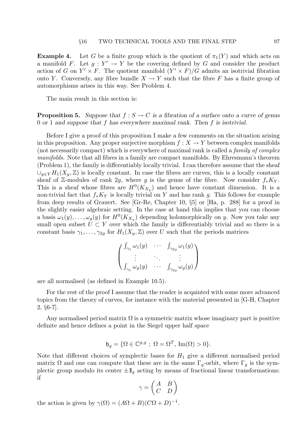**Example 4.** Let G be a finite group which is the quotient of  $\pi_1(Y)$  and which acts on a manifold F. Let  $g: Y' \to Y$  be the covering defined by G and consider the product action of G on  $Y' \times F$ . The quotient manifold  $(Y' \times F)/G$  admits an isotrivial fibration onto Y. Conversely, any fibre bundle  $X \to Y$  such that the fibre F has a finite group of automorphisms arises in this way. See Problem 4.

The main result in this section is:

**Proposition 5.** Suppose that  $f : S \to C$  is a fibration of a surface onto a curve of genus 0 or 1 and suppose that f has everywhere maximal rank. Then f is isotrivial.

Before I give a proof of this proposition I make a few comments on the situation arising in this proposition. Any proper surjective morphism  $f: X \to Y$  between complex manifolds (not necessarily compact) which is everywhere of maximal rank is called a family of complex manifolds. Note that all fibres in a family are compact manifolds. By Ehresmann's theorem (Problem 1), the family is differentiably locally trivial. I can therefore assume that the sheaf  $\cup_{y\in Y} H_1(X_y, \mathbb{Z})$  is locally constant. In case the fibres are curves, this is a locally constant sheaf of Z-modules of rank 2g, where g is the genus of the fibre. Now consider  $f_*K_Y$ . This is a sheaf whose fibres are  $H^0(K_{X_y})$  and hence have constant dimension. It is a non-trivial fact that  $f_*K_Y$  is locally trivial on Y and has rank q. This follows for example from deep results of Grauert. See [Gr-Re, Chapter 10, §5] or [Ha, p. 288] for a proof in the slightly easier algebraic setting. In the case at hand this implies that you can choose a basis  $\omega_1(y), \ldots, \omega_g(y)$  for  $H^0(K_{X_y})$  depending holomorphically on y. Now you take any small open subset  $U \subset Y$  over which the family is differentiably trivial and so there is a constant basis  $\gamma_1, \ldots, \gamma_{2g}$  for  $H_1(X_y, \mathbb{Z})$  over U such that the periods matrices

$$
\begin{pmatrix}\n\int_{\gamma_1} \omega_1(y) & \cdots & \int_{\gamma_{2g}} \omega_1(y) \\
\vdots & \ddots & \vdots \\
\int_{\gamma_1} \omega_g(y) & \cdots & \int_{\gamma_{2g}} \omega_g(y)\n\end{pmatrix}
$$

are all normalised (as defined in Example 10.5).

For the rest of the proof I assume that the reader is acqainted with some more advanced topics from the theory of curves, for instance with the material presented in [G-H, Chapter 2, §6-7].

Any normalised period matrix  $\Omega$  is a symmetric matrix whose imaginary part is positive definite and hence defines a point in the Siegel upper half space

$$
\mathfrak{h}_g = \{ \Omega \in \mathbb{C}^{g,g} \; ; \; \Omega = \Omega^T, \, \text{Im}(\Omega) > 0 \}.
$$

Note that different choices of symplectic bases for  $H_1$  give a different normalised period matrix  $\Omega$  and one can compute that these are in the same  $\Gamma_q$ -orbit, where  $\Gamma_q$  is the symplectic group modulo its center  $\pm \mathbb{1}_q$  acting by means of fractional linear transformations: if

$$
\gamma = \begin{pmatrix} A & B \\ C & D \end{pmatrix}
$$

the action is given by  $\gamma(\Omega) = (A\Omega + B)(C\Omega + D)^{-1}$ .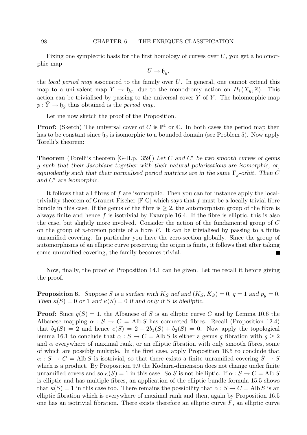#### 98 CHAPTER 6 THE ENRIQUES CLASSIFICATION

Fixing one symplectic basis for the first homology of curves over  $U$ , you get a holomorphic map

$$
U \to \mathfrak{h}_g,
$$

the *local period map* associated to the family over  $U$ . In general, one cannot extend this map to a uni-valent map  $Y \to \mathfrak{h}_q$ , due to the monodromy action on  $H_1(X_y, \mathbb{Z})$ . This action can be trivialised by passing to the universal cover  $Y$  of  $Y$ . The holomorphic map  $p: Y \to \mathfrak{h}_q$  thus obtained is the *period map*.

Let me now sketch the proof of the Proposition.

**Proof:** (Sketch) The universal cover of C is  $\mathbb{P}^1$  or C. In both cases the period map then has to be constant since  $\mathfrak{h}_q$  is isomorphic to a bounded domain (see Problem 5). Now apply Torelli's theorem:

**Theorem** (Torelli's theorem [G-H,p. 359]) Let C and C' be two smooth curves of genus g such that their Jacobians together with their natural polarisations are isomorphic, or, equivalently such that their normalised period matrices are in the same  $\Gamma_q$ -orbit. Then C and  $C'$  are isomorphic.

It follows that all fibres of f are isomorphic. Then you can for instance apply the localtriviality theorem of Grauert-Fischer  $[F-G]$  which says that f must be a locally trivial fibre bundle in this case. If the genus of the fibre is  $\geq 2$ , the automorphism group of the fibre is always finite and hence  $f$  is isotrivial by Example 16.4. If the fibre is elliptic, this is also the case, but slightly more involved. Consider the action of the fundamental group of C on the group of *n*-torsion points of a fibre  $F$ . It can be trivialised by passing to a finite unramified covering. In particular you have the zero-section globally. Since the group of automorphisms of an elliptic curve preserving the origin is finite, it follows that after taking some unramified covering, the family becomes trivial.  $\blacksquare$ 

Now, finally, the proof of Proposition 14.1 can be given. Let me recall it before giving the proof.

**Proposition 6.** Suppose S is a surface with  $K_S$  nef and  $(K_S, K_S) = 0$ ,  $q = 1$  and  $p_q = 0$ . Then  $\kappa(S) = 0$  or 1 and  $\kappa(S) = 0$  if and only if S is bielliptic.

**Proof:** Since  $q(S) = 1$ , the Albanese of S is an elliptic curve C and by Lemma 10.6 the Albanese mapping  $\alpha : S \to C = \text{Alb } S$  has connected fibres. Recall (Proposition 12.4) that  $b_2(S) = 2$  and hence  $e(S) = 2 - 2b_1(S) + b_2(S) = 0$ . Now apply the topological lemma 16.1 to conclude that  $\alpha : S \to C = \text{Alb } S$  is either a genus q fibration with  $q \geq 2$ and  $\alpha$  everywhere of maximal rank, or an elliptic fibration with only smooth fibres, some of which are possibly multiple. In the first case, apply Proposition 16.5 to conclude that  $\alpha : S \to C = \text{Alb } S$  is isotrivial, so that there exists a finite unramified covering  $\ddot{S} \to S$ which is a product. By Proposition 9.9 the Kodaira-dimension does not change under finite unramified covers and so  $\kappa(S) = 1$  in this case. So S is not bielliptic. If  $\alpha : S \to C = \text{Alb } S$ is elliptic and has multiple fibres, an application of the elliptic bundle formula 15.5 shows that  $\kappa(S) = 1$  in this case too. There remains the possibility that  $\alpha : S \to C = \text{Alb } S$  is an elliptic fibration which is everywhere of maximal rank and then, again by Proposition 16.5 one has an isotrivial fibration. There exists therefore an elliptic curve  $F$ , an elliptic curve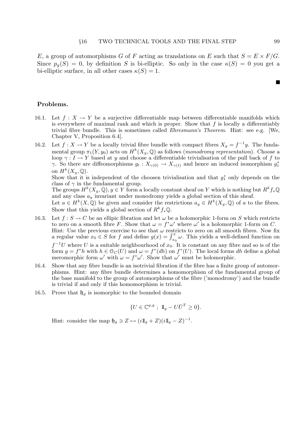E, a group of automorphisms G of F acting as translations on E such that  $S = E \times F/G$ . Since  $p_q(S) = 0$ , by definition S is bi-elliptic. So only in the case  $\kappa(S) = 0$  you get a bi-elliptic surface, in all other cases  $\kappa(S) = 1$ .

# Problems.

- 16.1. Let  $f: X \to Y$  be a surjective differentiable map between differentiable manifolds which is everywhere of maximal rank and which is proper. Show that  $f$  is locally a differentiably trivial fibre bundle. This is sometimes called Ehresmann's Theorem. Hint: see e.g. [We, Chapter V, Proposition 6.4].
- 16.2. Let  $f: X \to Y$  be a locally trivial fibre bundle with compact fibres  $X_y = f^{-1}y$ . The fundamental group  $\pi_1(Y, y_0)$  acts on  $H^k(X_y, \mathbb{Q})$  as follows (monodromy representation). Choose a loop  $\gamma : I \to Y$  based at y and choose a differentiable trivialisation of the pull back of f to  $\gamma$ . So there are diffeomorphisms  $g_t: X_{\gamma(0)} \to X_{\gamma(t)}$  and hence an induced isomorphism  $g_1^*$ on  $H^k(X_y, \mathbb{Q})$ .

Show that it is independent of the choosen trivialisation and that  $g_1^*$  only depends on the class of  $\gamma$  in the fundamental group.

The groups  $H^k(X_y, \mathbb{Q}), y \in Y$  form a locally constant sheaf on Y which is nothing but  $R^k f_* \mathbb{Q}$ and any class  $a_y$  invariant under monodromy yields a global section of this sheaf.

Let  $a \in H^k(X, \mathbb{Q})$  be given and consider the restrictions  $a_y \in H^k(X_y, \mathbb{Q})$  of a to the fibres. Show that this yields a global section of  $R^k f_* \mathbb{Q}$ .

- 16.3. Let  $f: S \to C$  be an ellipic fibration and let  $\omega$  be a holomorphic 1-form on S which restricts to zero on a smooth fibre F. Show that  $\omega = f^* \omega'$  where  $\omega'$  is a holomorphic 1-form on C. Hint: Use the previous exercise to see that  $\omega$  restricts to zero on all smooth fibres. Now fix a regular value  $x_0 \in S$  for f and define  $g(x) = \int_{x_0}^x \omega$ . This yields a well-defined function on  $f^{-1}U$  where U is a suitable neighbourhood of  $x_0$ . It is constant on any fibre and so is of the form  $g = f^*h$  with  $h \in \mathcal{O}_C(U)$  and  $\omega = f^*(dh)$  on  $f^*(U)$ . The local forms dh define a global meromorphic form  $\omega'$  with  $\omega = f^*\omega'$ . Show that  $\omega'$  must be holomorphic.
- 16.4. Show that any fibre bundle is an isotrivial fibration if the fibre has a finite group of automorphisms. Hint: any fibre bundle determines a homomorphism of the fundamental group of the base manifold to the group of automorphisms of the fibre ('monodromy') and the bundle is trivial if and only if this homomorphism is trivial.
- 16.5. Prove that  $\mathfrak{h}_g$  is isomorphic to the bounded domain

$$
\{U \in \mathbb{C}^{g,g} \; ; \; 1\! \! \! 1_g - U\bar{U}^T \geq 0\}.
$$

Hint: consider the map  $\mathfrak{h}_g \ni Z \mapsto (i1\mathbb{I}_g + Z)(i1\mathbb{I}_g - Z)^{-1}$ .

 $\blacksquare$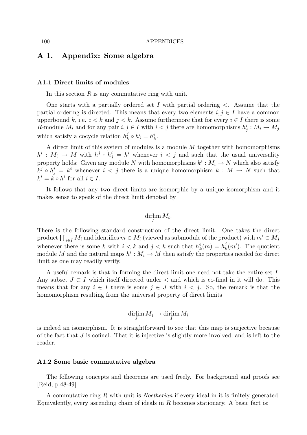# A 1. Appendix: Some algebra

# A1.1 Direct limits of modules

In this section  $R$  is any commutative ring with unit.

One starts with a partially ordered set I with partial ordering  $\lt$ . Assume that the partial ordering is directed. This means that every two elements  $i, j \in I$  have a common upperbound k, i.e.  $i < k$  and  $j < k$ . Assume furthermore that for every  $i \in I$  there is some R-module  $M_i$  and for any pair  $i, j \in I$  with  $i < j$  there are homomorphisms  $h_j^i : M_i \to M_j$ which satisfy a cocycle relation  $h_k^j$  $h_k^j \circ h_j^i = h_k^i$ .

A direct limit of this system of modules is a module  $M$  together with homomorphisms  $h^i: M_i \to M$  with  $h^j \circ h^i_j = h^i$  whenever  $i < j$  and such that the usual universality property holds: Given any module N with homomorphisms  $k^i : M_i \to N$  which also satisfy  $k^j \circ h^i_j = k^i$  whenever  $i < j$  there is a unique homomorphism  $k : M \to N$  such that  $k^i = k \circ h^i$  for all  $i \in I$ .

It follows that any two direct limits are isomorphic by a unique isomorphism and it makes sense to speak of the direct limit denoted by

# $\lim_{I} M_i.$

There is the following standard construction of the direct limit. One takes the direct product  $\prod_{i\in I} M_i$  and identifies  $m\in M_i$  (viewed as submodule of the product) with  $m'\in M_j$ whenever there is some k with  $i < k$  and  $j < k$  such that  $h_k^i(m) = h_k^j$  $k \nvert k(m')$ . The quotient module M and the natural maps  $h^i: M_i \to M$  then satisfy the properties needed for direct limit as one may readily verify.

A useful remark is that in forming the direct limit one need not take the entire set I. Any subset  $J \subset I$  which itself directed under  $\lt$  and which is co-final in it will do. This means that for any  $i \in I$  there is some  $j \in J$  with  $i < j$ . So, the remark is that the homomorphism resulting from the universal property of direct limits

$$
\mathop{\rm dirlim}_{J} M_j \to \mathop{\rm dirlim}_{I} M_i
$$

is indeed an isomorphism. It is straightforward to see that this map is surjective because of the fact that J is cofinal. That it is injective is slightly more involved, and is left to the reader.

# A1.2 Some basic commutative algebra

The following concepts and theorems are used freely. For background and proofs see [Reid, p.48-49].

A commutative ring R with unit is Noetherian if every ideal in it is finitely generated. Equivalently, every ascending chain of ideals in  $R$  becomes stationary. A basic fact is: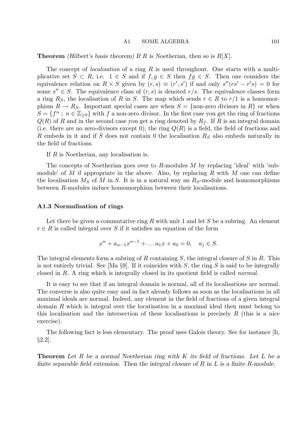#### A1 SOME ALGEBRA 101

**Theorem** (Hilbert's basis theorem) If R is Noetherian, then so is  $R[X]$ .

The concept of *localisation* of a ring  $R$  is used throughout. One starts with a multiplicative set  $S \subset R$ , i.e.  $1 \in S$  and if  $f, g \in S$  then  $fg \in S$ . Then one considers the equivalence relation on  $R \times S$  given by  $(r, s) \equiv (r', s')$  if and only  $s''(rs' - r's) = 0$  for some  $s'' \in S$ . The equivalence class of  $(r, s)$  is denoted  $r/s$ . The equivalence classes form a ring R<sub>S</sub>, the localisation of R in S. The map which sends  $r \in R$  to  $r/1$  is a homomorphism  $R \to R_S$ . Important special cases are when  $S = \{$ non-zero divisors in R $\}$  or when  $S = \{f^n; n \in \mathbb{Z}_{\geq 0}\}\$  with f a non-zero divisor. In the first case you get the ring of fractions  $Q(R)$  of R and in the second case you get a ring denoted by  $R_f$ . If R is an integral domain (i.e. there are no zero-divisors except 0), the ring  $Q(R)$  is a field, the field of fractions and R embeds in it and if S does not contain 0 the localisation  $R<sub>S</sub>$  also embeds naturally in the field of fractions.

If R is Noetherian, any localisation is.

The concepts of Noetherian goes over to  $R$ -modules M by replacing 'ideal' with 'submodule' of M if appropriate in the above. Also, by replacing R with M one can define the localisation  $M_S$  of M in S. It is in a natural way an  $R_S$ -module and homomorphisms between R-modules induce homomorphism between their localisations.

### A1.3 Normalisation of rings

Let there be given a commutative ring R with unit 1 and let S be a subring. An element  $r \in R$  is called integral over S if it satisfies an equation of the form

$$
x^{n} + a_{n-1}x^{n-1} + \dots a_{1}x + a_{0} = 0, \quad a_{j} \in S.
$$

The integral elements form a subring of R containing  $S$ , the integral closure of  $S$  in  $R$ . This is not entirely trivial. See [Ma  $\S$ 9]. If it coincides with S, the ring S is said to be integrally closed in R. A ring which is integrally closed in its quotient field is called normal.

It is easy to see that if an integral domain is normal, all of its localisations are normal. The converse is also quite easy and in fact already follows as soon as the localisations in all maximal ideals are normal. Indeed, any element in the field of fractions of a given integral domain R which is integral over the locatisation in a maximal ideal then must belong to this localisation and the intersection of these localisations is precisely R (this is a nice exercise).

The following fact is less elementary. The proof uses Galois theory. See for instance [Ii, §2.2].

**Theorem** Let R be a normal Noetherian ring with K its field of fractions. Let L be a finite separable field extension. Then the integral closure of R in L is a finite R-module.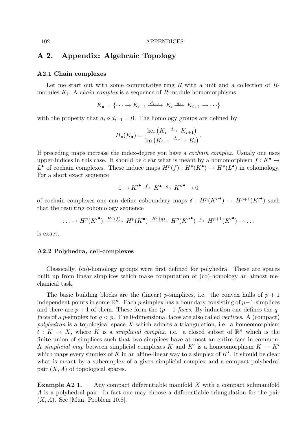# A 2. Appendix: Algebraic Topology

#### A2.1 Chain complexes

Let me start out with some commutative ring R with a unit and a collection of  $R$ modules  $K_i$ . A *chain complex* is a sequence of R-module homomorphisms

$$
K_{\bullet} = \{ \cdots \to K_{i-1} \xrightarrow{d_{i-1}} K_i \xrightarrow{d_i} K_{i+1} \to \cdots \}
$$

with the property that  $d_i \circ d_{i-1} = 0$ . The homology groups are defined by

$$
H_p(K_{\bullet}) = \frac{\ker\left(K_i \xrightarrow{d_i} K_{i+1}\right)}{\operatorname{im}\left(K_{i-1} \xrightarrow{d_{i-1}} K_i\right)}.
$$

If preceding maps increase the index-degree you have a cochain complex. Usualy one uses upper-indices in this case. It should be clear what is meant by a homomorphism  $f: K^{\bullet} \to$  $L^{\bullet}$  of cochain complexes. These induce maps  $H^p(f) : H^p(K^{\bullet}) \to H^p(L^{\bullet})$  in cohomology. For a short exact sequence

$$
0 \to {K'}^\bullet \xrightarrow{f} {K}^\bullet \xrightarrow{g} {K''}^\bullet \to 0
$$

of cochain complexes one can define coboundary maps  $\delta : H^p(K''^{\bullet}) \to H^{p+1}(K'^{\bullet})$  such that the resulting cohomology sequence

$$
\ldots \to H^p(K'^{\bullet}) \xrightarrow{H^p(f)} H^p(K^{\bullet}) \xrightarrow{H^p(g)} H^p(K''^{\bullet}) \xrightarrow{\delta} H^{p+1}(K'^{\bullet}) \to \ldots
$$

is exact.

### A2.2 Polyhedra, cell-complexes

Classically, (co)-homology groups were first defined for polyhedra. These are spaces built up from linear simplices which make computation of (co)-homology an almost mechanical task.

The basic building blocks are the (linear) p-simplices, i.e. the convex hulls of  $p + 1$ independent points in some  $\mathbb{R}^n$ . Each p-simplex has a boundary consisting of p-1-simplices and there are  $p + 1$  of them. These form the  $(p - 1$ -faces. By induction one defines the qfaces of a p-simplex for  $q < p$ . The 0-dimensional faces are also called vertices. A (compact) polyhedron is a topological space  $X$  which admits a triangulation, i.e. a homeomorphism  $t: K \to X$ , where K is a *simplicial complex*, i.e. a closed subset of  $\mathbb{R}^n$  which is the finite union of simplices such that two simplices have at most an entire face in common. A simplicial map between simplicial complexes K and K' is a homeomorphism  $K \to K'$ which maps every simplex of K in an affine-linear way to a simplex of  $K'$ . It should be clear what is meant by a subcomplex of a given simplicial complex and a compact polyhedral pair  $(X, A)$  of topological spaces.

**Example A2 1.** Any compact differentiable manifold  $X$  with a compact submanifold A is a polyhedral pair. In fact one may choose a differentiable triangulation for the pair  $(X, A)$ . See [Mun, Problem 10.8].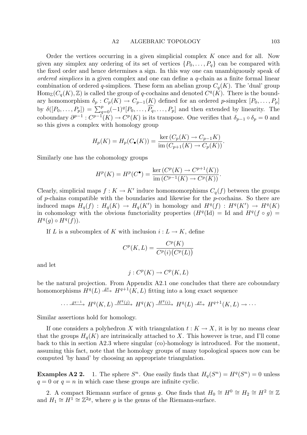#### A2 ALGEBRAIC TOPOLOGY 103

Order the vertices occurring in a given simplicial complex  $K$  once and for all. Now given any simplex any ordering of its set of vertices  $\{P_0, \ldots, P_q\}$  can be compared with the fixed order and hence determines a sign. In this way one can unambiguously speak of ordered simplices in a given complex and one can define a q-chain as a finite formal linear combination of ordered q-simplices. These form an abelian group  $C_q(K)$ . The 'dual' group  $\text{Hom}_{\mathbb{Z}}(C_q(K),\mathbb{Z})$  is called the group of q-cochains and denoted  $C^q(K)$ . There is the boundary homomorphism  $\delta_p : C_p(K) \to C_{p-1}(K)$  defined for an ordered p-simplex  $[P_0, \ldots, P_p]$ by  $\delta([P_0,\ldots,P_p]) = \sum_{q=0}^p (-1)^q [P_0,\ldots,\widehat{P_q},\ldots,P_p]$  and then extended by linearity. The coboundary  $\partial^{p-1}: C^{p-1}(K) \to C^p(K)$  is its transpose. One verifies that  $\delta_{p-1} \circ \delta_p = 0$  and so this gives a complex with homology group

$$
H_p(K) = H_p(C_{\bullet}(K)) = \frac{\ker(C_p(K) \to C_{p-1}K)}{\text{im}(C_{p+1}(K) \to C_p(K))}.
$$

Similarly one has the cohomology groups

$$
H^{p}(K) = H^{p}(C^{\bullet}) = \frac{\ker(C^{p}(K) \to C^{p+1}(K))}{\text{im}(C^{p-1}(K) \to C^{p}(K))}.
$$

Clearly, simplicial maps  $f: K \to K'$  induce homomomorphisms  $C_q(f)$  between the groups of  $p$ -chains compatible with the boundaries and likewise for the  $p$ -cochains. So there are induced maps  $H_q(f) : H_q(K) \to H_q(K')$  in homology and  $H^q(f) : H^q(K') \to H^q(K)$ in cohomology with the obvious functoriality properties  $(H<sup>q</sup>(Id)) = Id$  and  $H<sup>q</sup>(f \circ g) =$  $H^q(g) \circ H^q(f)$ ).

If L is a subcomplex of K with inclusion  $i: L \to K$ , define

$$
C^p(K, L) = \frac{C^p(K)}{C^p(i)(C^p(L))}
$$

and let

$$
j: C^p(K) \to C^p(K, L)
$$

be the natural projection. From Appendix A2.1 one concludes that there are coboundary homomorphisms  $H^q(L) \stackrel{\delta^q}{\longrightarrow} H^{q+1}(K, L)$  fitting into a long exact sequence

$$
\cdots \xrightarrow{\delta^{q-1}} H^q(K, L) \xrightarrow{H^q(j)} H^q(K) \xrightarrow{H^q(i)} H^q(L) \xrightarrow{\delta^q} H^{q+1}(K, L) \to \cdots
$$

Similar assertions hold for homology.

If one considers a polyhedron X with triangulation  $t : K \to X$ , it is by no means clear that the groups  $H_q(K)$  are intrinsically attached to X. This however is true, and I'll come back to this in section A2.3 where singular (co)-homology is introduced. For the moment, assuming this fact, note that the homology groups of many topological spaces now can be computed 'by hand' by choosing an appropriate triangulation.

**Examples A2 2.** 1. The sphere  $S^n$ . One easily finds that  $H_q(S^n) = H^q(S^n) = 0$  unless  $q = 0$  or  $q = n$  in which case these groups are infinite cyclic.

2. A compact Riemann surface of genus g. One finds that  $H_0 \cong H^0 \cong H_2 \cong H^2 \cong \mathbb{Z}$ and  $H_1 \cong H^1 \cong \mathbb{Z}^{2g}$ , where g is the genus of the Riemann-surface.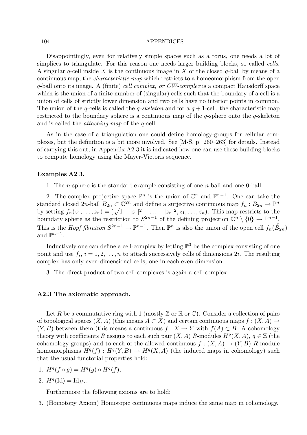#### 104 APPENDICES

Disappointingly, even for relatively simple spaces such as a torus, one needs a lot of simplices to triangulate. For this reason one needs larger building blocks, so called *cells*. A singular q-cell inside X is the continuous image in X of the closed q-ball by means of a continuous map, the characteristic map which restricts to a homeomorphism from the open q-ball onto its image. A (finite) cell complex, or CW-complex is a compact Hausdorff space which is the union of a finite number of (singular) cells such that the boundary of a cell is a union of cells of strictly lower dimension and two cells have no interior points in common. The union of the q-cells is called the q-skeleton and for a  $q + 1$ -cell, the characteristic map restricted to the boundary sphere is a continuous map of the q-sphere onto the  $q$ -skeleton and is called the attaching map of the q-cell.

As in the case of a triangulation one could define homology-groups for cellular complexes, but the definition is a bit more involved. See [M-S, p. 260–263] for details. Instead of carrying this out, in Appendix A2.3 it is indicated how one can use these building blocks to compute homology using the Mayer-Vietoris sequence.

## Examples A2 3.

1. The *n*-sphere is the standard example consisting of one *n*-ball and one 0-ball.

2. The complex projective space  $\mathbb{P}^n$  is the union of  $\mathbb{C}^n$  and  $\mathbb{P}^{n-1}$ . One can take the standard closed  $2n$ -ball  $B_{2n} \subset \mathbb{C}^{2n}$  and define a surjective continuous map  $f_n : B_{2n} \to \mathbb{P}^n$ by setting  $f_n(z_1,\ldots,z_n) = (\sqrt{1-|z_1|^2-\ldots-|z_n|^2},z_1,\ldots,z_n)$ . This map restricts to the boundary sphere as the restriction to  $S^{2n-1}$  of the defining projection  $\mathbb{C}^n \setminus \{0\} \to \mathbb{P}^{n-1}$ . This is the *Hopf fibration*  $S^{2n-1} \to \mathbb{P}^{n-1}$ . Then  $\mathbb{P}^n$  is also the union of the open cell  $f_n(\overset{\circ}{B}_{2n})$ and  $\mathbb{P}^{n-1}$ .

Inductively one can define a cell-complex by letting  $\mathbb{P}^0$  be the complex consisting of one point and use  $f_i$ ,  $i = 1, 2, ..., n$  to attach successively cells of dimensions 2*i*. The resulting complex has only even-dimensional cells, one in each even dimension.

3. The direct product of two cell-complexes is again a cell-complex.

## A2.3 The axiomatic approach.

Let R be a commutative ring with 1 (mostly  $\mathbb Z$  or  $\mathbb R$  or  $\mathbb C$ ). Consider a collection of pairs of topological spaces  $(X, A)$  (this means  $A \subset X$ ) and certain continuous maps  $f : (X, A) \to$  $(Y, B)$  between them (this means a continuous  $f : X \to Y$  with  $f(A) \subset B$ . A cohomology theory with coefficients R assigns to each such pair  $(X, A)$  R-modules  $H<sup>q</sup>(X, A)$ ,  $q \in \mathbb{Z}$  (the cohomology-groups) and to each of the allowed continuous  $f : (X, A) \to (Y, B)$  R-module homomorphisms  $H^q(f) : H^q(Y, B) \to H^q(X, A)$  (the induced maps in cohomology) such that the usual functorial properties hold:

- 1.  $H^q(f \circ g) = H^q(g) \circ H^q(f),$
- 2.  $H^q(\mathrm{Id}) = \mathrm{Id}_{H^q}.$

Furthermore the following axioms are to hold:

3. (Homotopy Axiom) Homotopic continuous maps induce the same map in cohomology.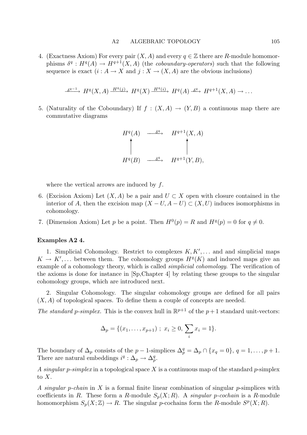4. (Exactness Axiom) For every pair  $(X, A)$  and every  $q \in \mathbb{Z}$  there are R-module homomorphisms  $\delta^q : H^q(A) \to H^{q+1}(X, A)$  (the coboundary-operators) such that the following sequence is exact  $(i : A \to X$  and  $j : X \to (X, A)$  are the obvious inclusions)

$$
\xrightarrow{\delta^{q-1}} H^q(X, A) \xrightarrow{H^q(j)} H^q(X) \xrightarrow{H^q(i)} H^q(A) \xrightarrow{\delta^q} H^{q+1}(X, A) \to \dots
$$

5. (Naturality of the Coboundary) If  $f : (X, A) \to (Y, B)$  a continuous map there are commutative diagrams

$$
H^{q}(A) \longrightarrow H^{q+1}(X, A)
$$
  
\n
$$
H^{q}(B) \longrightarrow H^{q+1}(Y, B),
$$

where the vertical arrows are induced by  $f$ .

- 6. (Excision Axiom) Let  $(X, A)$  be a pair and  $U \subset X$  open with closure contained in the interior of A, then the excision map  $(X - U, A - U) \subset (X, U)$  induces isomorphisms in cohomology.
- 7. (Dimension Axiom) Let p be a point. Then  $H^0(p) = R$  and  $H^q(p) = 0$  for  $q \neq 0$ .

# Examples A2 4.

1. Simplicial Cohomology. Restrict to complexes  $K, K', \ldots$  and and simplicial maps  $K \to K', \ldots$  between them. The cohomology groups  $H^q(K)$  and induced maps give an example of a cohomology theory, which is called simplicial cohomology. The verification of the axioms is done for instance in [Sp,Chapter 4] by relating these groups to the singular cohomology groups, which are introduced next.

2. Singular Cohomology. The singular cohomology groups are defined for all pairs  $(X, A)$  of topological spaces. To define them a couple of concepts are needed.

The standard p-simplex. This is the convex hull in  $\mathbb{R}^{p+1}$  of the  $p+1$  standard unit-vectors:

$$
\Delta_p = \{(x_1, \ldots, x_{p+1}) \; ; \; x_i \geq 0, \; \sum_i x_i = 1\}.
$$

The boundary of  $\Delta_p$  consists of the  $p-1$ -simplices  $\Delta_p^q = \Delta_p \cap \{x_q = 0\}$ ,  $q = 1, \ldots, p+1$ . There are natural embeddings  $i^q : \Delta_p \to \Delta_p^q$ .

A singular p-simplex in a topological space X is a continuous map of the standard p-simplex to  $X$ .

A singular p-chain in X is a formal finite linear combination of singular p-simplices with coefficients in R. These form a R-module  $S_p(X;R)$ . A *singular p-cochain* is a R-module homomorphism  $S_p(X; \mathbb{Z}) \to R$ . The singular p-cochains form the R-module  $S^p(X; R)$ .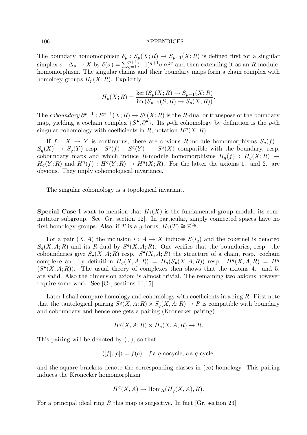The boundary homomorphism  $\delta_p : S_p(X; R) \to S_{p-1}(X; R)$  is defined first for a singular simplex  $\sigma: \Delta_p \to X$  by  $\delta(\sigma) = \sum_{q=1}^{p+1} (-1)^{q+1} \sigma \circ i^q$  and then extending it as an R-modulehomomorphism. The singular chains and their boundary maps form a chain complex with homology groups  $H_p(X; R)$ . Explicitly

$$
H_p(X;R) = \frac{\ker(S_p(X;R) \to S_{p-1}(X;R)}{\text{im}(S_{p+1}(S;R) \to S_p(X;R))}.
$$

The coboundary  $\partial^{p-1}: S^{p-1}(X;R) \to S^p(X;R)$  is the R-dual or transpose of the boundary map, yielding a cochain complex  $\{S^{\bullet}, \partial^{\bullet}\}\$ . Its p-th cohomology by definition is the p-th singular cohomology with coefficients in R, notation  $H^p(X;R)$ .

If  $f: X \to Y$  is continuous, there are obvious R-module homomorphisms  $S_q(f)$ :  $S_q(X) \to S_q(Y)$  resp.  $S^q(f) : S^q(Y) \to S^q(X)$  compatible with the boundary, resp. coboundary maps and which induce R-module homomorphisms  $H_q(f) : H_q(X; R) \to$  $H_q(Y;R)$  and  $H^q(f) : H^q(Y;R) \to H^q(X;R)$ . For the latter the axioms 1. and 2. are obvious. They imply cohomological invariance.

The singular cohomology is a topological invariant.

**Special Case** I want to mention that  $H_1(X)$  is the fundamental group modulo its commutator subgroup. See [Gr, section 12]. In particular, simply connected spaces have no first homology groups. Also, if T is a g-torus,  $H_1(T) \cong \mathbb{Z}^{2g}$ .

For a pair  $(X, A)$  the inclusion  $i : A \to X$  induces  $S(i_q)$  and the cokernel is denoted  $S_q(X, A; R)$  and its R-dual by  $S^q(X, A; R)$ . One verifies that the boundaries, resp. the coboundaries give  $S_{\bullet}(X, A; R)$  resp.  $S^{\bullet}(X, A; R)$  the structure of a chain, resp. cochain complexe and by definition  $H_q(X, A; R) = H_q(S_{\bullet}(X, A; R))$  resp.  $H^q(X, A; R) = H^q$  $(S^{\bullet}(X, A; R))$ . The usual theory of complexes then shows that the axioms 4. and 5. are valid. Also the dimension axiom is almost trivial. The remaining two axioms however require some work. See [Gr, sections 11,15].

Later I shall compare homology and cohomology with coefficients in a ring  $R$ . First note that the tautological pairing  $S^q(X, A; R) \times S_q(X, A; R) \to R$  is compatible with boundary and coboundary and hence one gets a pairing (Kronecker pairing)

$$
H^q(X, A; R) \times H_q(X, A; R) \to R.
$$

This pairing will be denoted by  $\langle , \rangle$ , so that

$$
\langle [f], [c] \rangle = f(c) \quad f \text{ a } q\text{-cocycle, } c \text{ a } q\text{-cycle,}
$$

and the square brackets denote the corresponding classes in (co)-homology. This pairing induces the Kronecker homomorphism

$$
H^q(X, A) \to \text{Hom}_R(H_q(X, A), R).
$$

For a principal ideal ring R this map is surjective. In fact  $[Gr, section 23]$ :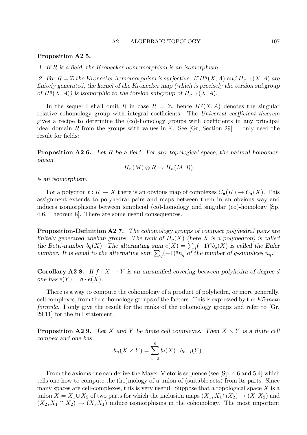#### Proposition A2 5.

1. If R is a field, the Kronecker homomorphism is an isomorphism.

2. For  $R = \mathbb{Z}$  the Kronecker homomorphism is surjective. If  $H^q(X, A)$  and  $H_{q-1}(X, A)$  are finitely generated, the kernel of the Kronecker map (which is precisely the torsion subgroup of  $H^q(X, A)$ ) is isomorphic to the torsion subgroup of  $H_{q-1}(X, A)$ .

In the sequel I shall omit R in case  $R = \mathbb{Z}$ , hence  $H^q(X, A)$  denotes the singular relative cohomology group with integral coefficients. The Universal coefficient theorem gives a recipe to determine the (co)-homology groups with coefficients in any principal ideal domain R from the groups with values in  $\mathbb{Z}$ . See [Gr, Section 29]. I only need the result for fields:

**Proposition A2 6.** Let R be a field. For any topological space, the natural homomorphism

$$
H_n(M) \otimes R \to H_n(M;R)
$$

is an isomorphism.

For a polydron  $t: K \to X$  there is an obvious map of complexes  $C_{\bullet}(K) \to C_{\bullet}(X)$ . This assignment extends to polyhedral pairs and maps between them in an obvious way and induces isomorphisms between simplicial (co)-homology and singular (co)-homology [Sp, 4.6, Theorem 8]. There are some useful consequences.

Proposition-Definition A27. The cohomology groups of compact polyhedral pairs are finitely generated abelian groups. The rank of  $H_q(X)$  (here X is a polyhedron) is called the Betti-number  $b_q(X)$ . The alternating sum  $e(X) = \sum_j (-1)^q b_q(X)$  is called the Euler number. It is equal to the alternating sum  $\sum_{q}(-1)^{q}n_{q}$  of the number of q-simplices  $n_{q}$ .

**Corollary A2 8.** If  $f : X \to Y$  is an unramified covering between polyhedra of degree d one has  $e(Y) = d \cdot e(X)$ .

There is a way to compute the cohomology of a product of polyhedra, or more generally, cell complexes, from the cohomology groups of the factors. This is expressed by the  $K\ddot{u}nne$ formula. I only give the result for the ranks of the cohomology groups and refer to [Gr, 29.11] for the full statement.

**Proposition A2 9.** Let X and Y be finite cell complexes. Then  $X \times Y$  is a finite cell compex and one has

$$
b_n(X \times Y) = \sum_{i=0}^n b_i(X) \cdot b_{n-i}(Y).
$$

From the axioms one can derive the Mayer-Vietoris sequence (see [Sp, 4.6 and 5.4] which tells one how to compute the (ho)mology of a union of (suitable sets) from its parts. Since many spaces are cell-complexes, this is very useful. Suppose that a topological space  $X$  is a union  $X = X_1 \cup X_2$  of two parts for which the inclusion maps  $(X_1, X_1 \cap X_2) \to (X, X_2)$  and  $(X_2, X_1 \cap X_2) \to (X, X_1)$  induce isomorphisms in the cohomology. The most important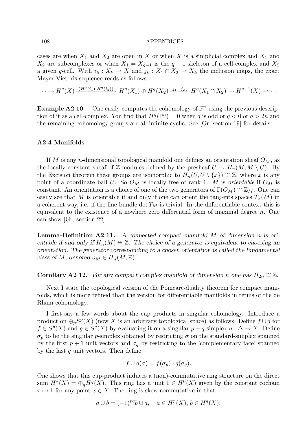cases are when  $X_1$  and  $X_2$  are open in X or when X is a simplicial complex and  $X_1$  and  $X_2$  are subcomplexes or when  $X_1 = X_{q-1}$  is the  $q-1$ -skeleton of a cell-complex and  $X_2$ a given q-cell. With  $i_k : X_k \to X$  and  $j_k : X_1 \cap X_2 \to X_k$  the inclusion maps, the exact Mayer-Vietoris sequence reads as follows

 $\cdots \longrightarrow H^q(X) \xrightarrow{(H^q(i_1), H^q(i_2))} H^q(X_1) \oplus H^q(X_2) \xrightarrow{j_1-j_2} H^q(X_1 \cap X_2) \longrightarrow H^{q+1}(X) \longrightarrow \cdots$ 

**Example A2 10.** One easily computes the cohomology of  $\mathbb{P}^n$  using the previous description of it as a cell-complex. You find that  $H^q(\mathbb{P}^n) = 0$  when q is odd or  $q < 0$  or  $q > 2n$  and the remaining cohomology groups are all infinite cyclic. See [Gr, section 19] for details.

#### A2.4 Manifolds

If M is any n-dimensional topological manifold one defines an orientation sheaf  $O_M$ , as the locally constant sheaf of Z-modules defined by the presheaf  $U \to H_n(M, M \setminus U)$ . By the Excision theorem these groups are isomorphic to  $H_n(U, U \setminus \{x\}) \cong \mathbb{Z}$ , where x is any point of a coordinate ball U. So  $O_M$  is locally free of rank 1. M is *orientable* if  $O_M$  is constant. An orientation is a choice of one of the two generators of  $\Gamma(O_M) \cong \mathbb{Z}_M$ . One can easily see that M is orientable if and only if one can orient the tangents spaces  $T_x(M)$  in a coherent way, i.e. if the line bundle  $\det T_M$  is trivial. In the differentiable context this is equivalent to the existence of a nowhere zero differential form of maximal degree  $n$ . One can show [Gr, section 22]:

**Lemma-Definition A2 11.** A connected compact manifold M of dimension n is orientable if and only if  $H_n(M) \cong \mathbb{Z}$ . The choice of a generator is equivalent to choosing an orientation. The generator corresponding to a chosen orientation is called the fundamental class of M, denoted  $o_M \in H_n(M, \mathbb{Z}),$ 

**Corollary A2 12.** For any compact complex manifold of dimension n one has  $H_{2n} \cong \mathbb{Z}$ .

Next I state the topological version of the Poincaré-duality theorem for compact manifolds, which is more refined than the version for differentiable manifolds in terms of the de Rham cohomology.

I first say a few words about the cup products in singular cohomology. Introduce a product on  $\bigoplus_p S^p(X)$  (now X is an arbitrary topological space) as follows. Define  $f \cup g$  for  $f \in S^p(X)$  and  $g \in S^q(X)$  by evaluating it on a singular  $p + q$ -simplex  $\sigma : \Delta \to X$ . Define  $\sigma_p$  to be the singular p-simplex obtained by restricting  $\sigma$  on the standard-simplex spanned by the first  $p + 1$  unit vectors and  $\sigma_q$  by restricting to the 'complementary face' spanned by the last  $q$  unit vectors. Then define

$$
f \cup g(\sigma) = f(\sigma_p) \cdot g(\sigma_q).
$$

One shows that this cup-product induces a (non)-commutative ring structure on the direct sum  $H^*(X) = \bigoplus_q H^q(X)$ . This ring has a unit  $1 \in H^0(X)$  given by the constant cochain  $x \mapsto 1$  for any point  $x \in X$ . The ring is skew-commutative in that

$$
a \cup b = (-1)^{pq} b \cup a, \quad a \in H^p(X), \, b \in H^q(X).
$$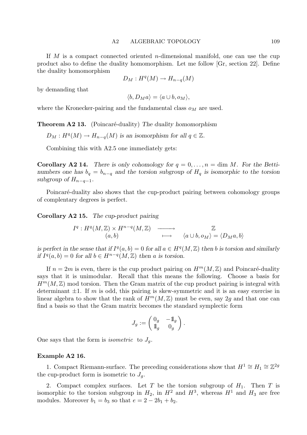If M is a compact connected oriented n-dimensional manifold, one can use the cup product also to define the duality homomorphism. Let me follow [Gr, section 22]. Define the duality homomorphism

$$
D_M: H^q(M) \to H_{n-q}(M)
$$

by demanding that

$$
\langle b, D_M a \rangle = \langle a \cup b, o_M \rangle,
$$

where the Kronecker-pairing and the fundamental class  $o_M$  are used.

**Theorem A2 13.** (Poincaré-duality) The duality homomorphism

 $D_M: H^q(M) \to H_{n-q}(M)$  is an isomorphism for all  $q \in \mathbb{Z}$ .

Combining this with A2.5 one immediately gets:

**Corollary A2 14.** There is only cohomology for  $q = 0, \ldots, n = \dim M$ . For the Bettinumbers one has  $b_q = b_{n-q}$  and the torsion subgroup of  $H_q$  is isomorphic to the torsion subgroup of  $H_{n-q-1}$ .

Poincaré-duality also shows that the cup-product pairing between cohomology groups of complentary degrees is perfect.

Corollary A2 15. The cup-product pairing

$$
I^{q}: H^{q}(M, \mathbb{Z}) \times H^{n-q}(M, \mathbb{Z}) \longrightarrow \mathbb{Z}
$$
  
(a, b)  $\longmapsto$   $\langle a \cup b, o_{M} \rangle = \langle D_{M}a, b \rangle$ 

is perfect in the sense that if  $I^q(a, b) = 0$  for all  $a \in H^q(M, \mathbb{Z})$  then b is torsion and similarly if  $I^q(a, b) = 0$  for all  $b \in H^{n-q}(M, \mathbb{Z})$  then a is torsion.

If  $n = 2m$  is even, there is the cup product pairing on  $H^m(M, \mathbb{Z})$  and Poincaré-duality says that it is unimodular. Recall that this means the following. Choose a basis for  $H^m(M,\mathbb{Z})$  mod torsion. Then the Gram matrix of the cup product pairing is integral with determinant  $\pm 1$ . If m is odd, this pairing is skew-symmetric and it is an easy exercise in linear algebra to show that the rank of  $H^m(M,\mathbb{Z})$  must be even, say 2g and that one can find a basis so that the Gram matrix becomes the standard symplectic form

$$
J_g := \begin{pmatrix} 0_g & -\mathbb{1}_g \\ \mathbb{1}_g & 0_g \end{pmatrix}.
$$

One says that the form is *isometric* to  $J_q$ .

#### Example A2 16.

1. Compact Riemann-surface. The preceding considerations show that  $H^1 \cong H_1 \cong \mathbb{Z}^{2g}$ the cup-product form is isometric to  $J_q$ .

2. Compact complex surfaces. Let T be the torsion subgroup of  $H_1$ . Then T is isomorphic to the torsion subgroup in  $H_2$ , in  $H^2$  and  $H^3$ , whereas  $H^1$  and  $H_3$  are free modules. Moreover  $b_1 = b_3$  so that  $e = 2 - 2b_1 + b_2$ .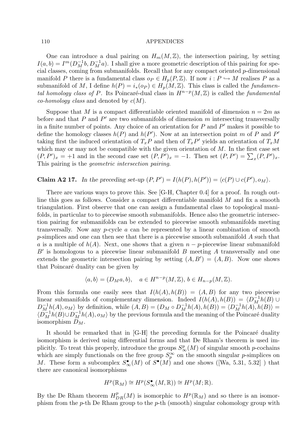One can introduce a dual pairing on  $H_m(M,\mathbb{Z})$ , the intersection pairing, by setting  $I(a, b) = I^m(D_M^{-1}b, D_M^{-1}a)$ . I shall give a more geometric description of this pairing for special classes, coming from submanifolds. Recall that for any compact oriented p-dimensional manifold P there is a fundamental class  $o_P \in H_p(P, \mathbb{Z})$ . If now  $i : P \hookrightarrow M$  realises P as a submanifold of M, I define  $h(P) = i_*(op) \in H_p(M, \mathbb{Z})$ . This class is called the *fundamen*tal homology class of P. Its Poincaré-dual class in  $H^{n-p}(M,\mathbb{Z})$  is called the fundamental *co-homology class* and denoted by  $c(M)$ .

Suppose that M is a compact differentiable oriented manifold of dimension  $n = 2m$  as before and that  $P$  and  $P'$  are two submanifolds of dimension  $m$  intersecting transversally in a finite number of points. Any choice of an orientation for  $P$  and  $P'$  makes it possible to define the homology classes  $h(P)$  and  $h(P')$ . Now at an intersection point m of P and P' taking first the induced orientation of  $T_xP$  and then of  $T_xP'$  yields an orientation of  $T_xM$ which may or may not be compatible with the given orientation of  $M$ . In the first case set  $(P, P')_x = +1$  and in the second case set  $(P, P')_x = -1$ . Then set  $(P, P') = \sum_x (P, P')_x$ . This pairing is the geometric intersection pairing.

# Claim A2 17. In the preceding set-up  $(P, P') = I(h(P), h(P')) = \langle c(P) \cup c(P'), o_M \rangle$ .

There are various ways to prove this. See [G-H, Chapter 0.4] for a proof. In rough outline this goes as follows. Consider a compact differentiable manifold M and fix a smooth triangulation. First observe that one can assign a fundamental class to topological manifolds, in particular to to piecewise smooth submanifolds. Hence also the geometric intersection pairing for submanifolds can be extended to piecewise smooth submanifolds meeting transversally. Now any p-cycle a can be represented by a linear combination of smooth p-simplices and one can then see that there is a piecewise smooth submanifold A such that a is a multiple of  $h(A)$ . Next, one shows that a given  $n - p$ -piecewise linear submanifold  $B'$  is homologous to a piecewise linear submanifold  $B$  meeting  $A$  transversally and one extends the geometric intersection pairing by setting  $(A, B') = (A, B)$ . Now one shows that Poincaré duality can be given by

$$
\langle a, b \rangle = (D_M a, b), \quad a \in H^{n-p}(M, \mathbb{Z}), \, b \in H_{n-p}(M, \mathbb{Z}).
$$

From this formula one easily sees that  $I(h(A), h(B)) = (A, B)$  for any two piecewise linear submanifolds of complementary dimension. Indeed  $I(h(A), h(B)) = \langle D_M^{-1}h(B) \cup$  $D_M^{-1}h(A), o_M$  by definition, while  $(A, B) = (D_M \circ D_M^{-1}h(A), h(B)) = \langle D_M^{-1}h(A), h(B) \rangle =$  $\langle D_M^{-1}h(B) \cup D_M^{-1}h(A), o_M \rangle$  by the previous formula and the meaning of the Poincaré duality isomorphism  $D_M$ .

It should be remarked that in  $[G-H]$  the preceding formula for the Poincaré duality isomorphism is derived using differential forms and that De Rham's theorem is used implicitly. To treat this properly, introduce the groups  $S^p_{\infty}(M)$  of singular smooth p-cochains which are simply functionals on the free group  $S_p^{\infty}$  on the smooth singular p-simplices on M. These form a subcomplex  $S_{\infty}^{\bullet}(M)$  of  $S^{\bullet}(M)$  and one shows ([Wa, 5.31, 5.32]) that there are canonical isomorphisms

$$
H^p(\mathbb{R}_M) \cong H^p(S_\infty^\bullet(M, \mathbb{R})) \cong H^p(M; \mathbb{R}).
$$

By the De Rham theorem  $H^p_{DR}(M)$  is isomorphic to  $H^p(\mathbb{R}_M)$  and so there is an isomorphism from the p-th De Rham group to the p-th (smooth) singular cohomology group with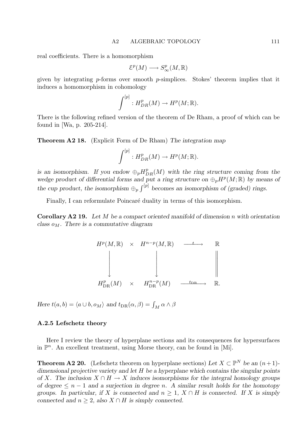real coefficients. There is a homomorphism

$$
\mathcal{E}^p(M) \longrightarrow S_\infty^p(M,\mathbb{R})
$$

given by integrating  $p$ -forms over smooth  $p$ -simplices. Stokes' theorem implies that it induces a homomorphism in cohomology

$$
\int^{[p]} : H^p_{DR}(M) \to H^p(M; \mathbb{R}).
$$

There is the following refined version of the theorem of De Rham, a proof of which can be found in [Wa, p. 205-214].

Theorem A2 18. (Explicit Form of De Rham) The integration map

$$
\int^{[p]} : H^p_{DR}(M) \to H^p(M; \mathbb{R}).
$$

is an isomorphism. If you endow  $\oplus_p H^p_{DR}(M)$  with the ring structure coming from the wedge product of differential forms and put a ring structure on  $\bigoplus_p H^p(M; \mathbb{R})$  by means of the cup product, the isomorphism  $\bigoplus_{p} \int_{p}^{[p]}$  becomes an isomorphism of (graded) rings.

Finally, I can reformulate Poincaré duality in terms of this isomorphism.

**Corollary A2 19.** Let  $M$  be a compact oriented manifold of dimension n with orientation class  $o_M$ . There is a commutative diagram

$$
H^{p}(M, \mathbb{R}) \times H^{n-p}(M, \mathbb{R}) \longrightarrow \mathbb{R}
$$
  
\n
$$
\downarrow \qquad \qquad \downarrow \qquad \qquad \downarrow \qquad \qquad \parallel
$$
  
\n
$$
H^{p}_{\text{DR}}(M) \times H^{n-p}_{\text{DR}}(M) \longrightarrow H^{n-p}_{\text{DR}}(M)
$$

Here  $t(a, b) = \langle a \cup b, o_M \rangle$  and  $t_{DR}(\alpha, \beta) = \int_M \alpha \wedge \beta$ 

#### A.2.5 Lefschetz theory

Here I review the theory of hyperplane sections and its consequences for hypersurfaces in  $\mathbb{P}^n$ . An excellent treatment, using Morse theory, can be found in [Mi].

**Theorem A2 20.** (Lefschetz theorem on hyperplane sections) Let  $X \subset \mathbb{P}^N$  be an  $(n+1)$ dimensional projective variety and let  $H$  be a hyperplane which contains the singular points of X. The inclusion  $X \cap H \to X$  induces isomorphisms for the integral homology groups of degree  $\leq n-1$  and a surjection in degree n. A similar result holds for the homotopy groups. In particular, if X is connected and  $n \geq 1$ ,  $X \cap H$  is connected. If X is simply connected and  $n \geq 2$ , also  $X \cap H$  is simply connected.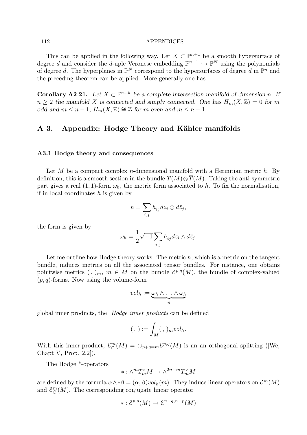This can be applied in the following way. Let  $X \subset \mathbb{P}^{n+1}$  be a smooth hypersurface of degree d and consider the d-uple Veronese embedding  $\mathbb{P}^{n+1} \hookrightarrow \mathbb{P}^N$  using the polynomials of degree d. The hyperplanes in  $\mathbb{P}^N$  correspond to the hypersurfaces of degree d in  $\mathbb{P}^n$  and the preceding theorem can be applied. More generally one has

**Corollary A2 21.** Let  $X \subset \mathbb{P}^{n+k}$  be a complete intersection manifold of dimension n. If  $n \geq 2$  the manifold X is connected and simply connected. One has  $H_m(X, \mathbb{Z}) = 0$  for m odd and  $m \leq n-1$ ,  $H_m(X,\mathbb{Z}) \cong \mathbb{Z}$  for m even and  $m \leq n-1$ .

# A 3. Appendix: Hodge Theory and Kähler manifolds

#### A3.1 Hodge theory and consequences

Let M be a compact complex *n*-dimensional manifold with a Hermitian metric  $h$ . By definition, this is a smooth section in the bundle  $T(M) \otimes \overline{T}(M)$ . Taking the anti-symmetric part gives a real (1, 1)-form  $\omega_h$ , the metric form associated to h. To fix the normalisation, if in local coordinates  $h$  is given by

$$
h=\sum_{i,j}h_{i\bar{j}}dz_i\otimes d\bar{z}_j,
$$

the form is given by

$$
\omega_h = \frac{1}{2}\sqrt{-1}\sum_{i,j} h_{i\overline{j}}dz_i \wedge d\overline{z}_j.
$$

Let me outline how Hodge theory works. The metric  $h$ , which is a metric on the tangent bundle, induces metrics on all the associated tensor bundles. For instance, one obtains pointwise metrics  $($ ,  $)_m$ ,  $m \in M$  on the bundle  $\mathcal{E}^{p,q}(M)$ , the bundle of complex-valued  $(p, q)$ -forms. Now using the volume-form

$$
vol_h := \underbrace{\omega_h \wedge \ldots \wedge \omega_h}_{n}
$$

global inner products, the Hodge inner products can be defined

$$
(, ): = \int_M (, )_m vol_h.
$$

With this inner-product,  $\mathcal{E}_{\mathbb{C}}^m(M) = \bigoplus_{p+q=m} \mathcal{E}^{p,q}(M)$  is an an orthogonal splitting ([We, Chapt V, Prop. 2.2]).

The Hodge \*-operators

$$
*:\wedge^m T_m^\vee M\to \wedge^{2n-m} T_m^\vee M
$$

are defined by the formula  $\alpha \wedge * \beta = (\alpha, \beta) vol_h(m)$ . They induce linear operators on  $\mathcal{E}^m(M)$ and  $\mathcal{E}_{\mathbb{C}}^m(M)$ . The corresponding conjugate linear operator

$$
\overline{*}: \mathcal{E}^{p,q}(M) \to \mathcal{E}^{n-q,n-p}(M)
$$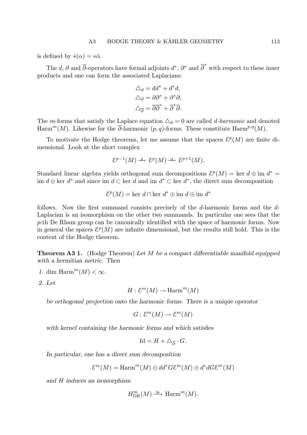is defined by  $\bar{*}(\alpha) = * \bar{\alpha}$ .

The d,  $\partial$  and  $\overline{\partial}$ -operators have formal adjoints  $d^*, \partial^*$  and  $\overline{\partial}^*$  with respect to these inner products and one can form the associated Laplacians:

$$
\Delta_d = dd^* + d^*d,
$$
  
\n
$$
\Delta_{\partial} = \partial \partial^* + \partial^* \partial,
$$
  
\n
$$
\Delta_{\overline{\partial}} = \overline{\partial} \overline{\partial}^* + \overline{\partial}^* \overline{\partial}.
$$

The m-forms that satisfy the Laplace equation  $\Delta_d = 0$  are called d-harmonic and denoted Harm<sup>m</sup>(M). Likewise for the  $\overline{\partial}$ -harmonic (p, q)-forms. These constitute Harm<sup>p,q</sup>(M).

To motivate the Hodge theorems, let me assume that the spaces  $\mathcal{E}^p(M)$  are finite dimensional. Look at the short complex

$$
\mathcal{E}^{p-1}(M) \xrightarrow{d} \mathcal{E}^p(M) \xrightarrow{d} \mathcal{E}^{p+1}(M).
$$

Standard linear algebra yields orthogonal sum decompositions  $\mathcal{E}^p(M) = \text{ker } d \oplus \text{im } d^* =$ im  $d \oplus$  ker  $d^*$  and since im  $d \subset$  ker d and im  $d^* \subset$  ker  $d^*$ , the direct sum decomposition

 $\mathcal{E}^p(M) = \text{ker } d \cap \text{ker } d^* \oplus \text{im } d \oplus \text{im } d^*$ 

follows. Now the first summand consists precisely of the d-harmonic forms and the d-Laplacian is an isomorphism on the other two summands. In particular one sees that the p-th De Rham group can be canonically identified with the space of harmonic forms. Now in general the spaces  $\mathcal{E}^p(M)$  are infinite dimensional, but the results still hold. This is the content of the Hodge theorem.

**Theorem A3 1.** (Hodge Theorem) Let M be a compact differentiable manifold equipped with a hermitian metric. Then

- 1. dim Harm<sup>m</sup> $(M) < \infty$ .
- 2. Let

$$
H: \mathcal{E}^m(M) \to \mathrm{Harm}^m(M)
$$

be orthogonal projection onto the harmonic forms. There is a unique operator

$$
G: \mathcal{E}^m(M) \to \mathcal{E}^m(M)
$$

with kernel containing the harmonic forms and which satisfies

$$
\mathrm{Id} = H + \triangle_{\overline{\partial}} \cdot G.
$$

In particular, one has a direct sum decomposition

$$
\mathcal{E}^m(M) = \mathrm{Harm}^m(M) \oplus dd^*G\mathcal{E}^m(M) \oplus d^*dG\mathcal{E}^m(M)
$$

and H induces an isomorphism

$$
H_{\mathrm{DR}}^m(M) \xrightarrow{\cong} \mathrm{Harm}^m(M).
$$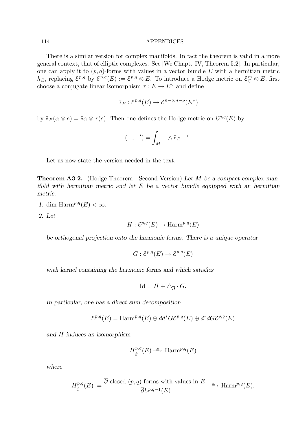There is a similar version for complex manifolds. In fact the theorem is valid in a more general context, that of elliptic complexes. See [We Chapt. IV, Theorem 5.2]. In particular, one can apply it to  $(p, q)$ -forms with values in a vector bundle E with a hermitian metric  $h_E$ , replacing  $\mathcal{E}^{p,q}$  by  $\mathcal{E}^{p,q}(E) := \mathcal{E}^{p,q} \otimes E$ . To introduce a Hodge metric on  $\mathcal{E}^m_{\mathbb{C}} \otimes E$ , first choose a conjugate linear isomorphism  $\tau : E \to E^{\vee}$  and define

$$
\overline{\ast}_E : \mathcal{E}^{p,q}(E) \to \mathcal{E}^{n-q,n-p}(E^\vee)
$$

by  $\bar *_E(\alpha \otimes e) = \bar *_\alpha \otimes \tau(e)$ . Then one defines the Hodge metric on  $\mathcal{E}^{p,q}(E)$  by

$$
(-,-') = \int_M - \wedge \overline{\ast}_E -'.
$$

Let us now state the version needed in the text.

**Theorem A3 2.** (Hodge Theorem - Second Version) Let M be a compact complex manifold with hermitian metric and let  $E$  be a vector bundle equipped with an hermitian metric.

- 1. dim Harm<sup>p,q</sup>(E) <  $\infty$ .
- 2. Let

$$
H: \mathcal{E}^{p,q}(E) \to \mathrm{Harm}^{p,q}(E)
$$

be orthogonal projection onto the harmonic forms. There is a unique operator

$$
G: \mathcal{E}^{p,q}(E) \to \mathcal{E}^{p,q}(E)
$$

with kernel containing the harmonic forms and which satisfies

$$
\mathrm{Id} = H + \triangle_{\overline{\partial}} \cdot G.
$$

In particular, one has a direct sum decomposition

$$
\mathcal{E}^{p,q}(E) = \text{Harm}^{p,q}(E) \oplus dd^*G\mathcal{E}^{p,q}(E) \oplus d^*dG\mathcal{E}^{p,q}(E)
$$

and H induces an isomorphism

$$
H^{p,q}_{\overline{\partial}}(E) \stackrel{\cong}{\longrightarrow} \text{Harm}^{p,q}(E)
$$

where

$$
H^{p,q}_{\overline{\partial}}(E) := \frac{\overline{\partial}\text{-closed } (p,q)\text{-forms with values in } E}{\overline{\partial} \mathcal{E}^{p,q-1}(E)} \xrightarrow{\cong} \text{Harm}^{p,q}(E).
$$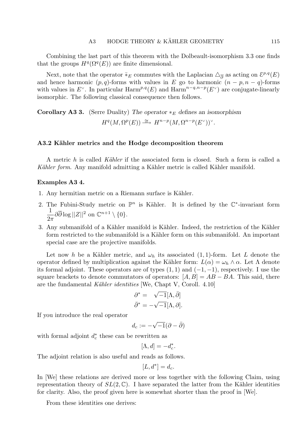Combining the last part of this theorem with the Dolbeault-isomorphism 3.3 one finds that the groups  $H^q(\Omega^q(E))$  are finite dimensional.

Next, note that the operator  $\bar{*}_E$  commutes with the Laplacian  $\triangle_{\overline{\partial}}$  as acting on  $\mathcal{E}^{p,q}(E)$ and hence harmonic  $(p, q)$ -forms with values in E go to harmonic  $(n - p, n - q)$ -forms with values in E<sup> $\vee$ </sup>. In particular Harm<sup>p,q</sup>(E) and Harm<sup>n-q,n-p</sup>(E $\vee$ ) are conjugate-linearly isomorphic. The following classical consequence then follows.

**Corollary A3 3.** (Serre Duality) The operator  $*_{E}$  defines an isomorphism  $H^q(M, \Omega^p(E)) \stackrel{\cong}{\longrightarrow} H^{n-p}(M, \Omega^{n-p}(E^{\vee}))^{\vee}.$ 

## A3.2 Kähler metrics and the Hodge decomposition theorem

A metric h is called Kähler if the associated form is closed. Such a form is called a Kähler form. Any manifold admitting a Kähler metric is called Kähler manifold.

#### Examples A3 4.

- 1. Any hermitian metric on a Riemann surface is Kähler.
- 2. The Fubini-Study metric on  $\mathbb{P}^n$  is Kähler. It is defined by the  $\mathbb{C}^*$ -invariant form 1  $2\pi$  $\partial\overline{\partial}\log||Z||^2$  on  $\mathbb{C}^{n+1}\setminus\{0\}.$
- 3. Any submanifold of a Kähler manifold is Kähler. Indeed, the restriction of the Kähler form restricted to the submanifold is a Kähler form on this submanifold. An important special case are the projective manifolds.

Let now h be a Kähler metric, and  $\omega_h$  its associated (1, 1)-form. Let L denote the operator defined by multiplication against the Kähler form:  $L(\alpha) = \omega_h \wedge \alpha$ . Let  $\Lambda$  denote its formal adjoint. These operators are of types  $(1, 1)$  and  $(-1, -1)$ , respectively. I use the square brackets to denote commutators of operators:  $[A, B] = AB - BA$ . This said, there are the fundamental Kähler identities [We, Chapt V, Coroll.  $4.10$ ]

$$
\partial^* = \sqrt{-1} [\Lambda, \overline{\partial}]
$$
  

$$
\overline{\partial}^* = -\sqrt{-1} [\Lambda, \partial].
$$

If you introduce the real operator

$$
d_c := -\sqrt{-1}(\partial - \bar{\partial})
$$

with formal adjoint  $d_c^*$  these can be rewritten as

$$
[\Lambda,d]=-d^*_c.
$$

The adjoint relation is also useful and reads as follows.

$$
[L, d^*] = d_c.
$$

In [We] these relations are derived more or less together with the following Claim, using representation theory of  $SL(2,\mathbb{C})$ . I have separated the latter from the Kähler identities for clarity. Also, the proof given here is somewhat shorter than the proof in [We].

From these identities one derives: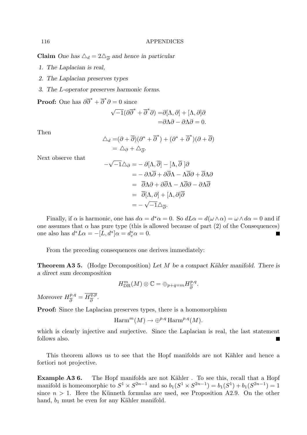Claim One has  $\Delta_d = 2\Delta_{\overline{\partial}}$  and hence in particular

- 1. The Laplacian is real,
- 2. The Laplacian preserves types
- 3. The L-operator preserves harmonic forms.

**Proof:** One has  $\partial \overline{\partial}^* + \overline{\partial}^* \partial = 0$  since

$$
\sqrt{-1}(\partial \overline{\partial}^* + \overline{\partial}^* \partial) = \partial[\Lambda, \partial] + [\Lambda, \partial] \partial
$$
  
=  $\partial \Lambda \partial - \partial \Lambda \partial = 0.$ 

Then

$$
\Delta_d = (\partial + \overline{\partial})(\partial^* + \overline{\partial}^*) + (\partial^* + \overline{\partial}^*)(\partial + \overline{\partial})
$$
  
=  $\Delta_{\partial} + \Delta_{\overline{\partial}}$ .

Next observe that

$$
-\sqrt{-1}\triangle_{\partial} = -\partial[\Lambda,\overline{\partial}] - [\Lambda,\overline{\partial}]\partial
$$
  

$$
= -\partial\Lambda\overline{\partial} + \partial\overline{\partial}\Lambda - \Lambda\overline{\partial}\partial + \overline{\partial}\Lambda\partial
$$
  

$$
= \overline{\partial}\Lambda\partial + \partial\overline{\partial}\Lambda - \Lambda\overline{\partial}\partial - \partial\Lambda\overline{\partial}
$$
  

$$
= \overline{\partial}[\Lambda,\partial] + [\Lambda,\partial]\overline{\partial}
$$
  

$$
= -\sqrt{-1}\triangle_{\overline{\partial}}.
$$

Finally, if  $\alpha$  is harmonic, one has  $d\alpha = d^*\alpha = 0$ . So  $dL\alpha = d(\omega \wedge \alpha) = \omega \wedge d\alpha = 0$  and if one assumes that  $\alpha$  has pure type (this is allowed because of part (2) of the Consequences) one also has  $d^*L\alpha = -[L, d^*]\alpha = d_c^*\alpha = 0.$ П

From the preceding consequences one derives immediately:

**Theorem A3 5.** (Hodge Decomposition) Let M be a compact Kähler manifold. There is a direct sum decomposition

$$
H_{\operatorname{DR}}^m(M)\otimes \mathbb{C}=\oplus_{p+q=m}H^{p,q}_{\overline{\partial}}.
$$

Moreover  $H_{\overline{2}}^{p,q}$  $\frac{p,q}{\partial}=\overline{H^{q,p}_{\overline{\partial}}}$  $\frac{q,p}{\partial}$ .

Proof: Since the Laplacian preserves types, there is a homomorphism

$$
\mathrm{Harm}^m(M) \to \oplus^{p,q} \mathrm{Harm}^{p,q}(M).
$$

which is clearly injective and surjective. Since the Laplacian is real, the last statement follows also.

This theorem allows us to see that the Hopf manifolds are not Kähler and hence a fortiori not projective.

Example A3 6. The Hopf manifolds are not Kähler. To see this, recall that a Hopf manifold is homeomorphic to  $S^1 \times S^{2n-1}$  and so  $b_1(S^1 \times S^{2n-1}) = b_1(S^1) + b_1(S^{2n-1}) = 1$ since  $n > 1$ . Here the Künneth formulas are used, see Proposition A2.9. On the other hand,  $b_1$  must be even for any Kähler manifold.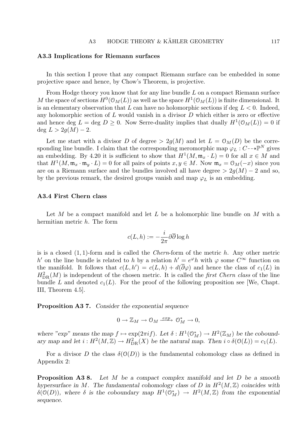## A3.3 Implications for Riemann surfaces

In this section I prove that any compact Riemann surface can be embedded in some projective space and hence, by Chow's Theorem, is projective.

From Hodge theory you know that for any line bundle  $L$  on a compact Riemann surface M the space of sections  $H^0(\mathcal{O}_M(L))$  as well as the space  $H^1(\mathcal{O}_M(L))$  is finite dimensional. It is an elementary observation that L can have no holomorphic sections if deg  $L < 0$ . Indeed, any holomorphic section of  $L$  would vanish in a divisor  $D$  which either is zero or effective and hence deg  $L = \text{deg } D \geq 0$ . Now Serre-duality implies that dually  $H^1(\mathcal{O}_M(L)) = 0$  if deg  $L > 2q(M) - 2$ .

Let me start with a divisor D of degree  $> 2g(M)$  and let  $L = \mathcal{O}_M(D)$  be the corresponding line bundle. I claim that the corresponding meromorphic map  $\varphi_L : C \rightarrow \mathbb{P}^N$  gives an embedding. By 4.20 it is sufficient to show that  $H^1(M, \mathfrak{m}_x \cdot L) = 0$  for all  $x \in M$  and that  $H^1(M, \mathfrak{m}_x \cdot \mathfrak{m}_y \cdot L) = 0$  for all pairs of points  $x, y \in M$ . Now  $\mathfrak{m}_x = \mathfrak{O}_M(-x)$  since you are on a Riemann surface and the bundles involved all have degree  $> 2g(M) - 2$  and so, by the previous remark, the desired groups vanish and map  $\varphi_L$  is an embedding.

# A3.4 First Chern class

Let M be a compact manifold and let L be a holomorphic line bundle on M with a hermitian metric  $h$ . The form

$$
c(L, h) := -\frac{i}{2\pi} \partial \overline{\partial} \log h
$$

is is a closed  $(1, 1)$ -form and is called the *Chern*-form of the metric h. Any other metric h' on the line bundle is related to h by a relation  $h' = e^{\varphi} h$  with  $\varphi$  some  $C^{\infty}$  function on the manifold. It follows that  $c(L, h') = c(L, h) + d(\overline{\partial}\varphi)$  and hence the class of  $c_1(L)$  in  $H_{\text{DR}}^2(M)$  is independent of the chosen metric. It is called the *first Chern class* of the line bundle L and denoted  $c_1(L)$ . For the proof of the following proposition see [We, Chapt. III, Theorem 4.5].

Proposition A37. Consider the exponential sequence

$$
0 \to \mathbb{Z}_M \to \mathcal{O}_M \xrightarrow{exp} \mathcal{O}_M^* \to 0,
$$

where "exp" means the map  $f \mapsto \exp(2\pi i f)$ . Let  $\delta : H^1(\mathbb{O}_M^*) \to H^2(\mathbb{Z}_M)$  be the coboundary map and let  $i : H^2(M, \mathbb{Z}) \to H^2_{DR}(X)$  be the natural map. Then  $i \circ \delta(\mathcal{O}(L)) = c_1(L)$ .

For a divisor D the class  $\delta(\mathcal{O}(D))$  is the fundamental cohomology class as defined in Appendix 2:

**Proposition A3 8.** Let M be a compact complex manifold and let D be a smooth hypersurface in M. The fundamental cohomology class of D in  $H^2(M, \mathbb{Z})$  coincides with  $\delta(\mathcal{O}(D))$ , where  $\delta$  is the coboundary map  $H^1(\mathcal{O}_M^*) \to H^2(M,\mathbb{Z})$  from the exponential sequence.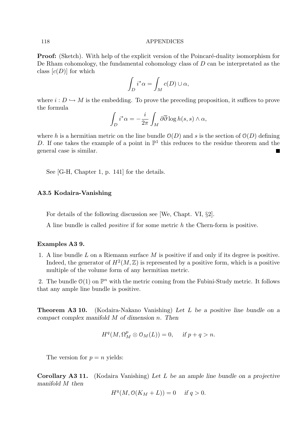**Proof:** (Sketch). With help of the explicit version of the Poincaré-duality isomorphism for De Rham cohomology, the fundamental cohomology class of D can be interpretated as the class  $[c(D)]$  for which

$$
\int_D i^*\alpha = \int_M c(D) \cup \alpha,
$$

where  $i: D \hookrightarrow M$  is the embedding. To prove the preceding proposition, it suffices to prove the formula

$$
\int_D i^*\alpha = -\frac{i}{2\pi} \int_M \partial \overline{\partial} \log h(s, s) \wedge \alpha,
$$

where h is a hermitian metric on the line bundle  $\mathcal{O}(D)$  and s is the section of  $\mathcal{O}(D)$  defining D. If one takes the example of a point in  $\mathbb{P}^1$  this reduces to the residue theorem and the general case is similar. a a

See [G-H, Chapter 1, p. 141] for the details.

# A3.5 Kodaira-Vanishing

For details of the following discussion see [We, Chapt. VI, §2].

A line bundle is called positive if for some metric h the Chern-form is positive.

#### Examples A3 9.

1. A line bundle L on a Riemann surface  $M$  is positive if and only if its degree is positive. Indeed, the generator of  $H^2(M,\mathbb{Z})$  is represented by a positive form, which is a positive multiple of the volume form of any hermitian metric.

2. The bundle  $\mathcal{O}(1)$  on  $\mathbb{P}^n$  with the metric coming from the Fubini-Study metric. It follows that any ample line bundle is positive.

**Theorem A3 10.** (Kodaira-Nakano Vanishing) Let L be a positive line bundle on a compact complex manifold M of dimension n. Then

$$
H^q(M, \Omega_M^p \otimes \mathcal{O}_M(L)) = 0, \quad \text{ if } p + q > n.
$$

The version for  $p = n$  yields:

Corollary A3 11. (Kodaira Vanishing) Let L be an ample line bundle on a projective manifold M then

$$
H^q(M, \mathcal{O}(K_M + L)) = 0 \quad \text{if } q > 0.
$$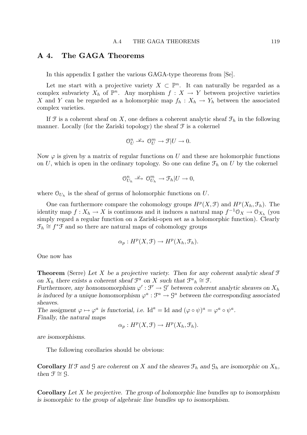# A 4. The GAGA Theorems

In this appendix I gather the various GAGA-type theorems from [Se].

Let me start with a projective variety  $X \subset \mathbb{P}^n$ . It can naturally be regarded as a complex subvariety  $X_h$  of  $\mathbb{P}^n$ . Any morphism  $f: X \to Y$  between projective varieties X and Y can be regarded as a holomorphic map  $f_h: X_h \to Y_h$  between the associated complex varieties.

If  $\mathcal F$  is a coherent sheaf on X, one defines a coherent analytic sheaf  $\mathcal F_h$  in the following manner. Locally (for the Zariski topology) the sheaf  $\mathcal F$  is a cokernel

$$
\mathbb{O}^n_U \xrightarrow{\varphi} \mathbb{O}^m_U \to \mathcal{F}|U \to 0.
$$

Now  $\varphi$  is given by a matrix of regular functions on U and these are holomorphic functions on U, which is open in the ordinary topology. So one can define  $\mathcal{F}_h$  on U by the cokernel

$$
\mathcal{O}_{U_h}^n \stackrel{\varphi}{\longrightarrow} \mathcal{O}_{U_h}^m \to \mathcal{F}_h|U \to 0,
$$

where  $\mathcal{O}_{U_h}$  is the sheaf of germs of holomorphic functions on U.

One can furthermore compare the cohomology groups  $H^p(X, \mathcal{F})$  and  $H^p(X_h, \mathcal{F}_h)$ . The identity map  $f: X_h \to X$  is continuous and it induces a natural map  $f^{-1} \mathcal{O}_X \to \mathcal{O}_{X_h}$  (you simply regard a regular function on a Zariski-open set as a holomorphic function). Clearly  $\mathcal{F}_h \cong f^* \mathcal{F}$  and so there are natural maps of cohomology groups

$$
\alpha_p: H^p(X, \mathcal{F}) \to H^p(X_h, \mathcal{F}_h).
$$

One now has

**Theorem** (Serre) Let X be a projective variety. Then for any coherent analytic sheaf  $\mathcal F$ on  $X_h$  there exists a coherent sheaf  $\mathcal{F}^a$  on X such that  $\mathcal{F}^a{}_h \cong \mathcal{F}$ .

Furthermore, any homomomorphism  $\varphi': \mathfrak{F}' \to \mathfrak{G}'$  between coherent analytic sheaves on  $X_h$ is induced by a unique homomorphism  $\varphi^a : \mathcal{F}^a \to \mathcal{G}^a$  between the corresponding associated sheaves.

The assigment  $\varphi \mapsto \varphi^a$  is functorial, i.e. Id<sup>a</sup> = Id and  $(\varphi \circ \psi)^a = \varphi^a \circ \psi^a$ . Finally, the natural maps

$$
\alpha_p: H^p(X, \mathcal{F}) \to H^p(X_h, \mathcal{F}_h).
$$

are isomorphisms.

The following corollaries should be obvious:

**Corollary** If  $\mathcal F$  and  $\mathcal G$  are coherent on X and the sheaves  $\mathcal F_h$  and  $\mathcal G_h$  are isomorphic on  $X_h$ , then  $\mathfrak{F} \cong \mathfrak{G}$ .

**Corollary** Let X be projective. The group of holomorphic line bundles up to isomorphism is isomorphic to the group of algebraic line bundles up to isomorphism.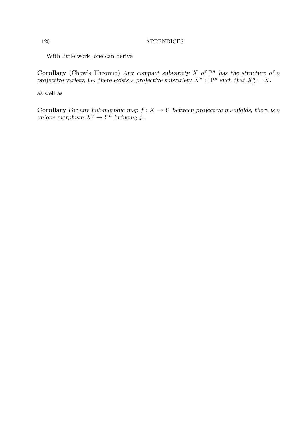With little work, one can derive

Corollary (Chow's Theorem) Any compact subvariety X of  $\mathbb{P}^n$  has the structure of a projective variety, i.e. there exists a projective subvariety  $X^a \subset \mathbb{P}^n$  such that  $X_h^a = X$ .

as well as

**Corollary** For any holomorphic map  $f : X \to Y$  between projective manifolds, there is a unique morphism  $X^a \to Y^a$  inducing f.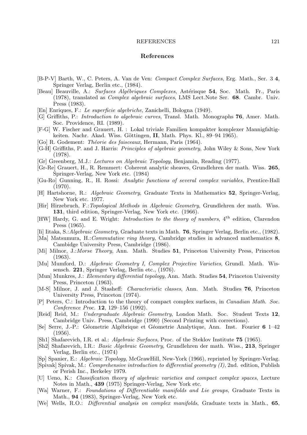#### REFERENCES 121

#### References

- [B-P-V] Barth, W., C. Peters, A. Van de Ven: Compact Complex Surfaces, Erg. Math., Ser. 3 4, Springer Verlag, Berlin etc., (1984).
- [Beau] Beauville, A.: Surfaces Algébriques Complexes, Astérisque 54, Soc. Math. Fr., Paris (1978), translated as Complex algebraic surfaces, LMS Lect.Note Ser. 68. Cambr. Univ. Press (1983).
- [En] Enriques, F.: Le superficie algebriche, Zanichelli, Bologna (1949).
- [G] Griffiths, P.: Introduction to algebraic curves, Transl. Math. Monographs 76, Amer. Math. Soc. Providence, RI. (1989).
- [F-G] W. Fischer and Grauert, H. : Lokal triviale Familien kompakter komplexer Mannigfaltigkeiten. Nachr. Akad. Wiss. Göttingen, II, Math. Phys. Kl., 89–94 1965).
- [Go] R. Godement: *Théorie des faisceaux*, Hermann, Paris (1964).
- [G-H] Griffiths, P. and J. Harris: Principles of algebraic geometry, John Wiley & Sons, New York (1978).
- [Gr] Greenberg, M.J.: Lectures on Algebraic Topology, Benjamin, Reading (1977).
- [Gr-Re] Grauert, H., R. Remmert: Coherent analytic sheaves, Grundlehren der math. Wiss. 265, Springer-Verlag, New York etc. (1984)
- [Gu-Ro] Gunning, R., H. Rossi: Analytic functions of several complex variables, Prentice-Hall (1970).
- [H] Hartshorne, R.: Algebraic Geometry, Graduate Texts in Mathematics 52, Springer-Verlag, New York etc. 1977.
- [Hir] Hirzebruch, F.:Topological Methods in Algebraic Geometry, Grundlehren der math. Wiss. 131, third edition, Springer-Verlag, New York etc. (1966).
- [HW] Hardy, G. and E. Wright: *Introduction to the theory of numbers*, 4<sup>th</sup> edition, Clarendon Press (1965).
- [Ii] Iitaka, S.:Algebraic Geometry, Graduate texts in Math. 76, Springer Verlag, Berlin etc., (1982).
- [Ma] Matsumura, H.:Commutative ring theory, Cambridge studies in advanced mathematics 8, Cambidge University Press, Cambridge (1986).
- [Mi] Milnor, J.: Morse Theory, Ann. Math. Studies 51, Princeton University Press, Princeton (1963).
- [Mu] Mumford, D.: Algebraic Geometry I, Complex Projective Varieties, Grundl. Math. Wissensch. 221, Springer Verlag, Berlin etc., (1976).
- [Mun] Munkres, J.: Elementary differential topology, Ann. Math. Studies 54, Princeton University Press, Princeton (1963).
- [M-S] Milnor, J. and J. Stasheff: Characteristic classes, Ann. Math. Studies 76, Princeton University Press, Princeton (1974).
- [P] Peters, C.: Introduction to the theory of compact complex surfaces, in Canadian Math. Soc. Conference Proc. 12, 129–156 (1992).
- [Reid] Reid, M.: Undergraduate Algebraic Geometry, London Math. Soc. Student Texts 12, Cambridge Univ. Press, Cambridge (1990) (Second Printing with corrections).
- [Se] Serre, J.-P.: Géometrie Algébrique et Géometrie Analytique, Ann. Inst. Fourier 6 1-42 (1956).
- [Sh1] Shafarevich, I.R. et al.: Algebraic Surfaces, Proc. of the Steklov Institute 75 (1965).
- [Sh2] Shafarevich, I.R.: Basic Algebraic Geometry, Grundlehren der math. Wiss., 213, Springer Verlag, Berlin etc., (1974)
- [Sp] Spanier, E.: Algebraic Topology, McGrawHill, New-York (1966), reprinted by Springer-Verlag.
- [Spivak] Spivak, M.: Comprehensive introduction to differential geometry (I), 2nd. edition, Publish or Perish Inc., Berkeley 1979.
- [U] Ueno, K.: Classification theory of algebraic varieties and compact complex spaces, Lecture Notes in Math., 439 (1975) Springer-Verlag, New York etc.
- [Wa] Warner, F.: Foundations of Differentiable manifolds and Lie groups, Graduate Texts in Math., 94 (1983), Springer-Verlag, New York etc.
- [We] Wells, R.O.: *Differential analysis on complex manifolds*, Graduate texts in Math., 65,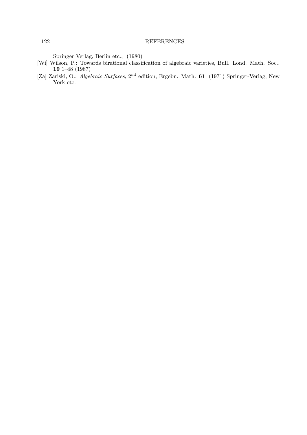#### 122 REFERENCES

Springer Verlag, Berlin etc., (1980)

- [Wi] Wilson, P.: Towards birational classification of algebraic varieties, Bull. Lond. Math. Soc., 19 1–48 (1987)
- [Za] Zariski, O.: Algebraic Surfaces, 2nd edition, Ergebn. Math. 61, (1971) Springer-Verlag, New York etc.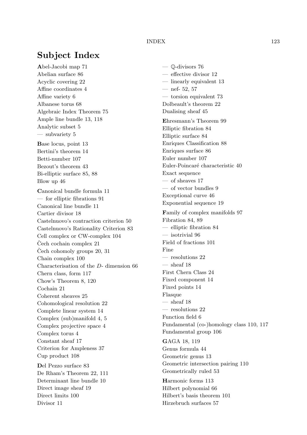# Subject Index

Abel-Jacobi map 71 Abelian surface 86 Acyclic covering 22 Affine coordinates 4 Affine variety 6 Albanese torus 68 Algebraic Index Theorem 75 Ample line bundle 13, 118 Analytic subset 5 — subvariety 5 Base locus, point 13 Bertini's theorem 14 Betti-number 107 Bezout's theorem 43 Bi-elliptic surface 85, 88 Blow up 46 Canonical bundle formula 11 — for elliptic fibrations 91 Canonical line bundle 11 Cartier divisor 18 Castelnuovo's contraction criterion 50 Castelnuovo's Rationality Criterion 83 Cell complex or CW-complex 104  $Cech$  cochain complex 21 Čech cohomoly groups  $20, 31$ Chain complex 100 Characterisation of the D- dimension 66 Chern class, form 117 Chow's Theorem 8, 120 Cochain 21 Coherent sheaves 25 Cohomological resolution 22 Complete linear system 14 Complex (sub)manifold 4, 5 Complex projective space 4 Complex torus 4 Constant sheaf 17 Criterion for Ampleness 37 Cup product 108 Del Pezzo surface 83 De Rham's Theorem 22, 111 Determinant line bundle 10 Direct image sheaf 19 Direct limits 100 Divisor 11

— Q-divisors 76 — effective divisor 12 — linearly equivalent 13  $-$  nef- 52, 57 — torsion equivalent 73 Dolbeault's theorem 22 Dualising sheaf 45 Ehresmann's Theorem 99 Elliptic fibration 84 Elliptic surface 84 Enriques Classification 88 Enriques surface 86 Euler number 107 Euler-Poincaré characteristic 40 Exact sequence — of sheaves 17 — of vector bundles 9 Exceptional curve 46 Exponential sequence 19 Family of complex manifolds 97 Fibration 84, 89 — elliptic fibration 84 — isotrivial 96 Field of fractions 101 Fine — resolutions 22  $-$  sheaf 18 First Chern Class 24 Fixed component 14 Fixed points 14 Flasque  $-$  sheaf 18 — resolutions 22 Function field 6 Fundamental (co-)homology class 110, 117 Fundamental group 106 GAGA 18, 119 Genus formula 44 Geometric genus 13 Geometric intersection pairing 110 Geometrically ruled 53 Harmonic forms 113 Hilbert polynomial 66 Hilbert's basis theorem 101 Hirzebruch surfaces 57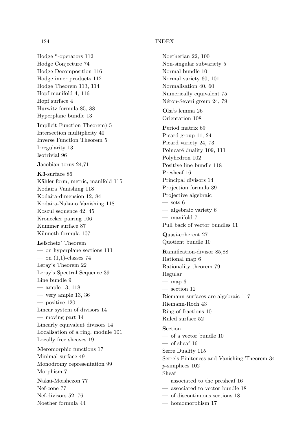# 124 INDEX

Hodge \*-operators 112 Hodge Conjecture 74 Hodge Decomposition 116 Hodge inner products 112 Hodge Theorem 113, 114 Hopf manifold 4, 116 Hopf surface 4 Hurwitz formula 85, 88 Hyperplane bundle 13 Implicit Function Theorem) 5 Intersection multiplicity 40 Inverse Function Theorem 5 Irregularity 13 Isotrivial 96 Jacobian torus 24,71 K3-surface 86 Kähler form, metric, manifold 115 Kodaira Vanishing 118 Kodaira-dimension 12, 84 Kodaira-Nakano Vanishing 118 Koszul sequence 42, 45 Kronecker pairing 106 Kummer surface 87 Künneth formula 107 Lefschetz' Theorem — on hyperplane sections 111  $-$  on  $(1,1)$ -classes 74 Leray's Theorem 22 Leray's Spectral Sequence 39 Line bundle 9 — ample 13, 118  $-$  very ample 13, 36 — positive 120 Linear system of divisors 14 — moving part 14 Linearly equivalent divisors 14 Localisation of a ring, module 101 Locally free sheaves 19 Meromorphic functions 17 Minimal surface 49 Monodromy representation 99 Morphism 7 Nakai-Moishezon 77 Nef-cone 77 Nef-divisors 52, 76 Noether formula 44

Noetherian 22, 100 Non-singular subvariety 5 Normal bundle 10 Normal variety 60, 101 Normalisation 40, 60 Numerically equivalent 75 Néron-Severi group 24, 79 Oka's lemma 26 Orientation 108 Period matrix 69 Picard group 11, 24 Picard variety 24, 73 Poincaré duality 109, 111 Polyhedron 102 Positive line bundle 118 Presheaf 16 Principal divisors 14 Projection formula 39 Projective algebraic  $-$  sets  $6$ — algebraic variety 6 — manifold 7 Pull back of vector bundles 11 Quasi-coherent 27 Quotient bundle 10 Ramification-divisor 85,88 Rational map 6 Rationality theorem 79 Regular  $-$  map 6 — section 12 Riemann surfaces are algebraic 117 Riemann-Roch 43 Ring of fractions 101 Ruled surface 52 Section — of a vector bundle 10  $-$  of sheaf 16 Serre Duality 115 Serre's Finiteness and Vanishing Theorem 34 p-simplices 102 Sheaf — associated to the presheaf 16 — associated to vector bundle 18 — of discontinuous sections 18 — homomorphism 17